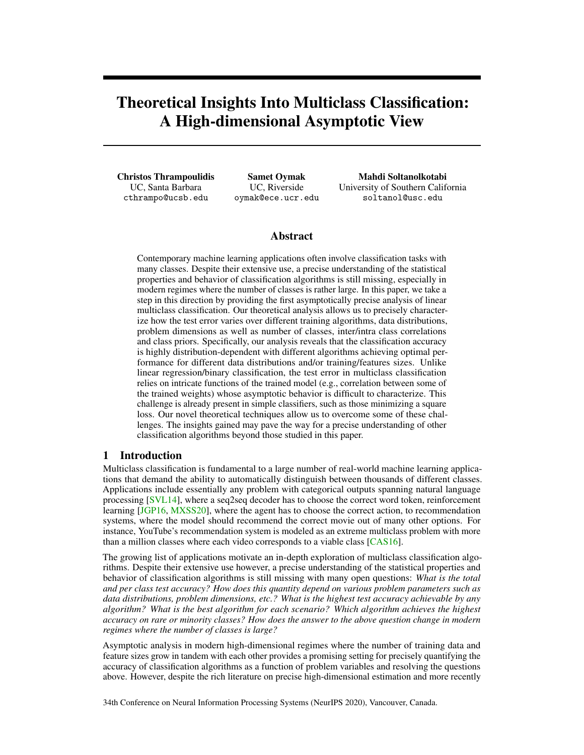# <span id="page-0-0"></span>Theoretical Insights Into Multiclass Classification: A High-dimensional Asymptotic View

Christos Thrampoulidis UC, Santa Barbara cthrampo@ucsb.edu

Samet Oymak UC, Riverside oymak@ece.ucr.edu

Mahdi Soltanolkotabi University of Southern California soltanol@usc.edu

# Abstract

Contemporary machine learning applications often involve classification tasks with many classes. Despite their extensive use, a precise understanding of the statistical properties and behavior of classification algorithms is still missing, especially in modern regimes where the number of classes is rather large. In this paper, we take a step in this direction by providing the first asymptotically precise analysis of linear multiclass classification. Our theoretical analysis allows us to precisely characterize how the test error varies over different training algorithms, data distributions, problem dimensions as well as number of classes, inter/intra class correlations and class priors. Specifically, our analysis reveals that the classification accuracy is highly distribution-dependent with different algorithms achieving optimal performance for different data distributions and/or training/features sizes. Unlike linear regression/binary classification, the test error in multiclass classification relies on intricate functions of the trained model (e.g., correlation between some of the trained weights) whose asymptotic behavior is difficult to characterize. This challenge is already present in simple classifiers, such as those minimizing a square loss. Our novel theoretical techniques allow us to overcome some of these challenges. The insights gained may pave the way for a precise understanding of other classification algorithms beyond those studied in this paper.

# 1 Introduction

Multiclass classification is fundamental to a large number of real-world machine learning applications that demand the ability to automatically distinguish between thousands of different classes. Applications include essentially any problem with categorical outputs spanning natural language processing [\[SVL14\]](#page-13-0), where a seq2seq decoder has to choose the correct word token, reinforcement learning [\[JGP16,](#page-11-0) [MXSS20\]](#page-12-0), where the agent has to choose the correct action, to recommendation systems, where the model should recommend the correct movie out of many other options. For instance, YouTube's recommendation system is modeled as an extreme multiclass problem with more than a million classes where each video corresponds to a viable class [\[CAS16\]](#page-10-0).

The growing list of applications motivate an in-depth exploration of multiclass classification algorithms. Despite their extensive use however, a precise understanding of the statistical properties and behavior of classification algorithms is still missing with many open questions: *What is the total and per class test accuracy? How does this quantity depend on various problem parameters such as data distributions, problem dimensions, etc.? What is the highest test accuracy achievable by any algorithm? What is the best algorithm for each scenario? Which algorithm achieves the highest accuracy on rare or minority classes? How does the answer to the above question change in modern regimes where the number of classes is large?*

Asymptotic analysis in modern high-dimensional regimes where the number of training data and feature sizes grow in tandem with each other provides a promising setting for precisely quantifying the accuracy of classification algorithms as a function of problem variables and resolving the questions above. However, despite the rich literature on precise high-dimensional estimation and more recently

34th Conference on Neural Information Processing Systems (NeurIPS 2020), Vancouver, Canada.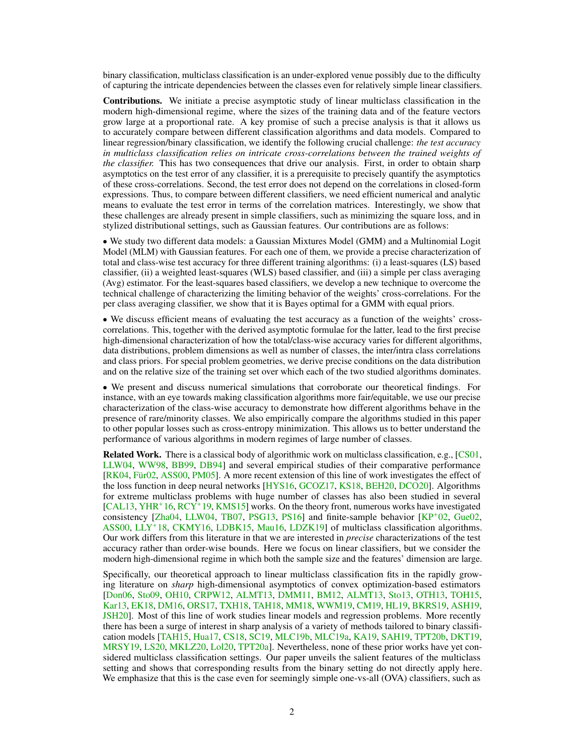binary classification, multiclass classification is an under-explored venue possibly due to the difficulty of capturing the intricate dependencies between the classes even for relatively simple linear classifiers.

Contributions. We initiate a precise asymptotic study of linear multiclass classification in the modern high-dimensional regime, where the sizes of the training data and of the feature vectors grow large at a proportional rate. A key promise of such a precise analysis is that it allows us to accurately compare between different classification algorithms and data models. Compared to linear regression/binary classification, we identify the following crucial challenge: *the test accuracy in multiclass classification relies on intricate cross-correlations between the trained weights of the classifier.* This has two consequences that drive our analysis. First, in order to obtain sharp asymptotics on the test error of any classifier, it is a prerequisite to precisely quantify the asymptotics of these cross-correlations. Second, the test error does not depend on the correlations in closed-form expressions. Thus, to compare between different classifiers, we need efficient numerical and analytic means to evaluate the test error in terms of the correlation matrices. Interestingly, we show that these challenges are already present in simple classifiers, such as minimizing the square loss, and in stylized distributional settings, such as Gaussian features. Our contributions are as follows:

● We study two different data models: a Gaussian Mixtures Model (GMM) and a Multinomial Logit Model (MLM) with Gaussian features. For each one of them, we provide a precise characterization of total and class-wise test accuracy for three different training algorithms: (i) a least-squares (LS) based classifier, (ii) a weighted least-squares (WLS) based classifier, and (iii) a simple per class averaging (Avg) estimator. For the least-squares based classifiers, we develop a new technique to overcome the technical challenge of characterizing the limiting behavior of the weights' cross-correlations. For the per class averaging classifier, we show that it is Bayes optimal for a GMM with equal priors.

• We discuss efficient means of evaluating the test accuracy as a function of the weights' crosscorrelations. This, together with the derived asymptotic formulae for the latter, lead to the first precise high-dimensional characterization of how the total/class-wise accuracy varies for different algorithms, data distributions, problem dimensions as well as number of classes, the inter/intra class correlations and class priors. For special problem geometries, we derive precise conditions on the data distribution and on the relative size of the training set over which each of the two studied algorithms dominates.

• We present and discuss numerical simulations that corroborate our theoretical findings. For instance, with an eye towards making classification algorithms more fair/equitable, we use our precise characterization of the class-wise accuracy to demonstrate how different algorithms behave in the presence of rare/minority classes. We also empirically compare the algorithms studied in this paper to other popular losses such as cross-entropy minimization. This allows us to better understand the performance of various algorithms in modern regimes of large number of classes.

Related Work. There is a classical body of algorithmic work on multiclass classification, e.g., [\[CS01,](#page-10-1) [LLW04,](#page-12-1) [WW98,](#page-14-0) [BB99,](#page-10-2) [DB94\]](#page-10-3) and several empirical studies of their comparative performance [\[RK04,](#page-13-1) [Für02,](#page-11-1) [ASS00,](#page-10-4) [PM05\]](#page-13-2). A more recent extension of this line of work investigates the effect of the loss function in deep neural networks [\[HYS16,](#page-11-2) [GCOZ17,](#page-11-3) [KS18,](#page-12-2) [BEH20,](#page-10-5) [DCO20\]](#page-10-6). Algorithms for extreme multiclass problems with huge number of classes has also been studied in several [\[CAL13,](#page-10-7) [YHR](#page-14-1)<sup>+</sup>16, [RCY](#page-13-3)<sup>+</sup>19, [KMS15\]](#page-11-4) works. On the theory front, numerous works have investigated consistency [\[Zha04,](#page-14-2) [LLW04,](#page-12-1) [TB07,](#page-13-4) [PSG13,](#page-13-5) [PS16\]](#page-13-6) and finite-sample behavior [\[KP](#page-11-5)<sup>+</sup>02, [Gue02,](#page-11-6) [ASS00,](#page-10-4) [LLY](#page-12-3)<sup>+</sup> 18, [CKMY16,](#page-10-8) [LDBK15,](#page-12-4) [Mau16,](#page-12-5) [LDZK19\]](#page-12-6) of multiclass classification algorithms. Our work differs from this literature in that we are interested in *precise* characterizations of the test accuracy rather than order-wise bounds. Here we focus on linear classifiers, but we consider the modern high-dimensional regime in which both the sample size and the features' dimension are large.

Specifically, our theoretical approach to linear multiclass classification fits in the rapidly growing literature on *sharp* high-dimensional asymptotics of convex optimization-based estimators [\[Don06,](#page-11-7) [Sto09,](#page-13-7) [OH10,](#page-12-7) [CRPW12,](#page-10-9) [ALMT13,](#page-10-10) [DMM11,](#page-11-8) [BM12,](#page-10-11) [ALMT13,](#page-10-10) [Sto13,](#page-13-8) [OTH13,](#page-13-9) [TOH15,](#page-13-10) [Kar13,](#page-11-9) [EK18,](#page-11-10) [DM16,](#page-11-11) [ORS17,](#page-12-8) [TXH18,](#page-14-3) [TAH18,](#page-13-11) [MM18,](#page-12-9) [WWM19,](#page-14-4) [CM19,](#page-10-12) [HL19,](#page-11-12) [BKRS19,](#page-10-13) [ASH19,](#page-10-14) [JSH20\]](#page-11-13). Most of this line of work studies linear models and regression problems. More recently there has been a surge of interest in sharp analysis of a variety of methods tailored to binary classification models [\[TAH15,](#page-13-12) [Hua17,](#page-11-14) [CS18,](#page-10-15) [SC19,](#page-13-13) [MLC19b,](#page-12-10) [MLC19a,](#page-12-11) [KA19,](#page-11-15) [SAH19,](#page-13-14) [TPT20b,](#page-13-15) [DKT19,](#page-10-16) [MRSY19,](#page-12-12) [LS20,](#page-12-13) [MKLZ20,](#page-12-14) [Lol20,](#page-12-15) [TPT20a\]](#page-13-16). Nevertheless, none of these prior works have yet considered multiclass classification settings. Our paper unveils the salient features of the multiclass setting and shows that corresponding results from the binary setting do not directly apply here. We emphasize that this is the case even for seemingly simple one-vs-all (OVA) classifiers, such as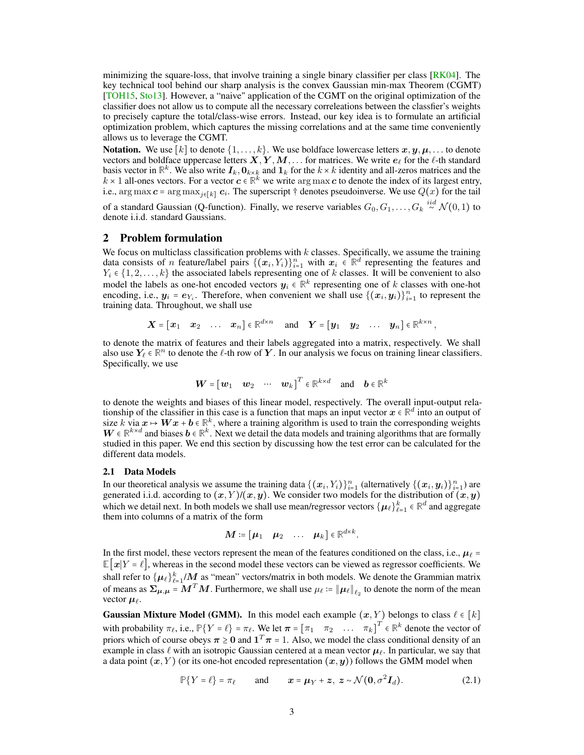minimizing the square-loss, that involve training a single binary classifier per class  $\sqrt{RK04}$ . The key technical tool behind our sharp analysis is the convex Gaussian min-max Theorem (CGMT) [\[TOH15,](#page-13-10) [Sto13\]](#page-13-8). However, a "naive" application of the CGMT on the original optimization of the classifier does not allow us to compute all the necessary correleations between the classfier's weights to precisely capture the total/class-wise errors. Instead, our key idea is to formulate an artificial optimization problem, which captures the missing correlations and at the same time conveniently allows us to leverage the CGMT.

**Notation.** We use  $[k]$  to denote  $\{1, \ldots, k\}$ . We use boldface lowercase letters  $x, y, \mu, \ldots$  to denote vectors and boldface uppercase letters  $X, Y, M, \ldots$  for matrices. We write  $e_\ell$  for the  $\ell$ -th standard basis vector in  $\mathbb{R}^k$ . We also write  $I_k$ ,  $0_{k \times k}$  and  $1_k$  for the  $k \times k$  identity and all-zeros matrices and the  $k \times 1$  all-ones vectors. For a vector  $c \in \mathbb{R}^k$  we write  $\arg \max c$  to denote the index of its la i.e., arg max  $c = \arg \max_{j \in [k]} c_i$ . The superscript † denotes pseudoinverse. We use  $Q(x)$  for the tail of a standard Gaussian (Q-function). Finally, we reserve variables  $G_0, G_1, \ldots, G_k \stackrel{iid}{\sim} \mathcal{N}(0,1)$  to denote i.i.d. standard Gaussians.

## 2 Problem formulation

We focus on multiclass classification problems with  $k$  classes. Specifically, we assume the training data consists of *n* feature/label pairs  $\{(x_i, Y_i)\}_{i=1}^n$  with  $x_i \in \mathbb{R}^d$  representing the features and  $Y_i \in \{1, 2, \ldots, k\}$  the associated labels representing one of *k* classes. It will be convenient to also  $Y_i \in \{1, 2, \ldots, k\}$  the associated labels representing one of k classes. It will be convenient to also model the labels as one-hot encoded vectors  $y_i \in \mathbb{R}^k$  representing one of k classes with one-hot encoding, i.e.,  $y_i = e_{Y_i}$ . Therefore, when convenient we shall use  $\{(x_i, y_i)\}_{i=1}^n$  to represent the training data. Throughout we shall use training data. Throughout, we shall use

$$
\boldsymbol{X} = \begin{bmatrix} x_1 & x_2 & \dots & x_n \end{bmatrix} \in \mathbb{R}^{d \times n} \quad \text{and} \quad \boldsymbol{Y} = \begin{bmatrix} y_1 & y_2 & \dots & y_n \end{bmatrix} \in \mathbb{R}^{k \times n},
$$

to denote the matrix of features and their labels aggregated into a matrix, respectively. We shall also use  $Y_\ell \in \mathbb{R}^n$  to denote the  $\ell$ -th row of Y. In our analysis we focus on training linear classifiers. Specifically, we use

$$
\boldsymbol{W} = \begin{bmatrix} \boldsymbol{w}_1 & \boldsymbol{w}_2 & \cdots & \boldsymbol{w}_k \end{bmatrix}^T \in \mathbb{R}^{k \times d} \text{ and } \boldsymbol{b} \in \mathbb{R}^k
$$

to denote the weights and biases of this linear model, respectively. The overall input-output relationship of the classifier in this case is a function that maps an input vector  $x \in \mathbb{R}^d$  into an output of size k via  $x \mapsto Wx + b \in \mathbb{R}^k$ , where a training algorithm is used to train the corresponding weights  $W \in \mathbb{R}^{k \times d}$  and biases  $b \in \mathbb{R}^k$ . Next we detail the data models and training algorithms that are formally studied in this paper. We end this section by discussing how the test error can be calculated for the different data models.

# 2.1 Data Models

In our theoretical analysis we assume the training data  $\{(x_i, Y_i)\}_{i=1}^n$  (alternatively  $\{(x_i, y_i)\}_{i=1}^n$ ) are<br>generated i.i.d. according to  $(x, Y)(x, y)$ . We consider two models for the distribution of  $(x, y)$ generated i.i.d. according to  $(x,Y)/(x,y).$  We consider two models for the distribution of  $(x,y)$ which we detail next. In both models we shall use mean/regressor vectors  $\{\mu_{\ell}\}_{\ell=1}^{k} \in \mathbb{R}^{d}$  and aggregate them into columns of a matrix of the form them into columns of a matrix of the form

$$
\boldsymbol{M}\coloneqq\begin{bmatrix} \boldsymbol{\mu}_1 & \boldsymbol{\mu}_2 & \dots & \boldsymbol{\mu}_k \end{bmatrix} \!\in\! \mathbb{R}^{d\times k}
$$

In the first model, these vectors represent the mean of the features conditioned on the class, i.e.,  $\mu_{\ell}$  =  $\mathbb{E}[x|Y = \ell]$ , whereas in the second model these vectors can be viewed as regressor coefficients. We shall refer to  $\{\mu_\ell\}_{\ell=1}^k/M$  as "mean" vectors/matrix in both models. We denote the Grammian matrix SHAH FEEL to  $\{ \mu_{\ell} \}_{\ell=1}^{\ell}$ /*W* as the anti-vectors/matrix in both models. We denote the Gramman matrix of means as  $\Sigma_{\mu,\mu} = M^T M$ . Furthermore, we shall use  $\mu_{\ell} := ||\mu_{\ell}||_{\ell_2}$  to denote the norm of the mea vector  $\mu_{\ell}$ .

**Gaussian Mixture Model (GMM).** In this model each example  $(x, Y)$  belongs to class  $\ell \in [k]$ with probability  $\pi_{\ell}$ , i.e.,  $\mathbb{P}\{Y = \ell\} = \pi_{\ell}$ . We let  $\pi = [\pi_1 \quad \pi_2 \quad \dots \quad \pi_k]^T \in \mathbb{R}^k$  denote the vector of priors which of course obeys  $\pi \ge 0$  and  $1^T \pi = 1$ . Also, we model the class conditional density of an example in class  $\ell$  with an isotropic Gaussian centered at a mean vector  $\mu_{\ell}$ . In particular, we say that a data point  $(x, Y)$  (or its one-hot encoded representation  $(x, y)$ ) follows the GMM model when

$$
\mathbb{P}\{Y=\ell\}=\pi_{\ell} \quad \text{and} \quad x=\mu_Y+z, \ z \sim \mathcal{N}(\mathbf{0}, \sigma^2 \mathbf{I}_d). \tag{2.1}
$$

<span id="page-2-0"></span>.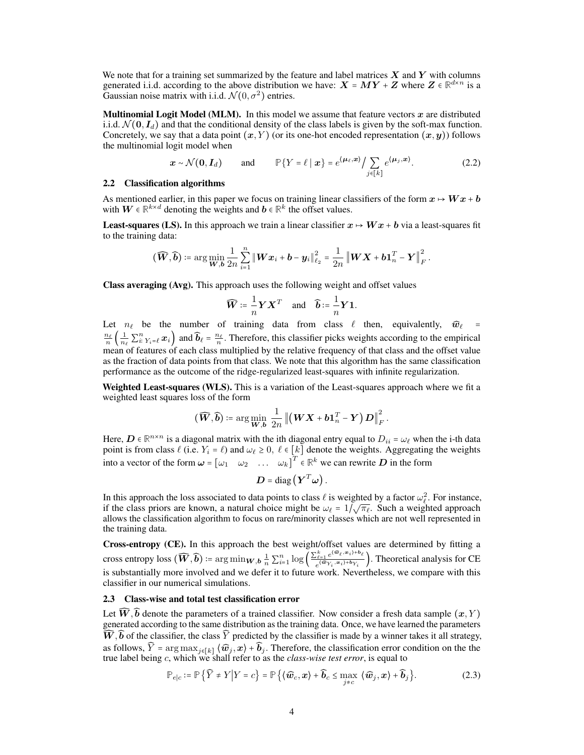We note that for a training set summarized by the feature and label matrices  $X$  and  $Y$  with columns generated i.i.d. according to the above distribution we have:  $X = MY + Z$  where  $Z \in \mathbb{R}^{d \times n}$  is a Gaussian noise matrix with i.i.d.  $\mathcal{N}(0, \sigma^2)$  entries.

**Multinomial Logit Model (MLM).** In this model we assume that feature vectors  $x$  are distributed i.i.d.  $\mathcal{N}(\mathbf{0}, \mathbf{I}_d)$  and that the conditional density of the class labels is given by the soft-max function. Concretely, we say that a data point  $(x, Y)$  (or its one-hot encoded representation  $(x, y)$ ) follows the multinomial logit model when

$$
\mathbf{x} \sim \mathcal{N}(\mathbf{0}, \mathbf{I}_d) \quad \text{and} \quad \mathbb{P}\{Y = \ell \mid \mathbf{x}\} = e^{\langle \boldsymbol{\mu}_{\ell}, \mathbf{x} \rangle} / \sum_{j \in [k]} e^{\langle \boldsymbol{\mu}_j, \mathbf{x} \rangle}.
$$
 (2.2)

#### <span id="page-3-1"></span>2.2 Classification algorithms

As mentioned earlier, in this paper we focus on training linear classifiers of the form  $x \mapsto Wx + b$ with  $W \in \mathbb{R}^{k \times d}$  denoting the weights and  $b \in \mathbb{R}^k$  the offset values.

**Least-squares (LS).** In this approach we train a linear classifier  $x \mapsto Wx + b$  via a least-squares fit to the training data:

$$
(\widehat{\boldsymbol{W}},\widehat{\boldsymbol{b}})\coloneqq\arg\min_{\boldsymbol{W},\boldsymbol{b}}\frac{1}{2n}\sum_{i=1}^n\left\|\boldsymbol{W}\boldsymbol{x}_i+\boldsymbol{b}-\boldsymbol{y}_i\right\|_{\ell_2}^2=\frac{1}{2n}\left\|\boldsymbol{W}\boldsymbol{X}+\boldsymbol{b}\boldsymbol{1}_n^T-\boldsymbol{Y}\right\|_F^2.
$$

Class averaging (Avg). This approach uses the following weight and offset values

<span id="page-3-0"></span>
$$
\widehat{\mathbf{W}} \coloneqq \frac{1}{n} \mathbf{Y} \mathbf{X}^T \quad \text{and} \quad \widehat{\mathbf{b}} \coloneqq \frac{1}{n} \mathbf{Y} \mathbf{1}.
$$

Let  $n_\ell$  be the number of training data from class  $\ell$  then, equivalently,  $\widehat{w}_\ell$  =  $\frac{n_{\ell}}{n} \left( \frac{1}{n_{\ell}} \sum_{i}^{n} Y_{i} = \ell x_{i} \right)$  and  $\widehat{b}_{\ell} = \frac{n_{\ell}}{n}$ . Therefore, this classifier picks weights according to the empirical mean of features of each class multiplied by the relative frequency of that class and the offset value as the fraction of data points from that class. We note that this algorithm has the same classification performance as the outcome of the ridge-regularized least-squares with infinite regularization.

Weighted Least-squares (WLS). This is a variation of the Least-squares approach where we fit a weighted least squares loss of the form

$$
(\widehat{\boldsymbol{W}},\widehat{\boldsymbol{b}})\coloneqq\arg\min_{\boldsymbol{W},\boldsymbol{b}}\,\frac{1}{2n}\left\lVert \left(\boldsymbol{W}\boldsymbol{X}+\boldsymbol{b}\boldsymbol{1}_n^T-\boldsymbol{Y}\right)\boldsymbol{D}\right\rVert_F^2.
$$

Here,  $D \in \mathbb{R}^{n \times n}$  is a diagonal matrix with the ith diagonal entry equal to  $D_{ii} = \omega_\ell$  when the i-th data point is from class  $\ell$  (i.e.  $Y_i = \ell$ ) and  $\omega_\ell \geq 0$ ,  $\ell \in [k]$  denote the weights. Aggregating the weights into a vector of the form  $\boldsymbol{\omega} = [\omega_1 \quad \omega_2 \quad \dots \quad \omega_k]^T \in \mathbb{R}^k$  we can rewrite  $\boldsymbol{D}$  in the form

$$
\boldsymbol{D} = \mathrm{diag}\left(\boldsymbol{Y}^T\boldsymbol{\omega}\right).
$$

In this approach the loss associated to data points to class  $\ell$  is weighted by a factor  $\omega_\ell^2$ . For instance, if the class priors are known, a natural choice might be  $\omega_{\ell} = 1/\sqrt{\pi_{\ell}}$ . Such a weighted approach allows the classification algorithm to focus on rare/minority classes which are not well represented in the training data.

Cross-entropy (CE). In this approach the best weight/offset values are determined by fitting a cross entropy loss  $(\widehat{W}, \widehat{b}) \coloneqq \arg\min_{W, b} \frac{1}{n} \sum_{i=1}^{n} \log \left( \frac{\sum_{\ell=1}^{k} e^{\langle \widehat{w}_{\ell}, x_i \rangle + b_{\ell}}}{e^{\langle \widehat{w}_{Y_i}, x_i \rangle + b_{Y_i}}}\right)$  $\frac{e^{i\epsilon}+e^{-i\epsilon}}{e^{i(\widehat{\boldsymbol{\omega}}_{Y_i},\boldsymbol{\omega}_i)+\mathbf{b}_{Y_i}}}$ ). Theoretical analysis for CE is substantially more involved and we defer it to future work. Nevertheless, we compare with this classifier in our numerical simulations.

#### <span id="page-3-2"></span>2.3 Class-wise and total test classification error

Let  $\widehat{W}$ ,  $\widehat{b}$  denote the parameters of a trained classifier. Now consider a fresh data sample  $(x, Y)$ generated according to the same distribution as the training data. Once, we have learned the parameters  $\overline{\widehat{W}}$ ,  $\widehat{b}$  of the classifier, the class  $\widehat{Y}$  predicted by the classifier is made by a winner takes it all strategy, as follows,  $\hat{Y} = \arg \max_{j \in [k]} \langle \hat{w}_j, x \rangle + \hat{b}_j$ . Therefore, the classification error condition on the the true label being c, which we shall refer to as the *class-wise test error*, is equal to

$$
\mathbb{P}_{e|c} := \mathbb{P}\left\{\widehat{Y} \neq Y \middle| Y = c\right\} = \mathbb{P}\left\{\left\langle \widehat{\boldsymbol{w}}_c, \boldsymbol{x}\right\rangle + \widehat{\boldsymbol{b}}_c \leq \max_{j \neq c} \left\langle \widehat{\boldsymbol{w}}_j, \boldsymbol{x}\right\rangle + \widehat{\boldsymbol{b}}_j\right\}.
$$
 (2.3)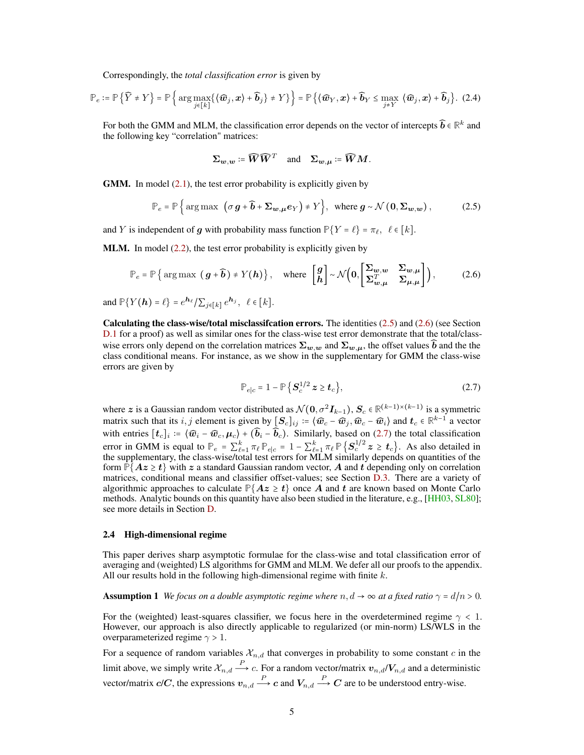Correspondingly, the *total classification error* is given by

$$
\mathbb{P}_e := \mathbb{P}\left\{\widehat{Y} \neq Y\right\} = \mathbb{P}\left\{\arg\max_{j\in[k]}\left\{\langle\widehat{\boldsymbol{w}}_j,\boldsymbol{x}\rangle + \widehat{\boldsymbol{b}}_j\right\} \neq Y\right\}\right\} = \mathbb{P}\left\{\langle\widehat{\boldsymbol{w}}_Y,\boldsymbol{x}\rangle + \widehat{\boldsymbol{b}}_Y \leq \max_{j\neq Y} \langle\widehat{\boldsymbol{w}}_j,\boldsymbol{x}\rangle + \widehat{\boldsymbol{b}}_j\right\}.\tag{2.4}
$$

For both the GMM and MLM, the classification error depends on the vector of intercepts  $\widehat{\bm{b}} \in \mathbb{R}^k$  and the following key "correlation" matrices:

<span id="page-4-3"></span><span id="page-4-0"></span>
$$
\Sigma_{w,w} \coloneqq \widehat{W}\widehat{W}^T
$$
 and  $\Sigma_{w,\mu} \coloneqq \widehat{W}M$ .

**GMM.** In model  $(2.1)$ , the test error probability is explicitly given by

$$
\mathbb{P}_e = \mathbb{P}\left\{\arg\max\left(\sigma g + \widehat{b} + \Sigma_{w,\mu} e_Y\right) \neq Y\right\}, \text{ where } g \sim \mathcal{N}\left(0, \Sigma_{w,w}\right),\tag{2.5}
$$

and Y is independent of g with probability mass function  $\mathbb{P}\{Y = \ell\} = \pi_{\ell}, \ell \in [k]$ .

**MLM.** In model [\(2.2\)](#page-3-0), the test error probability is explicitly given by

$$
\mathbb{P}_e = \mathbb{P}\left\{\arg \max\left(\,g + \widehat{b}\,\right) \neq Y(h)\right\}, \quad \text{where } \begin{bmatrix} g \\ h \end{bmatrix} \sim \mathcal{N}\left(0, \begin{bmatrix} \Sigma_{w,w} & \Sigma_{w,\mu} \\ \Sigma_{w,\mu}^T & \Sigma_{\mu,\mu} \end{bmatrix}\right), \tag{2.6}
$$

and  $\mathbb{P}\{Y(\boldsymbol{h}) = \ell\} = e^{\boldsymbol{h}_{\ell}} / \sum_{j \in [k]} e^{\boldsymbol{h}_{j}}, \ \ \ell \in [k].$ 

Calculating the class-wise/total misclassifcation errors. The identities [\(2.5\)](#page-4-0) and [\(2.6\)](#page-4-1) (see Section [D.1](#page-20-0) for a proof) as well as similar ones for the class-wise test error demonstrate that the total/classwise errors only depend on the correlation matrices  $\Sigma_{w,w}$  and  $\Sigma_{w,\mu}$ , the offset values  $\widehat{b}$  and the the class conditional means. For instance, as we show in the supplementary for GMM the class-wise errors are given by

<span id="page-4-2"></span><span id="page-4-1"></span>
$$
\mathbb{P}_{e|c} = 1 - \mathbb{P}\left\{S_c^{1/2} \, z \ge \mathbf{t}_c\right\},\tag{2.7}
$$

where z is a Gaussian random vector distributed as  $\mathcal{N}(\mathbf{0}, \sigma^2 \mathbf{I}_{k-1}), \mathbf{S}_c \in \mathbb{R}^{(k-1)\times (k-1)}$  is a symmetric matrix such that its *i*, *j* element is given by  $[\mathcal{S}_c]_{ij} \coloneqq \langle \widehat{w}_c - \widehat{w}_j, \widehat{w}_c - \widehat{w}_i \rangle$  and  $t_c \in \mathbb{R}^{k-1}$  a vector with entries  $[t_c]_i = \langle \widehat{w}_i - \widehat{w}_c, \mu_c \rangle + (\widehat{b}_i - \widehat{b}_c)$ . Similarly, based on [\(2.7\)](#page-4-2) the total classification error in GMM is equal to  $\mathbb{P}_e = \sum_{k=1}^k \pi_\ell \mathbb{P}_{e|c} = 1 - \sum_{\ell=1}^k \pi_\ell \mathbb{P}\left\{S_c^{1/2} \ z \ge t_c\right\}$ . As also detailed in the supplementary, the class-wise/total test errors for MLM similarly depends on quantities of the form  $\mathbb{P}\{Az \geq t\}$  with z a standard Gaussian random vector, A and t depending only on correlation matrices, conditional means and classifier offset-values; see Section [D.3.](#page-21-0) There are a variety of algorithmic approaches to calculate  $P{Az \ge t}$  once A and t are known based on Monte Carlo methods. Analytic bounds on this quantity have also been studied in the literature, e.g., [\[HH03,](#page-11-16) [SL80\]](#page-13-17); see more details in Section [D.](#page-20-1)

#### 2.4 High-dimensional regime

This paper derives sharp asymptotic formulae for the class-wise and total classification error of averaging and (weighted) LS algorithms for GMM and MLM. We defer all our proofs to the appendix. All our results hold in the following high-dimensional regime with finite  $k$ .

**Assumption 1** *We focus on a double asymptotic regime where*  $n, d \rightarrow \infty$  *at a fixed ratio*  $\gamma = d/n > 0$ *.* 

For the (weighted) least-squares classifier, we focus here in the overdetermined regime  $\gamma < 1$ . However, our approach is also directly applicable to regularized (or min-norm) LS/WLS in the overparameterized regime  $\gamma > 1$ .

For a sequence of random variables  $\mathcal{X}_{n,d}$  that converges in probability to some constant c in the limit above, we simply write  $\mathcal{X}_{n,d} \stackrel{P}{\longrightarrow} c$ . For a random vector/matrix  $v_{n,d}/V_{n,d}$  and a deterministic vector/matrix  $c/C$ , the expressions  $v_{n,d} \stackrel{P}{\longrightarrow} c$  and  $V_{n,d} \stackrel{P}{\longrightarrow} C$  are to be understood entry-wise.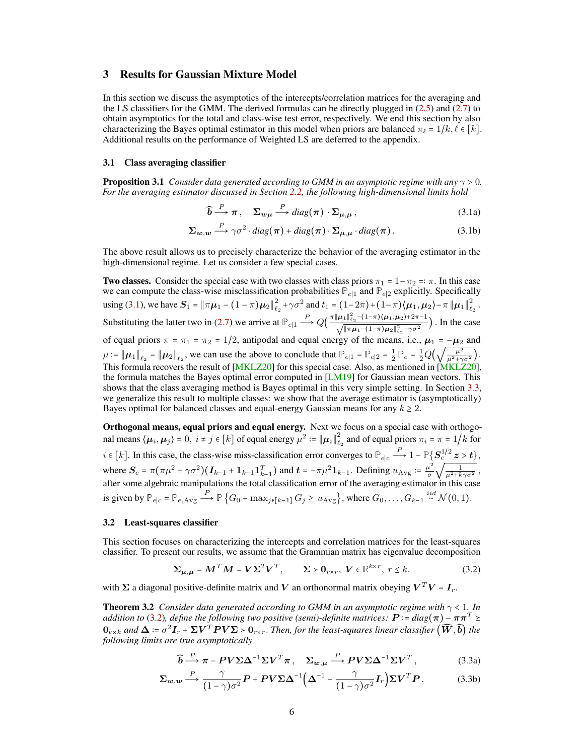# 3 Results for Gaussian Mixture Model

In this section we discuss the asymptotics of the intercepts/correlation matrices for the averaging and the LS classifiers for the GMM. The derived formulas can be directly plugged in [\(2.5\)](#page-4-0) and [\(2.7\)](#page-4-2) to obtain asymptotics for the total and class-wise test error, respectively. We end this section by also characterizing the Bayes optimal estimator in this model when priors are balanced  $\pi_{\ell} = 1/k, \ell \in [k]$ . Additional results on the performance of Weighted LS are deferred to the appendix.

#### 3.1 Class averaging classifier

<span id="page-5-3"></span>**Proposition 3.1** *Consider data generated according to GMM in an asymptotic regime with any*  $\gamma > 0$ *. For the averaging estimator discussed in Section [2.2,](#page-3-1) the following high-dimensional limits hold*

<span id="page-5-1"></span><span id="page-5-0"></span>
$$
\widehat{\boldsymbol{b}} \stackrel{P}{\longrightarrow} \pi \,, \quad \Sigma_{w\mu} \stackrel{P}{\longrightarrow} diag(\pi) \cdot \Sigma_{\mu,\mu} \,, \tag{3.1a}
$$

$$
\Sigma_{w,w} \stackrel{P}{\longrightarrow} \gamma \sigma^2 \cdot diag(\pi) + diag(\pi) \cdot \Sigma_{\mu,\mu} \cdot diag(\pi).
$$
 (3.1b)

The above result allows us to precisely characterize the behavior of the averaging estimator in the high-dimensional regime. Let us consider a few special cases.

**Two classes.** Consider the special case with two classes with class priors  $\pi_1 = 1 - \pi_2 =: \pi$ . In this case we can compute the class-wise misclassification probabilities  $\mathbb{P}_{e|1}$  and  $\mathbb{P}_{e|2}$  explicitly. Specifically using [\(3.1\)](#page-5-0), we have  $S_1 = ||\pi \mu_1 - (1 - \pi) \mu_2||_e^2$  $\frac{2}{\ell_2} + \gamma \sigma^2$  and  $t_1 = (1 - 2\pi) + (1 - \pi) \langle \mu_1, \mu_2 \rangle - \pi ||\mu_1||_e^2$  $\frac{2}{\ell_2}$  . Substituting the latter two in [\(2.7\)](#page-4-2) we arrive at  $\mathbb{P}_{e|1} \stackrel{P}{\longrightarrow} Q\left(\frac{\pi ||\mu_1||_{\ell_2}^2 - (1-\pi)(\mu_1, \mu_2) + 2\pi - 1}{\sqrt{||\pi \mu_1 - (1-\pi)\mu_2||_{\ell_2}^2 + \gamma \sigma^2}}\right)$ . In the case of equal priors  $\pi = \pi_1 = \pi_2 = 1/2$ , antipodal and equal energy of the means, i.e.,  $\mu_1 = -\mu_2$  and  $\mu_2 = \|\mu_1\| = \|\mu_2\|$  we can use the above to conclude that  $\mathbb{P}_{\lambda} = \mathbb{P}_{\lambda} = \frac{1}{\mathbb{P}_{\lambda}} = \frac{1}{2}O(\sqrt{\frac{\mu^2}{\mu^2}})$  $\mu := ||\mu_1||_{\ell_2} = ||\mu_2||_{\ell_2}$ , we can use the above to conclude that  $\mathbb{P}_{e|1} = \mathbb{P}_{e|2} = \frac{1}{2} \mathbb{P}_e = \frac{1}{2} Q(\sqrt{\frac{\mu^2}{\mu^2 + q^2}})$ . This formula recovers the result of [\[MKLZ20\]](#page-12-14) for this special case. Also, as mentioned in [MKLZ20], the formula matches the Bayes optimal error computed in  $[LM19]$  for Gaussian mean vectors. This shows that the class averaging method is Bayes optimal in this very simple setting. In Section [3.3,](#page-6-0) we generalize this result to multiple classes: we show that the average estimator is (asymptotically) Bayes optimal for balanced classes and equal-energy Gaussian means for any  $k \geq 2$ .

Orthogonal means, equal priors and equal energy. Next we focus on a special case with orthogonal means  $\langle \mu_i, \mu_j \rangle = 0, i \neq j \in [k]$  of equal energy  $\mu^2 \coloneqq {\|\mu_i\|}^2_{\ell}$  $\sum_{\ell_2}^2$  and of equal priors  $\pi_i = \pi = 1/k$  for  $i \in [k]$ . In this case, the class-wise miss-classification error converges to  $\mathbb{P}_{e|c} \stackrel{P}{\longrightarrow} 1 - \mathbb{P}\left\{S_c^{\frac{1}{2}} z > t\right\},\$ where  $S_c = \pi (\pi \mu^2 + \gamma \sigma^2) (I_{k-1} + 1_{k-1} I_{k-1}^T)$  and  $t = -\pi \mu^2 1_{k-1}$ . Defining  $u_{Avg} = \frac{\mu^2}{\sigma}$  $\frac{u^2}{\sigma}\sqrt{\frac{1}{\mu^2+k}}$ where  $S_c = \pi(\pi \mu^2 + \gamma \sigma^2)(I_{k-1} + 1_{k-1}1_{k-1}^T)$  and  $t = -\pi \mu^2 1_{k-1}$ . Defining  $u_{Avg} = \frac{\mu^2}{\sigma} \sqrt{\frac{1}{\mu^2 + k\gamma \sigma^2}}$ , after some algebraic manipulations the total classification error of the averaging estimator in th is given by  $\mathbb{P}_{e|c} = \mathbb{P}_{e,\text{Avg}} \stackrel{P}{\longrightarrow} \mathbb{P}\left\{G_0 + \max_{j \in [k-1]} G_j \ge u_{\text{Avg}}\right\}$ , where  $G_0, \ldots, G_{k-1} \stackrel{iid}{\sim} \mathcal{N}(0,1)$ .

# 3.2 Least-squares classifier

This section focuses on characterizing the intercepts and correlation matrices for the least-squares classifier. To present our results, we assume that the Grammian matrix has eigenvalue decomposition

$$
\Sigma_{\mu,\mu} = M^T M = V \Sigma^2 V^T, \qquad \Sigma > 0_{r \times r}, \ V \in \mathbb{R}^{k \times r}, \ r \le k. \tag{3.2}
$$

with  $\Sigma$  a diagonal positive-definite matrix and V an orthonormal matrix obeying  $V^TV = I_r$ .

<span id="page-5-4"></span>Theorem 3.2 *Consider data generated according to GMM in an asymptotic regime with* γ < 1*. In addition to* [\(3.2\)](#page-5-1)*, define the following two positive (semi)-definite matrices:*  $P := diag(\pi) - \pi \pi^T \geq$  $0_{k\times k}$  and  $\Delta \coloneqq \sigma^2 I_r + \Sigma V^T P V \Sigma > 0_{r\times r}$ . Then, for the least-squares linear classifier  $(\widehat{W}, \widehat{b})$  the *following limits are true asymptotically*

<span id="page-5-2"></span>
$$
\widehat{\boldsymbol{b}} \xrightarrow{P} \boldsymbol{\pi} - \boldsymbol{P} \boldsymbol{V} \boldsymbol{\Sigma} \boldsymbol{\Delta}^{-1} \boldsymbol{\Sigma} \boldsymbol{V}^T \boldsymbol{\pi}, \quad \boldsymbol{\Sigma}_{w,\mu} \xrightarrow{P} \boldsymbol{P} \boldsymbol{V} \boldsymbol{\Sigma} \boldsymbol{\Delta}^{-1} \boldsymbol{\Sigma} \boldsymbol{V}^T,
$$
\n(3.3a)

$$
\Sigma_{w,w} \stackrel{P}{\longrightarrow} \frac{\gamma}{(1-\gamma)\sigma^2} \mathbf{P} + \mathbf{P} \mathbf{V} \Sigma \Delta^{-1} \Big( \Delta^{-1} - \frac{\gamma}{(1-\gamma)\sigma^2} \mathbf{I}_r \Big) \Sigma \mathbf{V}^T \mathbf{P}.
$$
 (3.3b)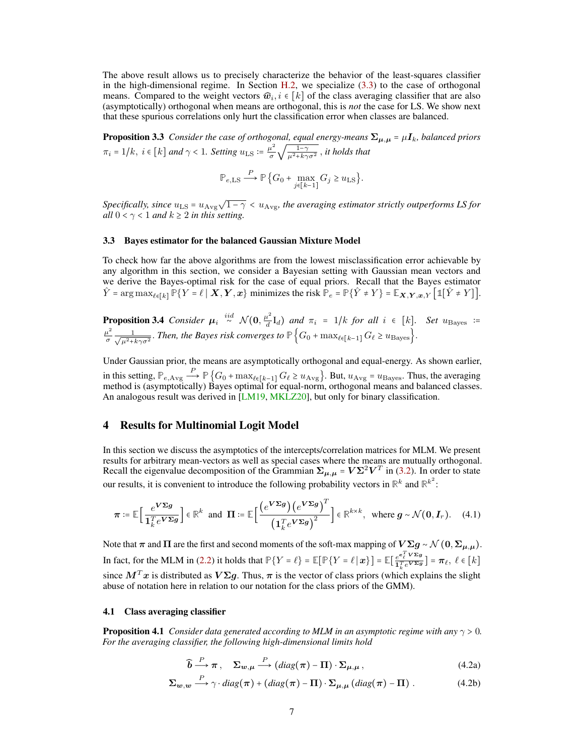The above result allows us to precisely characterize the behavior of the least-squares classifier in the high-dimensional regime. In Section [H.2,](#page-35-0) we specialize  $(3.3)$  to the case of orthogonal means. Compared to the weight vectors  $\widehat{w}_i, i \in [k]$  of the class averaging classifier that are also (asymptotically) orthogonal when means are orthogonal, this is *not* the case for LS. We show next that these spurious correlations only hurt the classification error when classes are balanced.

**Proposition 3.3** *Consider the case of orthogonal, equal energy-means*  $\Sigma_{\mu,\mu} = \mu I_k$ *, balanced priors*  $\pi_i = 1/k$ ,  $i \in [k]$  and  $\gamma < 1$ . Setting  $u_{\text{LS}} \coloneqq \frac{\mu^2}{\sigma}$  $\frac{u^2}{\sigma}\sqrt{\frac{1-\gamma}{\mu^2+k\gamma}}$  $\frac{1-\gamma}{\mu^2+k\gamma\sigma^2}$ , *it holds that* 

$$
\mathbb{P}_{e,\text{LS}} \stackrel{P}{\longrightarrow} \mathbb{P}\left\{G_0 + \max_{j \in [k-1]} G_j \ge u_{\text{LS}}\right\}.
$$

 $S$ pecifically, since  $u_{\text{LS}} = u_{\text{Avg}} \sqrt{1-\gamma} < u_{\text{Avg}}$ , the averaging estimator strictly outperforms LS for *all*  $0 < \gamma < 1$  *and*  $k \geq 2$  *in this setting.* 

#### <span id="page-6-0"></span>3.3 Bayes estimator for the balanced Gaussian Mixture Model

To check how far the above algorithms are from the lowest misclassification error achievable by any algorithm in this section, we consider a Bayesian setting with Gaussian mean vectors and we derive the Bayes-optimal risk for the case of equal priors. Recall that the Bayes estimator  $\hat{Y}$  = arg max<sub> $\ell \in [k]$ </sub>  $\mathbb{P}\{Y = \ell \mid \bm{X}, \bm{Y}, \bm{x}\}$  minimizes the risk  $\mathbb{P}_e = \mathbb{P}\{\hat{Y} \neq Y\}$  =  $\mathbb{E}_{\bm{X}, \bm{Y}, \bm{x}, Y}$   $\lceil \mathbb{1}[\hat{Y} \neq Y]$ .

<span id="page-6-3"></span>**Proposition 3.4** *Consider*  $\mu_i \stackrel{iid}{\sim} \mathcal{N}(0, \frac{\mu^2}{d})$  $\frac{d}{d}L_{d}$ ) and  $\pi_{i} = 1/k$  for all  $i \in [k]$ . Set  $u_{\text{Bayes}}$  :=  $\mu^2$  $rac{u^2}{\sigma}$   $rac{1}{\sqrt{u^2+1}}$  $\frac{1}{\mu^2 + k\gamma \sigma^2}$ . *Then, the Bayes risk converges to*  $\mathbb{P}$  { $G_0 + \max_{\ell \in [k-1]} G_{\ell} \geq u_{\text{Bayes}}$  }.

Under Gaussian prior, the means are asymptotically orthogonal and equal-energy. As shown earlier, in this setting,  $\mathbb{P}_{e, \text{Avg}} \xrightarrow{P} \mathbb{P}\left\{G_0 + \max_{\ell \in [k-1]} G_{\ell} \geq u_{\text{Avg}}\right\}$ . But,  $u_{\text{Avg}} = u_{\text{Bayes}}$ . Thus, the averaging method is (asymptotically) Bayes optimal for equal-norm, orthogonal means and balanced class An analogous result was derived in [\[LM19,](#page-12-16) [MKLZ20\]](#page-12-14), but only for binary classification.

## 4 Results for Multinomial Logit Model

In this section we discuss the asymptotics of the intercepts/correlation matrices for MLM. We present results for arbitrary mean-vectors as well as special cases where the means are mutually orthogonal. Recall the eigenvalue decomposition of the Grammian  $\Sigma_{\mu,\mu}$  =  $V\Sigma^2 V^T$  in [\(3.2\)](#page-5-1). In order to state our results, it is convenient to introduce the following probability vectors in  $\mathbb{R}^k$  and  $\mathbb{R}^{k^2}$ :

$$
\boldsymbol{\pi} \coloneqq \mathbb{E}\Big[\frac{e^{\boldsymbol{V}\boldsymbol{\Sigma}\boldsymbol{g}}}{\mathbf{1}_{k}^{T}e^{\boldsymbol{V}\boldsymbol{\Sigma}\boldsymbol{g}}}\Big] \in \mathbb{R}^{k} \text{ and } \boldsymbol{\Pi} \coloneqq \mathbb{E}\Big[\frac{\left(e^{\boldsymbol{V}\boldsymbol{\Sigma}\boldsymbol{g}}\right)\left(e^{\boldsymbol{V}\boldsymbol{\Sigma}\boldsymbol{g}}\right)^{T}}{\left(\mathbf{1}_{k}^{T}e^{\boldsymbol{V}\boldsymbol{\Sigma}\boldsymbol{g}}\right)^{2}}\Big] \in \mathbb{R}^{k \times k}, \text{ where } \boldsymbol{g} \sim \mathcal{N}(\boldsymbol{0}, \boldsymbol{I}_{r}). \quad (4.1)
$$

Note that  $\pi$  and  $\Pi$  are the first and second moments of the soft-max mapping of  $V\Sigma g \sim \mathcal{N}(0, \Sigma_{\mu,\mu}).$ In fact, for the MLM in [\(2.2\)](#page-3-0) it holds that  $\mathbb{P}\{Y = \ell\} = \mathbb{E}[\mathbb{P}\{Y = \ell | \bm{x}\}] = \mathbb{E}[\frac{e^{\epsilon_{\ell}^T V \Sigma g}}{T^T e^{V \Sigma g}}]$  $\frac{e^{-\ell} \cdot \cdot \cdot}{\mathbf{1}_{k}^{T} e^{\mathbf{V} \Sigma g}}$  =  $\boldsymbol{\pi}_{\ell}, \ \ell \in [k]$ since  $M^T x$  is distributed as  $V \Sigma g$ . Thus,  $\pi$  is the vector of class priors (which explains the slight abuse of notation here in relation to our notation for the class priors of the GMM).

#### 4.1 Class averaging classifier

<span id="page-6-4"></span>**Proposition 4.1** *Consider data generated according to MLM in an asymptotic regime with any*  $\gamma > 0$ *. For the averaging classifier, the following high-dimensional limits hold*

<span id="page-6-2"></span><span id="page-6-1"></span>
$$
\widehat{\mathbf{b}} \stackrel{P}{\longrightarrow} \pi, \quad \Sigma_{\mathbf{w},\mu} \stackrel{P}{\longrightarrow} (diag(\pi) - \Pi) \cdot \Sigma_{\mu,\mu}, \tag{4.2a}
$$

$$
\Sigma_{w,w} \stackrel{P}{\longrightarrow} \gamma \cdot diag(\pi) + (diag(\pi) - \Pi) \cdot \Sigma_{\mu,\mu} (diag(\pi) - \Pi) \ . \tag{4.2b}
$$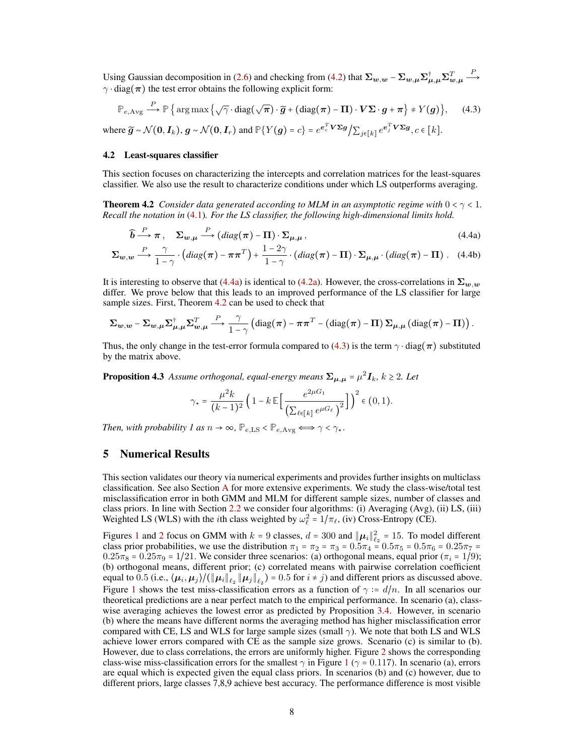Using Gaussian decomposition in [\(2.6\)](#page-4-1) and checking from [\(4.2\)](#page-6-1) that  $\Sigma_{w,w}$  –  $\Sigma_{w,\mu} \Sigma_{\mu,\mu}^{\dagger} \Sigma_{w,\mu}^T$  $\stackrel{P}{\longrightarrow}$  $\gamma \cdot diag(\pi)$  the test error obtains the following explicit form:

$$
\mathbb{P}_{e,\text{Avg}} \xrightarrow{P} \mathbb{P} \{ \arg \max \{ \sqrt{\gamma} \cdot \text{diag}(\sqrt{\pi}) \cdot \widetilde{g} + (\text{diag}(\pi) - \Pi) \cdot V \Sigma \cdot g + \pi \} \neq Y(g) \}, \quad (4.3)
$$
\n
$$
\text{where } \widetilde{g} \sim \mathcal{N}(0, I_k), g \sim \mathcal{N}(0, I_r) \text{ and } \mathbb{P} \{ Y(g) = c \} = e^{c_c^T V \Sigma g} / \sum_{j \in [k]} e^{c_j^T V \Sigma g}, c \in [k].
$$

#### 4.2 Least-squares classifier

This section focuses on characterizing the intercepts and correlation matrices for the least-squares classifier. We also use the result to characterize conditions under which LS outperforms averaging.

<span id="page-7-0"></span>**Theorem 4.2** *Consider data generated according to MLM in an asymptotic regime with*  $0 < \gamma < 1$ *. Recall the notation in* [\(4.1\)](#page-6-2)*. For the LS classifier, the following high-dimensional limits hold.*

<span id="page-7-1"></span>
$$
\widehat{\mathbf{b}} \xrightarrow{P} \pi, \quad \Sigma_{\mathbf{w},\mu} \xrightarrow{P} (diag(\pi) - \Pi) \cdot \Sigma_{\mu,\mu}, \tag{4.4a}
$$

$$
\Sigma_{\mathbf{w},\mathbf{w}} \stackrel{P}{\longrightarrow} \frac{\gamma}{1-\gamma} \cdot \left( diag(\boldsymbol{\pi}) - \boldsymbol{\pi}\boldsymbol{\pi}^T \right) + \frac{1-2\gamma}{1-\gamma} \cdot \left( diag(\boldsymbol{\pi}) - \boldsymbol{\Pi} \right) \cdot \Sigma_{\mu,\mu} \cdot \left( diag(\boldsymbol{\pi}) - \boldsymbol{\Pi} \right). \tag{4.4b}
$$

It is interesting to observe that [\(4.4a\)](#page-6-2) is identical to [\(4.2a\)](#page-6-2). However, the cross-correlations in  $\Sigma_{w,w}$ differ. We prove below that this leads to an improved performance of the LS classifier for large sample sizes. First, Theorem [4.2](#page-7-0) can be used to check that

$$
\Sigma_{w,w} - \Sigma_{w,\mu} \Sigma_{\mu,\mu}^{\dagger} \Sigma_{w,\mu}^T \xrightarrow{P} \frac{\gamma}{1-\gamma} \left( \text{diag}(\pi) - \pi \pi^T - \left( \text{diag}(\pi) - \Pi \right) \Sigma_{\mu,\mu} \left( \text{diag}(\pi) - \Pi \right) \right).
$$

Thus, the only change in the test-error formula compared to [\(4.3\)](#page-7-1) is the term  $\gamma \cdot diag(\pi)$  substituted by the matrix above.

<span id="page-7-2"></span>**Proposition 4.3** Assume orthogonal, equal-energy means  $\Sigma_{\mu,\mu}$  =  $\mu^2 I_k$ ,  $k \ge 2$ . Let

$$
\gamma_{\star} = \frac{\mu^2 k}{(k-1)^2} \left( 1 - k \mathbb{E} \left[ \frac{e^{2\mu G_1}}{\left( \sum_{\ell \in [k]} e^{\mu G_\ell} \right)^2} \right] \right)^2 \in (0,1).
$$

*Then, with probability 1 as*  $n \to \infty$ ,  $\mathbb{P}_{e,LS} < \mathbb{P}_{e,\text{Avg}} \Longleftrightarrow \gamma < \gamma_{\star}$ .

## 5 Numerical Results

This section validates our theory via numerical experiments and provides further insights on multiclass classification. See also Section [A](#page-17-0) for more extensive experiments. We study the class-wise/total test misclassification error in both GMM and MLM for different sample sizes, number of classes and class priors. In line with Section [2.2](#page-3-1) we consider four algorithms: (i) Averaging (Avg), (ii) LS, (iii) Weighted LS (WLS) with the *i*th class weighted by  $\omega_{\ell}^2 = 1/\pi_{\ell}$ , (iv) Cross-Entropy (CE).

Figures [1](#page-8-0) and [2](#page-8-1) focus on GMM with  $k = 9$  classes,  $d = 300$  and  $||\mu_i||_{\ell_2}^2 = 15$ . To model different class prior probabilities, we use the distribution  $\pi_1 = \pi_2 = \pi_3 = 0.5\pi_4 = 0.5\pi_5 = 0.5\pi_6 = 0.25\pi_7 = 0.5\pi_8 = 0.75\pi_8$  $0.25\pi_8 = 0.25\pi_9 = 1/21$ . We consider three scenarios: (a) orthogonal means, equal prior ( $\pi_i = 1/9$ ); (b) orthogonal means, different prior; (c) correlated means with pairwise correlation coefficient equal to  $0.5$  (i.e.,  $\langle \mu_i, \mu_j \rangle / (\|\mu_i\|_{\ell_2} \|\mu_j\|_{\ell_2}) = 0.5$  for  $i \neq j$ ) and different priors as discussed above. Figure [1](#page-8-0) shows the test miss-classification errors as a function of  $\gamma = d/n$ . In all scenarios our theoretical predictions are a near perfect match to the empirical performance. In scenario (a), classwise averaging achieves the lowest error as predicted by Proposition [3.4.](#page-6-3) However, in scenario (b) where the means have different norms the averaging method has higher misclassification error compared with CE, LS and WLS for large sample sizes (small  $\gamma$ ). We note that both LS and WLS achieve lower errors compared with CE as the sample size grows. Scenario (c) is similar to (b). However, due to class correlations, the errors are uniformly higher. Figure [2](#page-8-1) shows the corresponding class-wise miss-classification errors for the smallest  $\gamma$  in Figure [1](#page-8-0) ( $\gamma$  = 0.117). In scenario (a), errors are equal which is expected given the equal class priors. In scenarios (b) and (c) however, due to different priors, large classes 7,8,9 achieve best accuracy. The performance difference is most visible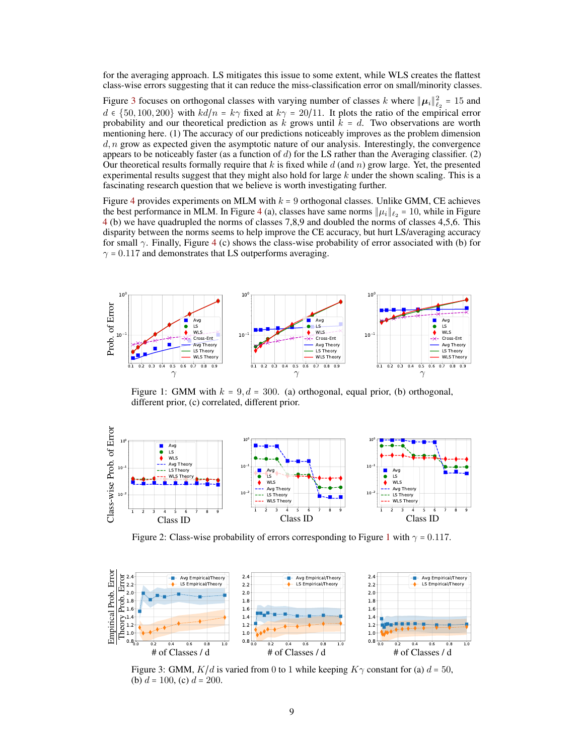for the averaging approach. LS mitigates this issue to some extent, while WLS creates the flattest class-wise errors suggesting that it can reduce the miss-classification error on small/minority classes.

Figure [3](#page-8-2) focuses on orthogonal classes with varying number of classes k where  $\|\mu_i\|_{\ell_2}^2 = 15$  and  $d \in \{50, 100, 200\}$  with  $kd/n = k\gamma$  fixed at  $k\gamma = 20/11$ . It plots the ratio of the empirical error probability and our theoretical prediction as k grows until  $k = d$ . Two observations are worth mentioning here. (1) The accuracy of our predictions noticeably improves as the problem dimension  $d, n$  grow as expected given the asymptotic nature of our analysis. Interestingly, the convergence appears to be noticeably faster (as a function of  $d$ ) for the LS rather than the Averaging classifier. (2) Our theoretical results formally require that  $k$  is fixed while  $d$  (and n) grow large. Yet, the presented experimental results suggest that they might also hold for large  $k$  under the shown scaling. This is a fascinating research question that we believe is worth investigating further.

Figure [4](#page-9-0) provides experiments on MLM with  $k = 9$  orthogonal classes. Unlike GMM, CE achieves the best performance in MLM. In Figure [4](#page-9-0) (a), classes have same norms  $\|\mu_i\|_{\ell_2} = 10$ , while in Figure [4](#page-9-0) (b) we have quadrupled the norms of classes 7,8,9 and doubled the norms of classes 4,5,6. This disparity between the norms seems to help improve the CE accuracy, but hurt LS/averaging accuracy for small  $\gamma$ . Finally, Figure [4](#page-9-0) (c) shows the class-wise probability of error associated with (b) for  $\gamma$  = 0.117 and demonstrates that LS outperforms averaging.

<span id="page-8-0"></span>

Figure 1: GMM with  $k = 9$ ,  $d = 300$ . (a) orthogonal, equal prior, (b) orthogonal, different prior, (c) correlated, different prior.

<span id="page-8-1"></span>

Figure 2: Class-wise probability of errors corresponding to Figure [1](#page-8-0) with  $\gamma = 0.117$ .

<span id="page-8-2"></span>

Figure 3: GMM,  $K/d$  is varied from 0 to 1 while keeping  $K\gamma$  constant for (a)  $d = 50$ , (b)  $d = 100$ , (c)  $d = 200$ .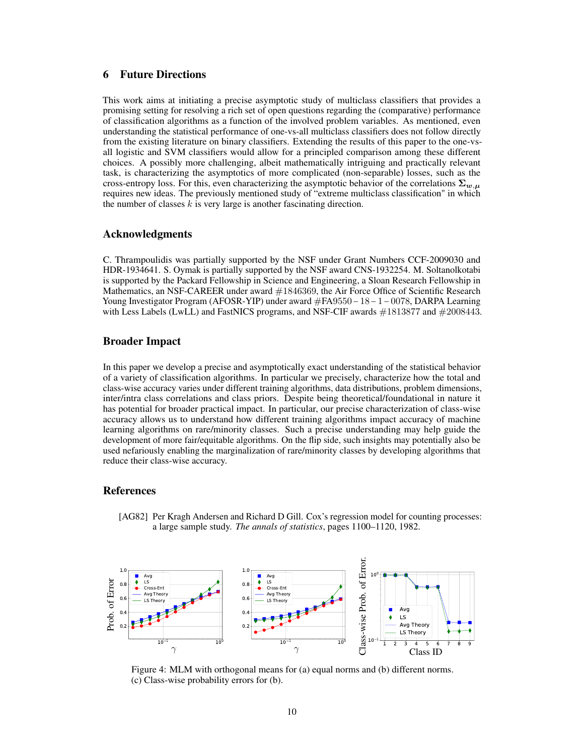# 6 Future Directions

This work aims at initiating a precise asymptotic study of multiclass classifiers that provides a promising setting for resolving a rich set of open questions regarding the (comparative) performance of classification algorithms as a function of the involved problem variables. As mentioned, even understanding the statistical performance of one-vs-all multiclass classifiers does not follow directly from the existing literature on binary classifiers. Extending the results of this paper to the one-vsall logistic and SVM classifiers would allow for a principled comparison among these different choices. A possibly more challenging, albeit mathematically intriguing and practically relevant task, is characterizing the asymptotics of more complicated (non-separable) losses, such as the cross-entropy loss. For this, even characterizing the asymptotic behavior of the correlations  $\Sigma_{w,\mu}$ requires new ideas. The previously mentioned study of "extreme multiclass classification" in which the number of classes  $k$  is very large is another fascinating direction.

### Acknowledgments

C. Thrampoulidis was partially supported by the NSF under Grant Numbers CCF-2009030 and HDR-1934641. S. Oymak is partially supported by the NSF award CNS-1932254. M. Soltanolkotabi is supported by the Packard Fellowship in Science and Engineering, a Sloan Research Fellowship in Mathematics, an NSF-CAREER under award  $\#1846369$ , the Air Force Office of Scientific Research Young Investigator Program (AFOSR-YIP) under award #FA9550−18−1−0078, DARPA Learning with Less Labels (LwLL) and FastNICS programs, and NSF-CIF awards  $\#1813877$  and  $\#2008443$ .

# Broader Impact

In this paper we develop a precise and asymptotically exact understanding of the statistical behavior of a variety of classification algorithms. In particular we precisely, characterize how the total and class-wise accuracy varies under different training algorithms, data distributions, problem dimensions, inter/intra class correlations and class priors. Despite being theoretical/foundational in nature it has potential for broader practical impact. In particular, our precise characterization of class-wise accuracy allows us to understand how different training algorithms impact accuracy of machine learning algorithms on rare/minority classes. Such a precise understanding may help guide the development of more fair/equitable algorithms. On the flip side, such insights may potentially also be used nefariously enabling the marginalization of rare/minority classes by developing algorithms that reduce their class-wise accuracy.

## References

<span id="page-9-1"></span>[AG82] Per Kragh Andersen and Richard D Gill. Cox's regression model for counting processes: a large sample study. *The annals of statistics*, pages 1100–1120, 1982.

<span id="page-9-0"></span>

Figure 4: MLM with orthogonal means for (a) equal norms and (b) different norms. (c) Class-wise probability errors for (b).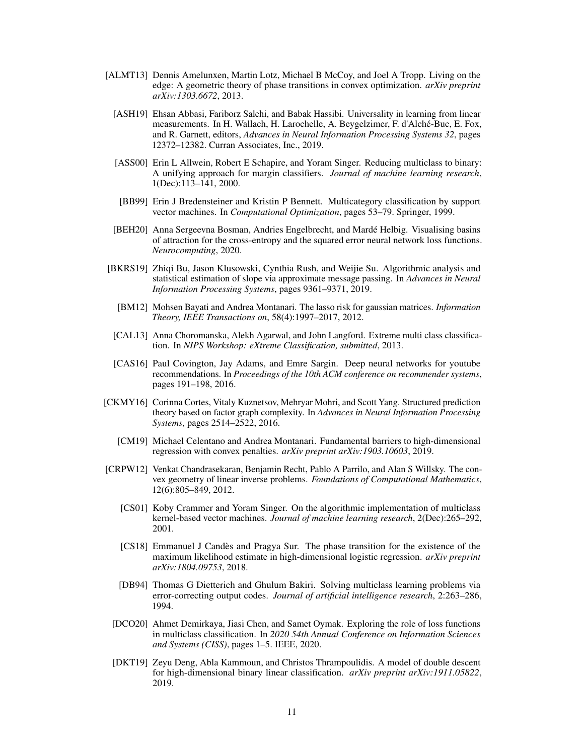- <span id="page-10-14"></span><span id="page-10-10"></span><span id="page-10-4"></span>[ALMT13] Dennis Amelunxen, Martin Lotz, Michael B McCoy, and Joel A Tropp. Living on the edge: A geometric theory of phase transitions in convex optimization. *arXiv preprint arXiv:1303.6672*, 2013.
	- [ASH19] Ehsan Abbasi, Fariborz Salehi, and Babak Hassibi. Universality in learning from linear measurements. In H. Wallach, H. Larochelle, A. Beygelzimer, F. d'Alché-Buc, E. Fox, and R. Garnett, editors, *Advances in Neural Information Processing Systems 32*, pages 12372–12382. Curran Associates, Inc., 2019.
	- [ASS00] Erin L Allwein, Robert E Schapire, and Yoram Singer. Reducing multiclass to binary: A unifying approach for margin classifiers. *Journal of machine learning research*, 1(Dec):113–141, 2000.
	- [BB99] Erin J Bredensteiner and Kristin P Bennett. Multicategory classification by support vector machines. In *Computational Optimization*, pages 53–79. Springer, 1999.
	- [BEH20] Anna Sergeevna Bosman, Andries Engelbrecht, and Mardé Helbig. Visualising basins of attraction for the cross-entropy and the squared error neural network loss functions. *Neurocomputing*, 2020.
- <span id="page-10-13"></span><span id="page-10-5"></span><span id="page-10-2"></span>[BKRS19] Zhiqi Bu, Jason Klusowski, Cynthia Rush, and Weijie Su. Algorithmic analysis and statistical estimation of slope via approximate message passing. In *Advances in Neural Information Processing Systems*, pages 9361–9371, 2019.
	- [BM12] Mohsen Bayati and Andrea Montanari. The lasso risk for gaussian matrices. *Information Theory, IEEE Transactions on*, 58(4):1997–2017, 2012.
- <span id="page-10-11"></span><span id="page-10-7"></span>[CAL13] Anna Choromanska, Alekh Agarwal, and John Langford. Extreme multi class classification. In *NIPS Workshop: eXtreme Classification, submitted*, 2013.
- <span id="page-10-0"></span>[CAS16] Paul Covington, Jay Adams, and Emre Sargin. Deep neural networks for youtube recommendations. In *Proceedings of the 10th ACM conference on recommender systems*, pages 191–198, 2016.
- <span id="page-10-8"></span>[CKMY16] Corinna Cortes, Vitaly Kuznetsov, Mehryar Mohri, and Scott Yang. Structured prediction theory based on factor graph complexity. In *Advances in Neural Information Processing Systems*, pages 2514–2522, 2016.
	- [CM19] Michael Celentano and Andrea Montanari. Fundamental barriers to high-dimensional regression with convex penalties. *arXiv preprint arXiv:1903.10603*, 2019.
- <span id="page-10-16"></span><span id="page-10-15"></span><span id="page-10-12"></span><span id="page-10-9"></span><span id="page-10-6"></span><span id="page-10-3"></span><span id="page-10-1"></span>[CRPW12] Venkat Chandrasekaran, Benjamin Recht, Pablo A Parrilo, and Alan S Willsky. The convex geometry of linear inverse problems. *Foundations of Computational Mathematics*, 12(6):805–849, 2012.
	- [CS01] Koby Crammer and Yoram Singer. On the algorithmic implementation of multiclass kernel-based vector machines. *Journal of machine learning research*, 2(Dec):265–292, 2001.
	- [CS18] Emmanuel J Candès and Pragya Sur. The phase transition for the existence of the maximum likelihood estimate in high-dimensional logistic regression. *arXiv preprint arXiv:1804.09753*, 2018.
	- [DB94] Thomas G Dietterich and Ghulum Bakiri. Solving multiclass learning problems via error-correcting output codes. *Journal of artificial intelligence research*, 2:263–286, 1994.
	- [DCO20] Ahmet Demirkaya, Jiasi Chen, and Samet Oymak. Exploring the role of loss functions in multiclass classification. In *2020 54th Annual Conference on Information Sciences and Systems (CISS)*, pages 1–5. IEEE, 2020.
	- [DKT19] Zeyu Deng, Abla Kammoun, and Christos Thrampoulidis. A model of double descent for high-dimensional binary linear classification. *arXiv preprint arXiv:1911.05822*, 2019.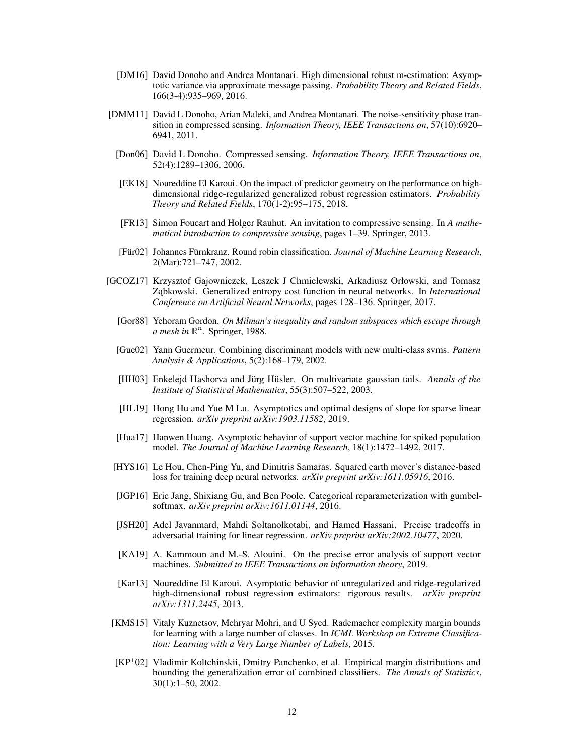- <span id="page-11-11"></span>[DM16] David Donoho and Andrea Montanari. High dimensional robust m-estimation: Asymptotic variance via approximate message passing. *Probability Theory and Related Fields*, 166(3-4):935–969, 2016.
- <span id="page-11-8"></span>[DMM11] David L Donoho, Arian Maleki, and Andrea Montanari. The noise-sensitivity phase transition in compressed sensing. *Information Theory, IEEE Transactions on*, 57(10):6920– 6941, 2011.
- <span id="page-11-7"></span>[Don06] David L Donoho. Compressed sensing. *Information Theory, IEEE Transactions on*, 52(4):1289–1306, 2006.
- <span id="page-11-10"></span>[EK18] Noureddine El Karoui. On the impact of predictor geometry on the performance on highdimensional ridge-regularized generalized robust regression estimators. *Probability Theory and Related Fields*, 170(1-2):95–175, 2018.
- <span id="page-11-17"></span>[FR13] Simon Foucart and Holger Rauhut. An invitation to compressive sensing. In *A mathematical introduction to compressive sensing*, pages 1–39. Springer, 2013.
- <span id="page-11-1"></span>[Für02] Johannes Fürnkranz. Round robin classification. *Journal of Machine Learning Research*, 2(Mar):721–747, 2002.
- <span id="page-11-18"></span><span id="page-11-16"></span><span id="page-11-14"></span><span id="page-11-12"></span><span id="page-11-6"></span><span id="page-11-3"></span>[GCOZ17] Krzysztof Gajowniczek, Leszek J Chmielewski, Arkadiusz Orłowski, and Tomasz Ząbkowski. Generalized entropy cost function in neural networks. In *International Conference on Artificial Neural Networks*, pages 128–136. Springer, 2017.
	- [Gor88] Yehoram Gordon. *On Milman's inequality and random subspaces which escape through* a mesh in  $\mathbb{R}^n$ . Springer, 1988.
	- [Gue02] Yann Guermeur. Combining discriminant models with new multi-class svms. *Pattern Analysis & Applications*, 5(2):168–179, 2002.
	- [HH03] Enkelejd Hashorva and Jürg Hüsler. On multivariate gaussian tails. *Annals of the Institute of Statistical Mathematics*, 55(3):507–522, 2003.
	- [HL19] Hong Hu and Yue M Lu. Asymptotics and optimal designs of slope for sparse linear regression. *arXiv preprint arXiv:1903.11582*, 2019.
	- [Hua17] Hanwen Huang. Asymptotic behavior of support vector machine for spiked population model. *The Journal of Machine Learning Research*, 18(1):1472–1492, 2017.
	- [HYS16] Le Hou, Chen-Ping Yu, and Dimitris Samaras. Squared earth mover's distance-based loss for training deep neural networks. *arXiv preprint arXiv:1611.05916*, 2016.
	- [JGP16] Eric Jang, Shixiang Gu, and Ben Poole. Categorical reparameterization with gumbelsoftmax. *arXiv preprint arXiv:1611.01144*, 2016.
	- [JSH20] Adel Javanmard, Mahdi Soltanolkotabi, and Hamed Hassani. Precise tradeoffs in adversarial training for linear regression. *arXiv preprint arXiv:2002.10477*, 2020.
	- [KA19] A. Kammoun and M.-S. Alouini. On the precise error analysis of support vector machines. *Submitted to IEEE Transactions on information theory*, 2019.
	- [Kar13] Noureddine El Karoui. Asymptotic behavior of unregularized and ridge-regularized high-dimensional robust regression estimators: rigorous results. *arXiv preprint arXiv:1311.2445*, 2013.
- <span id="page-11-15"></span><span id="page-11-13"></span><span id="page-11-9"></span><span id="page-11-4"></span><span id="page-11-2"></span><span id="page-11-0"></span>[KMS15] Vitaly Kuznetsov, Mehryar Mohri, and U Syed. Rademacher complexity margin bounds for learning with a large number of classes. In *ICML Workshop on Extreme Classification: Learning with a Very Large Number of Labels*, 2015.
- <span id="page-11-5"></span>[KP<sup>+</sup> 02] Vladimir Koltchinskii, Dmitry Panchenko, et al. Empirical margin distributions and bounding the generalization error of combined classifiers. *The Annals of Statistics*, 30(1):1–50, 2002.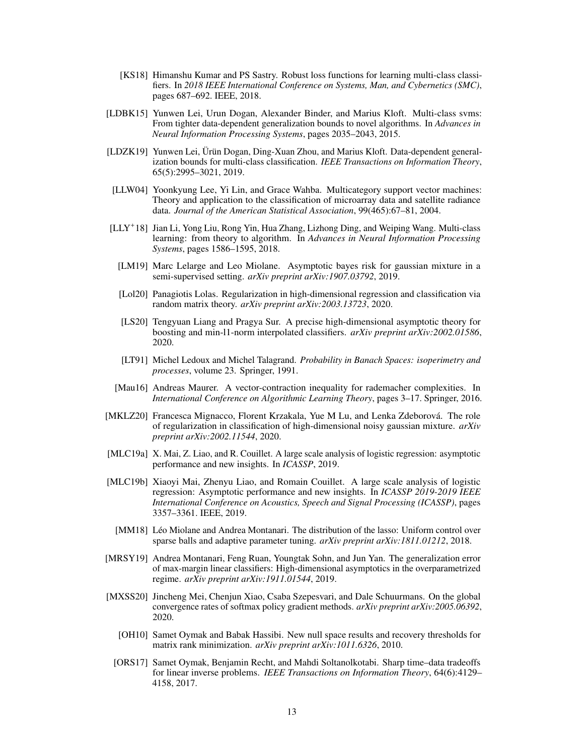- <span id="page-12-2"></span>[KS18] Himanshu Kumar and PS Sastry. Robust loss functions for learning multi-class classifiers. In *2018 IEEE International Conference on Systems, Man, and Cybernetics (SMC)*, pages 687–692. IEEE, 2018.
- <span id="page-12-4"></span>[LDBK15] Yunwen Lei, Urun Dogan, Alexander Binder, and Marius Kloft. Multi-class svms: From tighter data-dependent generalization bounds to novel algorithms. In *Advances in Neural Information Processing Systems*, pages 2035–2043, 2015.
- <span id="page-12-6"></span>[LDZK19] Yunwen Lei, Ürün Dogan, Ding-Xuan Zhou, and Marius Kloft. Data-dependent generalization bounds for multi-class classification. *IEEE Transactions on Information Theory*, 65(5):2995–3021, 2019.
- <span id="page-12-1"></span>[LLW04] Yoonkyung Lee, Yi Lin, and Grace Wahba. Multicategory support vector machines: Theory and application to the classification of microarray data and satellite radiance data. *Journal of the American Statistical Association*, 99(465):67–81, 2004.
- <span id="page-12-16"></span><span id="page-12-15"></span><span id="page-12-3"></span>[LLY+ 18] Jian Li, Yong Liu, Rong Yin, Hua Zhang, Lizhong Ding, and Weiping Wang. Multi-class learning: from theory to algorithm. In *Advances in Neural Information Processing Systems*, pages 1586–1595, 2018.
	- [LM19] Marc Lelarge and Leo Miolane. Asymptotic bayes risk for gaussian mixture in a semi-supervised setting. *arXiv preprint arXiv:1907.03792*, 2019.
	- [Lol20] Panagiotis Lolas. Regularization in high-dimensional regression and classification via random matrix theory. *arXiv preprint arXiv:2003.13723*, 2020.
	- [LS20] Tengyuan Liang and Pragya Sur. A precise high-dimensional asymptotic theory for boosting and min-l1-norm interpolated classifiers. *arXiv preprint arXiv:2002.01586*, 2020.
	- [LT91] Michel Ledoux and Michel Talagrand. *Probability in Banach Spaces: isoperimetry and processes*, volume 23. Springer, 1991.
- <span id="page-12-17"></span><span id="page-12-13"></span><span id="page-12-5"></span>[Mau16] Andreas Maurer. A vector-contraction inequality for rademacher complexities. In *International Conference on Algorithmic Learning Theory*, pages 3–17. Springer, 2016.
- <span id="page-12-14"></span>[MKLZ20] Francesca Mignacco, Florent Krzakala, Yue M Lu, and Lenka Zdeborová. The role of regularization in classification of high-dimensional noisy gaussian mixture. *arXiv preprint arXiv:2002.11544*, 2020.
- <span id="page-12-11"></span>[MLC19a] X. Mai, Z. Liao, and R. Couillet. A large scale analysis of logistic regression: asymptotic performance and new insights. In *ICASSP*, 2019.
- <span id="page-12-10"></span>[MLC19b] Xiaoyi Mai, Zhenyu Liao, and Romain Couillet. A large scale analysis of logistic regression: Asymptotic performance and new insights. In *ICASSP 2019-2019 IEEE International Conference on Acoustics, Speech and Signal Processing (ICASSP)*, pages 3357–3361. IEEE, 2019.
- <span id="page-12-9"></span>[MM18] Léo Miolane and Andrea Montanari. The distribution of the lasso: Uniform control over sparse balls and adaptive parameter tuning. *arXiv preprint arXiv:1811.01212*, 2018.
- <span id="page-12-12"></span>[MRSY19] Andrea Montanari, Feng Ruan, Youngtak Sohn, and Jun Yan. The generalization error of max-margin linear classifiers: High-dimensional asymptotics in the overparametrized regime. *arXiv preprint arXiv:1911.01544*, 2019.
- <span id="page-12-8"></span><span id="page-12-7"></span><span id="page-12-0"></span>[MXSS20] Jincheng Mei, Chenjun Xiao, Csaba Szepesvari, and Dale Schuurmans. On the global convergence rates of softmax policy gradient methods. *arXiv preprint arXiv:2005.06392*, 2020.
	- [OH10] Samet Oymak and Babak Hassibi. New null space results and recovery thresholds for matrix rank minimization. *arXiv preprint arXiv:1011.6326*, 2010.
	- [ORS17] Samet Oymak, Benjamin Recht, and Mahdi Soltanolkotabi. Sharp time–data tradeoffs for linear inverse problems. *IEEE Transactions on Information Theory*, 64(6):4129– 4158, 2017.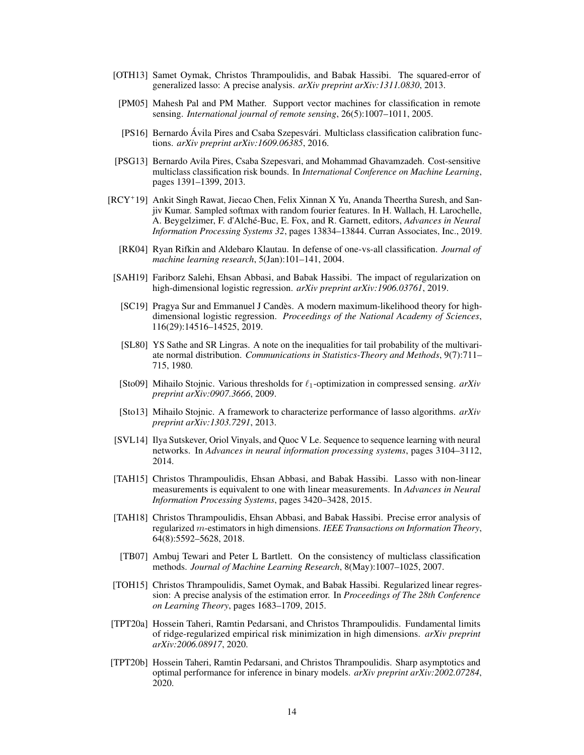- <span id="page-13-9"></span>[OTH13] Samet Oymak, Christos Thrampoulidis, and Babak Hassibi. The squared-error of generalized lasso: A precise analysis. *arXiv preprint arXiv:1311.0830*, 2013.
- <span id="page-13-2"></span>[PM05] Mahesh Pal and PM Mather. Support vector machines for classification in remote sensing. *International journal of remote sensing*, 26(5):1007–1011, 2005.
- <span id="page-13-6"></span>[PS16] Bernardo Ávila Pires and Csaba Szepesvári. Multiclass classification calibration functions. *arXiv preprint arXiv:1609.06385*, 2016.
- <span id="page-13-5"></span>[PSG13] Bernardo Avila Pires, Csaba Szepesvari, and Mohammad Ghavamzadeh. Cost-sensitive multiclass classification risk bounds. In *International Conference on Machine Learning*, pages 1391–1399, 2013.
- <span id="page-13-3"></span>[RCY+ 19] Ankit Singh Rawat, Jiecao Chen, Felix Xinnan X Yu, Ananda Theertha Suresh, and Sanjiv Kumar. Sampled softmax with random fourier features. In H. Wallach, H. Larochelle, A. Beygelzimer, F. d'Alché-Buc, E. Fox, and R. Garnett, editors, *Advances in Neural Information Processing Systems 32*, pages 13834–13844. Curran Associates, Inc., 2019.
	- [RK04] Ryan Rifkin and Aldebaro Klautau. In defense of one-vs-all classification. *Journal of machine learning research*, 5(Jan):101–141, 2004.
- <span id="page-13-14"></span><span id="page-13-13"></span><span id="page-13-1"></span>[SAH19] Fariborz Salehi, Ehsan Abbasi, and Babak Hassibi. The impact of regularization on high-dimensional logistic regression. *arXiv preprint arXiv:1906.03761*, 2019.
	- [SC19] Pragya Sur and Emmanuel J Candès. A modern maximum-likelihood theory for highdimensional logistic regression. *Proceedings of the National Academy of Sciences*, 116(29):14516–14525, 2019.
	- [SL80] YS Sathe and SR Lingras. A note on the inequalities for tail probability of the multivariate normal distribution. *Communications in Statistics-Theory and Methods*, 9(7):711– 715, 1980.
- <span id="page-13-17"></span><span id="page-13-7"></span>[Sto09] Mihailo Stojnic. Various thresholds for  $\ell_1$ -optimization in compressed sensing. *arXiv preprint arXiv:0907.3666*, 2009.
- <span id="page-13-8"></span>[Sto13] Mihailo Stojnic. A framework to characterize performance of lasso algorithms. *arXiv preprint arXiv:1303.7291*, 2013.
- <span id="page-13-0"></span>[SVL14] Ilya Sutskever, Oriol Vinyals, and Quoc V Le. Sequence to sequence learning with neural networks. In *Advances in neural information processing systems*, pages 3104–3112, 2014.
- <span id="page-13-12"></span>[TAH15] Christos Thrampoulidis, Ehsan Abbasi, and Babak Hassibi. Lasso with non-linear measurements is equivalent to one with linear measurements. In *Advances in Neural Information Processing Systems*, pages 3420–3428, 2015.
- <span id="page-13-11"></span>[TAH18] Christos Thrampoulidis, Ehsan Abbasi, and Babak Hassibi. Precise error analysis of regularized m-estimators in high dimensions. *IEEE Transactions on Information Theory*, 64(8):5592–5628, 2018.
- <span id="page-13-4"></span>[TB07] Ambuj Tewari and Peter L Bartlett. On the consistency of multiclass classification methods. *Journal of Machine Learning Research*, 8(May):1007–1025, 2007.
- <span id="page-13-10"></span>[TOH15] Christos Thrampoulidis, Samet Oymak, and Babak Hassibi. Regularized linear regression: A precise analysis of the estimation error. In *Proceedings of The 28th Conference on Learning Theory*, pages 1683–1709, 2015.
- <span id="page-13-16"></span>[TPT20a] Hossein Taheri, Ramtin Pedarsani, and Christos Thrampoulidis. Fundamental limits of ridge-regularized empirical risk minimization in high dimensions. *arXiv preprint arXiv:2006.08917*, 2020.
- <span id="page-13-15"></span>[TPT20b] Hossein Taheri, Ramtin Pedarsani, and Christos Thrampoulidis. Sharp asymptotics and optimal performance for inference in binary models. *arXiv preprint arXiv:2002.07284*, 2020.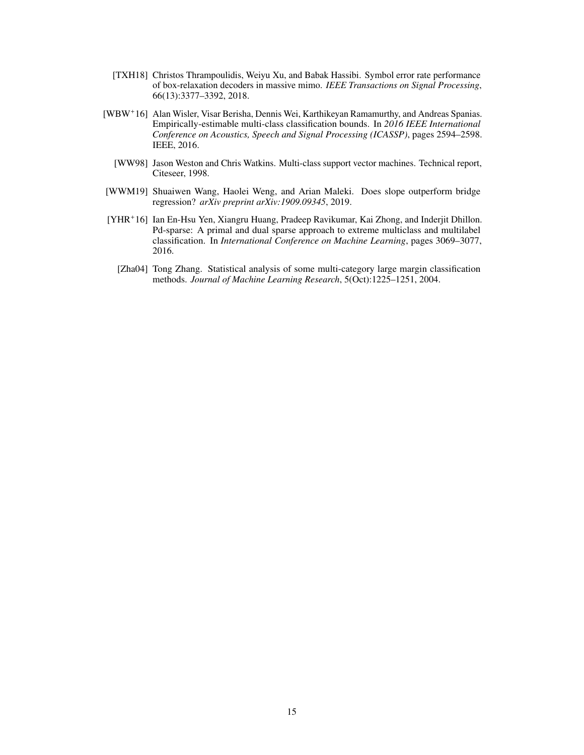- <span id="page-14-3"></span>[TXH18] Christos Thrampoulidis, Weiyu Xu, and Babak Hassibi. Symbol error rate performance of box-relaxation decoders in massive mimo. *IEEE Transactions on Signal Processing*, 66(13):3377–3392, 2018.
- <span id="page-14-5"></span>[WBW+ 16] Alan Wisler, Visar Berisha, Dennis Wei, Karthikeyan Ramamurthy, and Andreas Spanias. Empirically-estimable multi-class classification bounds. In *2016 IEEE International Conference on Acoustics, Speech and Signal Processing (ICASSP)*, pages 2594–2598. IEEE, 2016.
	- [WW98] Jason Weston and Chris Watkins. Multi-class support vector machines. Technical report, Citeseer, 1998.
- <span id="page-14-4"></span><span id="page-14-0"></span>[WWM19] Shuaiwen Wang, Haolei Weng, and Arian Maleki. Does slope outperform bridge regression? *arXiv preprint arXiv:1909.09345*, 2019.
- <span id="page-14-2"></span><span id="page-14-1"></span>[YHR<sup>+</sup>16] Ian En-Hsu Yen, Xiangru Huang, Pradeep Ravikumar, Kai Zhong, and Inderjit Dhillon. Pd-sparse: A primal and dual sparse approach to extreme multiclass and multilabel classification. In *International Conference on Machine Learning*, pages 3069–3077, 2016.
	- [Zha04] Tong Zhang. Statistical analysis of some multi-category large margin classification methods. *Journal of Machine Learning Research*, 5(Oct):1225–1251, 2004.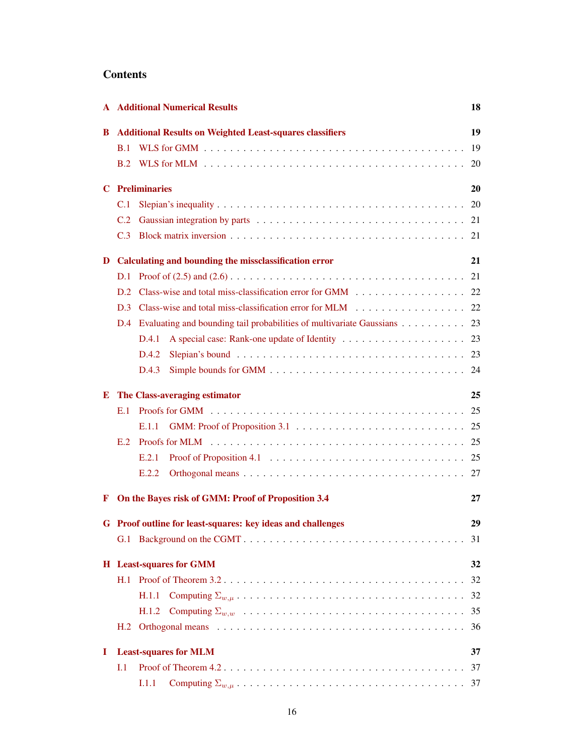# **Contents**

|                                                                      |     | <b>A</b> Additional Numerical Results                                                                          | 18 |
|----------------------------------------------------------------------|-----|----------------------------------------------------------------------------------------------------------------|----|
| <b>Additional Results on Weighted Least-squares classifiers</b><br>В |     |                                                                                                                |    |
|                                                                      | B.1 |                                                                                                                | 19 |
|                                                                      | B.2 |                                                                                                                | 20 |
| C                                                                    |     | <b>Preliminaries</b>                                                                                           | 20 |
|                                                                      | C.1 |                                                                                                                | 20 |
|                                                                      | C.2 |                                                                                                                | 21 |
|                                                                      | C.3 |                                                                                                                | 21 |
| D                                                                    |     | Calculating and bounding the missclassification error                                                          | 21 |
|                                                                      | D.1 |                                                                                                                | 21 |
|                                                                      | D.2 |                                                                                                                | 22 |
|                                                                      | D.3 | Class-wise and total miss-classification error for MLM 22                                                      |    |
|                                                                      |     | D.4 Evaluating and bounding tail probabilities of multivariate Gaussians 23                                    |    |
|                                                                      |     | D.4.1                                                                                                          |    |
|                                                                      |     | Slepian's bound $\ldots \ldots \ldots \ldots \ldots \ldots \ldots \ldots \ldots \ldots \ldots \ldots$<br>D.4.2 |    |
|                                                                      |     | D.4.3                                                                                                          |    |
| Ю                                                                    |     | The Class-averaging estimator                                                                                  | 25 |
|                                                                      | E.1 |                                                                                                                | 25 |
|                                                                      |     | E.1.1                                                                                                          | 25 |
|                                                                      | E.2 | Proofs for MLM $\dots\dots\dots\dots\dots\dots\dots\dots\dots\dots\dots\dots\dots\dots\dots\dots\dots$         | 25 |
|                                                                      |     | E.2.1                                                                                                          |    |
|                                                                      |     | E.2.2                                                                                                          |    |
| F                                                                    |     | On the Bayes risk of GMM: Proof of Proposition 3.4                                                             | 27 |
|                                                                      |     |                                                                                                                |    |
|                                                                      |     | G Proof outline for least-squares: key ideas and challenges                                                    | 29 |
|                                                                      |     |                                                                                                                | 31 |
|                                                                      |     | <b>H</b> Least-squares for GMM                                                                                 | 32 |
|                                                                      |     |                                                                                                                | 32 |
|                                                                      |     | H.1.1                                                                                                          | 32 |
|                                                                      |     | H.1.2                                                                                                          | 35 |
|                                                                      |     |                                                                                                                | 36 |
| <b>Least-squares for MLM</b><br>1                                    |     |                                                                                                                |    |
|                                                                      | I.1 |                                                                                                                | 37 |
|                                                                      |     | I.1.1                                                                                                          | 37 |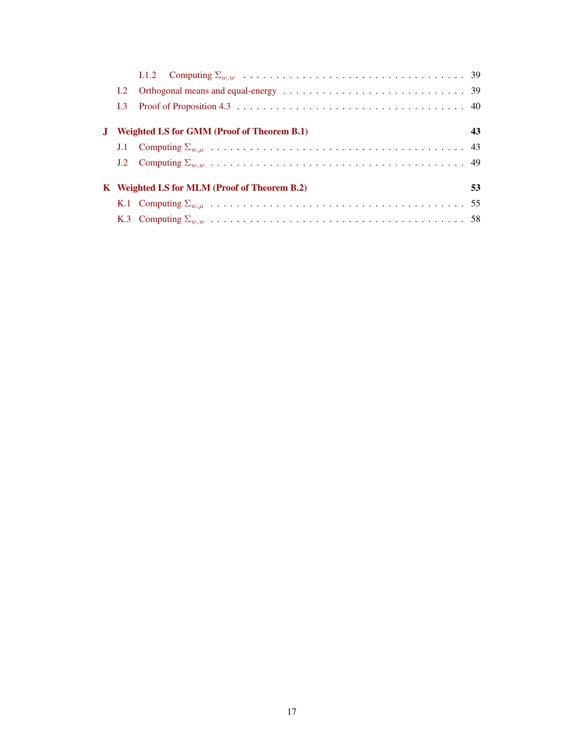|                                                    | <b>Weighted LS for GMM (Proof of Theorem B.1)</b> | 43 |  |  |
|----------------------------------------------------|---------------------------------------------------|----|--|--|
|                                                    |                                                   |    |  |  |
|                                                    |                                                   |    |  |  |
|                                                    |                                                   |    |  |  |
| K Weighted LS for MLM (Proof of Theorem B.2)<br>53 |                                                   |    |  |  |
|                                                    |                                                   |    |  |  |
|                                                    |                                                   |    |  |  |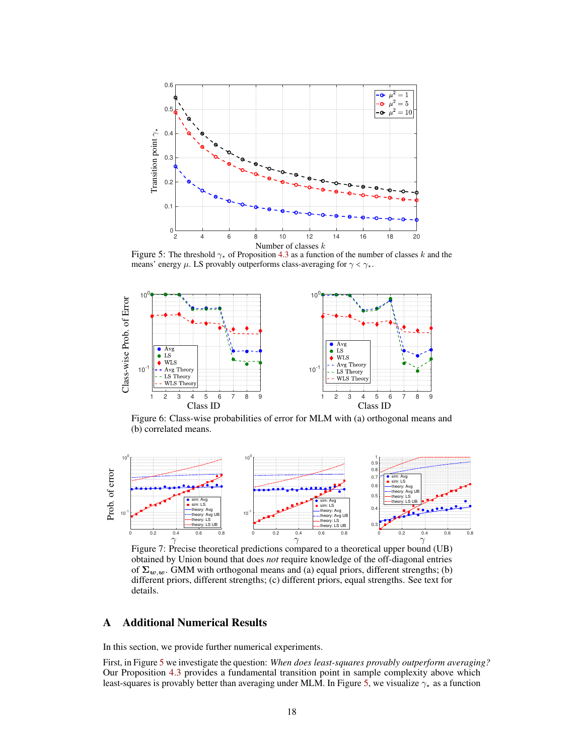<span id="page-17-1"></span>

Figure 5: The threshold  $\gamma_*$  of Proposition [4.3](#page-7-2) as a function of the number of classes k and the means' energy  $\mu$ . LS provably outperforms class-averaging for  $\gamma < \gamma_{\star}$ .

<span id="page-17-2"></span>

Figure 6: Class-wise probabilities of error for MLM with (a) orthogonal means and (b) correlated means.

<span id="page-17-3"></span>

Figure 7: Precise theoretical predictions compared to a theoretical upper bound (UB) obtained by Union bound that does *not* require knowledge of the off-diagonal entries of  $\Sigma_{w,w}$ . GMM with orthogonal means and (a) equal priors, different strengths; (b) different priors, different strengths; (c) different priors, equal strengths. See text for details.

# <span id="page-17-0"></span>A Additional Numerical Results

In this section, we provide further numerical experiments.

First, in Figure [5](#page-17-1) we investigate the question: *When does least-squares provably outperform averaging?* Our Proposition [4.3](#page-7-2) provides a fundamental transition point in sample complexity above which least-squares is provably better than averaging under MLM. In Figure [5,](#page-17-1) we visualize  $\gamma_{\star}$  as a function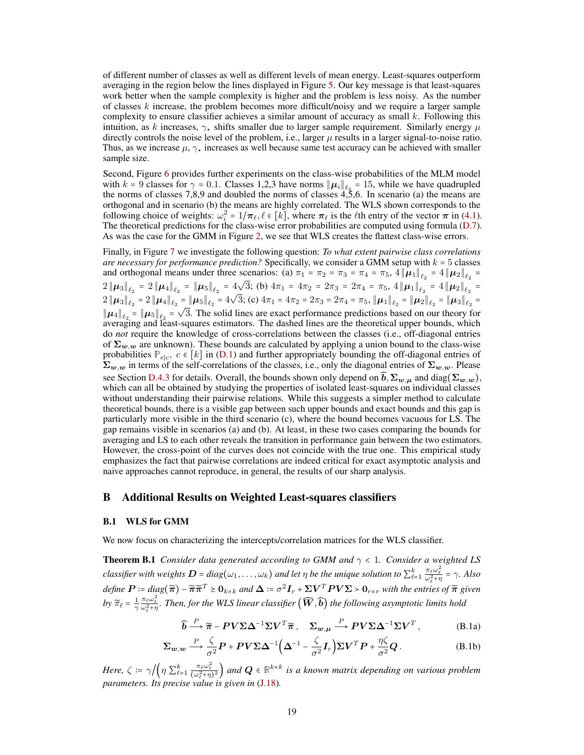of different number of classes as well as different levels of mean energy. Least-squares outperform averaging in the region below the lines displayed in Figure [5.](#page-17-1) Our key message is that least-squares work better when the sample complexity is higher and the problem is less noisy. As the number of classes  $k$  increase, the problem becomes more difficult/noisy and we require a larger sample complexity to ensure classifier achieves a similar amount of accuracy as small  $k$ . Following this intuition, as k increases,  $\gamma_{\star}$  shifts smaller due to larger sample requirement. Similarly energy  $\mu$ directly controls the noise level of the problem, i.e., larger  $\mu$  results in a larger signal-to-noise ratio. Thus, as we increase  $\mu$ ,  $\gamma_{\star}$  increases as well because same test accuracy can be achieved with smaller sample size.

Second, Figure [6](#page-17-2) provides further experiments on the class-wise probabilities of the MLM model with k = 9 classes for  $\gamma = 0.1$ . Classes 1,2,3 have norms  $\|\mu_i\|_{\ell_2} = 15$ , while we have quadrupled the norms of classes 7,8,9 and doubled the norms of classes 4,5,6. In scenario (a) the means are orthogonal and in scenario (b) the means are highly correlated. The WLS shown corresponds to the following choice of weights:  $\omega_i^2 = 1/\pi_\ell, \ell \in [k]$ , where  $\pi_\ell$  is the  $\ell$ th entry of the vector  $\pi$  in [\(4.1\)](#page-6-2). The theoretical predictions for the class-wise error probabilities are computed using formula [\(D.7\)](#page-22-3). As was the case for the GMM in Figure [2,](#page-8-1) we see that WLS creates the flattest class-wise errors.

Finally, in Figure [7](#page-17-3) we investigate the following question: *To what extent pairwise class correlations are necessary for performance prediction?* Specifically, we consider a GMM setup with k = 5 classes and orthogonal means under three scenarios: (a)  $\pi_1 = \pi_2 = \pi_3 = \pi_4 = \pi_5$ ,  $4 \|\mu_1\|_{\ell_2} = 4 \|\mu_2\|_{\ell_2} =$  $2 \|\mu_3\|_{\ell_2} = 2 \|\mu_4\|_{\ell_2} = \|\mu_5\|_{\ell_2} = 4\sqrt{3}$ ; (b)  $4\pi_1 = 4\pi_2 = 2\pi_3 = 2\pi_4 = \pi_5$ ,  $4 \|\mu_1\|_{\ell_2} = 4 \|\mu_2\|_{\ell_2} =$  $2 \|\mu_3\|_{\ell_2} = 2 \|\mu_4\|_{\ell_2} = \|\mu_5\|_{\ell_2} = 4\sqrt{3}$ ; (c)  $4\pi_1 = 4\pi_2 = 2\pi_3 = 2\pi_4 = \pi_5$ ,  $\|\mu_1\|_{\ell_2} = \|\mu_2\|_{\ell_2} = \|\mu_3\|_{\ell_2} =$  $\|\mu_4\|_{\ell_2} = \|\mu_5\|_{\ell_2} = \sqrt{3}$ . The solid lines are exact performance predictions based on our theory for averaging and least-squares estimators. The dashed lines are the theoretical upper bounds, which do *not* require the knowledge of cross-correlations between the classes (i.e., off-diagonal entries of  $\Sigma_{w,w}$  are unknown). These bounds are calculated by applying a union bound to the class-wise probabilities  $\mathbb{P}_{e|c}$ ,  $c \in [k]$  in [\(D.1\)](#page-21-2) and further appropriately bounding the off-diagonal entries of  $\Sigma_{w,w}$  in terms of the self-correlations of the classes, i.e., only the diagonal entries of  $\Sigma_{w,w}$ . Please see Section [D.4.3](#page-23-0) for details. Overall, the bounds shown only depend on  $\widehat{b}$ ,  $\Sigma_{w,\mu}$  and diag( $\Sigma_{w,w}$ ), which can all be obtained by studying the properties of isolated least-squares on individual classes without understanding their pairwise relations. While this suggests a simpler method to calculate theoretical bounds, there is a visible gap between such upper bounds and exact bounds and this gap is particularly more visible in the third scenario (c), where the bound becomes vacuous for LS. The gap remains visible in scenarios (a) and (b). At least, in these two cases comparing the bounds for averaging and LS to each other reveals the transition in performance gain between the two estimators. However, the cross-point of the curves does not coincide with the true one. This empirical study emphasizes the fact that pairwise correlations are indeed critical for exact asymptotic analysis and naive approaches cannot reproduce, in general, the results of our sharp analysis.

## <span id="page-18-0"></span>B Additional Results on Weighted Least-squares classifiers

#### <span id="page-18-1"></span>B.1 WLS for GMM

<span id="page-18-2"></span>We now focus on characterizing the intercepts/correlation matrices for the WLS classifier.

**Theorem B.1** *Consider data generated according to GMM and*  $\gamma$  < 1*. Consider a weighted LS classifier with weights*  $D = diag(\omega_1, \ldots, \omega_k)$  *and let*  $\eta$  *be the unique solution to*  $\sum_{\ell=1}^k \frac{\pi_{\ell} \omega_{\ell}^2}{\omega_{\ell}^2 + \eta} = \gamma$ . Also  $\textit{define } \boldsymbol{P} \coloneqq \textit{diag}(\boldsymbol{\widetilde{\pi}}) - \boldsymbol{\widetilde{\pi}} \boldsymbol{\widetilde{\pi}}^T \geq \boldsymbol{0}_{k \times k} \textit{ and } \boldsymbol{\Delta} \coloneqq \sigma^2 \boldsymbol{I}_r + \boldsymbol{\Sigma} \boldsymbol{V}^T \boldsymbol{P} \boldsymbol{V} \boldsymbol{\Sigma} > \boldsymbol{0}_{r \times r} \textit{ with the entries of } \boldsymbol{\widetilde{\pi}} \textit{ given }$ by  $\widetilde{\pi}_{\ell} = \frac{1}{\gamma}$  $\frac{\pi_\ell\omega_\ell^2}{\omega_\ell^2+\eta}$ *. Then, for the WLS linear classifier*  $(\widehat{\bm{W}},\widehat{\bm{b}})$  *the following asymptotic limits hold* 

<span id="page-18-4"></span><span id="page-18-3"></span>
$$
\widehat{\boldsymbol{b}} \stackrel{P}{\longrightarrow} \widetilde{\boldsymbol{\pi}} - \boldsymbol{P} \boldsymbol{V} \boldsymbol{\Sigma} \boldsymbol{\Delta}^{-1} \boldsymbol{\Sigma} \boldsymbol{V}^T \widetilde{\boldsymbol{\pi}}, \quad \boldsymbol{\Sigma}_{\boldsymbol{w}, \boldsymbol{\mu}} \stackrel{P}{\longrightarrow} \boldsymbol{P} \boldsymbol{V} \boldsymbol{\Sigma} \boldsymbol{\Delta}^{-1} \boldsymbol{\Sigma} \boldsymbol{V}^T,
$$
 (B.1a)

$$
\Sigma_{w,w} \stackrel{P}{\longrightarrow} \frac{\zeta}{\sigma^2} P + PV \Sigma \Delta^{-1} \Big( \Delta^{-1} - \frac{\zeta}{\sigma^2} I_r \Big) \Sigma V^T P + \frac{\eta \zeta}{\sigma^2} Q.
$$
 (B.1b)

*Here,*  $\zeta := \gamma / ( \eta \sum_{\ell=1}^k \frac{\pi_\ell \omega_\ell^2}{(\omega_\ell^2 + \eta)^2})$  and  $\mathbf{Q} \in \mathbb{R}^{k \times k}$  is a known matrix depending on various problem *parameters. Its precise value is given in* [\(J.18\)](#page-52-1)*.*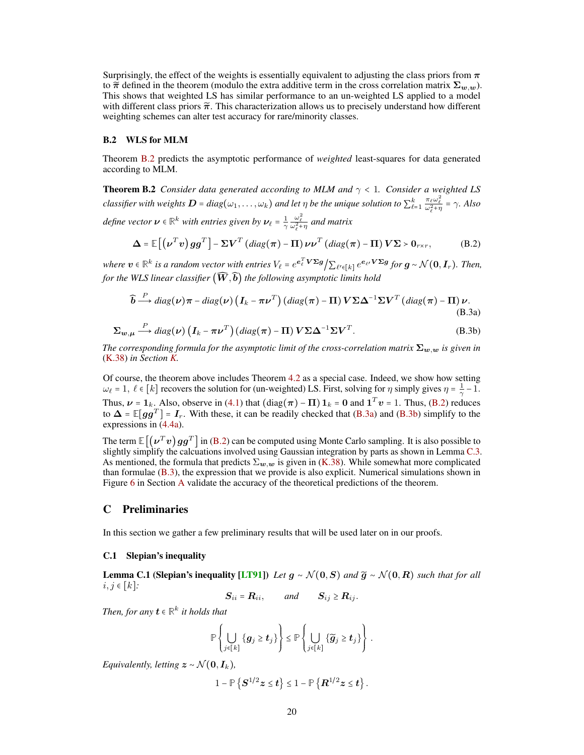Surprisingly, the effect of the weights is essentially equivalent to adjusting the class priors from  $\pi$ to  $\tilde{\pi}$  defined in the theorem (modulo the extra additive term in the cross correlation matrix  $\Sigma_{w,w}$ ). This shows that weighted LS has similar performance to an un-weighted LS applied to a model with different class priors  $\tilde{\pi}$ . This characterization allows us to precisely understand how different weighting schemes can alter test accuracy for rare/minority classes.

### <span id="page-19-0"></span>B.2 WLS for MLM

Theorem [B.2](#page-19-4) predicts the asymptotic performance of *weighted* least-squares for data generated according to MLM.

<span id="page-19-4"></span>**Theorem B.2** *Consider data generated according to MLM and*  $\gamma < 1$ *. Consider a weighted LS classifier with weights*  $D = diag(\omega_1, \ldots, \omega_k)$  *and let*  $\eta$  *be the unique solution to*  $\sum_{\ell=1}^k \frac{\pi_{\ell} \omega_{\ell}^2}{\omega_{\ell}^2 + \eta} = \gamma$ . Also *define vector*  $\boldsymbol{\nu} \in \mathbb{R}^k$  *with entries given by*  $\boldsymbol{\nu}_\ell$  =  $\frac{1}{\gamma}$  $\frac{\omega_{\ell}^2}{\omega_{\ell}^2 + \eta}$  and matrix

<span id="page-19-5"></span>
$$
\Delta = \mathbb{E}\left[\left(\boldsymbol{\nu}^T\boldsymbol{v}\right)gg^T\right] - \Sigma\boldsymbol{V}^T\left(diag(\boldsymbol{\pi}) - \Pi\right)\boldsymbol{\nu}\boldsymbol{\nu}^T\left(diag(\boldsymbol{\pi}) - \Pi\right)\boldsymbol{V}\Sigma > \mathbf{0}_{r\times r},\tag{B.2}
$$

 *<i>is a random vector with entries* $V_{\ell} = e^{\mathbf{e}_{\ell}^{T} \mathbf{V} \mathbf{\Sigma} \mathbf{g}} / \sum_{\ell' \in [k]} e^{\mathbf{e}_{\ell'} \mathbf{V} \mathbf{\Sigma} \mathbf{g}}$ *for* $\mathbf{g} \sim \mathcal{N}(\mathbf{0}, \mathbf{I}_r)$ *. Then, for the WLS linear classifier*  $(\widehat{W}, \widehat{b})$  *the following asymptotic limits hold* 

$$
\widehat{\mathbf{b}} \stackrel{P}{\longrightarrow} diag(\nu)\pi - diag(\nu)\left(\mathbf{I}_k - \pi \nu^T\right) (diag(\pi) - \Pi) \mathbf{V} \Sigma \Delta^{-1} \Sigma V^T (diag(\pi) - \Pi) \nu.
$$
\n(B.3a)

$$
\Sigma_{w,\mu} \xrightarrow{P} diag(\nu) \left( I_k - \pi \nu^T \right) (diag(\pi) - \Pi) V \Sigma \Delta^{-1} \Sigma V^T.
$$
 (B.3b)

*The corresponding formula for the asymptotic limit of the cross-correlation matrix*  $\Sigma_{w,w}$  *is given in* [\(K.38\)](#page-57-0) *in Section [K.](#page-52-0)*

Of course, the theorem above includes Theorem [4.2](#page-7-0) as a special case. Indeed, we show how setting  $\omega_{\ell} = 1, \ \ell \in [k]$  recovers the solution for (un-weighted) LS. First, solving for  $\eta$  simply gives  $\eta = \frac{1}{\gamma} - 1$ . Thus,  $\nu = 1_k$ . Also, observe in [\(4.1\)](#page-6-2) that  $(\text{diag}(\pi) - \Pi) 1_k = 0$  and  $1^T v = 1$ . Thus, [\(B.2\)](#page-18-3) reduces to  $\Delta = \mathbb{E}[gg^T] = I_r$ . With these, it can be readily checked that [\(B.3a\)](#page-18-4) and [\(B.3b\)](#page-18-3) simplify to the expressions in [\(4.4a\)](#page-6-2).

The term  $\mathbb{E}\big[\big(\nu^T v\big)gg^T\big]$  in [\(B.2\)](#page-18-3) can be computed using Monte Carlo sampling. It is also possible to slightly simplify the calcuations involved using Gaussian integration by parts as shown in Lemma [C.3.](#page-20-3) As mentioned, the formula that predicts  $\Sigma_{w,w}$  is given in [\(K.38\)](#page-57-0). While somewhat more complicated than formulae [\(B.3\)](#page-19-5), the expression that we provide is also explicit. Numerical simulations shown in Figure [6](#page-17-2) in Section [A](#page-17-0) validate the accuracy of the theoretical predictions of the theorem.

# <span id="page-19-1"></span>C Preliminaries

<span id="page-19-2"></span>In this section we gather a few preliminary results that will be used later on in our proofs.

#### C.1 Slepian's inequality

<span id="page-19-6"></span>**Lemma C.1 (Slepian's inequality [\[LT91\]](#page-12-17)**) *Let*  $g \sim \mathcal{N}(0, S)$  *and*  $\widetilde{g} \sim \mathcal{N}(0, R)$  *such that for all* i, j ∈ [k]*:*

 $S_{ii} = R_{ii},$  and  $S_{ij} \ge R_{ij}.$ 

*Then, for any*  $\mathbf{t} \in \mathbb{R}^k$  *it holds that* 

$$
\mathbb{P}\left\{\bigcup_{j\in[k]}\left\{g_j\geq t_j\right\}\right\}\leq \mathbb{P}\left\{\bigcup_{j\in[k]}\left\{\widetilde{g}_j\geq t_j\right\}\right\}\,.
$$

<span id="page-19-3"></span>*Equivalently, letting*  $z \sim \mathcal{N}(\mathbf{0}, \mathbf{I}_k)$ *,* 

$$
1-\mathbb{P}\left\{{\bf S}^{1/2}{\boldsymbol z}\leq t\right\}\leq 1-\mathbb{P}\left\{{\bf R}^{1/2}{\boldsymbol z}\leq t\right\}.
$$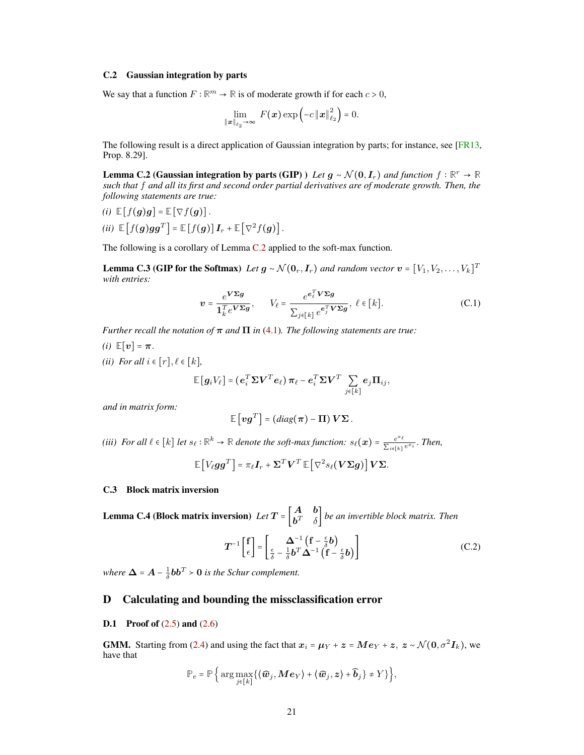#### C.2 Gaussian integration by parts

We say that a function  $F : \mathbb{R}^m \to \mathbb{R}$  is of moderate growth if for each  $c > 0$ ,

$$
\lim_{\|\boldsymbol{x}\|_{\ell_2}\to\infty} F(\boldsymbol{x}) \exp\left(-c\left\|\boldsymbol{x}\right\|_{\ell_2}^2\right) = 0.
$$

<span id="page-20-4"></span>The following result is a direct application of Gaussian integration by parts; for instance, see [\[FR13,](#page-11-17) Prop. 8.29].

**Lemma C.2 (Gaussian integration by parts (GIP)** ) *Let*  $g \sim \mathcal{N}(0, I_r)$  *and function*  $f : \mathbb{R}^r \to \mathbb{R}$ *such that* f *and all its first and second order partial derivatives are of moderate growth. Then, the following statements are true:*

(i) 
$$
\mathbb{E}[f(g)g] = \mathbb{E}[\nabla f(g)].
$$
  
\n(ii)  $\mathbb{E}[f(g)gg^T] = \mathbb{E}[f(g)]I_r + \mathbb{E}[\nabla^2 f(g)].$ 

<span id="page-20-3"></span>The following is a corollary of Lemma [C.2](#page-20-4) applied to the soft-max function.

**Lemma C.3 (GIP for the Softmax)** *Let*  $g \sim \mathcal{N}(\mathbf{0}_r, \mathbf{I}_r)$  and random vector  $\mathbf{v} = [V_1, V_2, \dots, V_k]^T$ *with entries:*

$$
\boldsymbol{v} = \frac{e^{\boldsymbol{V}\boldsymbol{\Sigma}\boldsymbol{g}}}{\mathbf{1}_{k}^{T}e^{\boldsymbol{V}\boldsymbol{\Sigma}\boldsymbol{g}}}, \qquad V_{\ell} = \frac{e^{e_{\ell}^{T}\boldsymbol{V}\boldsymbol{\Sigma}\boldsymbol{g}}}{\sum_{j\in[k]}e^{e_{j}^{T}\boldsymbol{V}\boldsymbol{\Sigma}\boldsymbol{g}}}, \ \ell \in[k]. \tag{C.1}
$$

*Further recall the notation of*  $\pi$  *and*  $\Pi$  *in* [\(4.1\)](#page-6-2)*. The following statements are true:* 

*(i)*  $\mathbb{E}[v] = \pi$ . *(ii) For all*  $i \in [r], \ell \in [k]$ *,* 

$$
\mathbb{E}\left[\boldsymbol{g}_i V_\ell\right] = \left(\boldsymbol{e}_i^T \boldsymbol{\Sigma} \boldsymbol{V}^T \boldsymbol{e}_\ell\right) \boldsymbol{\pi}_\ell - \boldsymbol{e}_i^T \boldsymbol{\Sigma} \boldsymbol{V}^T \sum_{j \in [k]} \boldsymbol{e}_j \boldsymbol{\Pi}_{ij},
$$

*and in matrix form:*

$$
\mathbb{E}\left[\mathbf{v}\mathbf{g}^T\right] = (diag(\boldsymbol{\pi}) - \boldsymbol{\Pi})\mathbf{V}\boldsymbol{\Sigma}.
$$

*(iii)* For all  $\ell \in [k]$  *let*  $s_{\ell} : \mathbb{R}^k \to \mathbb{R}$  *denote the soft-max function:*  $s_{\ell}(x) = \frac{e^{x_{\ell}}}{\sum_{i} x_{i}}$  $\frac{e^{i\epsilon}}{\sum_{i\in[k]}e^{x_i}}$ . *Then*,

$$
\mathbb{E}\left[V_{\ell}gg^{T}\right] = \pi_{\ell}I_{r} + \Sigma^{T}V^{T}\mathbb{E}\left[\nabla^{2} s_{\ell}(V\Sigma g)\right]V\Sigma.
$$

## <span id="page-20-2"></span>C.3 Block matrix inversion

**Lemma C.4** (Block matrix inversion) *Let*  $T = \begin{bmatrix} A & b \\ b^T & s \end{bmatrix}$  $\left\{\begin{array}{c} \mathbf{b}^T & \delta \end{array}\right\}$  be an invertible block matrix. Then

$$
T^{-1}\begin{bmatrix} f \\ \epsilon \end{bmatrix} = \begin{bmatrix} \Delta^{-1} \left( f - \frac{\epsilon}{\delta} b \right) \\ \frac{\epsilon}{\delta} - \frac{1}{\delta} b^T \Delta^{-1} \left( f - \frac{\epsilon}{\delta} b \right) \end{bmatrix}
$$
(C.2)

*where*  $\Delta = A - \frac{1}{\delta}bb^T > 0$  *is the Schur complement.* 

# <span id="page-20-1"></span>D Calculating and bounding the missclassification error

#### <span id="page-20-0"></span>**D.1** Proof of  $(2.5)$  and  $(2.6)$

**GMM.** Starting from [\(2.4\)](#page-4-3) and using the fact that  $x_i = \mu_Y + z = Me_Y + z$ ,  $z \sim \mathcal{N}(0, \sigma^2 I_k)$ , we have that

$$
\mathbb{P}_e = \mathbb{P}\Big\{\arg\max_{j\in[k]}\big\{\langle \widehat{\boldsymbol{w}}_j,\boldsymbol{M}\boldsymbol{e}_Y\rangle + \langle \widehat{\boldsymbol{w}}_j,\boldsymbol{z}\rangle + \widehat{\boldsymbol{b}}_j\big\} \neq Y\big\}\Big\},
$$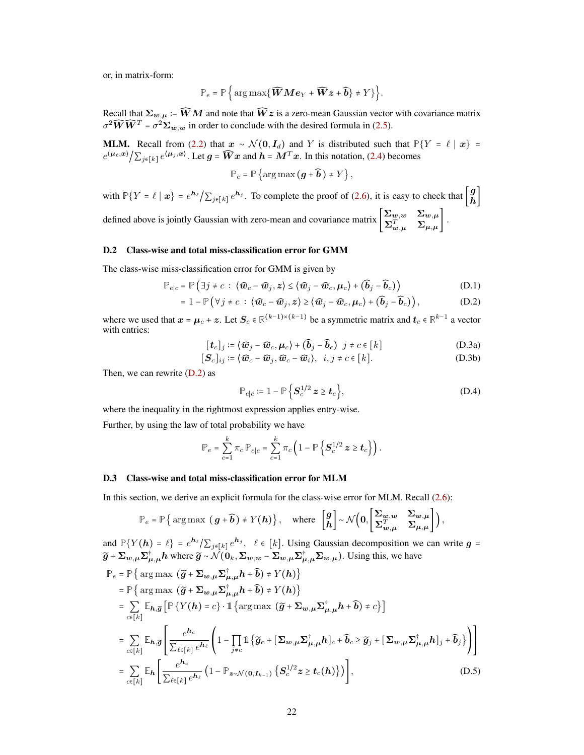or, in matrix-form:

$$
\mathbb{P}_e = \mathbb{P}\left\{\arg\max\{\widehat{\mathbf{W}}\mathbf{M}\mathbf{e}_Y+\widehat{\mathbf{W}}\mathbf{z}+\widehat{\mathbf{b}}\} \neq Y\}\right\}.
$$

Recall that  $\Sigma_{w,\mu}\coloneqq\widehat{W}M$  and note that  $\widehat{W}z$  is a zero-mean Gaussian vector with covariance matrix  $\sigma^2 \widehat{W} \widehat{W}^T = \sigma^2 \Sigma_{w,w}$  in order to conclude with the desired formula in [\(2.5\)](#page-4-0).

**MLM.** Recall from [\(2.2\)](#page-3-0) that  $x \sim \mathcal{N}(0, I_d)$  and Y is distributed such that  $\mathbb{P}{Y = \ell | x} =$  $e^{(\mu_\ell, x)} / \sum_{j \in [k]} e^{(\mu_j, x)}$ . Let  $g = \widehat{W}x$  and  $h = M^T x$ . In this notation, [\(2.4\)](#page-4-3) becomes

$$
\mathbb{P}_e = \mathbb{P}\left\{\arg\max\left(\boldsymbol{g}+\boldsymbol{\widehat{b}}\right) \neq Y\right\},\
$$

with  $\mathbb{P}\{Y = \ell \mid x\} = e^{\mathbf{h}_{\ell}} / \sum_{j \in [k]} e^{\mathbf{h}_j}$ . To complete the proof of [\(2.6\)](#page-4-1), it is easy to check that  $\begin{bmatrix} g \\ h \end{bmatrix}$  $\frac{9}{h}$ defined above is jointly Gaussian with zero-mean and covariance matrix  $\begin{bmatrix} \Sigma_{w,w} & \Sigma_{w,\mu} \\ \Sigma_{w}^{T} & \Sigma_{w,\mu} \end{bmatrix}$  $\left[ \begin{matrix} \sum_{w,\mu}^T & \sum_{\mu,\mu} \ \sum_{\mu,\mu} & \sum_{\mu,\mu} \end{matrix} \right].$ 

## <span id="page-21-1"></span>D.2 Class-wise and total miss-classification error for GMM

The class-wise miss-classification error for GMM is given by

$$
\mathbb{P}_{e|c} = \mathbb{P}\left(\exists j \neq c \; : \; \langle \widehat{\boldsymbol{w}}_c - \widehat{\boldsymbol{w}}_j, \boldsymbol{z}\rangle \leq \langle \widehat{\boldsymbol{w}}_j - \widehat{\boldsymbol{w}}_c, \boldsymbol{\mu}_c\rangle + (\widehat{\boldsymbol{b}}_j - \widehat{\boldsymbol{b}}_c)\right) \tag{D.1}
$$

<span id="page-21-6"></span>
$$
= 1 - \mathbb{P}\left(\forall j \neq c : \langle \widehat{\boldsymbol{w}}_c - \widehat{\boldsymbol{w}}_j, \boldsymbol{z}\rangle \geq \langle \widehat{\boldsymbol{w}}_j - \widehat{\boldsymbol{w}}_c, \boldsymbol{\mu}_c\rangle + (\widehat{\boldsymbol{b}}_j - \widehat{\boldsymbol{b}}_c)\right),
$$
(D.2)

where we used that  $x = \mu_c + z$ . Let  $S_c \in \mathbb{R}^{(k-1)\times (k-1)}$  be a symmetric matrix and  $t_c \in \mathbb{R}^{k-1}$  a vector with entries:

$$
[\boldsymbol{t}_c]_j := \langle \widehat{\boldsymbol{w}}_j - \widehat{\boldsymbol{w}}_c, \boldsymbol{\mu}_c \rangle + (\widehat{\boldsymbol{b}}_j - \widehat{\boldsymbol{b}}_c) \ \ j \neq c \in [k] \tag{D.3a}
$$

$$
[\mathbf{S}_c]_{ij} \coloneqq \langle \widehat{\mathbf{w}}_c - \widehat{\mathbf{w}}_j, \widehat{\mathbf{w}}_c - \widehat{\mathbf{w}}_i \rangle, \ \ i, j \neq c \in [k]. \tag{D.3b}
$$

Then, we can rewrite  $(D.2)$  as

<span id="page-21-5"></span><span id="page-21-3"></span><span id="page-21-2"></span>
$$
\mathbb{P}_{e|c} \coloneqq 1 - \mathbb{P}\left\{ S_c^{1/2} \, z \ge t_c \right\},\tag{D.4}
$$

where the inequality in the rightmost expression applies entry-wise.

Further, by using the law of total probability we have

<span id="page-21-4"></span>
$$
\mathbb{P}_e = \sum_{c=1}^k \pi_c \, \mathbb{P}_{e|c} = \sum_{c=1}^k \pi_c \left( 1 - \mathbb{P} \left\{ \mathbf{S}_c^{1/2} \, \mathbf{z} \ge \mathbf{t}_c \right\} \right).
$$

## <span id="page-21-0"></span>D.3 Class-wise and total miss-classification error for MLM

In this section, we derive an explicit formula for the class-wise error for MLM. Recall [\(2.6\)](#page-4-1):

$$
\mathbb{P}_e = \mathbb{P}\left\{\arg \max\left(\,g+\widehat{b}\,\right) \neq Y(h)\right\}, \quad \text{where } \begin{bmatrix} g \\ h \end{bmatrix} \sim \mathcal{N}\left(0, \begin{bmatrix} \Sigma_{w,w} & \Sigma_{w,\mu} \\ \Sigma_{w,\mu}^T & \Sigma_{\mu,\mu} \end{bmatrix}\right),
$$

and 
$$
\mathbb{P}\{Y(\mathbf{h}) = \ell\} = e^{\mathbf{h}_{\ell}} / \sum_{j \in [k]} e^{\mathbf{h}_{j}}, \quad \ell \in [k]
$$
. Using Gaussian decomposition we can write  $\mathbf{g} = \tilde{\mathbf{g}} + \sum_{w,\mu} \sum_{\mu,\mu}^{\dagger} \mathbf{h}$  where  $\tilde{\mathbf{g}} \sim \mathcal{N}(\mathbf{0}_{k}, \Sigma_{w,w} - \Sigma_{w,\mu} \Sigma_{\mu,\mu}^{\dagger} \Sigma_{w,\mu})$ . Using this, we have  
\n
$$
\mathbb{P}_{e} = \mathbb{P}\left\{\arg \max (\tilde{\mathbf{g}} + \Sigma_{w,\mu} \Sigma_{\mu,\mu}^{\dagger} \mathbf{h} + \hat{\mathbf{b}}) \neq Y(\mathbf{h})\right\}
$$
\n
$$
= \mathbb{P}\left\{\arg \max (\tilde{\mathbf{g}} + \Sigma_{w,\mu} \Sigma_{\mu,\mu}^{\dagger} \mathbf{h} + \hat{\mathbf{b}}) \neq Y(\mathbf{h})\right\}
$$
\n
$$
= \sum_{c \in [k]} \mathbb{E}_{\mathbf{h}, \tilde{\mathbf{g}}} \left[\mathbb{P}\left\{Y(\mathbf{h}) = c\right\} \cdot \mathbb{1}\left\{\arg \max (\tilde{\mathbf{g}} + \Sigma_{w,\mu} \Sigma_{\mu,\mu}^{\dagger} \mathbf{h} + \hat{\mathbf{b}}) \neq c\right\}\right]
$$
\n
$$
= \sum_{c \in [k]} \mathbb{E}_{\mathbf{h}, \tilde{\mathbf{g}}} \left[\frac{e^{\mathbf{h}_{c}}}{\sum_{\ell \in [k]} e^{\mathbf{h}_{\ell}}} \left(1 - \prod_{j \neq c} \mathbb{1}\left\{\tilde{\mathbf{g}}_{c} + \left[\Sigma_{w,\mu} \Sigma_{\mu,\mu}^{\dagger} \mathbf{h}\right]_{c} + \widehat{\mathbf{b}}_{c} \geq \tilde{\mathbf{g}}_{j} + \left[\Sigma_{w,\mu} \Sigma_{\mu,\mu}^{\dagger} \mathbf{h}\right]_{j} + \widehat{\mathbf{b}}_{j}\right]\right)
$$
\n
$$
= \sum_{c \in [k]} \mathbb{E}_{\mathbf{h}} \left[\frac{e^{\mathbf{h}_{c}}}{\
$$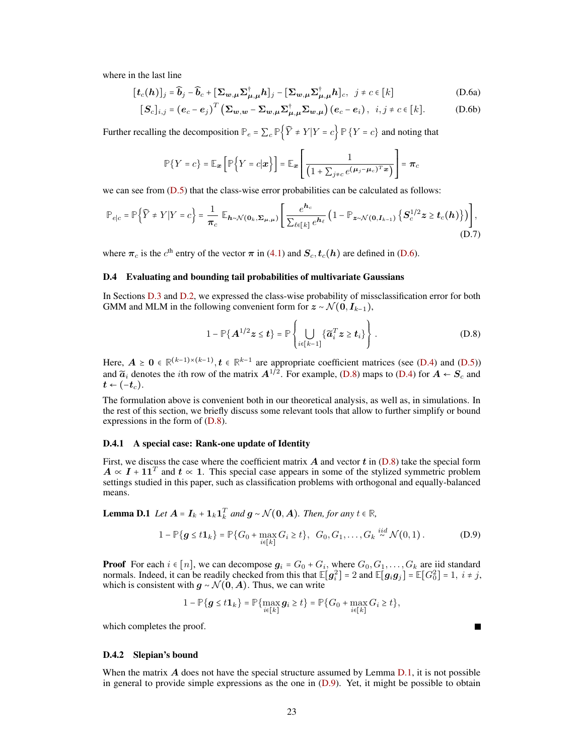where in the last line

<span id="page-22-4"></span>
$$
[\boldsymbol{t}_c(\boldsymbol{h})]_j = \widehat{\boldsymbol{b}}_j - \widehat{\boldsymbol{b}}_c + [\boldsymbol{\Sigma}_{\boldsymbol{w},\boldsymbol{\mu}} \boldsymbol{\Sigma}_{\boldsymbol{\mu},\boldsymbol{\mu}}^\dagger \boldsymbol{h}]_j - [\boldsymbol{\Sigma}_{\boldsymbol{w},\boldsymbol{\mu}} \boldsymbol{\Sigma}_{\boldsymbol{\mu},\boldsymbol{\mu}}^\dagger \boldsymbol{h}]_c, \ \ j \neq c \in [k] \tag{D.6a}
$$

$$
[\boldsymbol{S}_c]_{i,j} = (e_c - e_j)^T (\boldsymbol{\Sigma}_{\boldsymbol{w},\boldsymbol{w}} - \boldsymbol{\Sigma}_{\boldsymbol{w},\boldsymbol{\mu}} \boldsymbol{\Sigma}_{\boldsymbol{\mu},\boldsymbol{\mu}}^{\dagger} \boldsymbol{\Sigma}_{\boldsymbol{w},\boldsymbol{\mu}}) (e_c - e_i), \ \ i,j \neq c \in [k]. \tag{D.6b}
$$

Further recalling the decomposition  $\mathbb{P}_e = \sum_c \mathbb{P}\{\widehat{Y} \neq Y | Y = c\} \mathbb{P}\{Y = c\}$  and noting that

$$
\mathbb{P}\{Y=c\} = \mathbb{E}_{\boldsymbol{x}}\left[\mathbb{P}\left\{Y=c|\boldsymbol{x}\right\}\right] = \mathbb{E}_{\boldsymbol{x}}\left[\frac{1}{\left(1+\sum_{j\neq c}e^{(\mu_j-\mu_c)T_{\boldsymbol{x}}}\right)}\right] = \boldsymbol{\pi}_c
$$

we can see from  $(D.5)$  that the class-wise error probabilities can be calculated as follows:

$$
\mathbb{P}_{e|c} = \mathbb{P}\Big\{\widehat{Y} \neq Y|Y = c\Big\} = \frac{1}{\pi_c} \mathbb{E}_{\boldsymbol{h} \sim \mathcal{N}(\mathbf{0}_k, \boldsymbol{\Sigma}_{\boldsymbol{\mu}, \boldsymbol{\mu}})} \Bigg[ \frac{e^{\boldsymbol{h}_c}}{\sum_{\ell \in [k]} e^{\boldsymbol{h}_\ell}} \left(1 - \mathbb{P}_{\boldsymbol{z} \sim \mathcal{N}(\mathbf{0}, \boldsymbol{I}_{k-1})} \left\{ \boldsymbol{S}_c^{1/2} \boldsymbol{z} \geq \boldsymbol{t}_c(\boldsymbol{h}) \right\} \right) \Bigg], \tag{D.7}
$$

<span id="page-22-0"></span>where  $\pi_c$  is the  $c^{\text{th}}$  entry of the vector  $\pi$  in [\(4.1\)](#page-6-2) and  $S_c, t_c(h)$  are defined in [\(D.6\)](#page-22-4).

# D.4 Evaluating and bounding tail probabilities of multivariate Gaussians

In Sections [D.3](#page-21-0) and [D.2,](#page-21-1) we expressed the class-wise probability of missclassification error for both GMM and MLM in the following convenient form for  $z \sim \mathcal{N}(0, I_{k-1}),$ 

<span id="page-22-5"></span><span id="page-22-3"></span>
$$
1 - \mathbb{P}\{\mathbf{A}^{1/2}\mathbf{z} \leq \mathbf{t}\} = \mathbb{P}\left\{\bigcup_{i \in [k-1]} \{\widetilde{\mathbf{a}}_i^T \mathbf{z} \geq \mathbf{t}_i\}\right\}.
$$
 (D.8)

Here,  $A \ge 0 \in \mathbb{R}^{(k-1)\times (k-1)}$ ,  $t \in \mathbb{R}^{k-1}$  are appropriate coefficient matrices (see [\(D.4\)](#page-21-5) and [\(D.5\)](#page-21-4)) and  $\widetilde{a}_i$  denotes the *i*th row of the matrix  $A^{1/2}$ . For example, [\(D.8\)](#page-22-5) maps to [\(D.4\)](#page-21-5) for  $A \leftarrow S_c$  and  $t \leftarrow (-t_c)$ .

The formulation above is convenient both in our theoretical analysis, as well as, in simulations. In the rest of this section, we briefly discuss some relevant tools that allow to further simplify or bound expressions in the form of [\(D.8\)](#page-22-5).

#### <span id="page-22-1"></span>D.4.1 A special case: Rank-one update of Identity

First, we discuss the case where the coefficient matrix  $\vec{A}$  and vector  $\vec{t}$  in [\(D.8\)](#page-22-5) take the special form  $A \propto I + 11^{T}$  and  $t \propto 1$ . This special case appears in some of the stylized symmetric problem settings studied in this paper, such as classification problems with orthogonal and equally-balanced means.

<span id="page-22-6"></span>**Lemma D.1** *Let*  $A = I_k + 1_k 1_k^T$  *and*  $g \sim \mathcal{N}(0, A)$ *. Then, for any*  $t \in \mathbb{R}$ *,* 

$$
1 - \mathbb{P}\{g \le t\mathbf{1}_k\} = \mathbb{P}\{G_0 + \max_{i \in [k]} G_i \ge t\}, \ \ G_0, G_1, \dots, G_k \stackrel{iid}{\sim} \mathcal{N}(0, 1).
$$
 (D.9)

**Proof** For each  $i \in [n]$ , we can decompose  $g_i = G_0 + G_i$ , where  $G_0, G_1, \ldots, G_k$  are iid standard normals. Indeed, it can be readily checked from this that  $\mathbb{E}[g_i^2] = 2$  and  $\mathbb{E}[g_i g_j] = \mathbb{E}[G_0^2] = 1$ ,  $i \neq j$ , which is consistent with  $g \sim \mathcal{N}(0, A)$ . Thus, we can write

$$
1 - \mathbb{P}\{\boldsymbol{g} \leq t\mathbf{1}_k\} = \mathbb{P}\{\max_{i\in[k]} \boldsymbol{g}_i \geq t\} = \mathbb{P}\{G_0 + \max_{i\in[k]} G_i \geq t\},\
$$

which completes the proof.

### <span id="page-22-2"></span>D.4.2 Slepian's bound

When the matrix  $\vec{A}$  does not have the special structure assumed by Lemma [D.1,](#page-22-6) it is not possible in general to provide simple expressions as the one in  $(D.9)$ . Yet, it might be possible to obtain

<span id="page-22-7"></span>Г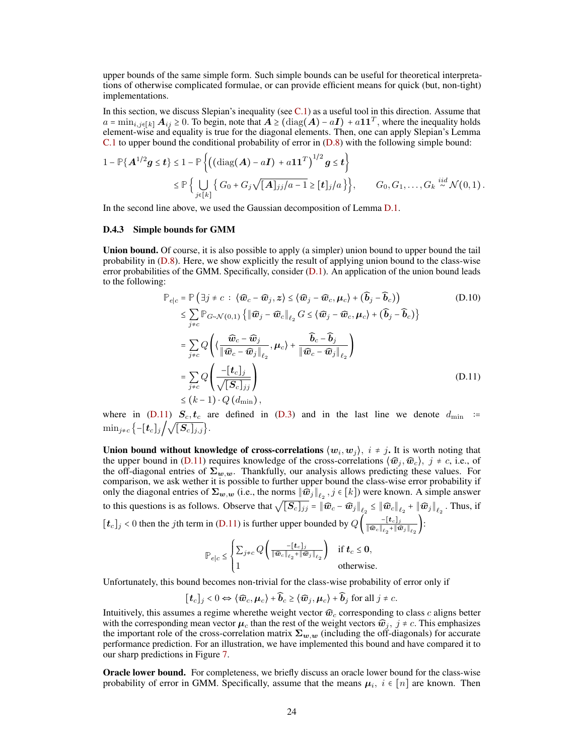upper bounds of the same simple form. Such simple bounds can be useful for theoretical interpretations of otherwise complicated formulae, or can provide efficient means for quick (but, non-tight) implementations.

In this section, we discuss Slepian's inequality (see  $C.1$ ) as a useful tool in this direction. Assume that  $a = \min_{i,j \in [k]} A_{ij} \ge 0$ . To begin, note that  $A \ge (\text{diag}(A) - aI) + aI I^T$ , where the inequality holds element-wise and equality is true for the diagonal elements. Then, one can apply Slepian's Lemma [C.1](#page-19-6) to upper bound the conditional probability of error in [\(D.8\)](#page-22-5) with the following simple bound:

$$
1 - \mathbb{P}\{\mathbf{A}^{1/2}\mathbf{g} \leq \mathbf{t}\} \leq 1 - \mathbb{P}\left\{\left((\text{diag}(\mathbf{A}) - a\mathbf{I}) + a\mathbf{1}\mathbf{1}^T\right)^{1/2}\mathbf{g} \leq \mathbf{t}\right\}
$$
  
\$\leq \mathbb{P}\left\{\bigcup\_{j\in[k]}\left\{G\_0 + G\_j\sqrt{[\mathbf{A}]\_{jj}/a - 1} \geq [\mathbf{t}]\_j/a\right\}\right\}\$, \qquad G\_0, G\_1, \ldots, G\_k \stackrel{iid}{\sim} \mathcal{N}(0, 1)\$.

<span id="page-23-0"></span>In the second line above, we used the Gaussian decomposition of Lemma [D.1.](#page-22-6)

#### D.4.3 Simple bounds for GMM

Union bound. Of course, it is also possible to apply (a simpler) union bound to upper bound the tail probability in [\(D.8\)](#page-22-5). Here, we show explicitly the result of applying union bound to the class-wise error probabilities of the GMM. Specifically, consider [\(D.1\)](#page-21-2). An application of the union bound leads to the following:

<span id="page-23-1"></span>
$$
\mathbb{P}_{e|c} = \mathbb{P}(\exists j \neq c : \langle \widehat{\boldsymbol{w}}_c - \widehat{\boldsymbol{w}}_j, \boldsymbol{z} \rangle \leq \langle \widehat{\boldsymbol{w}}_j - \widehat{\boldsymbol{w}}_c, \boldsymbol{\mu}_c \rangle + (\widehat{\boldsymbol{b}}_j - \widehat{\boldsymbol{b}}_c) \big)
$$
\n
$$
\leq \sum_{j \neq c} \mathbb{P}_{G \sim \mathcal{N}(0,1)} \left\{ \|\widehat{\boldsymbol{w}}_j - \widehat{\boldsymbol{w}}_c\|_{\ell_2} G \leq \langle \widehat{\boldsymbol{w}}_j - \widehat{\boldsymbol{w}}_c, \boldsymbol{\mu}_c \rangle + (\widehat{\boldsymbol{b}}_j - \widehat{\boldsymbol{b}}_c) \right\}
$$
\n
$$
= \sum_{j \neq c} Q \left( \langle \frac{\widehat{\boldsymbol{w}}_c - \widehat{\boldsymbol{w}}_j}{\|\widehat{\boldsymbol{w}}_c - \widehat{\boldsymbol{w}}_j\|_{\ell_2}}, \boldsymbol{\mu}_c \rangle + \frac{\widehat{\boldsymbol{b}}_c - \widehat{\boldsymbol{b}}_j}{\|\widehat{\boldsymbol{w}}_c - \widehat{\boldsymbol{w}}_j\|_{\ell_2}} \right)
$$
\n
$$
= \sum_{j \neq c} Q \left( \frac{-[\boldsymbol{t}_c]_j}{\sqrt{[\mathcal{S}_c]_{jj}}} \right)
$$
\n
$$
\leq (k-1) \cdot Q \left( d_{\text{min}} \right),
$$
\n(D.11)

where in [\(D.11\)](#page-23-1)  $S_c, t_c$  are defined in [\(D.3\)](#page-21-6) and in the last line we denote  $d_{\min}$  :=  $\min_{j \neq c} \left\{ -\left[\mathbf{t}_c\right]_j \middle/ \sqrt{\left[\mathbf{S}_c\right]_{j,j}} \right\}.$ 

Union bound without knowledge of cross-correlations  $\langle w_i, w_j \rangle$ ,  $i \neq j$ . It is worth noting that the upper bound in [\(D.11\)](#page-23-1) requires knowledge of the cross-correlations  $\langle \hat{w}_j, \hat{w}_c \rangle$ ,  $j \neq c$ , i.e., of the off-diagonal entries of  $\Sigma_{w,w}$ . Thankfully, our analysis allows predicting these values. For comparison, we ask wether it is possible to further upper bound the class-wise error probability if only the diagonal entries of  $\Sigma_{w,w}$  (i.e., the norms  $\|\widehat{w}_j\|_{\ell_2}$  ,  $j \in [k]$ ) were known. A simple answer to this questions is as follows. Observe that  $\sqrt{[\mathcal{S}_c]_{jj}} = ||\widehat{\boldsymbol{w}}_c - \widehat{\boldsymbol{w}}_j||_{\ell_2} \le ||\widehat{\boldsymbol{w}}_c||_{\ell_2} + ||\widehat{\boldsymbol{w}}_j||_{\ell_2}$ . Thus, if  $[t_c]_j < 0$  then the jth term in [\(D.11\)](#page-23-1) is further upper bounded by  $Q\left(\frac{-[t_c]_j}{\|\hat{w}_c\|_{\infty} + \|\hat{w}_c\|_{\infty}}\right)$  $\frac{-\lfloor \boldsymbol{\iota}_{c}\rfloor_{j}}{\Vert\boldsymbol{\widehat{w}}_c\Vert_{\ell_2} + \Vert\boldsymbol{\widehat{w}}_j\Vert_{\ell_2}}\Big)$ :

$$
\mathbb{P}_{e|c} \leq \begin{cases} \sum_{j\neq c} Q\left(\frac{-[\mathbf{t}_c]_j}{\|\widehat{\mathbf{w}}_c\|_{\ell_2} + \|\widehat{\mathbf{w}}_j\|_{\ell_2}}\right) & \text{if } \mathbf{t}_c \leq \mathbf{0}, \\ 1 & \text{otherwise.} \end{cases}
$$

Unfortunately, this bound becomes non-trivial for the class-wise probability of error only if

$$
[\![\boldsymbol{t}_c]\!]_j < 0 \Leftrightarrow \langle \widehat{\boldsymbol{w}}_c, \boldsymbol{\mu}_c \rangle + \widehat{\boldsymbol{b}}_c \geq \langle \widehat{\boldsymbol{w}}_j, \boldsymbol{\mu}_c \rangle + \widehat{\boldsymbol{b}}_j \text{ for all } j \neq c.
$$

Intuitively, this assumes a regime where the weight vector  $\widehat{w}_c$  corresponding to class c aligns better with the corresponding mean vector  $\mu_c$  than the rest of the weight vectors  $\hat{w}_j$ ,  $j \neq c$ . This emphasizes the important role of the cross-correlation matrix  $\Sigma_{w,w}$  (including the off-diagonals) for accurate performance prediction. For an illustration, we have implemented this bound and have compared it to our sharp predictions in Figure [7.](#page-17-3)

Oracle lower bound. For completeness, we briefly discuss an oracle lower bound for the class-wise probability of error in GMM. Specifically, assume that the means  $\mu_i$ ,  $i \in [n]$  are known. Then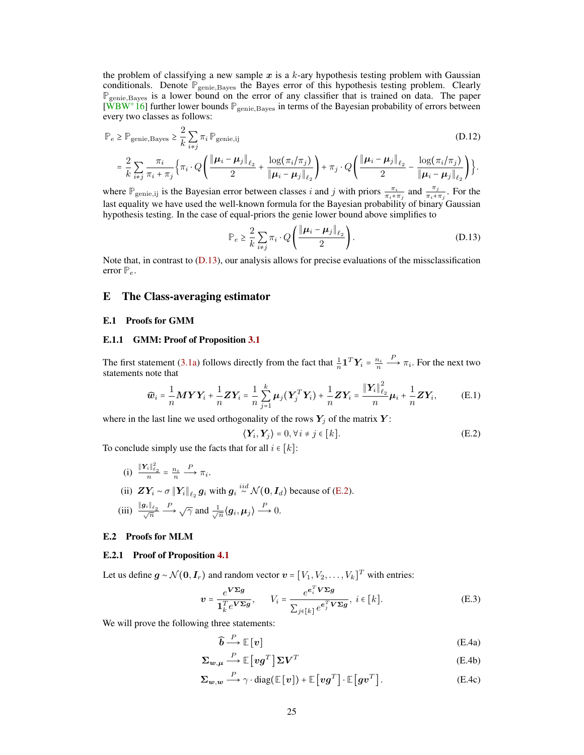the problem of classifying a new sample  $x$  is a  $k$ -ary hypothesis testing problem with Gaussian conditionals. Denote  $\mathbb{P}_{\text{genic,Bayes}}$  the Bayes error of this hypothesis testing problem. Clearly **P**genie,Bayes is a lower bound on the error of any classifier that is trained on data. The paper  $[WBW^+16]$  $[WBW^+16]$  further lower bounds  $\mathbb{P}_{\text{genic},\text{Bayes}}$  in terms of the Bayesian probability of errors between every two classes as follows:

$$
\mathbb{P}_{e} \ge \mathbb{P}_{\text{genic,Bayes}} \ge \frac{2}{k} \sum_{i \neq j} \pi_{i} \mathbb{P}_{\text{genic,ij}} \tag{D.12}
$$

$$
= \frac{2}{k}\sum_{i\neq j}\frac{\pi_i}{\pi_i + \pi_j}\Big\{\pi_i \cdot Q\Bigg(\frac{\|\boldsymbol{\mu}_i - \boldsymbol{\mu}_j\|_{\ell_2}}{2} + \frac{\log(\pi_i/\pi_j)}{\|\boldsymbol{\mu}_i - \boldsymbol{\mu}_j\|_{\ell_2}}\Bigg) + \pi_j \cdot Q\Bigg(\frac{\|\boldsymbol{\mu}_i - \boldsymbol{\mu}_j\|_{\ell_2}}{2} - \frac{\log(\pi_i/\pi_j)}{\|\boldsymbol{\mu}_i - \boldsymbol{\mu}_j\|_{\ell_2}}\Bigg)\Bigg\}.
$$

where  $\mathbb{P}_{\text{genie},ij}$  is the Bayesian error between classes i and j with priors  $\frac{\pi_i}{\pi_i + \pi_j}$  and  $\frac{\pi_j}{\pi_i + \pi_j}$ . For the last equality we have used the well-known formula for the Bayesian probability of binary Gaussian hypothesis testing. In the case of equal-priors the genie lower bound above simplifies to

<span id="page-24-5"></span>
$$
\mathbb{P}_e \ge \frac{2}{k} \sum_{i \ne j} \pi_i \cdot Q\left(\frac{\|\boldsymbol{\mu}_i - \boldsymbol{\mu}_j\|_{\ell_2}}{2}\right). \tag{D.13}
$$

Note that, in contrast to [\(D.13\)](#page-24-5), our analysis allows for precise evaluations of the missclassification error  $P_e$ .

## <span id="page-24-0"></span>E The Class-averaging estimator

#### <span id="page-24-1"></span>E.1 Proofs for GMM

## <span id="page-24-2"></span>E.1.1 GMM: Proof of Proposition [3.1](#page-5-3)

The first statement [\(3.1a\)](#page-5-0) follows directly from the fact that  $\frac{1}{n} \mathbf{1}^T \mathbf{Y}_i = \frac{n_i}{n}$  $\stackrel{P}{\longrightarrow} \pi_i$ . For the next two statements note that

$$
\widehat{\boldsymbol{w}}_i = \frac{1}{n} \boldsymbol{M} \boldsymbol{Y} \boldsymbol{Y}_i + \frac{1}{n} \boldsymbol{Z} \boldsymbol{Y}_i = \frac{1}{n} \sum_{j=1}^k \boldsymbol{\mu}_j (\boldsymbol{Y}_j^T \boldsymbol{Y}_i) + \frac{1}{n} \boldsymbol{Z} \boldsymbol{Y}_i = \frac{\|\boldsymbol{Y}_i\|_{\ell_2}^2}{n} \boldsymbol{\mu}_i + \frac{1}{n} \boldsymbol{Z} \boldsymbol{Y}_i, \tag{E.1}
$$

where in the last line we used orthogonality of the rows  $Y_j$  of the matrix Y:

<span id="page-24-8"></span><span id="page-24-6"></span>
$$
\langle \mathbf{Y}_i, \mathbf{Y}_j \rangle = 0, \forall i \neq j \in [k]. \tag{E.2}
$$

To conclude simply use the facts that for all  $i \in [k]$ :

(i)  $\frac{\|Y_i\|_{\ell_2}^2}{n} = \frac{n_i}{n}$  $\stackrel{P}{\longrightarrow} \pi_i.$ (ii)  $ZY_i \sim \sigma \|Y_i\|_{\ell_2} g_i$  with  $g_i \stackrel{iid}{\sim} \mathcal{N}(0, I_d)$  because of [\(E.2\)](#page-24-6). (iii)  $\frac{\|g_i\|_{\ell_2}}{\sqrt{n}}$  $\stackrel{P}{\longrightarrow} \sqrt{\gamma}$  and  $\frac{1}{\sqrt{\gamma}}$  $\frac{1}{\overline{n}}\langle g_i, \mu_j \rangle \stackrel{P}{\longrightarrow} 0.$ 

### <span id="page-24-3"></span>E.2 Proofs for MLM

#### <span id="page-24-4"></span>E.2.1 Proof of Proposition [4.1](#page-6-4)

Let us define  $g \sim \mathcal{N}(0, I_r)$  and random vector  $v = [V_1, V_2, \dots, V_k]^T$  with entries:

$$
\boldsymbol{v} = \frac{e^{\boldsymbol{V}\boldsymbol{\Sigma}\boldsymbol{g}}}{\mathbf{1}_{k}^{T}e^{\boldsymbol{V}\boldsymbol{\Sigma}\boldsymbol{g}}}, \qquad V_{i} = \frac{e^{e_{i}^{T}\boldsymbol{V}\boldsymbol{\Sigma}\boldsymbol{g}}}{\sum_{j\in[k]}e^{e_{j}^{T}\boldsymbol{V}\boldsymbol{\Sigma}\boldsymbol{g}}}, \ i \in[k].
$$
\n(E.3)

We will prove the following three statements:

<span id="page-24-9"></span><span id="page-24-7"></span>
$$
\widehat{b} \xrightarrow{P} \mathbb{E}[v] \tag{E.4a}
$$

$$
\Sigma_{w,\mu} \stackrel{P}{\longrightarrow} \mathbb{E}\left[vg^T\right] \Sigma V^T \tag{E.4b}
$$

$$
\Sigma_{w,w} \stackrel{P}{\longrightarrow} \gamma \cdot \text{diag}(\mathbb{E}[v]) + \mathbb{E}[vg^T] \cdot \mathbb{E}[gv^T]. \tag{E.4c}
$$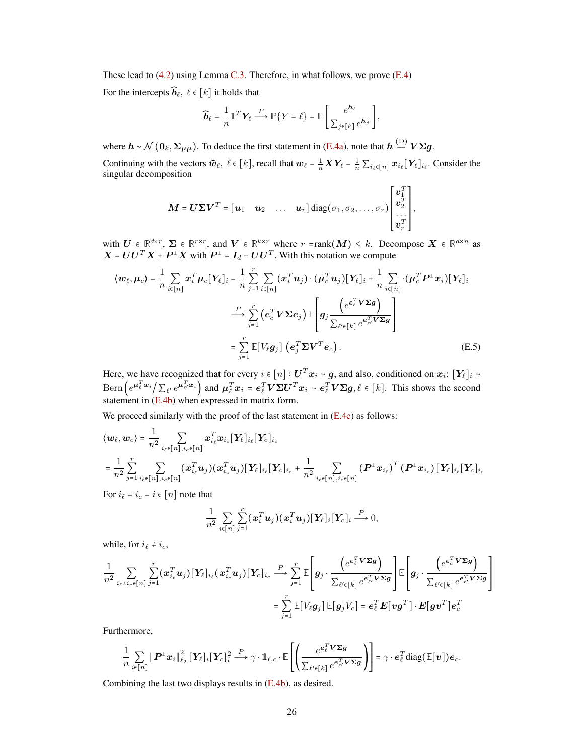These lead to [\(4.2\)](#page-6-1) using Lemma [C.3.](#page-20-3) Therefore, in what follows, we prove [\(E.4\)](#page-24-7)

For the intercepts  $\widehat{\boldsymbol{b}}_{\ell}, \ell \in [k]$  it holds that

$$
\widehat{\boldsymbol{b}}_{\ell} = \frac{1}{n} \mathbf{1}^T \mathbf{Y}_{\ell} \stackrel{P}{\longrightarrow} \mathbb{P} \{ Y = \ell \} = \mathbb{E} \left[ \frac{e^{\mathbf{h}_{\ell}}}{\sum_{j \in [k]} e^{\mathbf{h}_{j}}} \right],
$$

where  $h \sim \mathcal{N}(\mathbf{0}_k, \Sigma_{\mu\mu})$ . To deduce the first statement in [\(E.4a\)](#page-24-8), note that  $h \stackrel{\text{(D)}}{=} V \Sigma g$ .

Continuing with the vectors  $\widehat{\boldsymbol{w}}_{\ell}, \ell \in [k]$ , recall that  $\boldsymbol{w}_{\ell} = \frac{1}{n} \boldsymbol{X} \boldsymbol{Y}_{\ell} = \frac{1}{n} \sum_{i_{\ell} \in [n]} \boldsymbol{x}_{i_{\ell}} [\boldsymbol{Y}_{\ell}]_{i_{\ell}}$ . Consider the singular decomposition

$$
\mathbf{M} = \mathbf{U} \boldsymbol{\Sigma} \mathbf{V}^T = \begin{bmatrix} \mathbf{u}_1 & \mathbf{u}_2 & \dots & \mathbf{u}_r \end{bmatrix} \text{diag}(\sigma_1, \sigma_2, \dots, \sigma_r) \begin{bmatrix} \mathbf{v}_1^T \\ \mathbf{v}_2^T \\ \dots \\ \mathbf{v}_r^T \end{bmatrix},
$$

with  $U \in \mathbb{R}^{d \times r}$ ,  $\Sigma \in \mathbb{R}^{r \times r}$ , and  $V \in \mathbb{R}^{k \times r}$  where  $r = \text{rank}(M) \leq k$ . Decompose  $X \in \mathbb{R}^{d \times n}$  as  $X = U U^T X + P^{\perp} X$  with  $P^{\perp} = I_d - U U^T$ . With this notation we compute

$$
\langle \mathbf{w}_{\ell}, \boldsymbol{\mu}_{c} \rangle = \frac{1}{n} \sum_{i \in [n]} \boldsymbol{x}_{i}^{T} \boldsymbol{\mu}_{c} [\mathbf{Y}_{\ell}]_{i} = \frac{1}{n} \sum_{j=1}^{r} \sum_{i \in [n]} (\boldsymbol{x}_{i}^{T} \boldsymbol{u}_{j}) \cdot (\boldsymbol{\mu}_{c}^{T} \boldsymbol{u}_{j}) [\mathbf{Y}_{\ell}]_{i} + \frac{1}{n} \sum_{i \in [n]} (\boldsymbol{\mu}_{c}^{T} \boldsymbol{P}^{\perp} \boldsymbol{x}_{i}) [\mathbf{Y}_{\ell}]_{i}
$$

$$
\xrightarrow{\mathcal{P}} \sum_{j=1}^{r} (\boldsymbol{e}_{c}^{T} \boldsymbol{V} \boldsymbol{\Sigma} \boldsymbol{e}_{j}) \mathbb{E} \left[ \boldsymbol{g}_{j} \frac{(\boldsymbol{e}^{\boldsymbol{e}_{\ell}^{T} \boldsymbol{V} \boldsymbol{\Sigma} \boldsymbol{g})}}{\sum_{\ell' \in [k]} \boldsymbol{e}^{\boldsymbol{e}_{\ell'}^{T} \boldsymbol{V} \boldsymbol{\Sigma} \boldsymbol{g}}} \right]
$$

$$
= \sum_{j=1}^{r} \mathbb{E} [V_{\ell} \boldsymbol{g}_{j}] (\boldsymbol{e}_{j}^{T} \boldsymbol{\Sigma} \boldsymbol{V}^{T} \boldsymbol{e}_{c}). \tag{E.5}
$$

Here, we have recognized that for every  $i \in [n]: \boldsymbol{U}^T \boldsymbol{x}_i \sim \boldsymbol{g}$ , and also, conditioned on  $\boldsymbol{x}_i \colon [\boldsymbol{Y}_\ell]_i \sim$  $\text{Bern}\left(e^{\mu_{\ell}^T\boldsymbol{x}_{i}}\right)\sum_{\ell'}e^{\mu_{\ell'}^T\boldsymbol{x}_{i}}\right)$  and  $\mu_{\ell}^T\boldsymbol{x}_{i} = e_{\ell}^T\boldsymbol{V}\Sigma\boldsymbol{U}^T\boldsymbol{x}_{i} \sim e_{\ell}^T\boldsymbol{V}\Sigma\boldsymbol{g}, \ell \in [k]$ . This shows the second statement in  $(E.4b)$  when expressed in matrix form.

We proceed similarly with the proof of the last statement in  $(E.4c)$  as follows:

$$
\langle w_{\ell}, w_{c} \rangle = \frac{1}{n^{2}} \sum_{i_{\ell} \in [n], i_{c} \in [n]} x_{i_{\ell}}^{T} x_{i_{c}} [Y_{\ell}]_{i_{\ell}} [Y_{c}]_{i_{c}}
$$
  
= 
$$
\frac{1}{n^{2}} \sum_{j=1}^{r} \sum_{i_{\ell} \in [n], i_{c} \in [n]} (x_{i_{\ell}}^{T} u_{j}) (x_{i_{c}}^{T} u_{j}) [Y_{\ell}]_{i_{\ell}} [Y_{c}]_{i_{c}} + \frac{1}{n^{2}} \sum_{i_{\ell} \in [n], i_{c} \in [n]} (P^{\perp} x_{i_{\ell}})^{T} (P^{\perp} x_{i_{c}}) [Y_{\ell}]_{i_{\ell}} [Y_{c}]_{i_{c}}
$$

For  $i_{\ell} = i_{c} = i \in [n]$  note that

$$
\frac{1}{n^2}\sum_{i\in[n]}\sum_{j=1}^r(\boldsymbol{x}_i^T\boldsymbol{u}_j)(\boldsymbol{x}_i^T\boldsymbol{u}_j)[\boldsymbol{Y_\ell}]_i[\boldsymbol{Y_c}]_i \stackrel{P}{\longrightarrow} 0,
$$

while, for  $i_{\ell} \neq i_c$ ,

$$
\frac{1}{n^2} \sum_{i_{\ell} \neq i_{c} \in [n]} \sum_{j=1}^{r} (\boldsymbol{x}_{i_{\ell}}^{T} \boldsymbol{u}_{j}) [\boldsymbol{Y}_{\ell}]_{i_{\ell}} (\boldsymbol{x}_{i_{c}}^{T} \boldsymbol{u}_{j}) [\boldsymbol{Y}_{c}]_{i_{c}} \stackrel{P}{\longrightarrow} \sum_{j=1}^{r} \mathbb{E} \left[ g_{j} \cdot \frac{\left( e^{\boldsymbol{e}_{\ell}^{T} \boldsymbol{V} \boldsymbol{\Sigma} \boldsymbol{g}} \right)}{\sum_{\ell' \in [k]} e^{\boldsymbol{e}_{\ell'}^{T} \boldsymbol{V} \boldsymbol{\Sigma} \boldsymbol{g}}} \right] \mathbb{E} \left[ g_{j} \cdot \frac{\left( e^{\boldsymbol{e}_{c}^{T} \boldsymbol{V} \boldsymbol{\Sigma} \boldsymbol{g}} \right)}{\sum_{\ell' \in [k]} e^{\boldsymbol{e}_{\ell'}^{T} \boldsymbol{V} \boldsymbol{\Sigma} \boldsymbol{g}}} \right] \newline = \sum_{j=1}^{r} \mathbb{E} \left[ V_{\ell} g_{j} \right] \mathbb{E} \left[ g_{j} V_{c} \right] = \boldsymbol{e}_{\ell}^{T} \boldsymbol{E} \left[ \boldsymbol{v} \boldsymbol{g}^{T} \right] \cdot \boldsymbol{E} \left[ \boldsymbol{g} \boldsymbol{v}^{T} \right] \boldsymbol{e}_{c}^{T}
$$

Furthermore,

$$
\frac{1}{n}\sum_{i\in[n]}\|\boldsymbol{P}^{\perp}\boldsymbol{x}_{i}\|_{\ell_{2}}^{2}[\mathbf{Y}_{\ell}]_{i}[\mathbf{Y}_{c}]_{i}^{2}\stackrel{P}{\longrightarrow}\gamma\cdot\mathbb{1}_{\ell,c}\cdot\mathbb{E}\Bigg[\Bigg(\frac{e^{\boldsymbol{e}_{\ell}^{T}\boldsymbol{V}\boldsymbol{\Sigma}\boldsymbol{g}}}{\sum_{\ell'\in[k]}e^{\boldsymbol{e}_{\ell'}^{T}\boldsymbol{V}\boldsymbol{\Sigma}\boldsymbol{g}}}\Bigg)\Bigg]=\gamma\cdot\boldsymbol{e}_{\ell}^{T}\text{diag}(\mathbb{E}[\boldsymbol{v}])\boldsymbol{e}_{c}.
$$

<span id="page-25-0"></span>Combining the last two displays results in [\(E.4b\)](#page-24-6), as desired.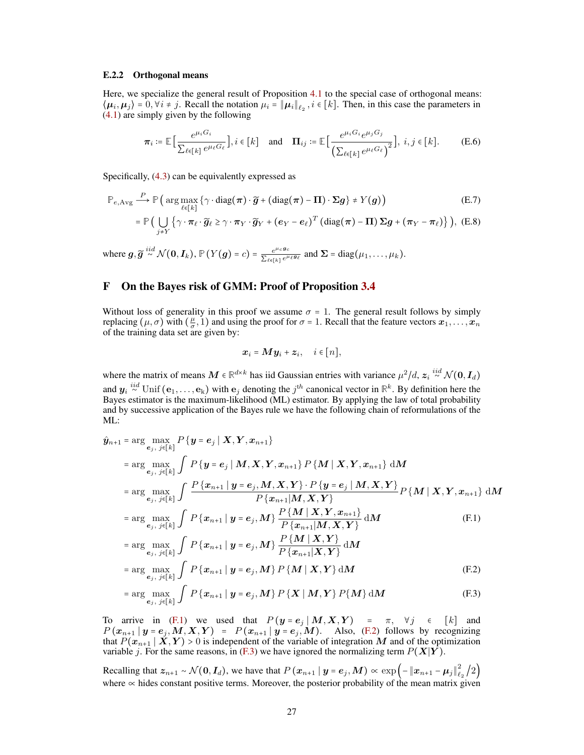#### E.2.2 Orthogonal means

Here, we specialize the general result of Proposition [4.1](#page-6-4) to the special case of orthogonal means:  $\langle \mu_i, \mu_j \rangle = 0, \forall i \neq j$ . Recall the notation  $\mu_i = ||\mu_i||_{\ell_2}, i \in [k]$ . Then, in this case the parameters in [\(4.1\)](#page-6-2) are simply given by the following

$$
\boldsymbol{\pi}_{i} \coloneqq \mathbb{E}\Big[\frac{e^{\mu_{i}G_{i}}}{\sum_{\ell\in[k]}e^{\mu_{\ell}G_{\ell}}}\Big], i\in[k] \quad \text{and} \quad \boldsymbol{\Pi}_{ij} \coloneqq \mathbb{E}\Big[\frac{e^{\mu_{i}G_{i}}e^{\mu_{j}G_{j}}}{\left(\sum_{\ell\in[k]}e^{\mu_{\ell}G_{\ell}}\right)^{2}}\Big], i,j\in[k]. \tag{E.6}
$$

Specifically, [\(4.3\)](#page-7-1) can be equivalently expressed as

$$
\mathbb{P}_{e,\text{Avg}} \stackrel{P}{\longrightarrow} \mathbb{P}\left(\arg\max_{\ell\in[k]}\left\{\gamma \cdot \text{diag}(\boldsymbol{\pi}) \cdot \widetilde{\boldsymbol{g}} + (\text{diag}(\boldsymbol{\pi}) - \Pi) \cdot \Sigma \boldsymbol{g}\right\} \neq Y(\boldsymbol{g})\right) \tag{E.7}
$$
  
\n
$$
= \mathbb{P}\left(\bigcup_{j\neq Y}\left\{\gamma \cdot \boldsymbol{\pi}_{\ell} \cdot \widetilde{\boldsymbol{g}}_{\ell} \geq \gamma \cdot \boldsymbol{\pi}_{Y} \cdot \widetilde{\boldsymbol{g}}_{Y} + (\boldsymbol{e}_{Y} - \boldsymbol{e}_{\ell})^{T} (\text{diag}(\boldsymbol{\pi}) - \Pi) \Sigma \boldsymbol{g} + (\boldsymbol{\pi}_{Y} - \boldsymbol{\pi}_{\ell})\right\}\right), \tag{E.8}
$$

<span id="page-26-0"></span>where  $g, \widetilde{g} \stackrel{iid}{\sim} \mathcal{N}(0, I_k)$ ,  $\mathbb{P}(Y(g) = c) = \frac{e^{\mu_c g_c}}{\sum_{i=1}^{c} e^{\mu_i} }$  $\frac{e^{\mu c s c}}{\sum_{\ell \in [k]} e^{\mu_{\ell} g_{\ell}}}$  and  $\Sigma = \text{diag}(\mu_1, \dots, \mu_k)$ .

# F On the Bayes risk of GMM: Proof of Proposition [3.4](#page-6-3)

Without loss of generality in this proof we assume  $\sigma = 1$ . The general result follows by simply replacing  $(\mu, \sigma)$  with  $(\frac{\mu}{\sigma})$  $(\frac{\mu}{\sigma}, 1)$  and using the proof for  $\sigma = 1$ . Recall that the feature vectors  $x_1, \ldots, x_n$ of the training data set are given by:

<span id="page-26-4"></span><span id="page-26-3"></span><span id="page-26-2"></span><span id="page-26-1"></span>
$$
\boldsymbol{x}_i = \boldsymbol{M} \boldsymbol{y}_i + \boldsymbol{z}_i, \quad i \in [n],
$$

where the matrix of means  $M \in \mathbb{R}^{d \times k}$  has iid Gaussian entries with variance  $\mu^2/d$ ,  $z_i \stackrel{iid}{\sim} \mathcal{N}(0, I_d)$ and  $y_i \stackrel{iid}{\sim}$  Unif  $(e_1,\ldots,e_k)$  with  $e_j$  denoting the  $j^{th}$  canonical vector in  $\mathbb{R}^k$ . By definition here the Bayes estimator is the maximum-likelihood (ML) estimator. By applying the law of total probability and by successive application of the Bayes rule we have the following chain of reformulations of the ML:

$$
\hat{\mathbf{y}}_{n+1} = \arg \max_{\mathbf{e}_j, j \in [k]} P\{\mathbf{y} = \mathbf{e}_j | \mathbf{X}, \mathbf{Y}, \mathbf{x}_{n+1}\}\n= \arg \max_{\mathbf{e}_j, j \in [k]} \int P\{\mathbf{y} = \mathbf{e}_j | \mathbf{M}, \mathbf{X}, \mathbf{Y}, \mathbf{x}_{n+1}\} P\{\mathbf{M} | \mathbf{X}, \mathbf{Y}, \mathbf{x}_{n+1}\} d\mathbf{M}\n= \arg \max_{\mathbf{e}_j, j \in [k]} \int \frac{P\{\mathbf{x}_{n+1} | \mathbf{y} = \mathbf{e}_j, \mathbf{M}, \mathbf{X}, \mathbf{Y}\} \cdot P\{\mathbf{y} = \mathbf{e}_j | \mathbf{M}, \mathbf{X}, \mathbf{Y}\}}{P\{\mathbf{x}_{n+1} | \mathbf{M}, \mathbf{X}, \mathbf{Y}\}} P\{\mathbf{M} | \mathbf{X}, \mathbf{Y}, \mathbf{x}_{n+1}\} d\mathbf{M}\n= \arg \max_{\mathbf{e}_j, j \in [k]} \int P\{\mathbf{x}_{n+1} | \mathbf{y} = \mathbf{e}_j, \mathbf{M}\} \frac{P\{\mathbf{M} | \mathbf{X}, \mathbf{Y}, \mathbf{x}_{n+1}\}}{P\{\mathbf{x}_{n+1} | \mathbf{M}, \mathbf{X}, \mathbf{Y}\}} d\mathbf{M} \qquad (F.1)
$$
\n=  $\arg \max_{\mathbf{e}_j, j \in [k]} \int P\{\mathbf{x}_{n+1} | \mathbf{y} = \mathbf{e}_j, \mathbf{M}\} \frac{P\{\mathbf{M} | \mathbf{X}, \mathbf{Y}\}}{P\{\mathbf{x}_{n+1} | \mathbf{X}, \mathbf{Y}\}} d\mathbf{M}$ \n=  $\arg \max_{\mathbf{e}_j, j \in [k]} \int P\{\mathbf{x}_{n+1} | \mathbf{y} = \mathbf{e}_j, \mathbf{M}\} P\{\mathbf{M} | \mathbf{X}, \mathbf{Y}\} d\mathbf{M}$  (F.2)\n=  $\arg \max_{\mathbf{e}_j, j \in [k]} \int P\{\mathbf{x}_{n+1} | \mathbf{y} = \mathbf{$ 

To arrive in [\(F.1\)](#page-26-1) we used that  $P(y = e_j | M, X, Y) = \pi, \forall j \in [k]$  and  $P(\mathbf{x}_{n+1} | \mathbf{y} = e_j, \mathbf{M}, \mathbf{X}, \mathbf{Y}) = P(\mathbf{x}_{n+1} | \mathbf{y} = e_j, \mathbf{M})$ . Also, [\(F.2\)](#page-26-2) follows by recognizing that  $P(x_{n+1} | \mathbf{X}, \mathbf{Y}) > 0$  is independent of the variable of integration M and of the optimization<br>weight is For the case assesses in (F3) we have integral the assumption term  $P(\mathbf{X}|\mathbf{X})$ variable j. For the same reasons, in [\(F.3\)](#page-26-3) we have ignored the normalizing term  $P(X|Y)$ .

Recalling that  $z_{n+1} \sim \mathcal{N}(\mathbf{0}, \mathbf{I}_d)$ , we have that  $P(x_{n+1} | y = e_j, M) \propto \exp\left(-\left\|x_{n+1} - \mu_j\right\|_{\ell}^2\right)$  $\binom{2}{\ell_2}$  2 where ∝ hides constant positive terms. Moreover, the posterior probability of the mean matrix given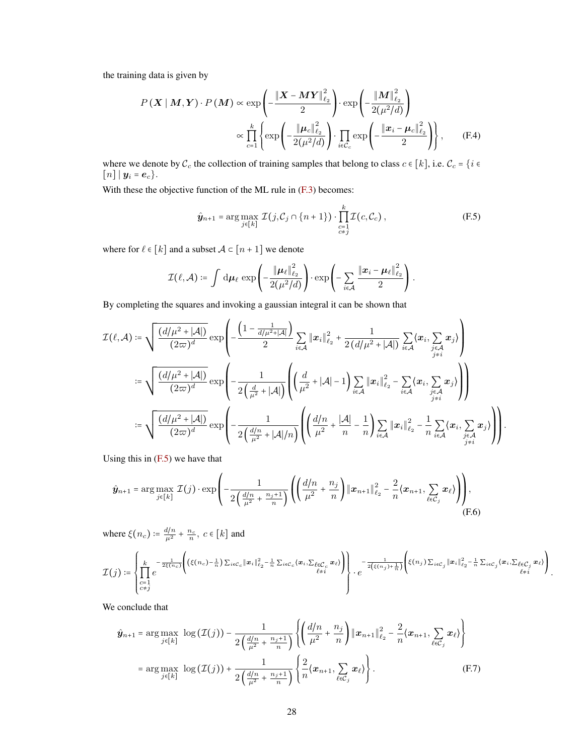the training data is given by

$$
P(X \mid M, Y) \cdot P(M) \propto \exp\left(-\frac{\|X - MY\|_{\ell_2}^2}{2}\right) \cdot \exp\left(-\frac{\|M\|_{\ell_2}^2}{2(\mu^2/d)}\right)
$$

$$
\propto \prod_{c=1}^k \left\{ \exp\left(-\frac{\|\mu_c\|_{\ell_2}^2}{2(\mu^2/d)}\right) \cdot \prod_{i \in \mathcal{C}_c} \exp\left(-\frac{\|\boldsymbol{x}_i - \mu_c\|_{\ell_2}^2}{2}\right) \right\}, \qquad (F.4)
$$

where we denote by  $C_c$  the collection of training samples that belong to class  $c \in [k]$ , i.e.  $C_c = \{i \in [k] \}$  $[n] | y_i = e_c$ .

With these the objective function of the ML rule in  $(F.3)$  becomes:

$$
\hat{\mathbf{y}}_{n+1} = \arg \max_{j \in [k]} \mathcal{I}(j, \mathcal{C}_j \cap \{n+1\}) \cdot \prod_{\substack{c=1 \\ c \neq j}}^k \mathcal{I}(c, \mathcal{C}_c), \tag{F.5}
$$

where for  $\ell \in [k]$  and a subset  $\mathcal{A} \subset [n+1]$  we denote

$$
\mathcal{I}(\ell,\mathcal{A}) \coloneqq \int \, \mathrm{d}\boldsymbol{\mu}_{\ell} \, \exp\!\left(-\frac{\|\boldsymbol{\mu}_{\ell}\|_{\ell_2}^2}{2(\mu^2/d)}\right) \cdot \exp\!\left(-\sum_{i \in \mathcal{A}} \frac{\|\boldsymbol{x}_i - \boldsymbol{\mu}_{\ell}\|_{\ell_2}^2}{2}\right).
$$

By completing the squares and invoking a gaussian integral it can be shown that

$$
\mathcal{I}(\ell,\mathcal{A}) \coloneqq \sqrt{\frac{(d/\mu^2 + |\mathcal{A}|)}{(2\varpi)^d}} \exp\left(-\frac{\left(1 - \frac{1}{d/\mu^2 + |\mathcal{A}|}\right)}{2} \sum_{i \in \mathcal{A}} \|\boldsymbol{x}_i\|_{\ell_2}^2 + \frac{1}{2(d/\mu^2 + |\mathcal{A}|)} \sum_{i \in \mathcal{A}} \langle \boldsymbol{x}_i, \sum_{j \in \mathcal{A}} \boldsymbol{x}_j \rangle\right)
$$
\n
$$
\coloneqq \sqrt{\frac{(d/\mu^2 + |\mathcal{A}|)}{(2\varpi)^d}} \exp\left(-\frac{1}{2\left(\frac{d}{\mu^2} + |\mathcal{A}|\right)} \left(\left(\frac{d}{\mu^2} + |\mathcal{A}| - 1\right) \sum_{i \in \mathcal{A}} \|\boldsymbol{x}_i\|_{\ell_2}^2 - \sum_{i \in \mathcal{A}} \langle \boldsymbol{x}_i, \sum_{j \in \mathcal{A}} \boldsymbol{x}_j \rangle\right)\right)
$$
\n
$$
\coloneqq \sqrt{\frac{(d/\mu^2 + |\mathcal{A}|)}{(2\varpi)^d}} \exp\left(-\frac{1}{2\left(\frac{d/n}{\mu^2} + |\mathcal{A}|/n\right)} \left(\left(\frac{d/n}{\mu^2} + \frac{|\mathcal{A}|}{n} - \frac{1}{n}\right) \sum_{i \in \mathcal{A}} \|\boldsymbol{x}_i\|_{\ell_2}^2 - \frac{1}{n} \sum_{i \in \mathcal{A}} \langle \boldsymbol{x}_i, \sum_{j \in \mathcal{A}} \boldsymbol{x}_j \rangle\right)\right)
$$

Using this in [\(F.5\)](#page-27-0) we have that

$$
\hat{\mathbf{y}}_{n+1} = \arg \max_{j \in [k]} \mathcal{I}(j) \cdot \exp \left( -\frac{1}{2\left(\frac{d/n}{\mu^2} + \frac{n_j+1}{n}\right)} \left( \left(\frac{d/n}{\mu^2} + \frac{n_j}{n}\right) \| \mathbf{x}_{n+1} \|_{\ell_2}^2 - \frac{2}{n} \langle \mathbf{x}_{n+1}, \sum_{\ell \in \mathcal{C}_j} \mathbf{x}_{\ell} \rangle \right) \right),
$$
(F.6)

where  $\xi(n_c) \coloneqq \frac{d/n}{\mu^2} + \frac{n_c}{n}, c \in [k]$  and

$$
\mathcal{I}(j) \coloneqq \left\{ \prod_{\substack{c=1\\c \neq j}}^k e^{-\frac{1}{2\xi(n_c)} \left( (\xi(n_c) - \frac{1}{n}) \sum_{i \in C_c} ||\boldsymbol{x}_i||_{\ell_2}^2 - \frac{1}{n} \sum_{i \in C_c} \langle \boldsymbol{x}_i, \sum_{\ell \in C_c} \boldsymbol{x}_\ell \rangle \right) \right\} \cdot e^{-\frac{1}{2(\xi(n_j) + \frac{1}{n})} \left( \xi(n_j) \sum_{i \in C_j} ||\boldsymbol{x}_i||_{\ell_2}^2 - \frac{1}{n} \sum_{i \in C_j} \langle \boldsymbol{x}_i, \sum_{\ell \in C_j} \boldsymbol{x}_\ell \rangle \right)}.
$$

<span id="page-27-1"></span><span id="page-27-0"></span>.

We conclude that

$$
\hat{\mathbf{y}}_{n+1} = \arg \max_{j \in [k]} \log (\mathcal{I}(j)) - \frac{1}{2 \left( \frac{d/n}{\mu^2} + \frac{n_j + 1}{n} \right)} \left\{ \left( \frac{d/n}{\mu^2} + \frac{n_j}{n} \right) \| \mathbf{x}_{n+1} \|_{\ell_2}^2 - \frac{2}{n} \langle \mathbf{x}_{n+1}, \sum_{\ell \in \mathcal{C}_j} \mathbf{x}_{\ell} \rangle \right\}
$$
\n
$$
= \arg \max_{j \in [k]} \log (\mathcal{I}(j)) + \frac{1}{2 \left( \frac{d/n}{\mu^2} + \frac{n_j + 1}{n} \right)} \left\{ \frac{2}{n} \langle \mathbf{x}_{n+1}, \sum_{\ell \in \mathcal{C}_j} \mathbf{x}_{\ell} \rangle \right\}.
$$
\n(F.7)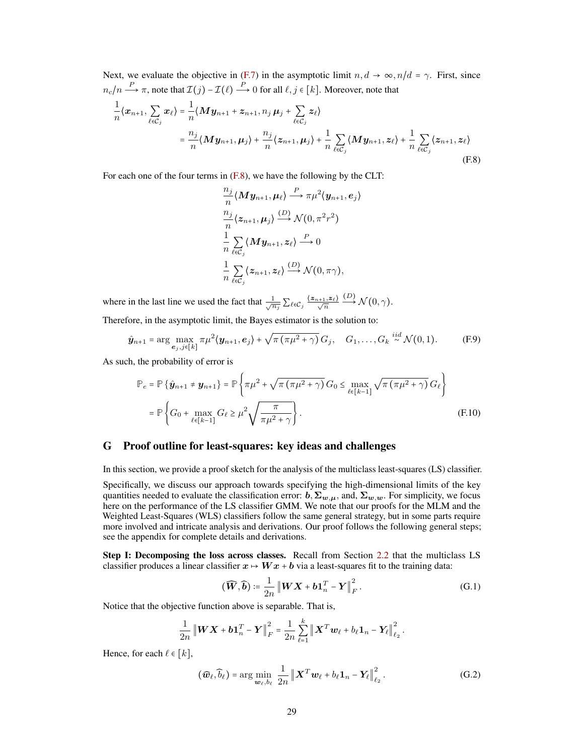Next, we evaluate the objective in [\(F.7\)](#page-27-1) in the asymptotic limit  $n, d \rightarrow \infty, n/d = \gamma$ . First, since  $n_c/n \stackrel{P}{\longrightarrow} \pi$ , note that  $\mathcal{I}(j)$  –  $\mathcal{I}(\ell) \stackrel{P}{\longrightarrow} 0$  for all  $\ell, j \in [k]$ . Moreover, note that

$$
\frac{1}{n}\langle x_{n+1}, \sum_{\ell \in C_j} x_{\ell} \rangle = \frac{1}{n} \langle M y_{n+1} + z_{n+1}, n_j \mu_j + \sum_{\ell \in C_j} z_{\ell} \rangle
$$
\n
$$
= \frac{n_j}{n} \langle M y_{n+1}, \mu_j \rangle + \frac{n_j}{n} \langle z_{n+1}, \mu_j \rangle + \frac{1}{n} \sum_{\ell \in C_j} \langle M y_{n+1}, z_{\ell} \rangle + \frac{1}{n} \sum_{\ell \in C_j} \langle z_{n+1}, z_{\ell} \rangle
$$
\n(F.8)

For each one of the four terms in [\(F.8\)](#page-28-1), we have the following by the CLT:

<span id="page-28-1"></span>
$$
\frac{n_j}{n} \langle My_{n+1}, \mu_\ell \rangle \stackrel{P}{\longrightarrow} \pi \mu^2 \langle y_{n+1}, e_j \rangle
$$
  
\n
$$
\frac{n_j}{n} \langle z_{n+1}, \mu_j \rangle \stackrel{(D)}{\longrightarrow} \mathcal{N}(0, \pi^2 r^2)
$$
  
\n
$$
\frac{1}{n} \sum_{\ell \in \mathcal{C}_j} \langle My_{n+1}, z_\ell \rangle \stackrel{P}{\longrightarrow} 0
$$
  
\n
$$
\frac{1}{n} \sum_{\ell \in \mathcal{C}_j} \langle z_{n+1}, z_\ell \rangle \stackrel{(D)}{\longrightarrow} \mathcal{N}(0, \pi \gamma),
$$

where in the last line we used the fact that  $\frac{1}{\sqrt{n_j}} \sum_{\ell \in C_j} \frac{\langle z_{n+1}, z_{\ell} \rangle}{\sqrt{n}}$  $\stackrel{(D)}{\longrightarrow} \mathcal{N}(0,\gamma).$ 

Therefore, in the asymptotic limit, the Bayes estimator is the solution to:

$$
\hat{\mathbf{y}}_{n+1} = \arg\max_{\mathbf{e}_j,j\in[k]} \pi \mu^2 \langle \mathbf{y}_{n+1}, \mathbf{e}_j \rangle + \sqrt{\pi \left( \pi \mu^2 + \gamma \right)} G_j, \quad G_1, \ldots, G_k \stackrel{iid}{\sim} \mathcal{N}(0,1). \tag{F.9}
$$

As such, the probability of error is

$$
\mathbb{P}_{e} = \mathbb{P}\left\{\hat{\mathbf{y}}_{n+1} \neq \mathbf{y}_{n+1}\right\} = \mathbb{P}\left\{\pi\mu^{2} + \sqrt{\pi(\pi\mu^{2} + \gamma)} G_{0} \le \max_{\ell \in [k-1]} \sqrt{\pi(\pi\mu^{2} + \gamma)} G_{\ell}\right\}
$$
  
=  $\mathbb{P}\left\{G_{0} + \max_{\ell \in [k-1]} G_{\ell} \ge \mu^{2} \sqrt{\frac{\pi}{\pi\mu^{2} + \gamma}}\right\}.$  (F.10)

## <span id="page-28-0"></span>G Proof outline for least-squares: key ideas and challenges

In this section, we provide a proof sketch for the analysis of the multiclass least-squares (LS) classifier.

Specifically, we discuss our approach towards specifying the high-dimensional limits of the key quantities needed to evaluate the classification error:  $b, \Sigma_{w,\mu}$ , and,  $\Sigma_{w,w}$ . For simplicity, we focus here on the performance of the LS classifier GMM. We note that our proofs for the MLM and the Weighted Least-Squares (WLS) classifiers follow the same general strategy, but in some parts require more involved and intricate analysis and derivations. Our proof follows the following general steps; see the appendix for complete details and derivations.

Step I: Decomposing the loss across classes. Recall from Section [2.2](#page-3-1) that the multiclass LS classifier produces a linear classifier  $x \mapsto Wx + b$  via a least-squares fit to the training data:

<span id="page-28-3"></span><span id="page-28-2"></span>
$$
(\widehat{\boldsymbol{W}}, \widehat{\boldsymbol{b}}) \coloneqq \frac{1}{2n} \left\| \boldsymbol{W} \boldsymbol{X} + \boldsymbol{b} \boldsymbol{1}_n^T - \boldsymbol{Y} \right\|_F^2. \tag{G.1}
$$

Notice that the objective function above is separable. That is,

$$
\frac{1}{2n} \left\| \boldsymbol{W} \boldsymbol{X} + \boldsymbol{b} \boldsymbol{1}_n^T - \boldsymbol{Y} \right\|_F^2 = \frac{1}{2n} \sum_{\ell=1}^k \left\| \boldsymbol{X}^T \boldsymbol{w}_{\ell} + b_{\ell} \boldsymbol{1}_n - \boldsymbol{Y}_{\ell} \right\|_{\ell_2}^2.
$$

Hence, for each  $\ell \in [k]$ ,

$$
(\widehat{\boldsymbol{w}}_{\ell}, \widehat{b}_{\ell}) = \arg\min_{\boldsymbol{w}_{\ell}, b_{\ell}} \frac{1}{2n} \left\| \boldsymbol{X}^T \boldsymbol{w}_{\ell} + b_{\ell} \boldsymbol{1}_n - \boldsymbol{Y}_{\ell} \right\|_{\ell_2}^2.
$$
 (G.2)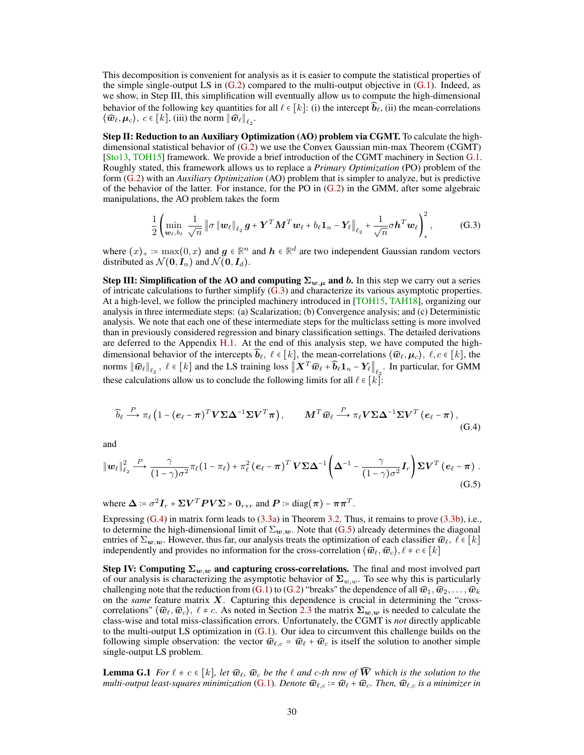This decomposition is convenient for analysis as it is easier to compute the statistical properties of the simple single-output LS in  $(G.2)$  compared to the multi-output objective in  $(G.1)$ . Indeed, as we show, in Step III, this simplification will eventually allow us to compute the high-dimensional behavior of the following key quantities for all  $\ell \in [k]$ : (i) the intercept  $\widehat{b}_\ell$ , (ii) the mean-correlations  $\langle \widehat{\boldsymbol{w}}_{\ell}, \boldsymbol{\mu}_c \rangle, c \in [k]$ , (iii) the norm  $\|\widehat{\boldsymbol{w}}_{\ell}\|_{\ell_2}$ .

Step II: Reduction to an Auxiliary Optimization (AO) problem via CGMT. To calculate the highdimensional statistical behavior of [\(G.2\)](#page-28-2) we use the Convex Gaussian min-max Theorem (CGMT) [\[Sto13,](#page-13-8) [TOH15\]](#page-13-10) framework. We provide a brief introduction of the CGMT machinery in Section [G.1.](#page-30-0) Roughly stated, this framework allows us to replace a *Primary Optimization* (PO) problem of the form [\(G.2\)](#page-28-2) with an *Auxiliary Optimization* (AO) problem that is simpler to analyze, but is predictive of the behavior of the latter. For instance, for the PO in [\(G.2\)](#page-28-2) in the GMM, after some algebraic manipulations, the AO problem takes the form

<span id="page-29-0"></span>
$$
\frac{1}{2} \left( \min_{\boldsymbol{w}_{\ell}, b_{\ell}} \frac{1}{\sqrt{n}} \left\| \sigma \left\| \boldsymbol{w}_{\ell} \right\|_{\ell_2} \boldsymbol{g} + \boldsymbol{Y}^T \boldsymbol{M}^T \boldsymbol{w}_{\ell} + b_{\ell} \boldsymbol{1}_n - \boldsymbol{Y}_{\ell} \right\|_{\ell_2} + \frac{1}{\sqrt{n}} \sigma \boldsymbol{h}^T \boldsymbol{w}_{\ell} \right)_+^2, \tag{G.3}
$$

where  $(x)_+ := \max(0, x)$  and  $g \in \mathbb{R}^n$  and  $h \in \mathbb{R}^d$  are two independent Gaussian random vectors distributed as  $\mathcal{N}(\mathbf{0}, \mathbf{I}_n)$  and  $\mathcal{N}(\mathbf{0}, \mathbf{I}_d)$ .

Step III: Simplification of the AO and computing  $\Sigma_{w,\mu}$  and b. In this step we carry out a series of intricate calculations to further simplify [\(G.3\)](#page-29-0) and characterize its various asymptotic properties. At a high-level, we follow the principled machinery introduced in [\[TOH15,](#page-13-10) [TAH18\]](#page-13-11), organizing our analysis in three intermediate steps: (a) Scalarization; (b) Convergence analysis; and (c) Deterministic analysis. We note that each one of these intermediate steps for the multiclass setting is more involved than in previously considered regression and binary classification settings. The detailed derivations are deferred to the Appendix [H.1.](#page-31-0) At the end of this analysis step, we have computed the highdimensional behavior of the intercepts  $\hat{b}_\ell, \ell \in [k]$ , the mean-correlations  $\langle \hat{w}_\ell, \mu_c \rangle, \ell, c \in [k]$ , the norms  $\|\widehat{\boldsymbol{w}}_\ell\|_{\ell_2}$ ,  $\ell \in [k]$  and the LS training loss  $\|\boldsymbol{X}^T\widehat{\boldsymbol{w}}_\ell + \widehat{\boldsymbol{b}}_\ell\boldsymbol{1}_n - \boldsymbol{Y}_\ell\|_{\ell_2}$ . In particular, for GMM these calculations allow us to conclude the following limits for all  $\ell \in [k]$ :

<span id="page-29-2"></span><span id="page-29-1"></span>
$$
\widehat{b}_{\ell} \stackrel{P}{\longrightarrow} \pi_{\ell} \left( 1 - (e_{\ell} - \pi)^{T} V \Sigma \Delta^{-1} \Sigma V^{T} \pi \right), \qquad M^{T} \widehat{w}_{\ell} \stackrel{P}{\longrightarrow} \pi_{\ell} V \Sigma \Delta^{-1} \Sigma V^{T} \left( e_{\ell} - \pi \right), \tag{G.4}
$$

and

$$
\|\boldsymbol{w}_{\ell}\|_{\ell_2}^2 \stackrel{P}{\longrightarrow} \frac{\gamma}{(1-\gamma)\sigma^2} \pi_{\ell} (1-\pi_{\ell}) + \pi_{\ell}^2 (\boldsymbol{e}_{\ell} - \boldsymbol{\pi})^T \boldsymbol{V} \boldsymbol{\Sigma} \boldsymbol{\Delta}^{-1} \left(\boldsymbol{\Delta}^{-1} - \frac{\gamma}{(1-\gamma)\sigma^2} \boldsymbol{I}_r\right) \boldsymbol{\Sigma} \boldsymbol{V}^T (\boldsymbol{e}_{\ell} - \boldsymbol{\pi}) .
$$
\n(G.5)

where  $\Delta \coloneqq \sigma^2 \mathbf{I}_r + \Sigma \mathbf{V}^T \mathbf{P} \mathbf{V} \Sigma > \mathbf{0}_{r \times r}$  and  $\mathbf{P} \coloneqq \text{diag}(\boldsymbol{\pi}) - \boldsymbol{\pi} \boldsymbol{\pi}^T$ .

Expressing [\(G.4\)](#page-29-1) in matrix form leads to [\(3.3a\)](#page-5-0) in Theorem [3.2.](#page-5-4) Thus, it remains to prove [\(3.3b\)](#page-5-1), i.e., to determine the high-dimensional limit of  $\Sigma_{w,w}$ . Note that [\(G.5\)](#page-29-2) already determines the diagonal entries of  $\Sigma_{w,w}$ . However, thus far, our analysis treats the optimization of each classifier  $\widehat{w}_\ell$ ,  $\ell \in [k]$ independently and provides no information for the cross-correlation  $\langle \widehat{w}_{\ell}, \widehat{w}_{c} \rangle, \ell \neq c \in [k]$ 

Step IV: Computing  $\Sigma_{w,w}$  and capturing cross-correlations. The final and most involved part of our analysis is characterizing the asymptotic behavior of  $\Sigma_{w,w}$ . To see why this is particularly challenging note that the reduction from [\(G.1\)](#page-28-3) to [\(G.2\)](#page-28-2) "breaks" the dependence of all  $\widehat{w}_1, \widehat{w}_2, \ldots, \widehat{w}_k$ on the *same* feature matrix X. Capturing this dependence is crucial in determining the "crosscorrelations"  $\langle \hat{w}_\ell, \hat{w}_c \rangle$ ,  $\ell \neq c$ . As noted in Section [2.3](#page-3-2) the matrix  $\Sigma_{w,w}$  is needed to calculate the class-wise and total miss-classification errors. Unfortunately, the CGMT is *not* directly applicable to the multi-output LS optimization in [\(G.1\)](#page-28-3). Our idea to circumvent this challenge builds on the following simple observation: the vector  $\widehat{w}_{\ell,c} = \widehat{w}_{\ell} + \widehat{w}_{c}$  is itself the solution to another simple single-output LS problem.

<span id="page-29-3"></span>**Lemma G.1** *For*  $\ell \neq c \in [k]$ *, let*  $\widehat{w}_c$ *,*  $\widehat{w}_c$  *be the*  $\ell$  *and c-th row of*  $\widehat{W}$  *which is the solution to the multi-output least-squares minimization* [\(G.1\)](#page-28-3)*. Denote*  $\widehat{\mathbf{w}}_{\ell,c} := \widehat{\mathbf{w}}_{\ell} + \widehat{\mathbf{w}}_{c}$ *. Then,*  $\widehat{\mathbf{w}}_{\ell,c}$  *is a minimizer in*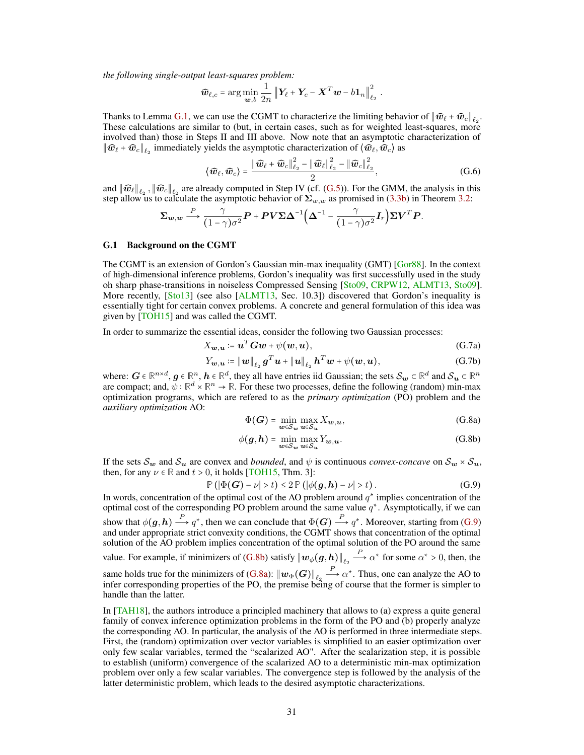*the following single-output least-squares problem:*

$$
\widehat{\boldsymbol{w}}_{\ell,c} = \arg\min_{\boldsymbol{w},b} \frac{1}{2n} \left\| \boldsymbol{Y}_{\ell} + \boldsymbol{Y}_{c} - \boldsymbol{X}^{T} \boldsymbol{w} - b \boldsymbol{1}_{n} \right\|_{\ell_{2}}^{2}.
$$

Thanks to Lemma [G.1,](#page-29-3) we can use the CGMT to characterize the limiting behavior of  $\|\widehat{\boldsymbol{w}}_{\ell} + \widehat{\boldsymbol{w}}_{c}\|_{\ell_2}$ . These calculations are similar to (but, in certain cases, such as for weighted least-squares, more involved than) those in Steps II and III above. Now note that an asymptotic characterization of  $\|\widehat w_\ell + \widehat w_c\|_{\ell_2}$  immediately yields the asymptotic characterization of  $\langle \widehat w_\ell, \widehat w_c\rangle$  as

$$
\langle \widehat{\boldsymbol{w}}_{\ell}, \widehat{\boldsymbol{w}}_{c} \rangle = \frac{\|\widehat{\boldsymbol{w}}_{\ell} + \widehat{\boldsymbol{w}}_{c}\|_{\ell_2}^2 - \|\widehat{\boldsymbol{w}}_{\ell}\|_{\ell_2}^2 - \|\widehat{\boldsymbol{w}}_{c}\|_{\ell_2}^2}{2},
$$
\n(G.6)

and  $\|\widehat{\boldsymbol{w}}_{\ell}\|_{\ell_2}$ ,  $\|\widehat{\boldsymbol{w}}_{\ell}\|_{\ell_2}$  are already computed in Step IV (cf. [\(G.5\)](#page-29-2)). For the GMM, the analysis in this step allow us to calculate the asymptotic behavior of  $\Sigma_{w,w}$  as promised in [\(3.3b\)](#page-5-1) in Theorem [3.2:](#page-5-4)

$$
\Sigma_{\mathbf{w},\mathbf{w}} \stackrel{P}{\longrightarrow} \frac{\gamma}{(1-\gamma)\sigma^2} \mathbf{P} + \mathbf{P} \mathbf{V} \Sigma \mathbf{\Delta}^{-1} \Big( \mathbf{\Delta}^{-1} - \frac{\gamma}{(1-\gamma)\sigma^2} \mathbf{I}_r \Big) \Sigma \mathbf{V}^T \mathbf{P}.
$$

#### <span id="page-30-0"></span>G.1 Background on the CGMT

The CGMT is an extension of Gordon's Gaussian min-max inequality (GMT) [\[Gor88\]](#page-11-18). In the context of high-dimensional inference problems, Gordon's inequality was first successfully used in the study oh sharp phase-transitions in noiseless Compressed Sensing [\[Sto09,](#page-13-7) [CRPW12,](#page-10-9) [ALMT13,](#page-10-10) [Sto09\]](#page-13-7). More recently, [\[Sto13\]](#page-13-8) (see also [\[ALMT13,](#page-10-10) Sec. 10.3]) discovered that Gordon's inequality is essentially tight for certain convex problems. A concrete and general formulation of this idea was given by [\[TOH15\]](#page-13-10) and was called the CGMT.

In order to summarize the essential ideas, consider the following two Gaussian processes:

$$
X_{\boldsymbol{w},\boldsymbol{u}} \coloneqq \boldsymbol{u}^T \boldsymbol{G} \boldsymbol{w} + \psi(\boldsymbol{w},\boldsymbol{u}),\tag{G.7a}
$$

$$
Y_{\boldsymbol{w},\boldsymbol{u}} \coloneqq \|\boldsymbol{w}\|_{\ell_2} \boldsymbol{g}^T \boldsymbol{u} + \|\boldsymbol{u}\|_{\ell_2} \boldsymbol{h}^T \boldsymbol{w} + \psi(\boldsymbol{w}, \boldsymbol{u}), \tag{G.7b}
$$

where:  $G \in \mathbb{R}^{n \times d}$ ,  $g \in \mathbb{R}^n$ ,  $h \in \mathbb{R}^d$ , they all have entries iid Gaussian; the sets  $\mathcal{S}_{w} \subset \mathbb{R}^d$  and  $\mathcal{S}_{u} \subset \mathbb{R}^n$ are compact; and,  $\bar{\psi}$  :  $\mathbb{R}^d \times \mathbb{R}^n \to \mathbb{R}$ . For these two processes, define the following (random) min-max optimization programs, which are refered to as the *primary optimization* (PO) problem and the *auxiliary optimization* AO:

<span id="page-30-2"></span>
$$
\Phi(G) = \min_{\mathbf{C}} \max_{\mathbf{C}} X_{\mathbf{w}, \mathbf{u}},
$$
\n(G.8a)

$$
\phi(g, h) = \min_{w \in S_w} \max_{u \in S_u} Y_{w, u}.
$$
\n(G.8b)

If the sets  $S_w$  and  $S_u$  are convex and *bounded*, and  $\psi$  is continuous *convex-concave* on  $S_w \times S_u$ , then, for any  $\nu \in \mathbb{R}$  and  $t > 0$ , it holds [\[TOH15,](#page-13-10) Thm. 3]:

$$
\mathbb{P}\left(|\Phi(G) - \nu| > t\right) \leq 2 \mathbb{P}\left(|\phi(g, h) - \nu| > t\right). \tag{G.9}
$$

In words, concentration of the optimal cost of the AO problem around  $q^*$  implies concentration of the optimal cost of the corresponding PO problem around the same value  $q^*$ . Asymptotically, if we can show that  $\phi(g, h) \stackrel{P}{\longrightarrow} q^*$ , then we can conclude that  $\Phi(G) \stackrel{P}{\longrightarrow} q^*$ . Moreover, starting from [\(G.9\)](#page-30-2) and under appropriate strict convexity conditions, the CGMT shows that concentration of the optimal solution of the AO problem implies concentration of the optimal solution of the PO around the same value. For example, if minimizers of [\(G.8b\)](#page-28-2) satisfy  $\|w_\phi(g, h)\|_{\ell_2} \stackrel{P}{\longrightarrow} \alpha^*$  for some  $\alpha^* > 0$ , then, the same holds true for the minimizers of [\(G.8a\)](#page-28-3):  $\|w_{\Phi}(G)\|_{\ell_2} \stackrel{P}{\longrightarrow} \alpha^*$ . Thus, one can analyze the AO to infer corresponding properties of the PO, the premise being of course that the former is simpler to handle than the latter.

<span id="page-30-1"></span>In [\[TAH18\]](#page-13-11), the authors introduce a principled machinery that allows to (a) express a quite general family of convex inference optimization problems in the form of the PO and (b) properly analyze the corresponding AO. In particular, the analysis of the AO is performed in three intermediate steps. First, the (random) optimization over vector variables is simplified to an easier optimization over only few scalar variables, termed the "scalarized AO". After the scalarization step, it is possible to establish (uniform) convergence of the scalarized AO to a deterministic min-max optimization problem over only a few scalar variables. The convergence step is followed by the analysis of the latter deterministic problem, which leads to the desired asymptotic characterizations.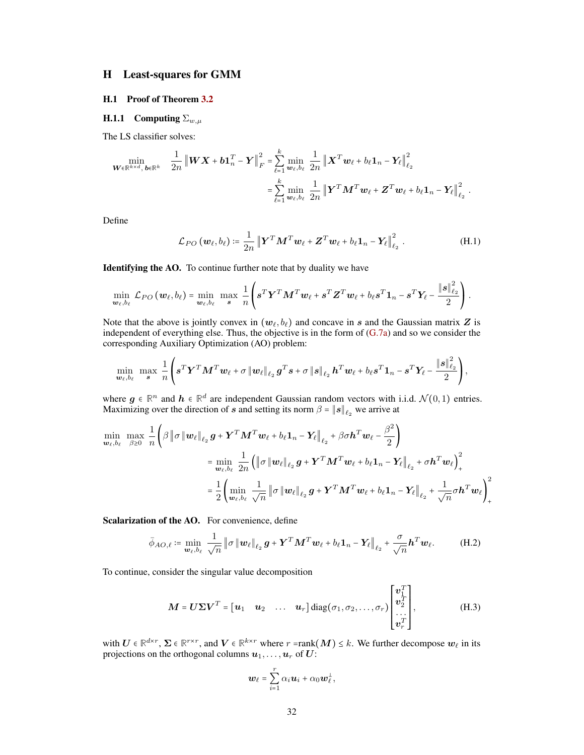# H Least-squares for GMM

## <span id="page-31-0"></span>H.1 Proof of Theorem [3.2](#page-5-4)

# <span id="page-31-1"></span>H.1.1 Computing  $\Sigma_{w,\mu}$

The LS classifier solves:

$$
\min_{\boldsymbol{W}\in\mathbb{R}^{k\times d},\,\boldsymbol{b}\in\mathbb{R}^k} \quad \frac{1}{2n} \left\|\boldsymbol{W}\boldsymbol{X}+\boldsymbol{b}\boldsymbol{1}_n^T-\boldsymbol{Y}\right\|_F^2 = \sum_{\ell=1}^k \min_{\boldsymbol{w}_{\ell},b_{\ell}} \frac{1}{2n} \left\|\boldsymbol{X}^T\boldsymbol{w}_{\ell}+b_{\ell}\boldsymbol{1}_n-\boldsymbol{Y}_{\ell}\right\|_{\ell_2}^2
$$
\n
$$
= \sum_{\ell=1}^k \min_{\boldsymbol{w}_{\ell},b_{\ell}} \frac{1}{2n} \left\|\boldsymbol{Y}^T\boldsymbol{M}^T\boldsymbol{w}_{\ell}+\boldsymbol{Z}^T\boldsymbol{w}_{\ell}+b_{\ell}\boldsymbol{1}_n-\boldsymbol{Y}_{\ell}\right\|_{\ell_2}^2.
$$

Define

<span id="page-31-2"></span>
$$
\mathcal{L}_{PO}\left(\boldsymbol{w}_{\ell},b_{\ell}\right) \coloneqq \frac{1}{2n} \left\| \boldsymbol{Y}^T \boldsymbol{M}^T \boldsymbol{w}_{\ell} + \boldsymbol{Z}^T \boldsymbol{w}_{\ell} + b_{\ell} \boldsymbol{1}_n - \boldsymbol{Y}_{\ell} \right\|_{\ell_2}^2 \,. \tag{H.1}
$$

Identifying the AO. To continue further note that by duality we have

$$
\min_{\boldsymbol{w}_{\ell},b_{\ell}} \mathcal{L}_{PO}(\boldsymbol{w}_{\ell},b_{\ell}) = \min_{\boldsymbol{w}_{\ell},b_{\ell}} \max_{\boldsymbol{s}} \frac{1}{n} \left( \boldsymbol{s}^T \boldsymbol{Y}^T \boldsymbol{M}^T \boldsymbol{w}_{\ell} + \boldsymbol{s}^T \boldsymbol{Z}^T \boldsymbol{w}_{\ell} + b_{\ell} \boldsymbol{s}^T \boldsymbol{1}_n - \boldsymbol{s}^T \boldsymbol{Y}_{\ell} - \frac{\|\boldsymbol{s}\|_{\ell_2}^2}{2} \right).
$$

Note that the above is jointly convex in  $(w_\ell, b_\ell)$  and concave in s and the Gaussian matrix Z is independent of everything else. Thus, the objective is in the form of  $(G.7a)$  and so we consider the corresponding Auxiliary Optimization (AO) problem:

$$
\min_{\boldsymbol{w}_{\ell},b_{\ell}} \ \max_{\boldsymbol{s}} \ \frac{1}{n} \left( \boldsymbol{s}^T \boldsymbol{Y}^T \boldsymbol{M}^T \boldsymbol{w}_{\ell} + \sigma \left\| \boldsymbol{w}_{\ell} \right\|_{\ell_2} \boldsymbol{g}^T \boldsymbol{s} + \sigma \left\| \boldsymbol{s} \right\|_{\ell_2} \boldsymbol{h}^T \boldsymbol{w}_{\ell} + b_{\ell} \boldsymbol{s}^T \boldsymbol{1}_n - \boldsymbol{s}^T \boldsymbol{Y}_{\ell} - \frac{\left\| \boldsymbol{s} \right\|_{\ell_2}^2}{2} \right),
$$

where  $g \in \mathbb{R}^n$  and  $h \in \mathbb{R}^d$  are independent Gaussian random vectors with i.i.d.  $\mathcal{N}(0, 1)$  entries. Maximizing over the direction of s and setting its norm  $\beta = \|\mathbf{s}\|_{\ell_2}$  we arrive at

$$
\begin{split} \min_{\boldsymbol{w}_{\ell},b_{\ell}} \max_{\beta \geq 0} \frac{1}{n} \left( \beta \left\| \sigma \left\| \boldsymbol{w}_{\ell} \right\|_{\ell_{2}} \boldsymbol{g} + \boldsymbol{Y}^{T} \boldsymbol{M}^{T} \boldsymbol{w}_{\ell} + b_{\ell} \boldsymbol{1}_{n} - \boldsymbol{Y}_{\ell} \right\|_{\ell_{2}} + \beta \sigma \boldsymbol{h}^{T} \boldsymbol{w}_{\ell} - \frac{\beta^{2}}{2} \right) \\ = \min_{\boldsymbol{w}_{\ell},b_{\ell}} \frac{1}{2n} \left( \left\| \sigma \left\| \boldsymbol{w}_{\ell} \right\|_{\ell_{2}} \boldsymbol{g} + \boldsymbol{Y}^{T} \boldsymbol{M}^{T} \boldsymbol{w}_{\ell} + b_{\ell} \boldsymbol{1}_{n} - \boldsymbol{Y}_{\ell} \right\|_{\ell_{2}} + \sigma \boldsymbol{h}^{T} \boldsymbol{w}_{\ell} \right)_{+}^{2} \\ = \frac{1}{2} \left( \min_{\boldsymbol{w}_{\ell},b_{\ell}} \frac{1}{\sqrt{n}} \left\| \sigma \left\| \boldsymbol{w}_{\ell} \right\|_{\ell_{2}} \boldsymbol{g} + \boldsymbol{Y}^{T} \boldsymbol{M}^{T} \boldsymbol{w}_{\ell} + b_{\ell} \boldsymbol{1}_{n} - \boldsymbol{Y}_{\ell} \right\|_{\ell_{2}} + \frac{1}{\sqrt{n}} \sigma \boldsymbol{h}^{T} \boldsymbol{w}_{\ell} \right)_{+}^{2} \end{split}
$$

Scalarization of the AO. For convenience, define

$$
\bar{\phi}_{AO,\ell} \coloneqq \min_{\boldsymbol{w}_{\ell},b_{\ell}} \frac{1}{\sqrt{n}} \left\| \sigma \left\| \boldsymbol{w}_{\ell} \right\|_{\ell_2} \boldsymbol{g} + \boldsymbol{Y}^T \boldsymbol{M}^T \boldsymbol{w}_{\ell} + b_{\ell} \boldsymbol{1}_n - \boldsymbol{Y}_{\ell} \right\|_{\ell_2} + \frac{\sigma}{\sqrt{n}} \boldsymbol{h}^T \boldsymbol{w}_{\ell}.
$$
 (H.2)

To continue, consider the singular value decomposition

$$
\mathbf{M} = \mathbf{U} \boldsymbol{\Sigma} \mathbf{V}^T = \begin{bmatrix} \mathbf{u}_1 & \mathbf{u}_2 & \dots & \mathbf{u}_r \end{bmatrix} \text{diag}(\sigma_1, \sigma_2, \dots, \sigma_r) \begin{bmatrix} \mathbf{v}_1^T \\ \mathbf{v}_2^T \\ \dots \\ \mathbf{v}_r^T \end{bmatrix},\tag{H.3}
$$

with  $U \in \mathbb{R}^{d \times r}$ ,  $\Sigma \in \mathbb{R}^{r \times r}$ , and  $V \in \mathbb{R}^{k \times r}$  where  $r = \text{rank}(M) \leq k$ . We further decompose  $w_{\ell}$  in its projections on the orthogonal columns  $u_1, \ldots, u_r$  of  $U$ :

$$
\boldsymbol{w}_{\ell} = \sum_{i=1}^r \alpha_i \boldsymbol{u}_i + \alpha_0 \boldsymbol{w}_{\ell}^{\perp},
$$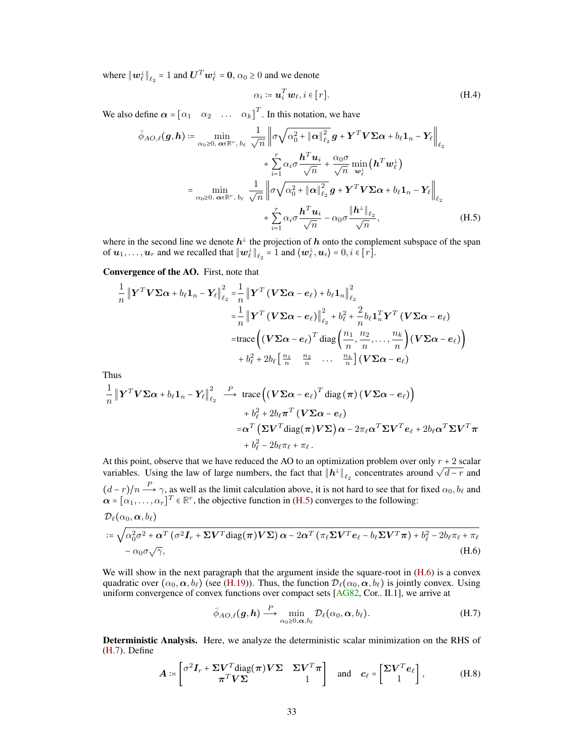where  $\|\boldsymbol{w}_\ell^{\perp}\|_{\ell_2} = 1$  and  $\boldsymbol{U}^T \boldsymbol{w}_\ell^{\perp} = \boldsymbol{0}, \alpha_0 \ge 0$  and we denote

<span id="page-32-3"></span><span id="page-32-0"></span>
$$
\alpha_i := \mathbf{u}_i^T \mathbf{w}_\ell, i \in [r]. \tag{H.4}
$$

We also define  $\alpha = \begin{bmatrix} \alpha_1 & \alpha_2 & \dots & \alpha_k \end{bmatrix}^T$ . In this notation, we have

$$
\bar{\phi}_{AO,\ell}(g,h) \coloneqq \min_{\alpha_0 \ge 0, \ \alpha \in \mathbb{R}^r, \ b_{\ell}} \frac{1}{\sqrt{n}} \left\| \sigma \sqrt{\alpha_0^2 + \|\alpha\|_{\ell_2}^2} g + \mathbf{Y}^T \mathbf{V} \Sigma \alpha + b_{\ell} \mathbf{1}_n - \mathbf{Y}_{\ell} \right\|_{\ell_2} \n+ \sum_{i=1}^r \alpha_i \sigma \frac{\mathbf{h}^T \mathbf{u}_i}{\sqrt{n}} + \frac{\alpha_0 \sigma}{\sqrt{n}} \min_{\mathbf{w}_{\ell}^+} (\mathbf{h}^T \mathbf{w}_{\ell}^+) \n= \min_{\alpha_0 \ge 0, \ \alpha \in \mathbb{R}^r, \ b_{\ell}} \frac{1}{\sqrt{n}} \left\| \sigma \sqrt{\alpha_0^2 + \|\alpha\|_{\ell_2}^2} g + \mathbf{Y}^T \mathbf{V} \Sigma \alpha + b_{\ell} \mathbf{1}_n - \mathbf{Y}_{\ell} \right\|_{\ell_2} \n+ \sum_{i=1}^r \alpha_i \sigma \frac{\mathbf{h}^T \mathbf{u}_i}{\sqrt{n}} - \alpha_0 \sigma \frac{\|\mathbf{h}^{\perp}\|_{\ell_2}}{\sqrt{n}},
$$
\n(H.5)

where in the second line we denote  $h^{\perp}$  the projection of h onto the complement subspace of the span of  $u_1, \ldots, u_r$  and we recalled that  $\|w_\ell^\perp\|_{\ell_2} = 1$  and  $\langle w_\ell^\perp, u_i \rangle = 0, i \in [r]$ .

# Convergence of the AO. First, note that

$$
\frac{1}{n} \left\| \mathbf{Y}^T \mathbf{V} \boldsymbol{\Sigma} \boldsymbol{\alpha} + b_{\ell} \mathbf{1}_n - \mathbf{Y}_{\ell} \right\|_{\ell_2}^2 = \frac{1}{n} \left\| \mathbf{Y}^T \left( \mathbf{V} \boldsymbol{\Sigma} \boldsymbol{\alpha} - \boldsymbol{e}_{\ell} \right) + b_{\ell} \mathbf{1}_n \right\|_{\ell_2}^2
$$
\n
$$
= \frac{1}{n} \left\| \mathbf{Y}^T \left( \mathbf{V} \boldsymbol{\Sigma} \boldsymbol{\alpha} - \boldsymbol{e}_{\ell} \right) \right\|_{\ell_2}^2 + b_{\ell}^2 + \frac{2}{n} b_{\ell} \mathbf{1}_n^T \mathbf{Y}^T \left( \mathbf{V} \boldsymbol{\Sigma} \boldsymbol{\alpha} - \boldsymbol{e}_{\ell} \right)
$$
\n
$$
= \text{trace}\left( \left( \mathbf{V} \boldsymbol{\Sigma} \boldsymbol{\alpha} - \boldsymbol{e}_{\ell} \right)^T \text{diag}\left( \frac{n_1}{n}, \frac{n_2}{n}, \dots, \frac{n_k}{n} \right) \left( \mathbf{V} \boldsymbol{\Sigma} \boldsymbol{\alpha} - \boldsymbol{e}_{\ell} \right) \right)
$$
\n
$$
+ b_{\ell}^2 + 2b_{\ell} \left[ \frac{n_1}{n} - \frac{n_2}{n} - \dots - \frac{n_k}{n} \right] \left( \mathbf{V} \boldsymbol{\Sigma} \boldsymbol{\alpha} - \boldsymbol{e}_{\ell} \right)
$$

Thus

$$
\frac{1}{n} \left\| \mathbf{Y}^T \mathbf{V} \boldsymbol{\Sigma} \boldsymbol{\alpha} + b_{\ell} \mathbf{1}_n - \mathbf{Y}_{\ell} \right\|_{\ell_2}^2 \xrightarrow{P} \text{trace} \left( (\mathbf{V} \boldsymbol{\Sigma} \boldsymbol{\alpha} - \boldsymbol{e}_{\ell})^T \text{diag} \left( \boldsymbol{\pi} \right) (\mathbf{V} \boldsymbol{\Sigma} \boldsymbol{\alpha} - \boldsymbol{e}_{\ell}) \right) \n+ b_{\ell}^2 + 2b_{\ell} \boldsymbol{\pi}^T (\mathbf{V} \boldsymbol{\Sigma} \boldsymbol{\alpha} - \boldsymbol{e}_{\ell}) \n= \boldsymbol{\alpha}^T (\boldsymbol{\Sigma} \mathbf{V}^T \text{diag} (\boldsymbol{\pi}) \mathbf{V} \boldsymbol{\Sigma}) \boldsymbol{\alpha} - 2\pi_{\ell} \boldsymbol{\alpha}^T \boldsymbol{\Sigma} \mathbf{V}^T \boldsymbol{e}_{\ell} + 2b_{\ell} \boldsymbol{\alpha}^T \boldsymbol{\Sigma} \mathbf{V}^T \boldsymbol{\pi} \n+ b_{\ell}^2 - 2b_{\ell} \pi_{\ell} + \pi_{\ell} .
$$

At this point, observe that we have reduced the AO to an optimization problem over only  $r + 2$  scalar At this point, observe that we have reduced the AO to an optimization problem over only  $\ell + 2$  seals variables. Using the law of large numbers, the fact that  $||h^{\perp}||_{\ell_2}$  concentrates around  $\sqrt{d-r}$  and  $(d-r)/n \stackrel{P}{\longrightarrow} \gamma$ , as well as the limit calculation above, it is not hard to see that for fixed  $\alpha_0, b_\ell$  and  $\alpha = [\alpha_1, \dots, \alpha_r]^T \in \mathbb{R}^r$ , the objective function in [\(H.5\)](#page-32-0) converges to the following:  $\mathcal{D}_\ell(\alpha_0, \boldsymbol{\alpha}, b_\ell)$ √

$$
:= \sqrt{\alpha_0^2 \sigma^2 + \alpha^T (\sigma^2 \mathbf{I}_r + \Sigma \mathbf{V}^T \text{diag}(\boldsymbol{\pi}) \mathbf{V} \Sigma) \alpha - 2\alpha^T (\pi_\ell \Sigma \mathbf{V}^T \mathbf{e}_\ell - b_\ell \Sigma \mathbf{V}^T \boldsymbol{\pi}) + b_\ell^2 - 2b_\ell \pi_\ell + \pi_\ell}
$$
  
-  $\alpha_0 \sigma \sqrt{\gamma}$ , (H.6)

We will show in the next paragraph that the argument inside the square-root in  $(H.6)$  is a convex quadratic over  $(\alpha_0, \alpha, b_\ell)$  (see [\(H.19\)](#page-34-0)). Thus, the function  $\mathcal{D}_\ell(\alpha_0, \alpha, b_\ell)$  is jointly convex. Using uniform convergence of convex functions over compact sets [\[AG82,](#page-9-1) Cor.. II.1], we arrive at

<span id="page-32-4"></span><span id="page-32-2"></span><span id="page-32-1"></span>
$$
\bar{\phi}_{AO,\ell}(g,h) \stackrel{P}{\longrightarrow} \min_{\alpha_0 \ge 0,\alpha,b_\ell} \mathcal{D}_\ell(\alpha_0,\alpha,b_\ell). \tag{H.7}
$$

Deterministic Analysis. Here, we analyze the deterministic scalar minimization on the RHS of [\(H.7\)](#page-32-2). Define

$$
\mathbf{A} := \begin{bmatrix} \sigma^2 \mathbf{I}_r + \Sigma \mathbf{V}^T \text{diag}(\boldsymbol{\pi}) \mathbf{V} \Sigma & \Sigma \mathbf{V}^T \boldsymbol{\pi} \\ \boldsymbol{\pi}^T \mathbf{V} \Sigma & 1 \end{bmatrix} \quad \text{and} \quad \mathbf{c}_{\ell} = \begin{bmatrix} \Sigma \mathbf{V}^T \mathbf{e}_{\ell} \\ 1 \end{bmatrix}, \tag{H.8}
$$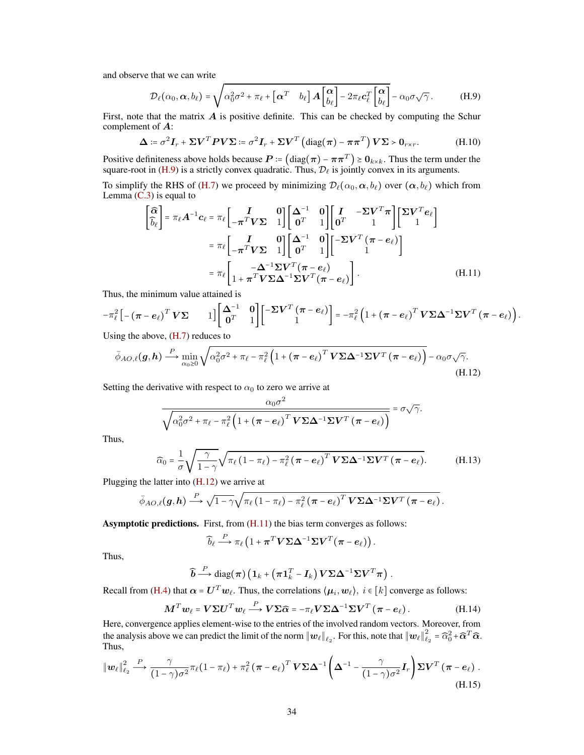and observe that we can write

<span id="page-33-4"></span><span id="page-33-1"></span>
$$
\mathcal{D}_{\ell}(\alpha_0, \alpha, b_{\ell}) = \sqrt{\alpha_0^2 \sigma^2 + \pi_{\ell} + \left[\alpha^T \quad b_{\ell}\right] A \begin{bmatrix} \alpha \\ b_{\ell} \end{bmatrix} - 2\pi_{\ell} c_{\ell}^T \begin{bmatrix} \alpha \\ b_{\ell} \end{bmatrix} - \alpha_0 \sigma \sqrt{\gamma}}.
$$
 (H.9)

First, note that the matrix  $\vec{A}$  is positive definite. This can be checked by computing the Schur complement of A:

$$
\Delta \coloneqq \sigma^2 \mathbf{I}_r + \Sigma \mathbf{V}^T \mathbf{P} \mathbf{V} \Sigma \coloneqq \sigma^2 \mathbf{I}_r + \Sigma \mathbf{V}^T \left( \text{diag}(\boldsymbol{\pi}) - \boldsymbol{\pi} \boldsymbol{\pi}^T \right) \mathbf{V} \Sigma > \mathbf{0}_{r \times r}.
$$
 (H.10)

Positive definiteness above holds because  $P := (\text{diag}(\pi) - \pi \pi^T) \ge 0_{k \times k}$ . Thus the term under the square-root in [\(H.9\)](#page-33-1) is a strictly convex quadratic. Thus,  $\mathcal{D}_\ell$  is jointly convex in its arguments.

To simplify the RHS of [\(H.7\)](#page-32-2) we proceed by minimizing  $\mathcal{D}_{\ell}(\alpha_0, \alpha, b_{\ell})$  over  $(\alpha, b_{\ell})$  which from Lemma  $(C.3)$  is equal to

<span id="page-33-3"></span>
$$
\begin{bmatrix}\n\widehat{\alpha} \\
\widehat{b}_{\ell}\n\end{bmatrix} = \pi_{\ell} \mathbf{A}^{-1} \mathbf{c}_{\ell} = \pi_{\ell} \begin{bmatrix}\nI & 0 \\
-\pi^{T} \mathbf{V} \Sigma & 1\n\end{bmatrix} \begin{bmatrix}\n\Delta^{-1} & 0 \\
0^{T} & 1\n\end{bmatrix} \begin{bmatrix}\nI & -\Sigma \mathbf{V}^{T} \pi \\
0^{T} & 1\n\end{bmatrix} \begin{bmatrix}\n\Sigma \mathbf{V}^{T} e_{\ell}\n\end{bmatrix}
$$
\n
$$
= \pi_{\ell} \begin{bmatrix}\nI & 0 \\
-\pi^{T} \mathbf{V} \Sigma & 1\n\end{bmatrix} \begin{bmatrix}\n\Delta^{-1} & 0 \\
0^{T} & 1\n\end{bmatrix} \begin{bmatrix}\n-\Sigma \mathbf{V}^{T} (\pi - e_{\ell}) \\
1\n\end{bmatrix}
$$
\n
$$
= \pi_{\ell} \begin{bmatrix}\n-\Delta^{-1} \Sigma \mathbf{V}^{T} (\pi - e_{\ell}) \\
1 + \pi^{T} \mathbf{V} \Sigma \Delta^{-1} \Sigma \mathbf{V}^{T} (\pi - e_{\ell})\n\end{bmatrix}.
$$
\n(H.11)

Thus, the minimum value attained is

$$
-\pi_{\ell}^{2}\left[-\left(\boldsymbol{\pi}-\boldsymbol{e}_{\ell}\right)^{T}\boldsymbol{V}\boldsymbol{\Sigma}\qquad1\right]\left[\begin{matrix}\boldsymbol{\Delta}^{-1} & \boldsymbol{0}\\ \boldsymbol{0}^{T} & 1\end{matrix}\right]\left[\begin{matrix}-\boldsymbol{\Sigma}\boldsymbol{V}^{T}\left(\boldsymbol{\pi}-\boldsymbol{e}_{\ell}\right)\\1\end{matrix}\right]=-\pi_{\ell}^{2}\left(1+\left(\boldsymbol{\pi}-\boldsymbol{e}_{\ell}\right)^{T}\boldsymbol{V}\boldsymbol{\Sigma}\boldsymbol{\Delta}^{-1}\boldsymbol{\Sigma}\boldsymbol{V}^{T}\left(\boldsymbol{\pi}-\boldsymbol{e}_{\ell}\right)\right).
$$

Using the above, [\(H.7\)](#page-32-2) reduces to

$$
\bar{\phi}_{AO,\ell}(g,h) \stackrel{P}{\longrightarrow} \min_{\alpha_0 \geq 0} \sqrt{\alpha_0^2 \sigma^2 + \pi_{\ell} - \pi_{\ell}^2 \left(1 + (\pi - e_{\ell})^T V \Sigma \Delta^{-1} \Sigma V^T (\pi - e_{\ell})\right)} - \alpha_0 \sigma \sqrt{\gamma}.
$$
\n(H.12)

Setting the derivative with respect to  $\alpha_0$  to zero we arrive at

<span id="page-33-2"></span>
$$
\frac{\alpha_0 \sigma^2}{\sqrt{\alpha_0^2 \sigma^2 + \pi_\ell - \pi_\ell^2 \left(1 + \left(\pi - e_\ell\right)^T V \Sigma \Delta^{-1} \Sigma V^T \left(\pi - e_\ell\right)\right)}} = \sigma \sqrt{\gamma}.
$$

Thus,

$$
\widehat{\alpha}_0 = \frac{1}{\sigma} \sqrt{\frac{\gamma}{1-\gamma}} \sqrt{\pi_\ell \left(1-\pi_\ell\right) - \pi_\ell^2 \left(\pi - e_\ell\right)^T \mathbf{V} \boldsymbol{\Sigma} \boldsymbol{\Delta}^{-1} \boldsymbol{\Sigma} \mathbf{V}^T \left(\pi - e_\ell\right)}. \tag{H.13}
$$

Plugging the latter into [\(H.12\)](#page-33-2) we arrive at

$$
\bar{\phi}_{AO,\ell}(\bm{g},\bm{h}) \stackrel{P}{\longrightarrow} \sqrt{1-\gamma} \sqrt{\pi_{\ell} \left(1-\pi_{\ell}\right)-\pi_{\ell}^2 \left(\bm{\pi}-\bm{e}_{\ell}\right)^T \bm{V} \bm{\Sigma} \bm{\Delta}^{-1} \bm{\Sigma} \bm{V}^T \left(\bm{\pi}-\bm{e}_{\ell}\right)}.
$$

Asymptotic predictions. First, from [\(H.11\)](#page-33-3) the bias term converges as follows:

<span id="page-33-5"></span>
$$
\widehat{b}_{\ell} \stackrel{P}{\longrightarrow} \pi_{\ell} \left( 1 + \boldsymbol{\pi}^T \boldsymbol{V} \boldsymbol{\Sigma} \boldsymbol{\Delta}^{-1} \boldsymbol{\Sigma} \boldsymbol{V}^T (\boldsymbol{\pi} - \boldsymbol{e}_{\ell}) \right).
$$

Thus,

$$
\widehat{\boldsymbol{b}} \stackrel{P}{\longrightarrow} \text{diag}(\boldsymbol{\pi}) \left(\mathbf{1}_k + \left(\boldsymbol{\pi} \mathbf{1}_k^T - \boldsymbol{I}_k\right) \boldsymbol{V} \boldsymbol{\Sigma} \boldsymbol{\Delta}^{-1} \boldsymbol{\Sigma} \boldsymbol{V}^T \boldsymbol{\pi}\right).
$$

Recall from [\(H.4\)](#page-32-3) that  $\alpha = U^T w_\ell$ . Thus, the correlations  $\langle \mu_i, w_\ell \rangle$ ,  $i \in [k]$  converge as follows:

$$
\boldsymbol{M}^T \boldsymbol{w}_{\ell} = \boldsymbol{V} \boldsymbol{\Sigma} \boldsymbol{U}^T \boldsymbol{w}_{\ell} \stackrel{P}{\longrightarrow} \boldsymbol{V} \boldsymbol{\Sigma} \widehat{\boldsymbol{\alpha}} = -\pi_{\ell} \boldsymbol{V} \boldsymbol{\Sigma} \boldsymbol{\Delta}^{-1} \boldsymbol{\Sigma} \boldsymbol{V}^T \left( \boldsymbol{\pi} - \boldsymbol{e}_{\ell} \right). \tag{H.14}
$$

Here, convergence applies element-wise to the entries of the involved random vectors. Moreover, from the analysis above we can predict the limit of the norm  $||w_\ell||_{\ell_2}$ . For this, note that  $||w_\ell||_\ell^2$  $\widehat{\alpha}_2^2 = \widehat{\alpha}_0^2 + \widehat{\boldsymbol{\alpha}}^T \widehat{\boldsymbol{\alpha}}.$ Thus,

<span id="page-33-0"></span>
$$
\|\boldsymbol{w}_{\ell}\|_{\ell_2}^2 \stackrel{P}{\longrightarrow} \frac{\gamma}{(1-\gamma)\sigma^2} \pi_{\ell} (1-\pi_{\ell}) + \pi_{\ell}^2 (\boldsymbol{\pi} - \boldsymbol{e}_{\ell})^T \boldsymbol{V} \boldsymbol{\Sigma} \boldsymbol{\Delta}^{-1} \left(\boldsymbol{\Delta}^{-1} - \frac{\gamma}{(1-\gamma)\sigma^2} \boldsymbol{I}_r\right) \boldsymbol{\Sigma} \boldsymbol{V}^T (\boldsymbol{\pi} - \boldsymbol{e}_{\ell}).
$$
\n(H.15)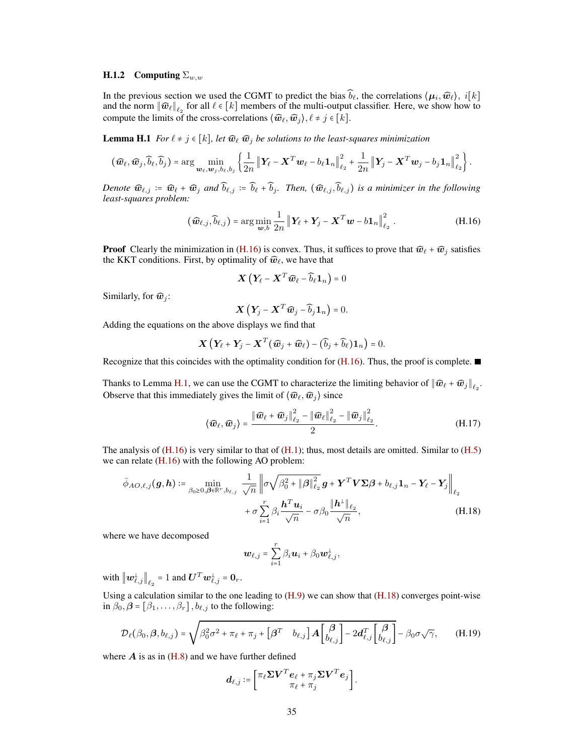## H.1.2 Computing  $\Sigma_{w,w}$

In the previous section we used the CGMT to predict the bias  $\widehat{b}_\ell$ , the correlations  $\langle \mu_i, \widehat{w}_\ell\rangle$ ,  $i[k]$ and the norm  $\|\widehat{\bm{w}}_\ell\|_{\ell_2}$  for all  $\ell \in [k]$  members of the multi-output classifier. Here, we show how to compute the limits of the cross-correlations  $\langle \widehat{w}_{\ell}, \widehat{w}_j \rangle, \ell \neq j \in [k]$ .

<span id="page-34-2"></span>**Lemma H.1** *For*  $\ell \neq j \in [k]$ *, let*  $\widehat{\mathbf{w}}_{\ell}$   $\widehat{\mathbf{w}}_{j}$  *be solutions to the least-squares minimization* 

$$
(\widehat{\boldsymbol{w}}_{\ell},\widehat{\boldsymbol{w}}_j,\widehat{b}_{\ell},\widehat{b}_j) = \arg\min_{\boldsymbol{w}_{\ell},\boldsymbol{w}_j,b_{\ell},b_j} \left\{ \frac{1}{2n} \left\| \boldsymbol{Y}_{\ell} - \boldsymbol{X}^T \boldsymbol{w}_{\ell} - b_{\ell} \boldsymbol{1}_n \right\|_{\ell_2}^2 + \frac{1}{2n} \left\| \boldsymbol{Y}_{j} - \boldsymbol{X}^T \boldsymbol{w}_{j} - b_{j} \boldsymbol{1}_n \right\|_{\ell_2}^2 \right\}.
$$

*Denote*  $\widehat{\mathbf{w}}_{\ell,j} := \widehat{\mathbf{w}}_{\ell} + \widehat{\mathbf{w}}_j$  *and*  $\widehat{b}_{\ell,j} := \widehat{b}_{\ell} + \widehat{b}_j$ *. Then,*  $(\widehat{\mathbf{w}}_{\ell,j}, \widehat{b}_{\ell,j})$  *is a minimizer in the following least-squares problem:*

$$
(\widehat{\boldsymbol{w}}_{\ell,j}, \widehat{b}_{\ell,j}) = \arg\min_{\boldsymbol{w},b} \frac{1}{2n} \left\| \boldsymbol{Y}_{\ell} + \boldsymbol{Y}_{j} - \boldsymbol{X}^{T} \boldsymbol{w} - b \boldsymbol{1}_{n} \right\|_{\ell_{2}}^{2}.
$$
 (H.16)

**Proof** Clearly the minimization in [\(H.16\)](#page-34-1) is convex. Thus, it suffices to prove that  $\widehat{w}_{\ell} + \widehat{w}_{j}$  satisfies the KKT conditions. First, by optimality of  $\widehat{w}_\ell$ , we have that

<span id="page-34-1"></span>
$$
\boldsymbol{X}\left(\boldsymbol{Y}_{\!\ell}-\boldsymbol{X}^T\boldsymbol{\widehat{w}}_{\ell}-\widehat{b}_{\ell}\boldsymbol{1}_n\right)=0
$$

Similarly, for  $\widehat{w}_i$ :

<span id="page-34-4"></span>
$$
\boldsymbol{X}\left(\boldsymbol{Y}_j-\boldsymbol{X}^T\widehat{\boldsymbol{w}}_j-\widehat{b}_j\boldsymbol{1}_n\right)=0.
$$

Adding the equations on the above displays we find that

$$
\boldsymbol{X}\left(\boldsymbol{Y}_{\ell}+\boldsymbol{Y}_{j}-\boldsymbol{X}^{T}(\widehat{\boldsymbol{w}}_{j}+\widehat{\boldsymbol{w}}_{\ell})-(\widehat{b}_{j}+\widehat{b}_{\ell})\boldsymbol{1}_{n}\right)=0.
$$

Recognize that this coincides with the optimality condition for  $(H.16)$ . Thus, the proof is complete.

Thanks to Lemma [H.1,](#page-34-2) we can use the CGMT to characterize the limiting behavior of  $\|\widehat{\bm{w}}_{\ell} + \widehat{\bm{w}}_j\|_{\ell_2}$ . Observe that this immediately gives the limit of  $\langle \hat{w}_\ell, \hat{w}_i \rangle$  since

$$
\langle \widehat{\boldsymbol{w}}_{\ell}, \widehat{\boldsymbol{w}}_{j} \rangle = \frac{\|\widehat{\boldsymbol{w}}_{\ell} + \widehat{\boldsymbol{w}}_{j}\|_{\ell_{2}}^{2} - \|\widehat{\boldsymbol{w}}_{\ell}\|_{\ell_{2}}^{2} - \|\widehat{\boldsymbol{w}}_{j}\|_{\ell_{2}}^{2}}{2}.
$$
 (H.17)

The analysis of  $(H.16)$  is very similar to that of  $(H.1)$ ; thus, most details are omitted. Similar to  $(H.5)$ we can relate [\(H.16\)](#page-34-1) with the following AO problem:

$$
\bar{\phi}_{AO,\ell,j}(\mathbf{g},\mathbf{h}) \coloneqq \min_{\beta_0 \ge 0, \beta \in \mathbb{R}^r, b_{\ell,j}} \frac{1}{\sqrt{n}} \left\| \sigma \sqrt{\beta_0^2 + \|\beta\|_{\ell_2}^2} \mathbf{g} + \mathbf{Y}^T \mathbf{V} \Sigma \beta + b_{\ell,j} \mathbf{1}_n - \mathbf{Y}_{\ell} - \mathbf{Y}_j \right\|_{\ell_2} + \sigma \sum_{i=1}^r \beta_i \frac{\mathbf{h}^T \mathbf{u}_i}{\sqrt{n}} - \sigma \beta_0 \frac{\|\mathbf{h}^{\perp}\|_{\ell_2}}{\sqrt{n}},
$$
\n(H.18)

where we have decomposed

<span id="page-34-3"></span><span id="page-34-0"></span>
$$
\boldsymbol{w}_{\ell,j} = \sum_{i=1}^r \beta_i \boldsymbol{u}_i + \beta_0 \boldsymbol{w}_{\ell,j}^{\perp},
$$

with  $\left\|\boldsymbol{w}_{\ell,j}^{\perp}\right\|_{\ell_2} = 1$  and  $\boldsymbol{U}^T \boldsymbol{w}_{\ell,j}^{\perp} = \boldsymbol{0}_r$ .

Using a calculation similar to the one leading to  $(H.9)$  we can show that  $(H.18)$  converges point-wise in  $\beta_0$ ,  $\beta = [\beta_1, \dots, \beta_r]$ ,  $b_{\ell,j}$  to the following:

$$
\mathcal{D}_{\ell}(\beta_0, \beta, b_{\ell,j}) = \sqrt{\beta_0^2 \sigma^2 + \pi_{\ell} + \pi_j + \left[\beta^T \quad b_{\ell,j}\right] A \begin{bmatrix} \beta \\ b_{\ell,j} \end{bmatrix} - 2d_{\ell,j}^T \begin{bmatrix} \beta \\ b_{\ell,j} \end{bmatrix}} - \beta_0 \sigma \sqrt{\gamma}, \tag{H.19}
$$

where  $\vec{A}$  is as in [\(H.8\)](#page-32-4) and we have further defined

$$
\boldsymbol{d}_{\ell,j} \coloneqq \left[ \begin{matrix} \pi_{\ell} \boldsymbol{\Sigma} \boldsymbol{V}^T \boldsymbol{e}_{\ell} + \pi_{j} \boldsymbol{\Sigma} \boldsymbol{V}^T \boldsymbol{e}_{j} \\ \pi_{\ell} + \pi_{j} \end{matrix} \right].
$$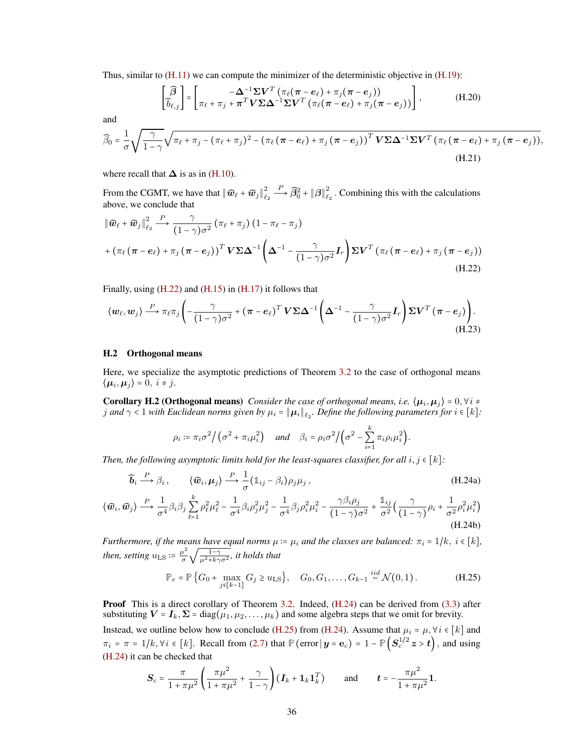Thus, similar to  $(H.11)$  we can compute the minimizer of the deterministic objective in  $(H.19)$ :

$$
\begin{bmatrix} \widehat{\beta} \\ \widehat{b}_{\ell,j} \end{bmatrix} = \begin{bmatrix} -\Delta^{-1} \Sigma V^T \left( \pi_{\ell} (\pi - e_{\ell}) + \pi_{j} (\pi - e_{j}) \right) \\ \pi_{\ell} + \pi_{j} + \pi^T V \Sigma \Delta^{-1} \Sigma V^T \left( \pi_{\ell} (\pi - e_{\ell}) + \pi_{j} (\pi - e_{j}) \right) \end{bmatrix},
$$
(H.20)

and

$$
\widehat{\beta}_0 = \frac{1}{\sigma} \sqrt{\frac{\gamma}{1-\gamma}} \sqrt{\pi_\ell + \pi_j - (\pi_\ell + \pi_j)^2 - (\pi_\ell (\pi - e_\ell) + \pi_j (\pi - e_j))^T V \Sigma \Delta^{-1} \Sigma V^T (\pi_\ell (\pi - e_\ell) + \pi_j (\pi - e_j))},
$$
(H.21)

where recall that  $\Delta$  is as in [\(H.10\)](#page-33-4).

From the CGMT, we have that  $\left\| \widehat{\boldsymbol{w}}_{\ell} + \widehat{\boldsymbol{w}}_j \right\|_{\ell}^2$  $\ell_2$  $\stackrel{P}{\longrightarrow} \widehat{\beta}_0^2 + {\|\boldsymbol{\beta}\|}_{\ell_1}^2$  $\frac{2}{\ell_2}$ . Combining this with the calculations above, we conclude that

$$
\|\widehat{\boldsymbol{w}}_{\ell} + \widehat{\boldsymbol{w}}_{j}\|_{\ell_{2}}^{2} \stackrel{P}{\longrightarrow} \frac{\gamma}{(1-\gamma)\sigma^{2}} (\pi_{\ell} + \pi_{j}) (1 - \pi_{\ell} - \pi_{j})
$$
  
+ 
$$
(\pi_{\ell} (\pi - e_{\ell}) + \pi_{j} (\pi - e_{j}))^{T} \mathbf{V} \Sigma \Delta^{-1} \left(\Delta^{-1} - \frac{\gamma}{(1-\gamma)\sigma^{2}} \mathbf{I}_{r}\right) \Sigma \mathbf{V}^{T} (\pi_{\ell} (\pi - e_{\ell}) + \pi_{j} (\pi - e_{j}))
$$
(H.22)

Finally, using [\(H.22\)](#page-35-1) and [\(H.15\)](#page-33-5) in [\(H.17\)](#page-34-4) it follows that

$$
\langle w_{\ell}, w_{j} \rangle \stackrel{P}{\longrightarrow} \pi_{\ell} \pi_{j} \left( -\frac{\gamma}{(1-\gamma)\sigma^{2}} + (\pi - e_{\ell})^{T} \mathbf{V} \Sigma \Delta^{-1} \left( \Delta^{-1} - \frac{\gamma}{(1-\gamma)\sigma^{2}} \mathbf{I}_{r} \right) \Sigma \mathbf{V}^{T} (\pi - e_{j}) \right). \tag{H.23}
$$

#### <span id="page-35-0"></span>H.2 Orthogonal means

Here, we specialize the asymptotic predictions of Theorem [3.2](#page-5-4) to the case of orthogonal means  $\langle \mu_i, \mu_j \rangle = 0, i \neq j.$ 

**Corollary H.2 (Orthogonal means)** *Consider the case of orthogonal means, i.e.*  $\langle \mu_i, \mu_j \rangle = 0, \forall i \neq j$ j and  $\gamma < 1$  with Euclidean norms given by  $\mu_i = \|\boldsymbol{\mu}_i\|_{\ell_2}$ . Define the following parameters for  $i \in [k]$ :

<span id="page-35-2"></span><span id="page-35-1"></span>
$$
\rho_i := \pi_i \sigma^2 \big/ \big( \sigma^2 + \pi_i \mu_i^2 \big) \quad \text{and} \quad \beta_i = \rho_i \sigma^2 \big/ \big( \sigma^2 - \sum_{i=1}^k \pi_i \rho_i \mu_i^2 \big).
$$

*Then, the following asymptotic limits hold for the least-squares classifier, for all*  $i, j \in [k]$ :

$$
\widehat{\boldsymbol{b}}_i \stackrel{P}{\longrightarrow} \beta_i, \qquad \langle \widehat{\boldsymbol{w}}_i, \boldsymbol{\mu}_j \rangle \stackrel{P}{\longrightarrow} \frac{1}{\sigma} (\mathbb{1}_{ij} - \beta_i) \rho_j \mu_j, \qquad (H.24a)
$$

$$
\langle \widehat{\boldsymbol{w}}_i, \widehat{\boldsymbol{w}}_j \rangle \stackrel{P}{\longrightarrow} \frac{1}{\sigma^4} \beta_i \beta_j \sum_{\ell=1}^k \rho_\ell^2 \mu_\ell^2 - \frac{1}{\sigma^4} \beta_i \rho_j^2 \mu_j^2 - \frac{1}{\sigma^4} \beta_j \rho_i^2 \mu_i^2 - \frac{\gamma \beta_i \rho_j}{(1-\gamma)\sigma^2} + \frac{\mathbb{1}_{ij}}{\sigma^2} \Big( \frac{\gamma}{(1-\gamma)} \rho_i + \frac{1}{\sigma^2} \rho_i^2 \mu_i^2 \Big)
$$
\n(H.24b)

*Furthermore, if the means have equal norms*  $\mu \coloneqq \mu_i$  *and the classes are balanced:*  $\pi_i = 1/k, i \in [k]$ *, then, setting*  $u_{\text{LS}} \coloneqq \frac{\mu^2}{\sigma}$  $\frac{\mu^2}{\sigma} \sqrt{\frac{1-\gamma}{\mu^2 + k\gamma}}$  $\frac{1-\gamma}{\mu^2+k\gamma\sigma^2}$ *, it holds that* 

<span id="page-35-3"></span>
$$
\mathbb{P}_e = \mathbb{P}\left\{G_0 + \max_{j \in [k-1]} G_j \ge u_{\text{LS}}\right\}, \quad G_0, G_1, \dots, G_{k-1} \stackrel{iid}{\sim} \mathcal{N}(0, 1). \tag{H.25}
$$

Proof This is a direct corollary of Theorem [3.2.](#page-5-4) Indeed,  $(H.24)$  can be derived from [\(3.3\)](#page-5-2) after substituting  $V = I_k$ ,  $\Sigma = diag(\mu_1, \mu_2, \dots, \mu_k)$  and some algebra steps that we omit for brevity.

Instead, we outline below how to conclude [\(H.25\)](#page-35-3) from [\(H.24\)](#page-35-2). Assume that  $\mu_i = \mu, \forall i \in [k]$  and  $\pi_i = \pi = 1/k, \forall i \in [k]$ . Recall from [\(2.7\)](#page-4-2) that  $\mathbb{P}(\text{error} | \mathbf{y} = \mathbf{e}_c) = 1 - \mathbb{P}(\mathbf{S}_c^{1/2} \mathbf{z} > t)$ , and using [\(H.24\)](#page-35-2) it can be checked that

$$
S_c = \frac{\pi}{1 + \pi \mu^2} \left( \frac{\pi \mu^2}{1 + \pi \mu^2} + \frac{\gamma}{1 - \gamma} \right) (I_k + 1_k 1_k^T) \quad \text{and} \quad t = -\frac{\pi \mu^2}{1 + \pi \mu^2} 1.
$$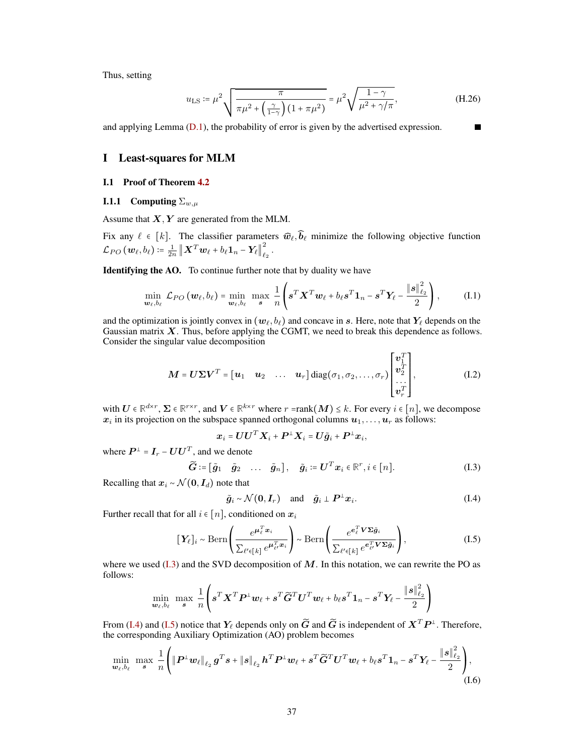Thus, setting

$$
u_{\rm LS} := \mu^2 \sqrt{\frac{\pi}{\pi \mu^2 + \left(\frac{\gamma}{1 - \gamma}\right) (1 + \pi \mu^2)}} = \mu^2 \sqrt{\frac{1 - \gamma}{\mu^2 + \gamma/\pi}},
$$
(H.26)

<span id="page-36-0"></span>and applying Lemma [\(D.1\)](#page-22-6), the probability of error is given by the advertised expression.

## I Least-squares for MLM

#### <span id="page-36-1"></span>I.1 Proof of Theorem [4.2](#page-7-0)

## <span id="page-36-2"></span>**I.1.1** Computing  $\Sigma_{w,u}$

Assume that  $X, Y$  are generated from the MLM.

Fix any  $\ell \in [k]$ . The classifier parameters  $\widehat{w}_{\ell}, \widehat{b}_{\ell}$  minimize the following objective function  $\mathcal{L}_{PO}\left(\boldsymbol{w}_{\ell},b_{\ell}\right)\coloneqq\frac{1}{2n}\left\|\boldsymbol{X}^{T}\boldsymbol{w}_{\ell}+b_{\ell}\boldsymbol{1}_{n}-\boldsymbol{Y}_{\ell}\right\|_{\ell}^{2}$  $\frac{2}{\ell_2}$  .

Identifying the AO. To continue further note that by duality we have

$$
\min_{\boldsymbol{w}_{\ell},b_{\ell}} \mathcal{L}_{PO}(\boldsymbol{w}_{\ell},b_{\ell}) = \min_{\boldsymbol{w}_{\ell},b_{\ell}} \max_{\boldsymbol{s}} \frac{1}{n} \left( \boldsymbol{s}^T \boldsymbol{X}^T \boldsymbol{w}_{\ell} + b_{\ell} \boldsymbol{s}^T \boldsymbol{1}_n - \boldsymbol{s}^T \boldsymbol{Y}_{\ell} - \frac{\|\boldsymbol{s}\|_{\ell_2}^2}{2} \right), \quad (I.1)
$$

and the optimization is jointly convex in  $(w_\ell, b_\ell)$  and concave in s. Here, note that  $Y_\ell$  depends on the Gaussian matrix  $X$ . Thus, before applying the CGMT, we need to break this dependence as follows. Consider the singular value decomposition

$$
\mathbf{M} = \mathbf{U} \boldsymbol{\Sigma} \mathbf{V}^T = \begin{bmatrix} \mathbf{u}_1 & \mathbf{u}_2 & \dots & \mathbf{u}_r \end{bmatrix} \text{diag}(\sigma_1, \sigma_2, \dots, \sigma_r) \begin{bmatrix} \mathbf{v}_1^T \\ \mathbf{v}_2^T \\ \dots \\ \mathbf{v}_r^T \end{bmatrix},\tag{I.2}
$$

with  $U \in \mathbb{R}^{d \times r}$ ,  $\Sigma \in \mathbb{R}^{r \times r}$ , and  $V \in \mathbb{R}^{k \times r}$  where  $r = \text{rank}(M) \leq k$ . For every  $i \in [n]$ , we decompose  $x_i$  in its projection on the subspace spanned orthogonal columns  $u_1, \ldots, u_r$  as follows:

<span id="page-36-6"></span>
$$
\boldsymbol{x}_i = \boldsymbol{U}\boldsymbol{U}^T\boldsymbol{X}_i + \boldsymbol{P}^\perp\boldsymbol{X}_i = \boldsymbol{U}\tilde{\boldsymbol{g}}_i + \boldsymbol{P}^\perp\boldsymbol{x}_i,
$$

where  $\boldsymbol{P}^\perp = \boldsymbol{I}_r - \boldsymbol{U}\boldsymbol{U}^T$ , and we denote

$$
\widetilde{G} \coloneqq [\widetilde{g}_1 \quad \widetilde{g}_2 \quad \dots \quad \widetilde{g}_n], \quad \widetilde{g}_i \coloneqq U^T x_i \in \mathbb{R}^r, i \in [n]. \tag{I.3}
$$

Recalling that  $x_i \sim \mathcal{N}(0, I_d)$  note that

<span id="page-36-7"></span><span id="page-36-5"></span><span id="page-36-4"></span><span id="page-36-3"></span>
$$
\tilde{g}_i \sim \mathcal{N}(\mathbf{0}, \mathbf{I}_r)
$$
 and  $\tilde{g}_i \perp \mathbf{P}^{\perp} \mathbf{x}_i$ . (I.4)

Further recall that for all  $i \in [n]$ , conditioned on  $x_i$ 

$$
[\mathbf{Y}_{\ell}]_i \sim \text{Bern}\left(\frac{e^{\boldsymbol{\mu}_{\ell}^T \boldsymbol{x}_i}}{\sum_{\ell' \in [k]} e^{\boldsymbol{\mu}_{\ell'}^T \boldsymbol{x}_i}}\right) \sim \text{Bern}\left(\frac{e^{\boldsymbol{e}_{\ell}^T \boldsymbol{V} \boldsymbol{\Sigma} \tilde{\boldsymbol{g}}_i}}{\sum_{\ell' \in [k]} e^{\boldsymbol{e}_{\ell'}^T \boldsymbol{V} \boldsymbol{\Sigma} \tilde{\boldsymbol{g}}_i}}\right),\tag{I.5}
$$

where we used  $(1.3)$  and the SVD decomposition of M. In this notation, we can rewrite the PO as follows:

$$
\min_{\boldsymbol{w}_{\ell}, b_{\ell}} \ \max_{\boldsymbol{s}} \ \frac{1}{n} \left( \boldsymbol{s}^T \boldsymbol{X}^T \boldsymbol{P}^{\perp} \boldsymbol{w}_{\ell} + \boldsymbol{s}^T \widetilde{\boldsymbol{G}}^T \boldsymbol{U}^T \boldsymbol{w}_{\ell} + b_{\ell} \boldsymbol{s}^T \boldsymbol{1}_n - \boldsymbol{s}^T \boldsymbol{Y}_{\ell} - \frac{\|\boldsymbol{s}\|_{\ell_2}^2}{2} \right)
$$

From [\(I.4\)](#page-36-4) and [\(I.5\)](#page-36-5) notice that  $Y_\ell$  depends only on  $\widetilde{G}$  and  $\widetilde{G}$  is independent of  $X^T P^\perp$ . Therefore, the corresponding Auxiliary Optimization (AO) problem becomes

$$
\min_{\boldsymbol{w}_{\ell},b_{\ell}} \max_{\boldsymbol{s}} \frac{1}{n} \Bigg( \|\boldsymbol{P}^{\perp}\boldsymbol{w}_{\ell}\|_{\ell_2} \boldsymbol{g}^T\boldsymbol{s} + \|\boldsymbol{s}\|_{\ell_2} \boldsymbol{h}^T\boldsymbol{P}^{\perp}\boldsymbol{w}_{\ell} + \boldsymbol{s}^T\widetilde{\boldsymbol{G}}^T\boldsymbol{U}^T\boldsymbol{w}_{\ell} + b_{\ell}\boldsymbol{s}^T\boldsymbol{1}_n - \boldsymbol{s}^T\boldsymbol{Y}_{\ell} - \frac{\|\boldsymbol{s}\|_{\ell_2}^2}{2} \Bigg), \tag{I.6}
$$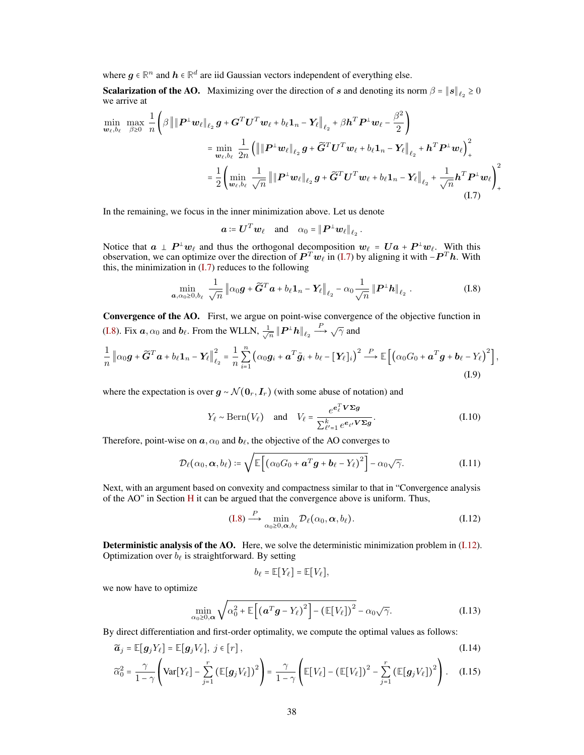where  $g \in \mathbb{R}^n$  and  $h \in \mathbb{R}^d$  are iid Gaussian vectors independent of everything else.

**Scalarization of the AO.** Maximizing over the direction of s and denoting its norm  $\beta = ||s||_{\ell_2} \ge 0$ we arrive at

$$
\min_{\mathbf{w}_{\ell},b_{\ell}} \max_{\beta \geq 0} \frac{1}{n} \left( \beta \left\| \left\| \mathbf{P}^{\perp} \mathbf{w}_{\ell} \right\|_{\ell_{2}} \mathbf{g} + \mathbf{G}^{T} \mathbf{U}^{T} \mathbf{w}_{\ell} + b_{\ell} \mathbf{1}_{n} - \mathbf{Y}_{\ell} \right\|_{\ell_{2}} + \beta \mathbf{h}^{T} \mathbf{P}^{\perp} \mathbf{w}_{\ell} - \frac{\beta^{2}}{2} \right)
$$
\n
$$
= \min_{\mathbf{w}_{\ell},b_{\ell}} \frac{1}{2n} \left( \left\| \left\| \mathbf{P}^{\perp} \mathbf{w}_{\ell} \right\|_{\ell_{2}} \mathbf{g} + \widetilde{\mathbf{G}}^{T} \mathbf{U}^{T} \mathbf{w}_{\ell} + b_{\ell} \mathbf{1}_{n} - \mathbf{Y}_{\ell} \right\|_{\ell_{2}} + \mathbf{h}^{T} \mathbf{P}^{\perp} \mathbf{w}_{\ell} \right)_{+}^{2}
$$
\n
$$
= \frac{1}{2} \left( \min_{\mathbf{w}_{\ell},b_{\ell}} \frac{1}{\sqrt{n}} \left\| \left\| \mathbf{P}^{\perp} \mathbf{w}_{\ell} \right\|_{\ell_{2}} \mathbf{g} + \widetilde{\mathbf{G}}^{T} \mathbf{U}^{T} \mathbf{w}_{\ell} + b_{\ell} \mathbf{1}_{n} - \mathbf{Y}_{\ell} \right\|_{\ell_{2}} + \frac{1}{\sqrt{n}} \mathbf{h}^{T} \mathbf{P}^{\perp} \mathbf{w}_{\ell} \right)_{+}^{2}
$$
\n(1.7)

In the remaining, we focus in the inner minimization above. Let us denote

<span id="page-37-1"></span><span id="page-37-0"></span>
$$
\boldsymbol{a} \coloneqq \boldsymbol{U}^T \boldsymbol{w}_\ell \quad \text{and} \quad \alpha_0 = \|\boldsymbol{P}^\perp \boldsymbol{w}_\ell\|_{\ell_2} \,.
$$

Notice that  $a \perp P^{\perp}w_{\ell}$  and thus the orthogonal decomposition  $w_{\ell} = Ua + P^{\perp}w_{\ell}$ . With this observation, we can optimize over the direction of  $P^Tw_{\ell}$  in [\(I.7\)](#page-37-0) by aligning it with  $-P^Th$ . With this, the minimization in  $(I.7)$  reduces to the following

$$
\min_{\boldsymbol{a},\alpha_0\geq 0,b_{\ell}}\frac{1}{\sqrt{n}}\left\|\alpha_0\boldsymbol{g}+\widetilde{\boldsymbol{G}}^T\boldsymbol{a}+b_{\ell}\boldsymbol{1}_n-\boldsymbol{Y}_{\ell}\right\|_{\ell_2}-\alpha_0\frac{1}{\sqrt{n}}\left\|\boldsymbol{P}^\perp\boldsymbol{h}\right\|_{\ell_2}.\tag{I.8}
$$

Convergence of the AO. First, we argue on point-wise convergence of the objective function in [\(I.8\)](#page-37-1). Fix  $\boldsymbol{a}, \alpha_0$  and  $\boldsymbol{b}_\ell$ . From the WLLN,  $\frac{1}{\sqrt{\ell}}$  $\frac{1}{\overline{n}} \left\| \boldsymbol{P}^\perp \boldsymbol{h} \right\|_{\ell_2} \stackrel{P}{\longrightarrow} \sqrt{\gamma}$  and

$$
\frac{1}{n} \left\| \alpha_0 \boldsymbol{g} + \widetilde{\boldsymbol{G}}^T \boldsymbol{a} + b_\ell \mathbf{1}_n - \boldsymbol{Y}_\ell \right\|_{\ell_2}^2 = \frac{1}{n} \sum_{i=1}^n \left( \alpha_0 \boldsymbol{g}_i + \boldsymbol{a}^T \tilde{\boldsymbol{g}}_i + b_\ell - [\boldsymbol{Y}_\ell]_i \right)^2 \stackrel{P}{\longrightarrow} \mathbb{E} \left[ \left( \alpha_0 G_0 + \boldsymbol{a}^T \boldsymbol{g} + \boldsymbol{b}_\ell - Y_\ell \right)^2 \right],
$$
\n(1.9)

where the expectation is over  $g \sim \mathcal{N}(\mathbf{0}_r, \mathbf{I}_r)$  (with some abuse of notation) and

<span id="page-37-5"></span><span id="page-37-4"></span>
$$
Y_{\ell} \sim \text{Bern}(V_{\ell}) \quad \text{and} \quad V_{\ell} = \frac{e^{e_{\ell}^T \mathbf{V} \boldsymbol{\Sigma} \boldsymbol{g}}}{\sum_{\ell'=1}^{k} e^{e_{\ell} \mathbf{V} \boldsymbol{\Sigma} \boldsymbol{g}}}.
$$
 (I.10)

Therefore, point-wise on  $\boldsymbol{a}, \alpha_0$  and  $\boldsymbol{b}_\ell$ , the objective of the AO converges to

$$
\mathcal{D}_{\ell}(\alpha_0, \boldsymbol{\alpha}, b_{\ell}) \coloneqq \sqrt{\mathbb{E}\left[\left(\alpha_0 G_0 + \boldsymbol{a}^T \boldsymbol{g} + \boldsymbol{b}_{\ell} - Y_{\ell}\right)^2\right]} - \alpha_0 \sqrt{\gamma}.
$$
\n(I.11)

Next, with an argument based on convexity and compactness similar to that in "Convergence analysis of the AO" in Section [H](#page-30-1) it can be argued that the convergence above is uniform. Thus,

$$
(I.8) \xrightarrow{P} \min_{\alpha_0 \ge 0, \alpha, b_\ell} \mathcal{D}_\ell(\alpha_0, \alpha, b_\ell). \tag{I.12}
$$

Deterministic analysis of the AO. Here, we solve the deterministic minimization problem in [\(I.12\)](#page-37-2). Optimization over  $b_\ell$  is straightforward. By setting

<span id="page-37-3"></span><span id="page-37-2"></span>
$$
b_{\ell} = \mathbb{E}[Y_{\ell}] = \mathbb{E}[V_{\ell}],
$$

we now have to optimize

$$
\min_{\alpha_0 \ge 0,\alpha} \sqrt{\alpha_0^2 + \mathbb{E}\left[\left(\mathbf{a}^T\mathbf{g} - Y_{\ell}\right)^2\right] - \left(\mathbb{E}[V_{\ell}]\right)^2} - \alpha_0\sqrt{\gamma}.
$$
\n(1.13)

By direct differentiation and first-order optimality, we compute the optimal values as follows:

$$
\widetilde{\boldsymbol{a}}_j = \mathbb{E}[\boldsymbol{g}_j Y_\ell] = \mathbb{E}[\boldsymbol{g}_j V_\ell], \ j \in [r], \tag{I.14}
$$

$$
\widetilde{\alpha}_0^2 = \frac{\gamma}{1-\gamma} \left( \text{Var}[Y_\ell] - \sum_{j=1}^r \left( \mathbb{E}[\mathbf{g}_j V_\ell] \right)^2 \right) = \frac{\gamma}{1-\gamma} \left( \mathbb{E}[V_\ell] - \left( \mathbb{E}[V_\ell] \right)^2 - \sum_{j=1}^r \left( \mathbb{E}[\mathbf{g}_j V_\ell] \right)^2 \right). \tag{I.15}
$$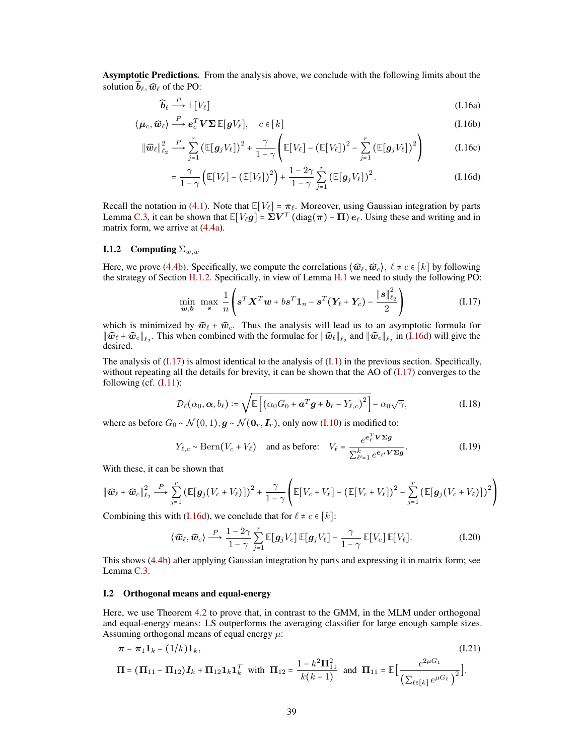Asymptotic Predictions. From the analysis above, we conclude with the following limits about the solution  $\widehat{b}_\ell, \widehat{w}_\ell$  of the PO:

$$
\widehat{\boldsymbol{b}}_{\ell} \stackrel{P}{\longrightarrow} \mathbb{E}[V_{\ell}] \tag{I.16a}
$$

$$
\langle \mu_c, \widehat{\boldsymbol{w}}_{\ell} \rangle \stackrel{P}{\longrightarrow} \boldsymbol{e}_c^T \boldsymbol{V} \boldsymbol{\Sigma} \mathbb{E}[\boldsymbol{g} V_{\ell}], \quad c \in [k]
$$
\n(1.16b)

$$
\|\widehat{\boldsymbol{w}}_{\ell}\|_{\ell_2}^2 \stackrel{P}{\longrightarrow} \sum_{j=1}^r \left(\mathbb{E}[\boldsymbol{g}_j V_{\ell}]\right)^2 + \frac{\gamma}{1-\gamma} \left(\mathbb{E}[V_{\ell}] - \left(\mathbb{E}[V_{\ell}]\right)^2 - \sum_{j=1}^r \left(\mathbb{E}[\boldsymbol{g}_j V_{\ell}]\right)^2\right) \tag{I.16c}
$$

$$
= \frac{\gamma}{1-\gamma} \left( \mathbb{E}[V_{\ell}] - (\mathbb{E}[V_{\ell}])^2 \right) + \frac{1-2\gamma}{1-\gamma} \sum_{j=1}^r \left( \mathbb{E}[g_j V_{\ell}] \right)^2.
$$
 (I.16d)

Recall the notation in [\(4.1\)](#page-6-2). Note that  $\mathbb{E}[V_\ell] = \pi_\ell$ . Moreover, using Gaussian integration by parts Lemma [C.3,](#page-20-3) it can be shown that  $\mathbb{E}[V_{\ell}g] = \Sigma V^T(\text{diag}(\pi) - \Pi) e_{\ell}$ . Using these and writing and in matrix form, we arrive at [\(4.4a\)](#page-6-2).

#### <span id="page-38-0"></span>**I.1.2** Computing  $\Sigma_{w,w}$

Here, we prove [\(4.4b\)](#page-6-1). Specifically, we compute the correlations  $\langle \widehat{w}_{\ell}, \widehat{w}_{c} \rangle$ ,  $\ell \neq c \in [k]$  by following the strategy of Section [H.1.2.](#page-33-0) Specifically, in view of Lemma [H.1](#page-34-2) we need to study the following PO:

<span id="page-38-2"></span>
$$
\min_{\boldsymbol{w}, \boldsymbol{b}} \ \max_{\boldsymbol{s}} \ \frac{1}{n} \left( \boldsymbol{s}^T \boldsymbol{X}^T \boldsymbol{w} + b \boldsymbol{s}^T \boldsymbol{1}_n - \boldsymbol{s}^T (\boldsymbol{Y}_{\ell} + \boldsymbol{Y}_{c}) - \frac{\|\boldsymbol{s}\|_{\ell_2}^2}{2} \right) \tag{I.17}
$$

which is minimized by  $\hat{w}_\ell + \hat{w}_c$ . Thus the analysis will lead us to an asymptotic formula for  $\|\widehat{\boldsymbol{w}}_{\ell} + \widehat{\boldsymbol{w}}_{c}\|_{\ell_2}$ . This when combined with the formulae for  $\|\widehat{\boldsymbol{w}}_{\ell}\|_{\ell_2}$  and  $\|\widehat{\boldsymbol{w}}_{c}\|_{\ell_2}$  in [\(I.16d\)](#page-36-4) will give the desired.

The analysis of  $(1.17)$  is almost identical to the analysis of  $(1.1)$  in the previous section. Specifically, without repeating all the details for brevity, it can be shown that the AO of [\(I.17\)](#page-38-2) converges to the following (cf. [\(I.11\)](#page-37-3):

$$
\mathcal{D}_{\ell}(\alpha_0, \boldsymbol{\alpha}, b_{\ell}) \coloneqq \sqrt{\mathbb{E}\left[\left(\alpha_0 G_0 + \boldsymbol{a}^T \boldsymbol{g} + \boldsymbol{b}_{\ell} - Y_{\ell,c}\right)^2\right]} - \alpha_0 \sqrt{\gamma},\tag{I.18}
$$

where as before  $G_0 \sim \mathcal{N}(0, 1), \mathbf{g} \sim \mathcal{N}(\mathbf{0}_r, \mathbf{I}_r)$ , only now [\(I.10\)](#page-37-4) is modified to:

$$
Y_{\ell,c} \sim \text{Bern}(V_c + V_{\ell}) \quad \text{and as before:} \quad V_{\ell} = \frac{e^{e_{\ell}^T \mathbf{V} \boldsymbol{\Sigma} \mathbf{g}}}{\sum_{\ell'=1}^k e^{e_{\ell} \mathbf{V} \boldsymbol{\Sigma} \mathbf{g}}}.
$$
 (I.19)

With these, it can be shown that

$$
\|\widehat{\boldsymbol{w}}_{\ell}+\widehat{\boldsymbol{w}}_{c}\|_{\ell_2}^2 \stackrel{P}{\longrightarrow} \sum_{j=1}^r \left(\mathbb{E}[\boldsymbol{g}_j(V_c+V_{\ell})]\right)^2 + \frac{\gamma}{1-\gamma}\left(\mathbb{E}[V_c+V_{\ell}] - \left(\mathbb{E}[V_c+V_{\ell}]\right)^2 - \sum_{j=1}^r \left(\mathbb{E}[\boldsymbol{g}_j(V_c+V_{\ell})]\right)^2\right)
$$

Combining this with [\(I.16d\)](#page-36-4), we conclude that for  $\ell \neq c \in [k]$ :

<span id="page-38-3"></span>
$$
\langle \widehat{\boldsymbol{w}}_{\ell}, \widehat{\boldsymbol{w}}_{c} \rangle \stackrel{P}{\longrightarrow} \frac{1-2\gamma}{1-\gamma} \sum_{j=1}^{r} \mathbb{E}[\boldsymbol{g}_j V_c] \mathbb{E}[\boldsymbol{g}_j V_{\ell}] - \frac{\gamma}{1-\gamma} \mathbb{E}[V_c] \mathbb{E}[V_{\ell}]. \tag{I.20}
$$

This shows [\(4.4b\)](#page-6-1) after applying Gaussian integration by parts and expressing it in matrix form; see Lemma [C.3.](#page-20-3)

## <span id="page-38-1"></span>I.2 Orthogonal means and equal-energy

Here, we use Theorem [4.2](#page-7-0) to prove that, in contrast to the GMM, in the MLM under orthogonal and equal-energy means: LS outperforms the averaging classifier for large enough sample sizes. Assuming orthogonal means of equal energy  $\mu$ :

$$
\pi = \pi_1 \mathbf{1}_k = (1/k)\mathbf{1}_k, \tag{I.21}
$$
\n
$$
\Pi = (\Pi_{11} - \Pi_{12})I_k + \Pi_{12}\mathbf{1}_k\mathbf{1}_k^T \text{ with } \Pi_{12} = \frac{1 - k^2 \Pi_{11}^2}{k(k-1)} \text{ and } \Pi_{11} = \mathbb{E}\Big[\frac{e^{2\mu G_1}}{\left(\sum_{\ell \in [k]} e^{\mu G_\ell}\right)^2}\Big].
$$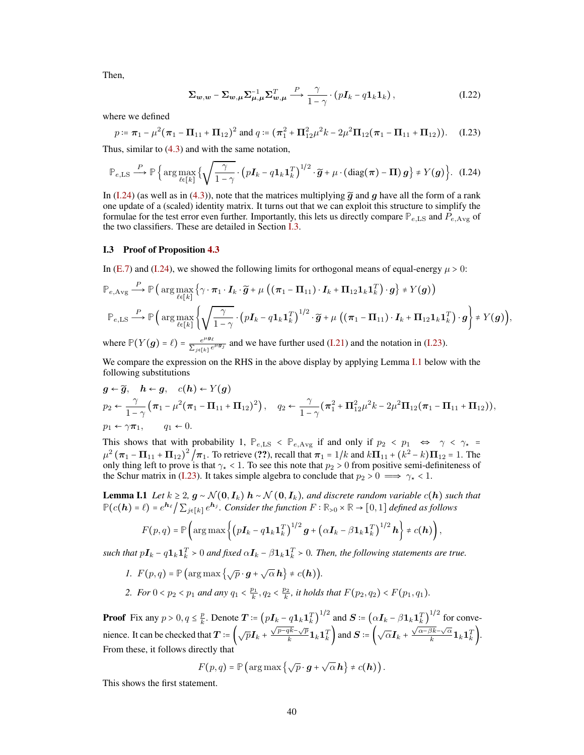Then,

<span id="page-39-2"></span><span id="page-39-1"></span>
$$
\Sigma_{\mathbf{w},\mathbf{w}} - \Sigma_{\mathbf{w},\mu} \Sigma_{\mu,\mu}^{-1} \Sigma_{\mathbf{w},\mu}^{T} \xrightarrow{P} \frac{\gamma}{1-\gamma} \cdot (pI_{k} - q1_{k}1_{k}), \qquad (I.22)
$$

where we defined

$$
p \coloneqq \pi_1 - \mu^2 (\pi_1 - \Pi_{11} + \Pi_{12})^2 \text{ and } q \coloneqq (\pi_1^2 + \Pi_{12}^2 \mu^2 k - 2\mu^2 \Pi_{12} (\pi_1 - \Pi_{11} + \Pi_{12})). \quad (I.23)
$$

Thus, similar to [\(4.3\)](#page-7-1) and with the same notation,

$$
\mathbb{P}_{e,\text{LS}} \stackrel{P}{\longrightarrow} \mathbb{P}\left\{\arg\max_{\ell\in[k]}\left\{\sqrt{\frac{\gamma}{1-\gamma}}\cdot\left(p\mathbf{I}_k - q\mathbf{1}_k\mathbf{1}_k^T\right)^{1/2}\cdot\widetilde{\boldsymbol{g}} + \mu\cdot(\text{diag}(\boldsymbol{\pi}) - \boldsymbol{\Pi})\boldsymbol{g}\right\} \neq Y(\boldsymbol{g})\right\}.
$$
 (I.24)

In [\(I.24\)](#page-39-1) (as well as in [\(4.3\)](#page-7-1)), note that the matrices multiplying  $\tilde{q}$  and q have all the form of a rank one update of a (scaled) identity matrix. It turns out that we can exploit this structure to simplify the formulae for the test error even further. Importantly, this lets us directly compare  $\mathbb{P}_{e,\text{LS}}$  and  $P_{e,\text{Avg}}$  of the two classifiers. These are detailed in Section [I.3.](#page-39-0)

#### <span id="page-39-0"></span>I.3 Proof of Proposition [4.3](#page-7-2)

In [\(E.7\)](#page-26-4) and [\(I.24\)](#page-39-1), we showed the following limits for orthogonal means of equal-energy  $\mu > 0$ :

$$
\mathbb{P}_{e,\text{Avg}} \stackrel{P}{\longrightarrow} \mathbb{P}\left(\arg\max_{\ell\in[k]}\left\{\gamma\cdot\pi_1\cdot I_k\cdot\widetilde{g} + \mu\left((\pi_1 - \Pi_{11})\cdot I_k + \Pi_{12}\mathbf{1}_k\mathbf{1}_k^T\right)\cdot g\right\} \neq Y(g)\right)
$$
\n
$$
\mathbb{P}_{e,\text{LS}} \stackrel{P}{\longrightarrow} \mathbb{P}\left(\arg\max_{\ell\in[k]}\left\{\sqrt{\frac{\gamma}{1-\gamma}}\cdot\left(pI_k - q\mathbf{1}_k\mathbf{1}_k^T\right)^{1/2}\cdot\widetilde{g} + \mu\left((\pi_1 - \Pi_{11})\cdot I_k + \Pi_{12}\mathbf{1}_k\mathbf{1}_k^T\right)\cdot g\right\} \neq Y(g)\right),
$$

where  $\mathbb{P}(Y(g) = \ell) = \frac{e^{\mu g_{\ell}}}{\sum_{\ell} \mu_{\ell}}$  $\frac{e^{-\sigma e}}{\sum_{j\in[k]}e^{\mu g_j}}$  and we have further used [\(I.21\)](#page-38-3) and the notation in [\(I.23\)](#page-39-2).

We compare the expression on the RHS in the above display by applying Lemma [I.1](#page-39-3) below with the following substitutions

$$
g \leftarrow \widetilde{g}, \quad h \leftarrow g, \quad c(h) \leftarrow Y(g)
$$
  
\n
$$
p_2 \leftarrow \frac{\gamma}{1-\gamma} \left( \pi_1 - \mu^2 (\pi_1 - \Pi_{11} + \Pi_{12})^2 \right), \quad q_2 \leftarrow \frac{\gamma}{1-\gamma} \left( \pi_1^2 + \Pi_{12}^2 \mu^2 k - 2\mu^2 \Pi_{12} (\pi_1 - \Pi_{11} + \Pi_{12}) \right),
$$
  
\n
$$
p_1 \leftarrow \gamma \pi_1, \qquad q_1 \leftarrow 0.
$$

This shows that with probability 1,  $\mathbb{P}_{e,\text{LS}} < \mathbb{P}_{e,\text{Avg}}$  if and only if  $p_2 < p_1 \Leftrightarrow \gamma < \gamma_* =$  $\mu^2 (\pi_1 - \Pi_{11} + \Pi_{12})^2 / \pi_1$ . To retrieve (??), recall that  $\pi_1 = 1/k$  and  $k\Pi_{11} + (k^2 - k)\Pi_{12} = 1$ . The only thing left to prove is that  $\gamma_{\star} < 1$ . To see this note that  $p_2 > 0$  from positive semi-definiteness of the Schur matrix in [\(I.23\)](#page-39-2). It takes simple algebra to conclude that  $p_2 > 0 \implies \gamma_* < 1$ .

<span id="page-39-3"></span>**Lemma I.1** *Let*  $k \geq 2$ ,  $g \sim \mathcal{N}(0, I_k)$  **h** ∼  $\mathcal{N}(0, I_k)$ , and discrete random variable  $c(h)$  such that  $\mathbb{P}(c(\mathbf{h}) = \ell) = e^{\mathbf{h}_{\ell}} / \sum_{j \in [k]} e^{\mathbf{h}_j}$ . Consider the function  $F : \mathbb{R}_{>0} \times \mathbb{R} \to [0,1]$  defined as follows

$$
F(p,q) = \mathbb{P}\left(\arg \max\left\{\left(p\boldsymbol{I}_k - q\boldsymbol{1}_k\boldsymbol{1}_k^T\right)^{1/2}\boldsymbol{g} + \left(\alpha\boldsymbol{I}_k - \beta\boldsymbol{1}_k\boldsymbol{1}_k^T\right)^{1/2}\boldsymbol{h}\right\} \neq c(\boldsymbol{h})\right),
$$

such that  $pI_k - q1_k1_k^T > 0$  and fixed  $\alpha I_k - \beta 1_k1_k^T > 0$ . Then, the following statements are true.

- *1.*  $F(p,q) = \mathbb{P}\left(\arg \max \left\{\sqrt{p} \cdot \boldsymbol{g} + \sqrt{\alpha} \boldsymbol{h}\right\} \neq c(\boldsymbol{h})\right).$
- 2. *For*  $0 < p_2 < p_1$  *and any*  $q_1 < \frac{p_1}{k}$ ,  $q_2 < \frac{p_2}{k}$ , *it holds that*  $F(p_2, q_2) < F(p_1, q_1)$ *.*

**Proof** Fix any  $p > 0, q \leq \frac{p}{k}$  $\frac{p}{k}$ . Denote  $\boldsymbol{T} \coloneqq (p\boldsymbol{I}_k - q\boldsymbol{1}_k\boldsymbol{1}_k^T)^{1/2}$  and  $\boldsymbol{S} \coloneqq (\alpha \boldsymbol{I}_k - \beta\boldsymbol{1}_k\boldsymbol{1}_k^T)^{1/2}$  for convenience. It can be checked that  $T = \left(\sqrt{p}I_k + \frac{\sqrt{p-qk} - \sqrt{p}}{k}\right)$  $\frac{\overline{dk} - \sqrt{p}}{k} \mathbf{1}_k \mathbf{1}_k^T$  and  $\mathbf{S} = \left(\sqrt{\alpha} \mathbf{I}_k + \frac{\sqrt{\alpha - \beta k} - \sqrt{\alpha}}{k} \right)$  $\frac{\partial k-\sqrt{\alpha}}{k} \mathbf{1}_k \mathbf{1}_k^T$  ). From these, it follows directly that

$$
F(p,q) = \mathbb{P}\left(\arg\max\left\{\sqrt{p}\cdot g + \sqrt{\alpha}\,h\right\} \neq c(h)\right).
$$

This shows the first statement.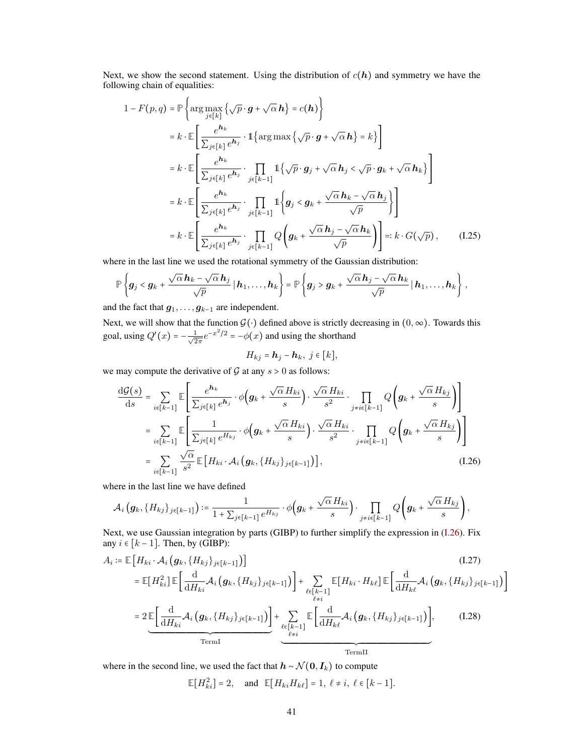Next, we show the second statement. Using the distribution of  $c(h)$  and symmetry we have the following chain of equalities:

$$
1 - F(p,q) = \mathbb{P}\left\{\arg\max_{j\in[k]} \left\{\sqrt{p}\cdot g + \sqrt{\alpha}\,h\right\} = c(h)\right\}
$$
  
\n
$$
= k \cdot \mathbb{E}\left[\frac{e^{h_k}}{\sum_{j\in[k]} e^{h_j}} \cdot 1\left\{\arg\max\left\{\sqrt{p}\cdot g + \sqrt{\alpha}\,h\right\} = k\right\}\right]
$$
  
\n
$$
= k \cdot \mathbb{E}\left[\frac{e^{h_k}}{\sum_{j\in[k]} e^{h_j}} \cdot \prod_{j\in[k-1]} 1\left\{\sqrt{p}\cdot g_j + \sqrt{\alpha}\,h_j < \sqrt{p}\cdot g_k + \sqrt{\alpha}\,h_k\right\}\right]
$$
  
\n
$$
= k \cdot \mathbb{E}\left[\frac{e^{h_k}}{\sum_{j\in[k]} e^{h_j}} \cdot \prod_{j\in[k-1]} 1\left\{g_j < g_k + \frac{\sqrt{\alpha}\,h_k - \sqrt{\alpha}\,h_j}{\sqrt{p}}\right\}\right]
$$
  
\n
$$
= k \cdot \mathbb{E}\left[\frac{e^{h_k}}{\sum_{j\in[k]} e^{h_j}} \cdot \prod_{j\in[k-1]} Q\left(g_k + \frac{\sqrt{\alpha}\,h_j - \sqrt{\alpha}\,h_k}{\sqrt{p}}\right)\right] =: k \cdot G(\sqrt{p}), \quad (I.25)
$$

where in the last line we used the rotational symmetry of the Gaussian distribution:

$$
\mathbb{P}\left\{\boldsymbol{g}_j < \boldsymbol{g}_k + \frac{\sqrt{\alpha}\,\boldsymbol{h}_k - \sqrt{\alpha}\,\boldsymbol{h}_j}{\sqrt{p}}\,|\,\boldsymbol{h}_1,\ldots,\boldsymbol{h}_k\right\} = \mathbb{P}\left\{\boldsymbol{g}_j > \boldsymbol{g}_k + \frac{\sqrt{\alpha}\,\boldsymbol{h}_j - \sqrt{\alpha}\,\boldsymbol{h}_k}{\sqrt{p}}\,|\,\boldsymbol{h}_1,\ldots,\boldsymbol{h}_k\right\}\,,
$$

and the fact that  $g_1, \ldots, g_{k-1}$  are independent.

Next, we will show that the function  $G(·)$  defined above is strictly decreasing in  $(0, \infty)$ . Towards this goal, using  $Q'(x) = -\frac{1}{\sqrt{2}}$  $\frac{1}{2\pi}e^{-x^2/2} = -\phi(x)$  and using the shorthand

<span id="page-40-3"></span><span id="page-40-2"></span><span id="page-40-0"></span>
$$
H_{kj} = \mathbf{h}_j - \mathbf{h}_k, \; j \in [k],
$$

we may compute the derivative of  $G$  at any  $s > 0$  as follows:

$$
\frac{\mathrm{d}\mathcal{G}(s)}{\mathrm{d}s} = \sum_{i \in [k-1]} \mathbb{E} \left[ \frac{e^{\mathbf{h}_k}}{\sum_{j \in [k]} e^{\mathbf{h}_j}} \cdot \phi \left( \mathbf{g}_k + \frac{\sqrt{\alpha} H_{ki}}{s} \right) \cdot \frac{\sqrt{\alpha} H_{ki}}{s^2} \cdot \prod_{j \neq i \in [k-1]} Q \left( \mathbf{g}_k + \frac{\sqrt{\alpha} H_{kj}}{s} \right) \right]
$$
\n
$$
= \sum_{i \in [k-1]} \mathbb{E} \left[ \frac{1}{\sum_{j \in [k]} e^{H_{kj}}} \cdot \phi \left( \mathbf{g}_k + \frac{\sqrt{\alpha} H_{ki}}{s} \right) \cdot \frac{\sqrt{\alpha} H_{ki}}{s^2} \cdot \prod_{j \neq i \in [k-1]} Q \left( \mathbf{g}_k + \frac{\sqrt{\alpha} H_{kj}}{s} \right) \right]
$$
\n
$$
= \sum_{i \in [k-1]} \frac{\sqrt{\alpha}}{s^2} \mathbb{E} \left[ H_{ki} \cdot \mathcal{A}_i \left( \mathbf{g}_k, \{ H_{kj} \}_{j \in [k-1]} \right) \right], \tag{1.26}
$$

where in the last line we have defined

$$
\mathcal{A}_i(g_k,\{H_{kj}\}_{j\in[k-1]})\coloneqq\frac{1}{1+\sum_{j\in[k-1]}e^{H_{kj}}}\cdot\phi(g_k+\frac{\sqrt{\alpha}H_{ki}}{s}\big)\cdot\prod_{j\neq i\in[k-1]}Q\left(g_k+\frac{\sqrt{\alpha}H_{kj}}{s}\right),
$$

Next, we use Gaussian integration by parts (GIBP) to further simplify the expression in [\(I.26\)](#page-40-0). Fix any  $i \in [k-1]$ . Then, by (GIBP):

$$
A_{i} := \mathbb{E}\left[H_{ki} \cdot \mathcal{A}_{i}\left(g_{k}, \{H_{kj}\}_{j\in[k-1]}\right)\right]
$$
\n
$$
= \mathbb{E}[H_{ki}^{2}] \mathbb{E}\left[\frac{d}{dH_{ki}}\mathcal{A}_{i}\left(g_{k}, \{H_{kj}\}_{j\in[k-1]}\right)\right] + \sum_{\substack{\ell \in [k-1] \\ \ell \neq i}} \mathbb{E}[H_{ki} \cdot H_{k\ell}] \mathbb{E}\left[\frac{d}{dH_{k\ell}}\mathcal{A}_{i}\left(g_{k}, \{H_{kj}\}_{j\in[k-1]}\right)\right]
$$
\n
$$
= 2 \mathbb{E}\left[\frac{d}{dH_{ki}}\mathcal{A}_{i}\left(g_{k}, \{H_{kj}\}_{j\in[k-1]}\right)\right] + \sum_{\substack{\ell \in [k-1] \\ \ell \neq i}} \mathbb{E}\left[\frac{d}{dH_{k\ell}}\mathcal{A}_{i}\left(g_{k}, \{H_{kj}\}_{j\in[k-1]}\right)\right], \qquad (I.28)
$$
\nTermI

where in the second line, we used the fact that  $h \sim \mathcal{N}(0, I_k)$  to compute

<span id="page-40-1"></span>
$$
\mathbb{E}[H_{ki}^2] = 2, \quad \text{and} \quad \mathbb{E}[H_{ki}H_{k\ell}] = 1, \ \ell \neq i, \ \ell \in [k-1].
$$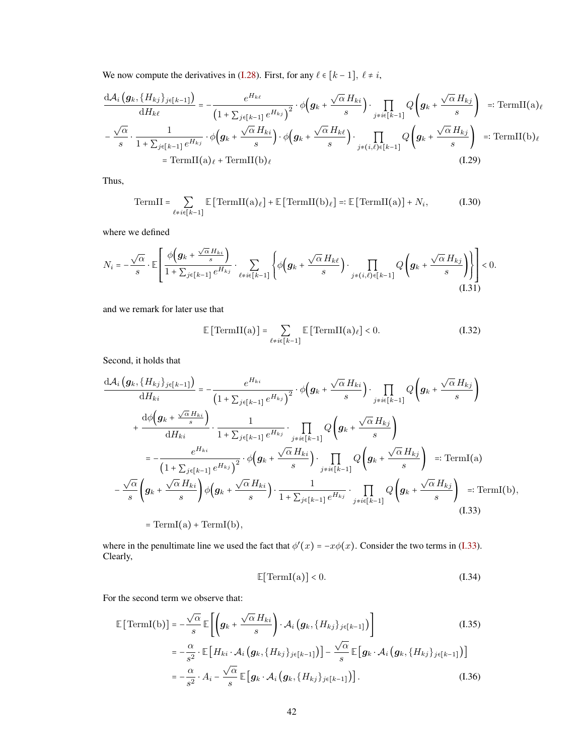We now compute the derivatives in [\(I.28\)](#page-40-1). First, for any  $\ell \in [k - 1]$ ,  $\ell \neq i$ ,

$$
\frac{d\mathcal{A}_i(g_k, \{H_{kj}\}_{j\in[k-1]})}{dH_{k\ell}} = -\frac{e^{H_{k\ell}}}{\left(1 + \sum_{j\in[k-1]} e^{H_{kj}}\right)^2} \cdot \phi\left(g_k + \frac{\sqrt{\alpha} H_{ki}}{s}\right) \cdot \prod_{j\neq i\in[k-1]} Q\left(g_k + \frac{\sqrt{\alpha} H_{kj}}{s}\right) =: \text{TermII(a)}_{\ell}
$$
\n
$$
-\frac{\sqrt{\alpha}}{s} \cdot \frac{1}{1 + \sum_{j\in[k-1]} e^{H_{kj}}} \cdot \phi\left(g_k + \frac{\sqrt{\alpha} H_{ki}}{s}\right) \cdot \phi\left(g_k + \frac{\sqrt{\alpha} H_{k\ell}}{s}\right) \cdot \prod_{j\neq(i,\ell)\in[k-1]} Q\left(g_k + \frac{\sqrt{\alpha} H_{kj}}{s}\right) =: \text{TermII(b)}_{\ell}
$$
\n
$$
= \text{TermII(a)}_{\ell} + \text{TermII(b)}_{\ell}
$$
\n(1.29)

Thus,

TermII = 
$$
\sum_{\ell \neq i \in [k-1]} \mathbb{E} \left[ \text{TermII}(a)_{\ell} \right] + \mathbb{E} \left[ \text{TermII}(b)_{\ell} \right] =: \mathbb{E} \left[ \text{TermII}(a) \right] + N_i,
$$
 (I.30)

where we defined

$$
N_i = -\frac{\sqrt{\alpha}}{s} \cdot \mathbb{E}\left[\frac{\phi\left(\mathbf{g}_k + \frac{\sqrt{\alpha}H_{ki}}{s}\right)}{1 + \sum_{j \in [k-1]} e^{H_{kj}}} \cdot \sum_{\ell \neq i \in [k-1]} \left\{\phi\left(\mathbf{g}_k + \frac{\sqrt{\alpha}H_{k\ell}}{s}\right) \cdot \prod_{j \neq (i,\ell) \in [k-1]} Q\left(\mathbf{g}_k + \frac{\sqrt{\alpha}H_{kj}}{s}\right)\right\}\right] < 0.
$$
\n(1.31)

and we remark for later use that

<span id="page-41-6"></span><span id="page-41-4"></span><span id="page-41-2"></span>
$$
\mathbb{E}\left[\text{TermII}(a)\right] = \sum_{\ell \neq i \in [k-1]} \mathbb{E}\left[\text{TermII}(a)_{\ell}\right] < 0. \tag{I.32}
$$

Second, it holds that

$$
\frac{d\mathcal{A}_{i} (g_{k}, \{H_{kj}\}_{j\in[k-1]})}{dH_{ki}} = -\frac{e^{H_{ki}}}{(1 + \sum_{j\in[k-1]}e^{H_{kj}})^{2}} \cdot \phi(g_{k} + \frac{\sqrt{\alpha}H_{ki}}{s}) \cdot \prod_{j\neq i\in[k-1]} Q(g_{k} + \frac{\sqrt{\alpha}H_{kj}}{s}) + \frac{d\phi(g_{k} + \frac{\sqrt{\alpha}H_{ki}}{s})}{dH_{ki}} \cdot \frac{1}{1 + \sum_{j\in[k-1]}e^{H_{kj}}} \cdot \prod_{j\neq i\in[k-1]} Q(g_{k} + \frac{\sqrt{\alpha}H_{kj}}{s})
$$
\n
$$
= -\frac{e^{H_{ki}}}{(1 + \sum_{j\in[k-1]}e^{H_{kj}})^{2}} \cdot \phi(g_{k} + \frac{\sqrt{\alpha}H_{ki}}{s}) \cdot \prod_{j\neq i\in[k-1]} Q(g_{k} + \frac{\sqrt{\alpha}H_{kj}}{s}) =: \text{TermI(a)}
$$
\n
$$
-\frac{\sqrt{\alpha}}{s} \left(g_{k} + \frac{\sqrt{\alpha}H_{ki}}{s}\right) \phi(g_{k} + \frac{\sqrt{\alpha}H_{ki}}{s}) \cdot \frac{1}{1 + \sum_{j\in[k-1]}e^{H_{kj}}} \cdot \prod_{j\neq i\in[k-1]} Q(g_{k} + \frac{\sqrt{\alpha}H_{kj}}{s}) =: \text{TermI(b)},
$$
\n
$$
= \text{TermI(a)} + \text{TermI(b)},
$$
\n(1.33)

where in the penultimate line we used the fact that  $\phi'(x) = -x\phi(x)$ . Consider the two terms in [\(I.33\)](#page-41-0). Clearly,

<span id="page-41-5"></span><span id="page-41-3"></span><span id="page-41-1"></span><span id="page-41-0"></span>
$$
\mathbb{E}[\text{TermI(a)}] < 0. \tag{I.34}
$$

For the second term we observe that:

$$
\mathbb{E}\left[\text{TermI}(b)\right] = -\frac{\sqrt{\alpha}}{s}\mathbb{E}\left[\left(\boldsymbol{g}_k + \frac{\sqrt{\alpha}H_{ki}}{s}\right) \cdot \mathcal{A}_i\left(\boldsymbol{g}_k, \{H_{kj}\}_{j\in[k-1]}\right)\right] \tag{I.35}
$$
\n
$$
= -\frac{\alpha}{s^2} \cdot \mathbb{E}\left[H_{ki} \cdot \mathcal{A}_i\left(\boldsymbol{g}_k, \{H_{kj}\}_{j\in[k-1]}\right)\right] - \frac{\sqrt{\alpha}}{s}\mathbb{E}\left[\boldsymbol{g}_k \cdot \mathcal{A}_i\left(\boldsymbol{g}_k, \{H_{kj}\}_{j\in[k-1]}\right)\right]
$$
\n
$$
= -\frac{\alpha}{s^2} \cdot A_i - \frac{\sqrt{\alpha}}{s}\mathbb{E}\left[\boldsymbol{g}_k \cdot \mathcal{A}_i\left(\boldsymbol{g}_k, \{H_{kj}\}_{j\in[k-1]}\right)\right]. \tag{I.36}
$$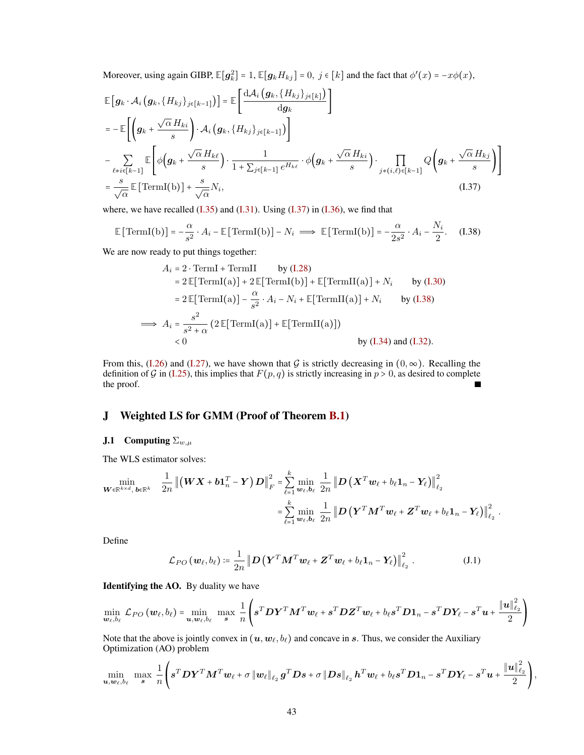Moreover, using again GIBP,  $\mathbb{E}[g_k^2] = 1$ ,  $\mathbb{E}[g_k H_{kj}] = 0$ ,  $j \in [k]$  and the fact that  $\phi'(x) = -x\phi(x)$ ,

$$
\mathbb{E}\left[\mathbf{g}_{k} \cdot \mathcal{A}_{i}\left(\mathbf{g}_{k}, \{H_{kj}\}_{j\in[k-1]}\right)\right] = \mathbb{E}\left[\frac{\mathrm{d}\mathcal{A}_{i}\left(\mathbf{g}_{k}, \{H_{kj}\}_{j\in[k]}\right)}{\mathrm{d}\mathbf{g}_{k}}\right]
$$
\n
$$
= -\mathbb{E}\left[\left(\mathbf{g}_{k} + \frac{\sqrt{\alpha} H_{ki}}{s}\right) \cdot \mathcal{A}_{i}\left(\mathbf{g}_{k}, \{H_{kj}\}_{j\in[k-1]}\right)\right]
$$
\n
$$
-\sum_{\ell \neq i \in[k-1]} \mathbb{E}\left[\phi\left(\mathbf{g}_{k} + \frac{\sqrt{\alpha} H_{k\ell}}{s}\right) \cdot \frac{1}{1 + \sum_{j \in[k-1]} e^{H_{k\ell}}} \cdot \phi\left(\mathbf{g}_{k} + \frac{\sqrt{\alpha} H_{ki}}{s}\right) \cdot \prod_{j \neq (i,\ell) \in[k-1]} Q\left(\mathbf{g}_{k} + \frac{\sqrt{\alpha} H_{kj}}{s}\right)\right]
$$
\n
$$
= \frac{s}{\sqrt{\alpha}} \mathbb{E}\left[\text{TermI(b)}\right] + \frac{s}{\sqrt{\alpha}} N_{i},\tag{I.37}
$$

where, we have recalled  $(1.35)$  and  $(1.31)$ . Using  $(1.37)$  in  $(1.36)$ , we find that

$$
\mathbb{E}\left[\text{TermI(b)}\right] = -\frac{\alpha}{s^2} \cdot A_i - \mathbb{E}\left[\text{TermI(b)}\right] - N_i \implies \mathbb{E}\left[\text{TermI(b)}\right] = -\frac{\alpha}{2s^2} \cdot A_i - \frac{N_i}{2}.\tag{I.38}
$$

We are now ready to put things together:

$$
A_i = 2 \cdot \text{TermI} + \text{TermII} \qquad \text{by (I.28)}
$$
  
\n
$$
= 2 \mathbb{E}[\text{TermI}(a)] + 2 \mathbb{E}[\text{TermI}(b)] + \mathbb{E}[\text{TermII}(a)] + N_i \qquad \text{by (I.30)}
$$
  
\n
$$
= 2 \mathbb{E}[\text{TermI}(a)] - \frac{\alpha}{s^2} \cdot A_i - N_i + \mathbb{E}[\text{TermII}(a)] + N_i \qquad \text{by (I.38)}
$$
  
\n
$$
\implies A_i = \frac{s^2}{s^2 + \alpha} \left( 2 \mathbb{E}[\text{TermI}(a)] + \mathbb{E}[\text{TermI}(a)] \right)
$$
  
\n
$$
< 0 \qquad \qquad \text{by (I.34) and (I.32)}.
$$

From this, [\(I.26\)](#page-40-0) and [\(I.27\)](#page-40-2), we have shown that G is strictly decreasing in  $(0, \infty)$ . Recalling the definition of G in [\(I.25\)](#page-40-3), this implies that  $F(p, q)$  is strictly increasing in  $p > 0$ , as desired to complete the proof. Е

# <span id="page-42-0"></span>J Weighted LS for GMM (Proof of Theorem [B.1\)](#page-18-2)

# <span id="page-42-1"></span>**J.1** Computing  $\Sigma_{w,\mu}$

The WLS estimator solves:

$$
\min_{\boldsymbol{W}\in\mathbb{R}^{k\times d},\,\boldsymbol{b}\in\mathbb{R}^k} \quad \frac{1}{2n} \left\| \left( \boldsymbol{W} \boldsymbol{X} + \boldsymbol{b} \boldsymbol{1}_n^T - \boldsymbol{Y} \right) \boldsymbol{D} \right\|_F^2 = \sum_{\ell=1}^k \min_{\boldsymbol{w}_{\ell},\boldsymbol{b}_{\ell}} \frac{1}{2n} \left\| \boldsymbol{D} \left( \boldsymbol{X}^T \boldsymbol{w}_{\ell} + b_{\ell} \boldsymbol{1}_n - \boldsymbol{Y}_{\ell} \right) \right\|_{\ell_2}^2
$$
\n
$$
= \sum_{\ell=1}^k \min_{\boldsymbol{w}_{\ell},\boldsymbol{b}_{\ell}} \frac{1}{2n} \left\| \boldsymbol{D} \left( \boldsymbol{Y}^T \boldsymbol{M}^T \boldsymbol{w}_{\ell} + \boldsymbol{Z}^T \boldsymbol{w}_{\ell} + b_{\ell} \boldsymbol{1}_n - \boldsymbol{Y}_{\ell} \right) \right\|_{\ell_2}^2
$$

Define

$$
\mathcal{L}_{PO}\left(\boldsymbol{w}_{\ell},b_{\ell}\right) \coloneqq \frac{1}{2n} \left\| \boldsymbol{D} \left(\boldsymbol{Y}^T \boldsymbol{M}^T \boldsymbol{w}_{\ell} + \boldsymbol{Z}^T \boldsymbol{w}_{\ell} + b_{\ell} \boldsymbol{1}_n - \boldsymbol{Y}_{\ell} \right) \right\|_{\ell_2}^2 \,. \tag{J.1}
$$

<span id="page-42-3"></span><span id="page-42-2"></span>.

Identifying the AO. By duality we have

$$
\min_{\boldsymbol{w}_{\ell},b_{\ell}} \mathcal{L}_{PO}(\boldsymbol{w}_{\ell},b_{\ell}) = \min_{\boldsymbol{u},\boldsymbol{w}_{\ell},b_{\ell}} \max_{\boldsymbol{s}} \frac{1}{n} \left( \boldsymbol{s}^{T} \boldsymbol{D} \boldsymbol{Y}^{T} \boldsymbol{M}^{T} \boldsymbol{w}_{\ell} + \boldsymbol{s}^{T} \boldsymbol{D} \boldsymbol{Z}^{T} \boldsymbol{w}_{\ell} + b_{\ell} \boldsymbol{s}^{T} \boldsymbol{D} \boldsymbol{1}_{n} - \boldsymbol{s}^{T} \boldsymbol{D} \boldsymbol{Y}_{\ell} - \boldsymbol{s}^{T} \boldsymbol{u} + \frac{\|\boldsymbol{u}\|_{\ell_{2}}^{2}}{2} \right)
$$

Note that the above is jointly convex in  $(u, w_\ell, b_\ell)$  and concave in s. Thus, we consider the Auxiliary Optimization (AO) problem

$$
\min_{\boldsymbol{u}, \boldsymbol{w}_{\ell}, b_{\ell}} \ \max_{\boldsymbol{s}} \ \frac{1}{n} \left( \boldsymbol{s}^T \boldsymbol{D} \boldsymbol{Y}^T \boldsymbol{M}^T \boldsymbol{w}_{\ell} + \sigma \left\| \boldsymbol{w}_{\ell} \right\|_{\ell_2} \boldsymbol{g}^T \boldsymbol{D} \boldsymbol{s} + \sigma \left\| \boldsymbol{D} \boldsymbol{s} \right\|_{\ell_2} \boldsymbol{h}^T \boldsymbol{w}_{\ell} + b_{\ell} \boldsymbol{s}^T \boldsymbol{D} \boldsymbol{1}_n - \boldsymbol{s}^T \boldsymbol{D} \boldsymbol{Y}_{\ell} - \boldsymbol{s}^T \boldsymbol{u} + \frac{\left\| \boldsymbol{u} \right\|_{\ell_2}^2}{2} \right),
$$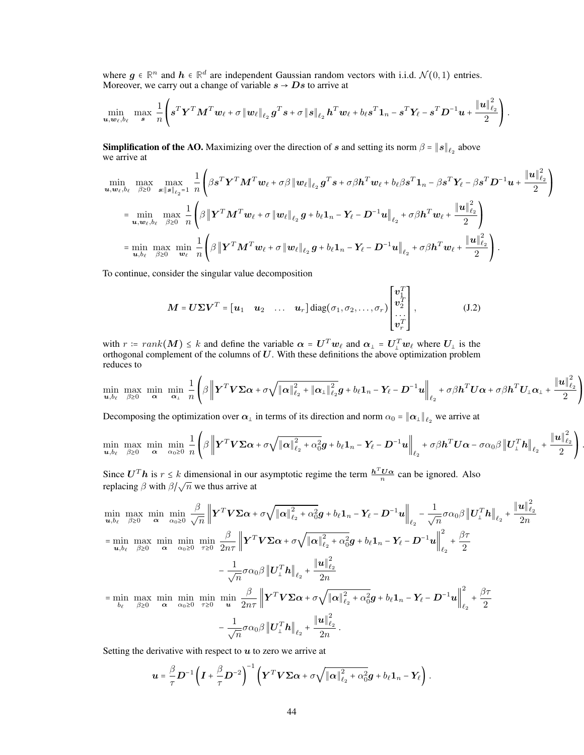where  $g \in \mathbb{R}^n$  and  $h \in \mathbb{R}^d$  are independent Gaussian random vectors with i.i.d.  $\mathcal{N}(0, 1)$  entries. Moreover, we carry out a change of variable  $s \rightarrow Ds$  to arrive at

$$
\min_{\boldsymbol u,\boldsymbol w_\ell,b_\ell}\ \max_{\boldsymbol s}\ \frac{1}{n}\left(\boldsymbol s^T\boldsymbol Y^T\boldsymbol M^T\boldsymbol w_\ell + \sigma\left\|\boldsymbol w_\ell\right\|_{\ell_2}\boldsymbol g^T\boldsymbol s + \sigma\left\|\boldsymbol s\right\|_{\ell_2}\boldsymbol h^T\boldsymbol w_\ell + b_\ell\boldsymbol s^T\boldsymbol 1_n - \boldsymbol s^T\boldsymbol Y_\ell - \boldsymbol s^T\boldsymbol D^{-1}\boldsymbol u + \frac{\left\|\boldsymbol u\right\|_{\ell_2}^2}{2}\right).
$$

**Simplification of the AO.** Maximizing over the direction of s and setting its norm  $\beta = ||s||_{\ell_2}$  above we arrive at

$$
\begin{split}\n\min_{\mathbf{u},\mathbf{w}_{\ell},b_{\ell}} \max_{\beta\geq 0} & \max_{\mathbf{s}: \|\mathbf{s}\|_{\ell_{2}}=1} \frac{1}{n} \left( \beta \mathbf{s}^{T} \mathbf{Y}^{T} \mathbf{M}^{T} \mathbf{w}_{\ell} + \sigma \beta \left\| \mathbf{w}_{\ell} \right\|_{\ell_{2}} \mathbf{g}^{T} \mathbf{s} + \sigma \beta \mathbf{h}^{T} \mathbf{w}_{\ell} + b_{\ell} \beta \mathbf{s}^{T} \mathbf{1}_{n} - \beta \mathbf{s}^{T} \mathbf{Y}_{\ell} - \beta \mathbf{s}^{T} \mathbf{D}^{-1} \mathbf{u} + \frac{\|\mathbf{u}\|_{\ell_{2}}^{2}}{2} \right) \\
&= \min_{\mathbf{u},\mathbf{w}_{\ell},b_{\ell}} \max_{\beta\geq 0} \frac{1}{n} \left( \beta \left\| \mathbf{Y}^{T} \mathbf{M}^{T} \mathbf{w}_{\ell} + \sigma \left\| \mathbf{w}_{\ell} \right\|_{\ell_{2}} \mathbf{g} + b_{\ell} \mathbf{1}_{n} - \mathbf{Y}_{\ell} - \mathbf{D}^{-1} \mathbf{u} \right\|_{\ell_{2}} + \sigma \beta \mathbf{h}^{T} \mathbf{w}_{\ell} + \frac{\|\mathbf{u}\|_{\ell_{2}}^{2}}{2} \right) \\
&= \min_{\mathbf{u},b_{\ell}} \max_{\beta\geq 0} \min_{\mathbf{w}_{\ell}} \frac{1}{n} \left( \beta \left\| \mathbf{Y}^{T} \mathbf{M}^{T} \mathbf{w}_{\ell} + \sigma \left\| \mathbf{w}_{\ell} \right\|_{\ell_{2}} \mathbf{g} + b_{\ell} \mathbf{1}_{n} - \mathbf{Y}_{\ell} - \mathbf{D}^{-1} \mathbf{u} \right\|_{\ell_{2}} + \sigma \beta \mathbf{h}^{T} \mathbf{w}_{\ell} + \frac{\|\mathbf{u}\|_{\ell_{2}}^{2}}{2} \right).\n\end{split}
$$

To continue, consider the singular value decomposition

$$
\mathbf{M} = \mathbf{U} \boldsymbol{\Sigma} \mathbf{V}^T = \begin{bmatrix} \mathbf{u}_1 & \mathbf{u}_2 & \dots & \mathbf{u}_r \end{bmatrix} \text{diag}(\sigma_1, \sigma_2, \dots, \sigma_r) \begin{bmatrix} \mathbf{v}_1^T \\ \mathbf{v}_2^T \\ \dots \\ \mathbf{v}_r^T \end{bmatrix},\tag{J.2}
$$

with  $r \coloneqq \text{rank}(M) \leq k$  and define the variable  $\alpha = U^T w_\ell$  and  $\alpha_\perp = U^T_\perp w_\ell$  where  $U_\perp$  is the orthogonal complement of the columns of U. With these definitions the above optimization problem reduces to

$$
\min_{\mathbf{u},b_{\ell}} \max_{\beta \geq 0} \min_{\alpha} \min_{\alpha_{\perp}} \frac{1}{n} \left( \beta \left\| \mathbf{Y}^T \mathbf{V} \boldsymbol{\Sigma} \boldsymbol{\alpha} + \sigma \sqrt{\|\boldsymbol{\alpha}\|_{\ell_2}^2 + \|\boldsymbol{\alpha}_{\perp}\|_{\ell_2}^2} \mathbf{g} + b_{\ell} \mathbf{1}_n - \mathbf{Y}_{\ell} - \mathbf{D}^{-1} \mathbf{u} \right\|_{\ell_2} + \sigma \beta \mathbf{h}^T \mathbf{U} \boldsymbol{\alpha} + \sigma \beta \mathbf{h}^T \mathbf{U}_{\perp} \boldsymbol{\alpha}_{\perp} + \frac{\|\mathbf{u}\|_{\ell_2}^2}{2} \right)
$$

Decomposing the optimization over  $\alpha_\perp$  in terms of its direction and norm  $\alpha_0 = \|\alpha_\perp\|_{\ell_2}$  we arrive at

$$
\min_{\mathbf{u},b_{\ell}} \max_{\beta \geq 0} \min_{\alpha} \min_{\alpha_0 \geq 0} \frac{1}{n} \left( \beta \left\| \mathbf{Y}^T \mathbf{V} \boldsymbol{\Sigma} \boldsymbol{\alpha} + \sigma \sqrt{\|\boldsymbol{\alpha}\|_{\ell_2}^2 + \alpha_0^2} \mathbf{g} + b_{\ell} \mathbf{1}_n - \mathbf{Y}_{\ell} - \mathbf{D}^{-1} \mathbf{u} \right\|_{\ell_2} + \sigma \beta \mathbf{h}^T \mathbf{U} \boldsymbol{\alpha} - \sigma \alpha_0 \beta \left\| \mathbf{U}_{\perp}^T \mathbf{h} \right\|_{\ell_2} + \frac{\|\mathbf{u}\|_{\ell_2}^2}{2} \right)
$$

.

Since  $U^T h$  is  $r \le k$  dimensional in our asymptotic regime the term  $\frac{h^T U \alpha}{n}$  can be ignored. Also replacing  $\beta$  with  $\beta/\sqrt{n}$  we thus arrive at

$$
\min_{\mathbf{u},b_{\ell}} \max_{\beta \geq 0} \min_{\mathbf{\alpha}} \min_{\alpha_0 \geq 0} \frac{\beta}{\sqrt{n}} \left\| \mathbf{Y}^T \mathbf{V} \boldsymbol{\Sigma} \boldsymbol{\alpha} + \sigma \sqrt{\|\boldsymbol{\alpha}\|_{\ell_2}^2 + \alpha_0^2} \mathbf{g} + b_{\ell} \mathbf{1}_n - \mathbf{Y}_{\ell} - \mathbf{D}^{-1} \mathbf{u} \right\|_{\ell_2}^2 - \frac{1}{\sqrt{n}} \sigma \alpha_0 \beta \left\| \mathbf{U}_{\perp}^T \mathbf{h} \right\|_{\ell_2} + \frac{\|\mathbf{u}\|_{\ell_2}^2}{2n}
$$
\n
$$
= \min_{\mathbf{u},b_{\ell}} \max_{\beta \geq 0} \min_{\mathbf{\alpha}} \min_{\alpha_0 \geq 0} \min_{\tau \geq 0} \frac{\beta}{2n\tau} \left\| \mathbf{Y}^T \mathbf{V} \boldsymbol{\Sigma} \boldsymbol{\alpha} + \sigma \sqrt{\|\boldsymbol{\alpha}\|_{\ell_2}^2 + \alpha_0^2} \mathbf{g} + b_{\ell} \mathbf{1}_n - \mathbf{Y}_{\ell} - \mathbf{D}^{-1} \mathbf{u} \right\|_{\ell_2}^2 + \frac{\beta \tau}{2}
$$
\n
$$
- \frac{1}{\sqrt{n}} \sigma \alpha_0 \beta \left\| \mathbf{U}_{\perp}^T \mathbf{h} \right\|_{\ell_2} + \frac{\|\mathbf{u}\|_{\ell_2}^2}{2n}
$$
\n
$$
= \min_{b_{\ell}} \max_{\beta \geq 0} \min_{\mathbf{\alpha}} \min_{\alpha_0 \geq 0} \min_{\tau \geq 0} \frac{\beta}{n\tau} \left\| \mathbf{Y}^T \mathbf{V} \boldsymbol{\Sigma} \boldsymbol{\alpha} + \sigma \sqrt{\|\boldsymbol{\alpha}\|_{\ell_2}^2 + \alpha_0^2} \mathbf{g} + b_{\ell} \mathbf{1}_n - \mathbf{Y}_{\ell} - \mathbf{D}^{-1} \mathbf{u} \right\|_{\ell_2}^2 + \frac{\beta \tau}{2}
$$
\n
$$
- \frac{1}{\sqrt{n}} \sigma \alpha_0 \beta \left\| \
$$

Setting the derivative with respect to  $u$  to zero we arrive at

$$
\boldsymbol{u} = \frac{\beta}{\tau} \boldsymbol{D}^{-1} \left( \boldsymbol{I} + \frac{\beta}{\tau} \boldsymbol{D}^{-2} \right)^{-1} \left( \boldsymbol{Y}^T \boldsymbol{V} \boldsymbol{\Sigma} \boldsymbol{\alpha} + \sigma \sqrt{\|\boldsymbol{\alpha}\|_{\ell_2}^2 + \alpha_0^2} \boldsymbol{g} + b_{\ell} \boldsymbol{1}_n - \boldsymbol{Y}_{\ell} \right).
$$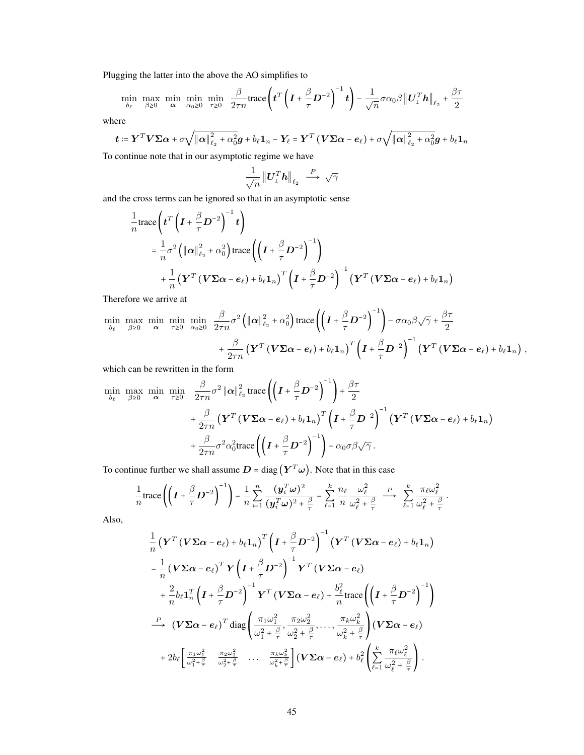Plugging the latter into the above the AO simplifies to

$$
\min_{b_{\ell}} \max_{\beta \ge 0} \min_{\alpha} \min_{\alpha_0 \ge 0} \min_{\tau \ge 0} \frac{\beta}{2\tau n} \text{trace}\left(t^T \left(I + \frac{\beta}{\tau} D^{-2}\right)^{-1} t\right) - \frac{1}{\sqrt{n}} \sigma \alpha_0 \beta \left\|U_{\perp}^T h\right\|_{\ell_2} + \frac{\beta \tau}{2}
$$

where

$$
\boldsymbol{t} \coloneqq \boldsymbol{Y}^T \boldsymbol{V} \boldsymbol{\Sigma} \boldsymbol{\alpha} + \sigma \sqrt{\left\| \boldsymbol{\alpha} \right\|_{\ell_2}^2 + \alpha_0^2} \boldsymbol{g} + b_{\ell} \boldsymbol{1}_n - \boldsymbol{Y}_{\ell} = \boldsymbol{Y}^T \left( \boldsymbol{V} \boldsymbol{\Sigma} \boldsymbol{\alpha} - \boldsymbol{e}_{\ell} \right) + \sigma \sqrt{\left\| \boldsymbol{\alpha} \right\|_{\ell_2}^2 + \alpha_0^2} \boldsymbol{g} + b_{\ell} \boldsymbol{1}_n
$$

To continue note that in our asymptotic regime we have

$$
\frac{1}{\sqrt{n}} \left\| \boldsymbol{U}_{\perp}^T \boldsymbol{h} \right\|_{\ell_2} \ \stackrel{P}{\longrightarrow} \ \sqrt{\gamma}
$$

and the cross terms can be ignored so that in an asymptotic sense

$$
\frac{1}{n}\text{trace}\left(t^{T}\left(I+\frac{\beta}{\tau}D^{-2}\right)^{-1}t\right) \n= \frac{1}{n}\sigma^{2}\left(\left\|\alpha\right\|_{\ell_{2}}^{2}+\alpha_{0}^{2}\right)\text{trace}\left(\left(I+\frac{\beta}{\tau}D^{-2}\right)^{-1}\right) \n+ \frac{1}{n}\left(\mathbf{Y}^{T}\left(\mathbf{V}\Sigma\alpha-e_{\ell}\right)+b_{\ell}\mathbf{1}_{n}\right)^{T}\left(I+\frac{\beta}{\tau}D^{-2}\right)^{-1}\left(\mathbf{Y}^{T}\left(\mathbf{V}\Sigma\alpha-e_{\ell}\right)+b_{\ell}\mathbf{1}_{n}\right)
$$

Therefore we arrive at

$$
\min_{b_{\ell}} \max_{\beta \geq 0} \min_{\alpha} \min_{\tau \geq 0} \min_{\alpha_0 \geq 0} \frac{\beta}{2\tau n} \sigma^2 \left( \|\alpha\|_{\ell_2}^2 + \alpha_0^2 \right) \text{trace}\left( \left( I + \frac{\beta}{\tau} D^{-2} \right)^{-1} \right) - \sigma \alpha_0 \beta \sqrt{\gamma} + \frac{\beta \tau}{2} + \frac{\beta}{2\tau n} \left( Y^T \left( V \Sigma \alpha - e_{\ell} \right) + b_{\ell} 1_n \right)^T \left( I + \frac{\beta}{\tau} D^{-2} \right)^{-1} \left( Y^T \left( V \Sigma \alpha - e_{\ell} \right) + b_{\ell} 1_n \right),
$$

which can be rewritten in the form

$$
\min_{b_{\ell}} \max_{\beta \geq 0} \min_{\alpha} \min_{\tau \geq 0} \frac{\beta}{2\tau n} \sigma^2 \|\alpha\|_{\ell_2}^2 \operatorname{trace}\left(\left(I + \frac{\beta}{\tau} D^{-2}\right)^{-1}\right) + \frac{\beta\tau}{2} \n+ \frac{\beta}{2\tau n} \left(\mathbf{Y}^T \left(\mathbf{V} \boldsymbol{\Sigma} \alpha - e_{\ell}\right) + b_{\ell} \mathbf{1}_n\right)^T \left(I + \frac{\beta}{\tau} D^{-2}\right)^{-1} \left(\mathbf{Y}^T \left(\mathbf{V} \boldsymbol{\Sigma} \alpha - e_{\ell}\right) + b_{\ell} \mathbf{1}_n\right) \n+ \frac{\beta}{2\tau n} \sigma^2 \alpha_0^2 \operatorname{trace}\left(\left(I + \frac{\beta}{\tau} D^{-2}\right)^{-1}\right) - \alpha_0 \sigma \beta \sqrt{\gamma}.
$$

To continue further we shall assume  $D = diag(Y^T\omega)$ . Note that in this case

$$
\frac{1}{n}\text{trace}\left(\left(\boldsymbol{I}+\frac{\beta}{\tau}\boldsymbol{D}^{-2}\right)^{-1}\right)=\frac{1}{n}\sum_{i=1}^{n}\frac{(\boldsymbol{y}_{i}^{T}\boldsymbol{\omega})^{2}}{(\boldsymbol{y}_{i}^{T}\boldsymbol{\omega})^{2}+\frac{\beta}{\tau}}=\sum_{\ell=1}^{k}\frac{n_{\ell}}{n}\frac{\omega_{\ell}^{2}}{\omega_{\ell}^{2}+\frac{\beta}{\tau}}\longrightarrow\sum_{\ell=1}^{k}\frac{\pi_{\ell}\omega_{\ell}^{2}}{\omega_{\ell}^{2}+\frac{\beta}{\tau}}.
$$

Also,

$$
\frac{1}{n} \left( \mathbf{Y}^T \left( \mathbf{V} \boldsymbol{\Sigma} \boldsymbol{\alpha} - \boldsymbol{e}_{\ell} \right) + b_{\ell} \mathbf{1}_n \right)^T \left( \mathbf{I} + \frac{\beta}{\tau} \mathbf{D}^{-2} \right)^{-1} \left( \mathbf{Y}^T \left( \mathbf{V} \boldsymbol{\Sigma} \boldsymbol{\alpha} - \boldsymbol{e}_{\ell} \right) + b_{\ell} \mathbf{1}_n \right) \n= \frac{1}{n} \left( \mathbf{V} \boldsymbol{\Sigma} \boldsymbol{\alpha} - \boldsymbol{e}_{\ell} \right)^T \mathbf{Y} \left( \mathbf{I} + \frac{\beta}{\tau} \mathbf{D}^{-2} \right)^{-1} \mathbf{Y}^T \left( \mathbf{V} \boldsymbol{\Sigma} \boldsymbol{\alpha} - \boldsymbol{e}_{\ell} \right) \n+ \frac{2}{n} b_{\ell} \mathbf{1}_n^T \left( \mathbf{I} + \frac{\beta}{\tau} \mathbf{D}^{-2} \right)^{-1} \mathbf{Y}^T \left( \mathbf{V} \boldsymbol{\Sigma} \boldsymbol{\alpha} - \boldsymbol{e}_{\ell} \right) + \frac{b_{\ell}^2}{n} \text{trace} \left( \left( \mathbf{I} + \frac{\beta}{\tau} \mathbf{D}^{-2} \right)^{-1} \right) \n\overset{P}{\longrightarrow} \left( \mathbf{V} \boldsymbol{\Sigma} \boldsymbol{\alpha} - \boldsymbol{e}_{\ell} \right)^T \text{diag} \left( \frac{\pi_1 \omega_1^2}{\omega_1^2 + \frac{\beta}{\tau}}, \frac{\pi_2 \omega_2^2}{\omega_2^2 + \frac{\beta}{\tau}}, \dots, \frac{\pi_k \omega_k^2}{\omega_k^2 + \frac{\beta}{\tau}} \right) \left( \mathbf{V} \boldsymbol{\Sigma} \boldsymbol{\alpha} - \boldsymbol{e}_{\ell} \right) \n+ 2b_{\ell} \left[ \frac{\pi_1 \omega_1^2}{\omega_1^2 + \frac{\beta}{\tau}}, \frac{\pi_2 \omega_2^2}{\omega_2^2 + \frac{\beta}{\tau}}, \dots, \frac{\pi_k \omega_k^2}{\omega_k^2 + \frac{\beta}{\tau}} \right] \left( \mathbf{V} \boldsymbol{\Sigma} \boldsymbol{\alpha} - \boldsymbol{e}_{\ell}
$$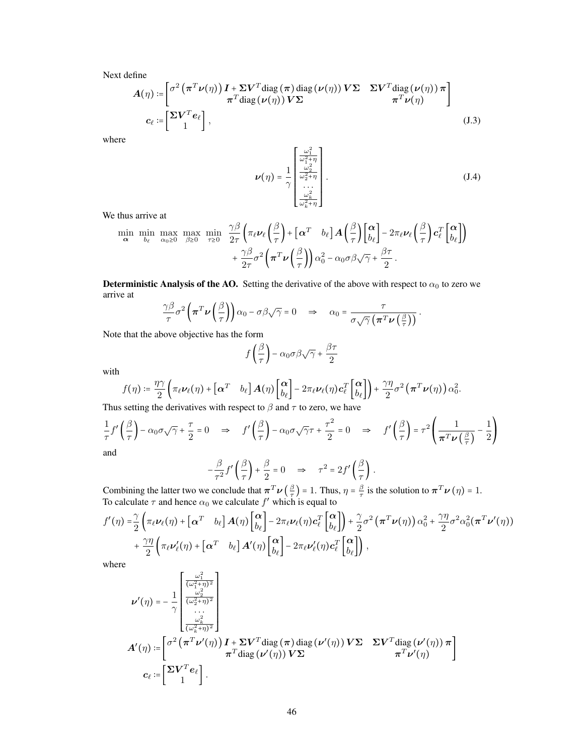Next define

$$
A(\eta) := \begin{bmatrix} \sigma^2 (\pi^T \nu(\eta)) I + \Sigma V^T \text{diag}(\pi) \text{ diag}(\nu(\eta)) V \Sigma & \Sigma V^T \text{diag}(\nu(\eta)) \pi \\ \pi^T \text{diag}(\nu(\eta)) V \Sigma & \pi^T \nu(\eta) \end{bmatrix}
$$
  

$$
c_{\ell} := \begin{bmatrix} \Sigma V^T e_{\ell} \\ 1 \end{bmatrix},
$$
 (J.3)

where

<span id="page-45-1"></span><span id="page-45-0"></span>
$$
\nu(\eta) = \frac{1}{\gamma} \begin{bmatrix} \frac{\omega_1^2}{\omega_1^2 + \eta} \\ \frac{\omega_2^2}{\omega_2^2 + \eta} \\ \dots \\ \frac{\omega_k^2}{\omega_k^2 + \eta} \end{bmatrix} .
$$
 (J.4)

We thus arrive at

$$
\min_{\mathbf{\alpha}} \min_{b_{\ell}} \max_{\alpha_{0} \geq 0} \max_{\beta \geq 0} \min_{\tau \geq 0} \frac{\gamma \beta}{2\tau} \left( \pi_{\ell} \nu_{\ell} \left( \frac{\beta}{\tau} \right) + \left[ \mathbf{\alpha}^{T} \quad b_{\ell} \right] \mathbf{A} \left( \frac{\beta}{\tau} \right) \left[ \frac{\mathbf{\alpha}}{b_{\ell}} \right] - 2 \pi_{\ell} \nu_{\ell} \left( \frac{\beta}{\tau} \right) \mathbf{c}_{\ell}^{T} \left[ \frac{\mathbf{\alpha}}{b_{\ell}} \right] \right) + \frac{\gamma \beta}{2\tau} \sigma^{2} \left( \pi^{T} \nu \left( \frac{\beta}{\tau} \right) \right) \alpha_{0}^{2} - \alpha_{0} \sigma \beta \sqrt{\gamma} + \frac{\beta \tau}{2} .
$$

**Deterministic Analysis of the AO.** Setting the derivative of the above with respect to  $\alpha_0$  to zero we arrive at

$$
\frac{\gamma \beta}{\tau} \sigma^2 \left( \pi^T \nu \left( \frac{\beta}{\tau} \right) \right) \alpha_0 - \sigma \beta \sqrt{\gamma} = 0 \quad \Rightarrow \quad \alpha_0 = \frac{\tau}{\sigma \sqrt{\gamma} \left( \pi^T \nu \left( \frac{\beta}{\tau} \right) \right)}.
$$

Note that the above objective has the form

$$
f\left(\frac{\beta}{\tau}\right) - \alpha_0 \sigma \beta \sqrt{\gamma} + \frac{\beta \tau}{2}
$$

with

$$
f(\eta) \coloneqq \frac{\eta \gamma}{2} \left( \pi_{\ell} \nu_{\ell}(\eta) + \begin{bmatrix} \alpha^T & b_{\ell} \end{bmatrix} A(\eta) \begin{bmatrix} \alpha \\ b_{\ell} \end{bmatrix} - 2 \pi_{\ell} \nu_{\ell}(\eta) c_{\ell}^T \begin{bmatrix} \alpha \\ b_{\ell} \end{bmatrix} \right) + \frac{\gamma \eta}{2} \sigma^2 \left( \pi^T \nu(\eta) \right) \alpha_0^2.
$$

Thus setting the derivatives with respect to  $\beta$  and  $\tau$  to zero, we have

$$
\frac{1}{\tau}f'\left(\frac{\beta}{\tau}\right) - \alpha_0\sigma\sqrt{\gamma} + \frac{\tau}{2} = 0 \quad \Rightarrow \quad f'\left(\frac{\beta}{\tau}\right) - \alpha_0\sigma\sqrt{\gamma}\tau + \frac{\tau^2}{2} = 0 \quad \Rightarrow \quad f'\left(\frac{\beta}{\tau}\right) = \tau^2 \left(\frac{1}{\pi^T \nu\left(\frac{\beta}{\tau}\right)} - \frac{1}{2}\right)
$$
\nand

$$
-\frac{\beta}{\tau^2}f'\left(\frac{\beta}{\tau}\right)+\frac{\beta}{2}=0 \implies \tau^2=2f'\left(\frac{\beta}{\tau}\right).
$$

Combining the latter two we conclude that  $\pi^T \nu \left(\frac{\beta}{\tau}\right)$  $(\frac{\beta}{\tau})$  = 1. Thus,  $\eta = \frac{\beta}{\tau}$  $\frac{\beta}{\tau}$  is the solution to  $\boldsymbol{\pi}^T \boldsymbol{\nu}(\eta) = 1$ . To calculate  $\tau$  and hence  $\alpha_0$  we calculate  $f'$  which is equal to

$$
f'(\eta) = \frac{\gamma}{2} \left( \pi_{\ell} \nu_{\ell}(\eta) + \left[ \alpha^{T} b_{\ell} \right] A(\eta) \begin{bmatrix} \alpha \\ b_{\ell} \end{bmatrix} - 2 \pi_{\ell} \nu_{\ell}(\eta) \mathbf{c}_{\ell}^{T} \begin{bmatrix} \alpha \\ b_{\ell} \end{bmatrix} \right) + \frac{\gamma}{2} \sigma^{2} \left( \pi^{T} \nu(\eta) \right) \alpha_{0}^{2} + \frac{\gamma \eta}{2} \sigma^{2} \alpha_{0}^{2} (\pi^{T} \nu'(\eta)) + \frac{\gamma \eta}{2} \left( \pi_{\ell} \nu_{\ell}(\eta) + \left[ \alpha^{T} b_{\ell} \right] A'(\eta) \begin{bmatrix} \alpha \\ b_{\ell} \end{bmatrix} - 2 \pi_{\ell} \nu_{\ell}(\eta) \mathbf{c}_{\ell}^{T} \begin{bmatrix} \alpha \\ b_{\ell} \end{bmatrix} \right),
$$

where

$$
\begin{split} \nu'(\eta) & = -\frac{1}{\gamma} \begin{bmatrix} \frac{\omega_1^2}{(\omega_1^2 + \eta)^2} \\ \frac{\omega_2^2}{(\omega_2^2 + \eta)^2} \\ \cdots \\ \frac{\omega_k^2}{(\omega_k^2 + \eta)^2} \end{bmatrix} \\ A'(\eta) & := & \begin{bmatrix} \sigma^2 \left( \pi^T \nu'(\eta) \right) I + \Sigma V^T \text{diag} \left( \pi \right) \text{diag} \left( \nu'(\eta) \right) V \Sigma & \Sigma V^T \text{diag} \left( \nu'(\eta) \right) \pi \\ \pi^T \text{diag} \left( \nu'(\eta) \right) V \Sigma & \pi^T \nu'(\eta) \end{bmatrix} \\ c_{\ell} & := & \begin{bmatrix} \Sigma V^T e_{\ell} \\ 1 \end{bmatrix} . \end{split}
$$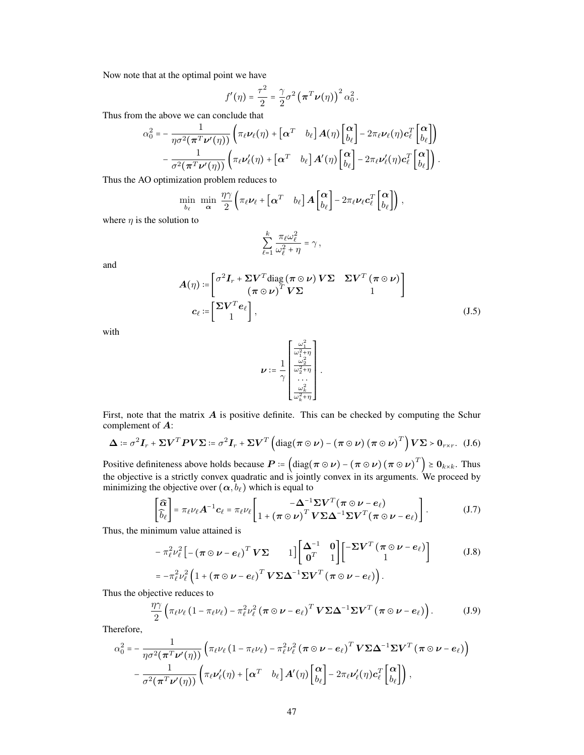Now note that at the optimal point we have

$$
f'(\eta) = \frac{\tau^2}{2} = \frac{\gamma}{2} \sigma^2 \left( \boldsymbol{\pi}^T \boldsymbol{\nu}(\eta) \right)^2 \alpha_0^2.
$$

Thus from the above we can conclude that

$$
\alpha_0^2 = -\frac{1}{\eta \sigma^2 (\pi^T \nu'(\eta))} \left( \pi_\ell \nu_\ell(\eta) + \begin{bmatrix} \alpha^T & b_\ell \end{bmatrix} A(\eta) \begin{bmatrix} \alpha \\ b_\ell \end{bmatrix} - 2 \pi_\ell \nu_\ell(\eta) \mathbf{c}_\ell^T \begin{bmatrix} \alpha \\ b_\ell \end{bmatrix} \right) - \frac{1}{\sigma^2 (\pi^T \nu'(\eta))} \left( \pi_\ell \nu'_\ell(\eta) + \begin{bmatrix} \alpha^T & b_\ell \end{bmatrix} A'(\eta) \begin{bmatrix} \alpha \\ b_\ell \end{bmatrix} - 2 \pi_\ell \nu'_\ell(\eta) \mathbf{c}_\ell^T \begin{bmatrix} \alpha \\ b_\ell \end{bmatrix} \right).
$$

Thus the AO optimization problem reduces to

$$
\min_{b_{\ell}} \ \min_{\alpha} \ \frac{\eta \gamma}{2} \left( \pi_{\ell} \nu_{\ell} + \begin{bmatrix} \alpha^T & b_{\ell} \end{bmatrix} A \begin{bmatrix} \alpha \\ b_{\ell} \end{bmatrix} - 2 \pi_{\ell} \nu_{\ell} c_{\ell}^T \begin{bmatrix} \alpha \\ b_{\ell} \end{bmatrix} \right),
$$

where  $\eta$  is the solution to

$$
\sum_{\ell=1}^k \frac{\pi_\ell \omega_\ell^2}{\omega_\ell^2 + \eta} = \gamma \,,
$$

and

$$
A(\eta) := \begin{bmatrix} \sigma^2 I_r + \Sigma V^T \text{diag}(\pi \odot \nu) V \Sigma & \Sigma V^T (\pi \odot \nu) \\ (\pi \odot \nu)^T V \Sigma & 1 \end{bmatrix}
$$
  

$$
c_{\ell} := \begin{bmatrix} \Sigma V^T e_{\ell} \\ 1 \end{bmatrix},
$$
 (J.5)

<span id="page-46-0"></span>.

with

$$
\nu \coloneqq \frac{1}{\gamma} \begin{bmatrix} \frac{\omega_1^2}{\omega_1^2 + \eta} \\ \frac{\omega_2^2}{\omega_2^2 + \eta} \\ \dots \\ \frac{\omega_k^2}{\omega_k^2 + \eta} \end{bmatrix}
$$

First, note that the matrix  $A$  is positive definite. This can be checked by computing the Schur complement of A:

$$
\Delta \coloneqq \sigma^2 \mathbf{I}_r + \Sigma \mathbf{V}^T \mathbf{P} \mathbf{V} \Sigma \coloneqq \sigma^2 \mathbf{I}_r + \Sigma \mathbf{V}^T \left( \text{diag}(\pi \odot \nu) - (\pi \odot \nu) (\pi \odot \nu)^T \right) \mathbf{V} \Sigma > \mathbf{0}_{r \times r}. \quad (J.6)
$$

Positive definiteness above holds because  $P = (\text{diag}(\pi \odot \nu) - (\pi \odot \nu) (\pi \odot \nu)^T) \ge 0_{k \times k}$ . Thus the objective is a strictly convex quadratic and is jointly convex in its arguments. We proceed by minimizing the objective over  $(\alpha, b_\ell)$  which is equal to

$$
\begin{bmatrix} \widehat{\alpha} \\ \widehat{b}_{\ell} \end{bmatrix} = \pi_{\ell} \nu_{\ell} \mathbf{A}^{-1} \mathbf{c}_{\ell} = \pi_{\ell} \nu_{\ell} \begin{bmatrix} -\boldsymbol{\Delta}^{-1} \boldsymbol{\Sigma} \mathbf{V}^T (\boldsymbol{\pi} \odot \boldsymbol{\nu} - \boldsymbol{e}_{\ell}) \\ 1 + (\boldsymbol{\pi} \odot \boldsymbol{\nu})^T \mathbf{V} \boldsymbol{\Sigma} \boldsymbol{\Delta}^{-1} \boldsymbol{\Sigma} \mathbf{V}^T (\boldsymbol{\pi} \odot \boldsymbol{\nu} - \boldsymbol{e}_{\ell}) \end{bmatrix} . \tag{J.7}
$$

Thus, the minimum value attained is

$$
-\pi_{\ell}^{2}\nu_{\ell}^{2}\left[-\left(\pi\odot\nu-e_{\ell}\right)^{T}V\Sigma\right] \left[\begin{array}{cc} \Delta^{-1} & 0\\ 0^{T} & 1 \end{array}\right] \left[\begin{array}{cc} -\Sigma V^{T}\left(\pi\odot\nu-e_{\ell}\right)\\ 1 \end{array}\right] \qquad (J.8)
$$

$$
=-\pi_{\ell}^{2}\nu_{\ell}^{2}\left(1+\left(\pi\odot\nu-e_{\ell}\right)^{T}V\Sigma\Delta^{-1}\Sigma V^{T}\left(\pi\odot\nu-e_{\ell}\right)\right).
$$

Thus the objective reduces to

$$
\frac{\eta \gamma}{2} \left( \pi_{\ell} \nu_{\ell} \left( 1 - \pi_{\ell} \nu_{\ell} \right) - \pi_{\ell}^{2} \nu_{\ell}^{2} \left( \pi \odot \nu - e_{\ell} \right)^{T} V \Sigma \Delta^{-1} \Sigma V^{T} \left( \pi \odot \nu - e_{\ell} \right) \right).
$$
 (J.9)

Therefore,

$$
\alpha_0^2 = -\frac{1}{\eta \sigma^2 (\pi^T \nu'(\eta))} \left( \pi_\ell \nu_\ell \left( 1 - \pi_\ell \nu_\ell \right) - \pi_\ell^2 \nu_\ell^2 (\pi \odot \nu - e_\ell)^T V \Sigma \Delta^{-1} \Sigma V^T (\pi \odot \nu - e_\ell) \right) - \frac{1}{\sigma^2 (\pi^T \nu'(\eta))} \left( \pi_\ell \nu'_\ell(\eta) + \left[ \alpha^T \quad b_\ell \right] A'(\eta) \begin{bmatrix} \alpha \\ b_\ell \end{bmatrix} - 2 \pi_\ell \nu'_\ell(\eta) c_\ell^T \begin{bmatrix} \alpha \\ b_\ell \end{bmatrix} \right),
$$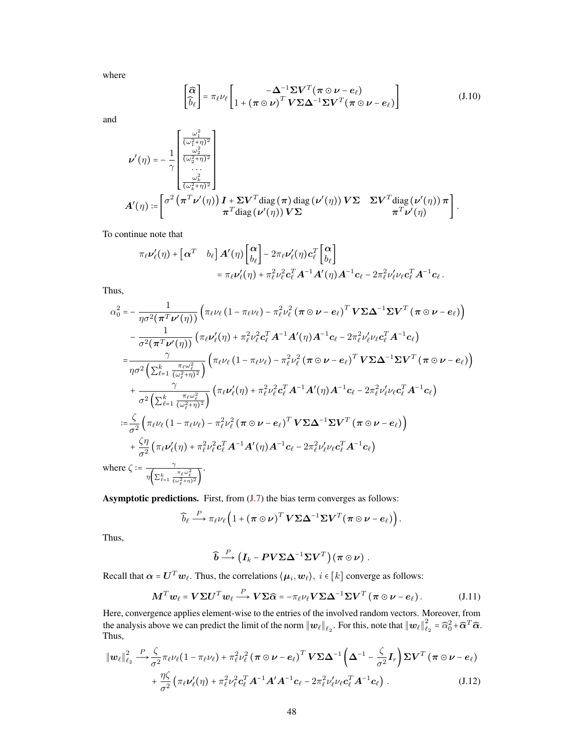where

<span id="page-47-1"></span>
$$
\begin{bmatrix} \widehat{\alpha} \\ \widehat{b}_{\ell} \end{bmatrix} = \pi_{\ell} \nu_{\ell} \begin{bmatrix} -\Delta^{-1} \Sigma V^{T} (\pi \odot \nu - e_{\ell}) \\ 1 + (\pi \odot \nu)^{T} V \Sigma \Delta^{-1} \Sigma V^{T} (\pi \odot \nu - e_{\ell}) \end{bmatrix}
$$
(J.10)

and

$$
\nu'(\eta) = -\frac{1}{\gamma} \begin{bmatrix} \frac{\omega_1^2}{(\omega_1^2 + \eta)^2} \\ \frac{\omega_2^2}{(\omega_2^2 + \eta)^2} \\ \vdots \\ \frac{\omega_k^2}{(\omega_k^2 + \eta)^2} \end{bmatrix}
$$

$$
A'(\eta) := \begin{bmatrix} \sigma^2 \left( \pi^T \nu'(\eta) \right) I + \Sigma V^T \text{diag} \left( \pi \right) \text{diag} \left( \nu'(\eta) \right) V \Sigma & \Sigma V^T \text{diag} \left( \nu'(\eta) \right) \pi \\ \pi^T \text{diag} \left( \nu'(\eta) \right) V \Sigma & \pi^T \nu'(\eta) \end{bmatrix}.
$$

To continue note that

$$
\pi_{\ell}\nu'_{\ell}(\eta) + \begin{bmatrix} \alpha^T & b_{\ell} \end{bmatrix} A'(\eta) \begin{bmatrix} \alpha \\ b_{\ell} \end{bmatrix} - 2\pi_{\ell}\nu'_{\ell}(\eta) \mathbf{c}_{\ell}^T \begin{bmatrix} \alpha \\ b_{\ell} \end{bmatrix} \n= \pi_{\ell}\nu'_{\ell}(\eta) + \pi_{\ell}^2\nu_{\ell}^2 \mathbf{c}_{\ell}^T A^{-1} A'(\eta) A^{-1} \mathbf{c}_{\ell} - 2\pi_{\ell}^2\nu'_{\ell}\nu_{\ell} \mathbf{c}_{\ell}^T A^{-1} \mathbf{c}_{\ell}.
$$

Thus,

$$
\alpha_0^2 = -\frac{1}{\eta \sigma^2 (\pi^T \nu'(\eta))} \left( \pi_\ell \nu_\ell \left( 1 - \pi_\ell \nu_\ell \right) - \pi_\ell^2 \nu_\ell^2 (\pi \odot \nu - e_\ell)^T V \Sigma \Delta^{-1} \Sigma V^T (\pi \odot \nu - e_\ell) \right) \n- \frac{1}{\sigma^2 (\pi^T \nu'(\eta))} \left( \pi_\ell \nu'_\ell(\eta) + \pi_\ell^2 \nu_\ell^2 c_\ell^T A^{-1} A'(\eta) A^{-1} c_\ell - 2 \pi_\ell^2 \nu'_\ell \nu_\ell c_\ell^T A^{-1} c_\ell \right) \n= \frac{\gamma}{\eta \sigma^2 \left( \sum_{\ell=1}^k \frac{\pi_\ell \omega_\ell^2}{(\omega_\ell^2 + \eta)^2} \right)} \left( \pi_\ell \nu_\ell \left( 1 - \pi_\ell \nu_\ell \right) - \pi_\ell^2 \nu_\ell^2 (\pi \odot \nu - e_\ell)^T V \Sigma \Delta^{-1} \Sigma V^T (\pi \odot \nu - e_\ell) \right) \n+ \frac{\gamma}{\sigma^2 \left( \sum_{\ell=1}^k \frac{\pi_\ell \omega_\ell^2}{(\omega_\ell^2 + \eta)^2} \right)} \left( \pi_\ell \nu'_\ell(\eta) + \pi_\ell^2 \nu_\ell^2 c_\ell^T A^{-1} A'(\eta) A^{-1} c_\ell - 2 \pi_\ell^2 \nu'_\ell \nu_\ell c_\ell^T A^{-1} c_\ell \right) \n:= \frac{\zeta}{\sigma^2} \left( \pi_\ell \nu_\ell \left( 1 - \pi_\ell \nu_\ell \right) - \pi_\ell^2 \nu_\ell^2 (\pi \odot \nu - e_\ell)^T V \Sigma \Delta^{-1} \Sigma V^T (\pi \odot \nu - e_\ell) \right) \n+ \frac{\zeta \eta}{\sigma^2} \left( \pi_\ell \nu'_\ell(\eta) + \pi_\ell^2 \nu_\ell^2 c_\ell^T A^{-1} A'(\eta) A^{-1} c_\ell - 2 \pi_\ell^2 \nu'_\ell \nu_\ell c_\ell^T A^{-1} c_\ell \right) \n\text{where } \zeta := \frac{\gamma}{\eta \left( \sum_{\ell=1}^k \frac{\pi_\ell \omega_\ell^2}{(\omega_\ell^2 + \eta)^2} \right)}.
$$

Asymptotic predictions. First, from [\(J.7\)](#page-46-0) the bias term converges as follows:

$$
\widehat{b}_{\ell} \stackrel{P}{\longrightarrow} \pi_{\ell} \nu_{\ell} \left(1 + (\pi \odot \nu)^{T} \boldsymbol{V} \boldsymbol{\Sigma} \boldsymbol{\Delta}^{-1} \boldsymbol{\Sigma} \boldsymbol{V}^{T} (\pi \odot \nu - e_{\ell})\right).
$$

Thus,

<span id="page-47-2"></span>
$$
\widehat{\boldsymbol{b}} \stackrel{P}{\longrightarrow} \left(\boldsymbol{I}_k - \boldsymbol{P} \boldsymbol{V} \boldsymbol{\Sigma} \boldsymbol{\Delta}^{-1} \boldsymbol{\Sigma} \boldsymbol{V}^T\right) \left(\boldsymbol{\pi} \odot \boldsymbol{\nu}\right) .
$$

Recall that  $\alpha = U^T w_\ell$ . Thus, the correlations  $\langle \mu_i, w_\ell \rangle$ ,  $i \in [k]$  converge as follows:

$$
\boldsymbol{M}^T \boldsymbol{w}_{\ell} = \boldsymbol{V} \boldsymbol{\Sigma} \boldsymbol{U}^T \boldsymbol{w}_{\ell} \stackrel{P}{\longrightarrow} \boldsymbol{V} \boldsymbol{\Sigma} \widehat{\boldsymbol{\alpha}} = -\pi_{\ell} \nu_{\ell} \boldsymbol{V} \boldsymbol{\Sigma} \boldsymbol{\Delta}^{-1} \boldsymbol{\Sigma} \boldsymbol{V}^T (\boldsymbol{\pi} \odot \boldsymbol{\nu} - \boldsymbol{e}_{\ell}). \tag{J.11}
$$

Here, convergence applies element-wise to the entries of the involved random vectors. Moreover, from the analysis above we can predict the limit of the norm  $||w_\ell||_{\ell_2}$ . For this, note that  $||w_\ell||_\ell^2$  $\widehat{\alpha}_2^2 = \widehat{\alpha}_0^2 + \widehat{\boldsymbol{\alpha}}^T \widehat{\boldsymbol{\alpha}}.$ Thus,

<span id="page-47-0"></span>
$$
\|\boldsymbol{w}_{\ell}\|_{\ell_2}^2 \xrightarrow{\boldsymbol{P}} \frac{\zeta}{\sigma^2} \pi_{\ell} \nu_{\ell} (1 - \pi_{\ell} \nu_{\ell}) + \pi_{\ell}^2 \nu_{\ell}^2 (\boldsymbol{\pi} \odot \boldsymbol{\nu} - \boldsymbol{e}_{\ell})^T \boldsymbol{V} \boldsymbol{\Sigma} \boldsymbol{\Delta}^{-1} \left( \boldsymbol{\Delta}^{-1} - \frac{\zeta}{\sigma^2} \boldsymbol{I}_r \right) \boldsymbol{\Sigma} \boldsymbol{V}^T (\boldsymbol{\pi} \odot \boldsymbol{\nu} - \boldsymbol{e}_{\ell}) + \frac{\eta \zeta}{\sigma^2} \left( \pi_{\ell} \nu_{\ell}^{\prime}(\eta) + \pi_{\ell}^2 \nu_{\ell}^2 \boldsymbol{c}_{\ell}^T \boldsymbol{A}^{-1} \boldsymbol{A}^{\prime} \boldsymbol{A}^{-1} \boldsymbol{c}_{\ell} - 2 \pi_{\ell}^2 \nu_{\ell}^{\prime} \nu_{\ell} \boldsymbol{c}_{\ell}^T \boldsymbol{A}^{-1} \boldsymbol{c}_{\ell} \right). \tag{J.12}
$$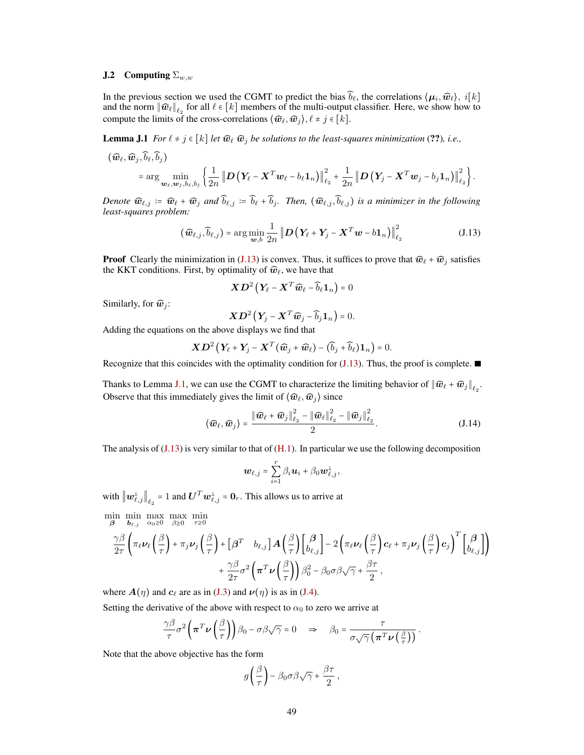## **J.2** Computing  $\Sigma_{w,w}$

In the previous section we used the CGMT to predict the bias  $\widehat{b}_\ell$ , the correlations  $\langle \mu_i, \widehat{w}_\ell\rangle$ ,  $i[k]$ and the norm  $\|\widehat{\bm{w}}_\ell\|_{\ell_2}$  for all  $\ell \in [k]$  members of the multi-output classifier. Here, we show how to compute the limits of the cross-correlations  $\langle \widehat{w}_{\ell}, \widehat{w}_j \rangle, \ell \neq j \in [k]$ .

<span id="page-48-1"></span>**Lemma J.1** *For*  $\ell \neq j \in [k]$  *let*  $\widehat{\mathbf{w}}_{\ell}$   $\widehat{\mathbf{w}}_j$  *be solutions to the least-squares minimization* (??), *i.e.*,

$$
\begin{aligned} \left(\widehat{\boldsymbol{w}}_{\ell},\widehat{\boldsymbol{w}}_{j},\widehat{b}_{\ell},\widehat{b}_{j}\right) \\ & \quad =\arg\min_{\boldsymbol{w}_{\ell},\boldsymbol{w}_{j},b_{\ell},b_{j}}\left\{\frac{1}{2n}\left\|\boldsymbol{D}\left(\boldsymbol{Y}_{\ell}-\boldsymbol{X}^{T}\boldsymbol{w}_{\ell}-b_{\ell}\boldsymbol{1}_{n}\right)\right\|_{\ell_{2}}^{2}+\frac{1}{2n}\left\|\boldsymbol{D}\left(\boldsymbol{Y}_{j}-\boldsymbol{X}^{T}\boldsymbol{w}_{j}-b_{j}\boldsymbol{1}_{n}\right)\right\|_{\ell_{2}}^{2}\right\} . \end{aligned}
$$

*Denote*  $\widehat{\mathbf{w}}_{\ell,j} := \widehat{\mathbf{w}}_{\ell} + \widehat{\mathbf{w}}_{j}$  *and*  $\widehat{b}_{\ell,j} := \widehat{b}_{\ell} + \widehat{b}_{j}$ *. Then,*  $(\widehat{\mathbf{w}}_{\ell,j}, \widehat{b}_{\ell,j})$  *is a minimizer in the following least-squares problem:*

$$
(\widehat{\boldsymbol{w}}_{\ell,j}, \widehat{b}_{\ell,j}) = \arg\min_{\boldsymbol{w},b} \frac{1}{2n} \left\| \boldsymbol{D} \left( \boldsymbol{Y}_{\ell} + \boldsymbol{Y}_{j} - \boldsymbol{X}^{T} \boldsymbol{w} - b \boldsymbol{1}_{n} \right) \right\|_{\ell_{2}}^{2}
$$
(J.13)

**Proof** Clearly the minimization in [\(J.13\)](#page-48-0) is convex. Thus, it suffices to prove that  $\hat{w}_{\ell} + \hat{w}_j$  satisfies the KKT conditions. First, by optimality of  $\widehat{w}_\ell$ , we have that

<span id="page-48-0"></span>
$$
\boldsymbol{X}\boldsymbol{D}^2\left(\boldsymbol{Y}_{\!\ell}-\boldsymbol{X}^T\boldsymbol{\widehat{w}}_{\ell}-\boldsymbol{\widehat{b}}_{\ell}\boldsymbol{1}_n\right)=0
$$

Similarly, for  $\widehat{w}_j$ :

$$
\boldsymbol{X}\boldsymbol{D}^2\left(\boldsymbol{Y}_j-\boldsymbol{X}^T\boldsymbol{\widehat{w}}_j-\boldsymbol{\widehat{b}}_j\boldsymbol{1}_n\right)=0.
$$

Adding the equations on the above displays we find that

$$
\boldsymbol{X}\boldsymbol{D}^2\left(\boldsymbol{Y}_{\ell}+\boldsymbol{Y}_{j}-\boldsymbol{X}^T(\widehat{\boldsymbol{w}}_j+\widehat{\boldsymbol{w}}_{\ell})-(\widehat{b}_j+\widehat{b}_{\ell})\boldsymbol{1}_n\right)=0.
$$

Recognize that this coincides with the optimality condition for  $(J.13)$ . Thus, the proof is complete.

Thanks to Lemma [J.1,](#page-48-1) we can use the CGMT to characterize the limiting behavior of  $\|\widehat{\boldsymbol{w}}_{\ell} + \widehat{\boldsymbol{w}}_j\|_{\ell_2}$ . Observe that this immediately gives the limit of  $\langle \hat{w}_\ell, \hat{w}_j \rangle$  since

$$
\langle \widehat{\boldsymbol{w}}_{\ell}, \widehat{\boldsymbol{w}}_{j} \rangle = \frac{\|\widehat{\boldsymbol{w}}_{\ell} + \widehat{\boldsymbol{w}}_{j}\|_{\ell_{2}}^{2} - \|\widehat{\boldsymbol{w}}_{\ell}\|_{\ell_{2}}^{2} - \|\widehat{\boldsymbol{w}}_{j}\|_{\ell_{2}}^{2}}{2}.
$$
 (J.14)

The analysis of  $(J.13)$  is very similar to that of  $(H.1)$ . In particular we use the following decomposition

<span id="page-48-2"></span>
$$
\boldsymbol{w}_{\ell,j} = \sum_{i=1}^r \beta_i \boldsymbol{u}_i + \beta_0 \boldsymbol{w}_{\ell,j}^{\perp},
$$

with  $\left\|\boldsymbol{w}_{\ell,j}^{\perp}\right\|_{\ell_2} = 1$  and  $\boldsymbol{U}^T\boldsymbol{w}_{\ell,j}^{\perp} = \boldsymbol{0}_r$ . This allows us to arrive at

$$
\begin{split}\n&\min_{\boldsymbol{\beta}}\min_{\boldsymbol{b}_{\ell,j}}\max_{\alpha_0\geq 0}\max_{\beta\geq 0}\min_{\tau\geq 0} \\
&\frac{\gamma\beta}{2\tau}\bigg(\pi_{\ell}\nu_{\ell}\bigg(\frac{\beta}{\tau}\bigg)+\pi_{j}\nu_{j}\bigg(\frac{\beta}{\tau}\bigg)+\big[\boldsymbol{\beta}^{T}\hspace{0.5em}\big[\boldsymbol{b}_{\ell,j}\big]\big]\boldsymbol{A}\bigg(\frac{\beta}{\tau}\bigg)\bigg[\boldsymbol{\beta}^{T}\hspace{0.5em}\bigg]-2\bigg(\pi_{\ell}\nu_{\ell}\bigg(\frac{\beta}{\tau}\bigg)\boldsymbol{c}_{\ell}+\pi_{j}\nu_{j}\bigg(\frac{\beta}{\tau}\bigg)\boldsymbol{c}_{j}\bigg)^{T}\bigg[\boldsymbol{\beta}^{T}\hspace{0.5em}\bigg]\\
&+\frac{\gamma\beta}{2\tau}\sigma^{2}\bigg(\boldsymbol{\pi}^{T}\nu\bigg(\frac{\beta}{\tau}\bigg)\big)\beta_{0}^{2}-\beta_{0}\sigma\beta\sqrt{\gamma}+\frac{\beta\tau}{2}\,,\n\end{split}
$$

where  $A(\eta)$  and  $c_\ell$  are as in [\(J.3\)](#page-45-0) and  $\nu(\eta)$  is as in [\(J.4\)](#page-45-1).

Setting the derivative of the above with respect to  $\alpha_0$  to zero we arrive at

$$
\frac{\gamma \beta}{\tau} \sigma^2 \left( \boldsymbol{\pi}^T \boldsymbol{\nu} \left( \frac{\beta}{\tau} \right) \right) \beta_0 - \sigma \beta \sqrt{\gamma} = 0 \quad \Rightarrow \quad \beta_0 = \frac{\tau}{\sigma \sqrt{\gamma} \left( \boldsymbol{\pi}^T \boldsymbol{\nu} \left( \frac{\beta}{\tau} \right) \right)}.
$$

Note that the above objective has the form

$$
g\left(\frac{\beta}{\tau}\right) - \beta_0 \sigma \beta \sqrt{\gamma} + \frac{\beta \tau}{2},
$$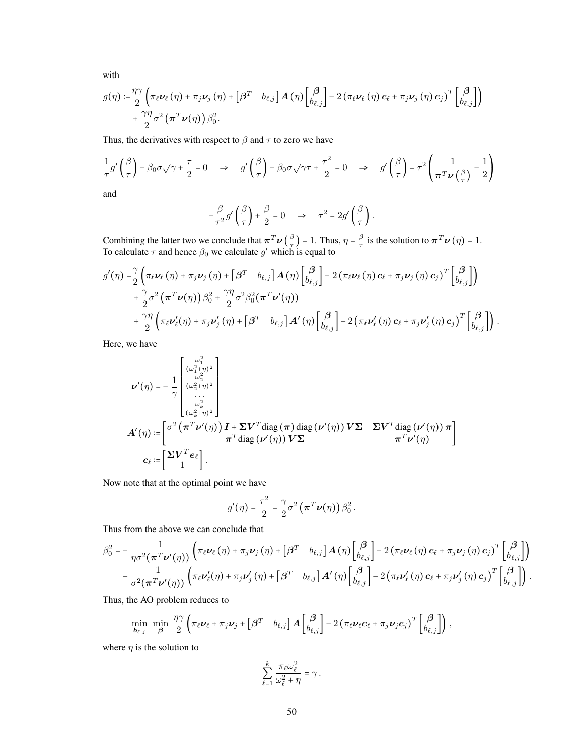with

$$
g(\eta) := \frac{\eta \gamma}{2} \left( \pi_{\ell} \nu_{\ell} (\eta) + \pi_{j} \nu_{j} (\eta) + \left[ \beta^{T} b_{\ell,j} \right] A(\eta) \begin{bmatrix} \beta \\ b_{\ell,j} \end{bmatrix} - 2 \left( \pi_{\ell} \nu_{\ell} (\eta) c_{\ell} + \pi_{j} \nu_{j} (\eta) c_{j} \right)^{T} \begin{bmatrix} \beta \\ b_{\ell,j} \end{bmatrix} \right) + \frac{\gamma \eta}{2} \sigma^{2} (\pi^{T} \nu(\eta)) \beta_{0}^{2}.
$$

Thus, the derivatives with respect to  $\beta$  and  $\tau$  to zero we have

$$
\frac{1}{\tau}g'\left(\frac{\beta}{\tau}\right) - \beta_0\sigma\sqrt{\gamma} + \frac{\tau}{2} = 0 \quad \Rightarrow \quad g'\left(\frac{\beta}{\tau}\right) - \beta_0\sigma\sqrt{\gamma}\tau + \frac{\tau^2}{2} = 0 \quad \Rightarrow \quad g'\left(\frac{\beta}{\tau}\right) = \tau^2 \left(\frac{1}{\pi^T \nu\left(\frac{\beta}{\tau}\right)} - \frac{1}{2}\right)
$$

and

$$
-\frac{\beta}{\tau^2}g'\left(\frac{\beta}{\tau}\right)+\frac{\beta}{2}=0 \quad \Rightarrow \quad \tau^2=2g'\left(\frac{\beta}{\tau}\right).
$$

Combining the latter two we conclude that  $\pi^T \nu \left(\frac{\beta}{\tau}\right)$  $(\frac{\beta}{\tau})$  = 1. Thus,  $\eta = \frac{\beta}{\tau}$  $\frac{\beta}{\tau}$  is the solution to  $\boldsymbol{\pi}^T \boldsymbol{\nu}(\eta) = 1$ . To calculate  $\tau$  and hence  $\beta_0$  we calculate  $g'$  which is equal to

$$
g'(\eta) = \frac{\gamma}{2} \left( \pi_{\ell} \nu_{\ell}(\eta) + \pi_{j} \nu_{j}(\eta) + \left[ \beta^{T} b_{\ell,j} \right] A(\eta) \begin{bmatrix} \beta \\ b_{\ell,j} \end{bmatrix} - 2 \left( \pi_{\ell} \nu_{\ell}(\eta) \mathbf{c}_{\ell} + \pi_{j} \nu_{j}(\eta) \mathbf{c}_{j} \right)^{T} \begin{bmatrix} \beta \\ b_{\ell,j} \end{bmatrix} \right) + \frac{\gamma}{2} \sigma^{2} \left( \pi^{T} \nu(\eta) \right) \beta_{0}^{2} + \frac{\gamma \eta}{2} \sigma^{2} \beta_{0}^{2} (\pi^{T} \nu'(\eta)) + \frac{\gamma \eta}{2} \left( \pi_{\ell} \nu_{\ell}'(\eta) + \pi_{j} \nu_{j}'(\eta) + \left[ \beta^{T} b_{\ell,j} \right] A'(\eta) \begin{bmatrix} \beta \\ b_{\ell,j} \end{bmatrix} - 2 \left( \pi_{\ell} \nu_{\ell}'(\eta) \mathbf{c}_{\ell} + \pi_{j} \nu_{j}'(\eta) \mathbf{c}_{j} \right)^{T} \begin{bmatrix} \beta \\ b_{\ell,j} \end{bmatrix} \right).
$$

Here, we have

$$
\nu'(\eta) = -\frac{1}{\gamma} \begin{bmatrix} \frac{\omega_1^2}{(\omega_1^2 + \eta)^2} \\ \frac{\omega_2^2}{(\omega_2^2 + \eta)^2} \\ \frac{\omega_k^2}{(\omega_k^2 + \eta)^2} \end{bmatrix}
$$
  

$$
A'(\eta) := \begin{bmatrix} \sigma^2 \left( \pi^T \nu'(\eta) \right) I + \Sigma V^T \text{diag}(\pi) \text{diag}(\nu'(\eta)) V \Sigma & \Sigma V^T \text{diag}(\nu'(\eta)) \pi \\ \pi^T \text{diag}(\nu'(\eta)) V \Sigma & \pi^T \nu'(\eta) \end{bmatrix}
$$
  

$$
c_{\ell} := \begin{bmatrix} \Sigma V^T e_{\ell} \\ 1 \end{bmatrix}.
$$

Now note that at the optimal point we have

$$
g'(\eta) = \frac{\tau^2}{2} = \frac{\gamma}{2}\sigma^2 \left(\boldsymbol{\pi}^T \boldsymbol{\nu}(\eta)\right) \beta_0^2
$$

Thus from the above we can conclude that

$$
\beta_0^2 = -\frac{1}{\eta \sigma^2 (\pi^T \nu'(\eta))} \left( \pi_\ell \nu_\ell (\eta) + \pi_j \nu_j (\eta) + \left[ \beta^T \quad b_{\ell,j} \right] A(\eta) \begin{bmatrix} \beta \\ b_{\ell,j} \end{bmatrix} - 2 \left( \pi_\ell \nu_\ell (\eta) \mathbf{c}_\ell + \pi_j \nu_j (\eta) \mathbf{c}_j \right)^T \begin{bmatrix} \beta \\ b_{\ell,j} \end{bmatrix} \right) - \frac{1}{\sigma^2 (\pi^T \nu'(\eta))} \left( \pi_\ell \nu'_\ell (\eta) + \pi_j \nu'_j (\eta) + \left[ \beta^T \quad b_{\ell,j} \right] A'(\eta) \begin{bmatrix} \beta \\ b_{\ell,j} \end{bmatrix} - 2 \left( \pi_\ell \nu'_\ell (\eta) \mathbf{c}_\ell + \pi_j \nu'_j (\eta) \mathbf{c}_j \right)^T \begin{bmatrix} \beta \\ b_{\ell,j} \end{bmatrix} \right).
$$

.

Thus, the AO problem reduces to

$$
\min_{\boldsymbol{b}_{\ell,j}} \ \min_{\boldsymbol{\beta}} \ \frac{\eta \gamma}{2} \left( \pi_{\ell} \boldsymbol{\nu}_{\ell} + \pi_{j} \boldsymbol{\nu}_{j} + \begin{bmatrix} \boldsymbol{\beta}^{T} & b_{\ell,j} \end{bmatrix} \boldsymbol{A} \begin{bmatrix} \boldsymbol{\beta} \\ b_{\ell,j} \end{bmatrix} - 2 \left( \pi_{\ell} \boldsymbol{\nu}_{\ell} \boldsymbol{c}_{\ell} + \pi_{j} \boldsymbol{\nu}_{j} \boldsymbol{c}_{j} \right)^{T} \begin{bmatrix} \boldsymbol{\beta} \\ b_{\ell,j} \end{bmatrix} \right),
$$

where  $\eta$  is the solution to

$$
\sum_{\ell=1}^k \frac{\pi_\ell \omega_\ell^2}{\omega_\ell^2 + \eta} = \gamma \, .
$$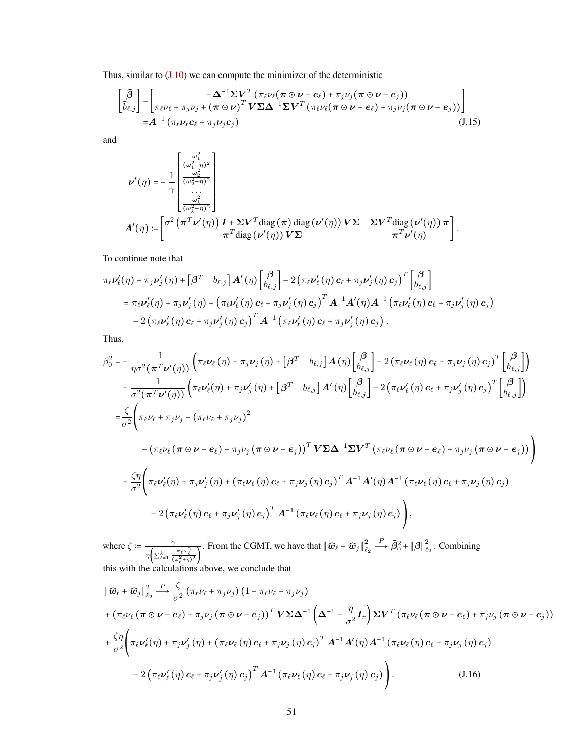Thus, similar to  $(J.10)$  we can compute the minimizer of the deterministic

$$
\begin{bmatrix}\n\widehat{\beta} \\
\widehat{b}_{\ell,j}\n\end{bmatrix} =\n\begin{bmatrix}\n-\Delta^{-1}\Sigma V^T (\pi_\ell \nu_\ell (\pi \odot \nu - e_\ell) + \pi_j \nu_j (\pi \odot \nu - e_j)) \\
\pi_\ell \nu_\ell + \pi_j \nu_j + (\pi \odot \nu)^T V \Sigma \Delta^{-1} \Sigma V^T (\pi_\ell \nu_\ell (\pi \odot \nu - e_\ell) + \pi_j \nu_j (\pi \odot \nu - e_j))\n\end{bmatrix} \\
= A^{-1} (\pi_\ell \nu_\ell c_\ell + \pi_j \nu_j c_j)
$$
\n(J.15)

and

$$
\label{eq:nu} \begin{split} \nu'(\eta) =& -\frac{1}{\gamma} \begin{bmatrix} \frac{\omega_1^2}{(\omega_1^2+\eta)^2} \\ \frac{\omega_2^2}{(\omega_2^2+\eta)^2} \\ \dots \\ \frac{\omega_k^2}{(\omega_k^2+\eta)^2} \end{bmatrix} \\ A'(\eta) =& \begin{bmatrix} \sigma^2 \left(\pi^T \nu'(\eta)\right) I + \Sigma V^T \text{diag}\left(\pi\right) \text{diag}\left(\nu'(\eta)\right) V \Sigma & \Sigma V^T \text{diag}\left(\nu'(\eta)\right) \pi \\ \pi^T \text{diag}\left(\nu'(\eta)\right) V \Sigma & \pi^T \nu'(\eta) \end{bmatrix}. \end{split}
$$

To continue note that

$$
\pi_{\ell}\nu'_{\ell}(\eta) + \pi_{j}\nu'_{j}(\eta) + \left[\beta^{T} b_{\ell,j}\right]A'(\eta)\left[\begin{matrix} \beta \\ b_{\ell,j}\end{matrix}\right] - 2\left(\pi_{\ell}\nu'_{\ell}(\eta)\mathbf{c}_{\ell} + \pi_{j}\nu'_{j}(\eta)\mathbf{c}_{j}\right)^{T}\left[\begin{matrix} \beta \\ b_{\ell,j}\end{matrix}\right] \n= \pi_{\ell}\nu'_{\ell}(\eta) + \pi_{j}\nu'_{j}(\eta) + \left(\pi_{\ell}\nu'_{\ell}(\eta)\mathbf{c}_{\ell} + \pi_{j}\nu'_{j}(\eta)\mathbf{c}_{j}\right)^{T}A^{-1}A'(\eta)A^{-1}\left(\pi_{\ell}\nu'_{\ell}(\eta)\mathbf{c}_{\ell} + \pi_{j}\nu'_{j}(\eta)\mathbf{c}_{j}\right) \n- 2\left(\pi_{\ell}\nu'_{\ell}(\eta)\mathbf{c}_{\ell} + \pi_{j}\nu'_{j}(\eta)\mathbf{c}_{j}\right)^{T}A^{-1}\left(\pi_{\ell}\nu'_{\ell}(\eta)\mathbf{c}_{\ell} + \pi_{j}\nu'_{j}(\eta)\mathbf{c}_{j}\right).
$$

Thus,

$$
\beta_0^2 = -\frac{1}{\eta \sigma^2 (\pi^T \nu'(\eta))} \left( \pi_{\ell} \nu_{\ell} (\eta) + \pi_j \nu_j (\eta) + \left[ \beta^T b_{\ell,j} \right] A(\eta) \begin{bmatrix} \beta \\ b_{\ell,j} \end{bmatrix} - 2 (\pi_{\ell} \nu_{\ell} (\eta) \mathbf{c}_{\ell} + \pi_j \nu_j (\eta) \mathbf{c}_{j})^T \begin{bmatrix} \beta \\ b_{\ell,j} \end{bmatrix} \right) \n- \frac{1}{\sigma^2 (\pi^T \nu'(\eta))} \left( \pi_{\ell} \nu'_{\ell} (\eta) + \pi_j \nu'_j (\eta) + \left[ \beta^T b_{\ell,j} \right] A'(\eta) \begin{bmatrix} \beta \\ b_{\ell,j} \end{bmatrix} - 2 (\pi_{\ell} \nu'_{\ell} (\eta) \mathbf{c}_{\ell} + \pi_j \nu'_j (\eta) \mathbf{c}_{j})^T \begin{bmatrix} \beta \\ b_{\ell,j} \end{bmatrix} \right) \n= \frac{\zeta}{\sigma^2} \left( \pi_{\ell} \nu_{\ell} + \pi_j \nu_j - (\pi_{\ell} \nu_{\ell} + \pi_j \nu_j)^2 \n- (\pi_{\ell} \nu_{\ell} (\pi \odot \nu - \mathbf{e}_{\ell}) + \pi_j \nu_j (\pi \odot \nu - \mathbf{e}_{j}))^T \mathbf{V} \Sigma \Delta^{-1} \Sigma V^T (\pi_{\ell} \nu_{\ell} (\pi \odot \nu - \mathbf{e}_{\ell}) + \pi_j \nu_j (\pi \odot \nu - \mathbf{e}_{j})) \right) \n+ \frac{\zeta \eta}{\sigma^2} \left( \pi_{\ell} \nu'_{\ell} (\eta) + \pi_j \nu'_j (\eta) + (\pi_{\ell} \nu_{\ell} (\eta) \mathbf{c}_{\ell} + \pi_j \nu_j (\eta) \mathbf{c}_{j})^T A^{-1} A'(\eta) A^{-1} (\pi_{\ell} \nu_{\ell} (\eta) \mathbf{c}_{\ell} + \pi_j \nu_j (\eta) \mathbf{c}_{j}) \right) \n- 2 (\pi_{\ell} \nu'_{\ell} (\eta) \mathbf{c}_{\ell} + \pi_j \nu'_j (\eta) \mathbf{c}_{j})^T A^{-1} (\pi_{\ell} \nu_{\ell} (\eta) \mathbf
$$

where  $\zeta = \frac{\gamma}{\sqrt{2\pi}}$  $\eta\left(\sum_{\ell=1}^k \frac{\pi_\ell\omega_\ell^2}{(\omega_\ell^2+\eta)^2}\right)$ . From the CGMT, we have that  $\left\| \widehat{\boldsymbol{w}}_{\ell} + \widehat{\boldsymbol{w}}_j \right\|_{\ell}^2$  $\ell_2$  $\stackrel{P}{\longrightarrow} \widehat{\beta}_0^2 + {\|\bm{\beta}\|}^2_\ell$  $\epsilon_{2}^{2}$ . Combining this with the calculations above, we conclude that

<span id="page-50-0"></span>
$$
\|\widehat{\boldsymbol{w}}_{\ell} + \widehat{\boldsymbol{w}}_{j}\|_{\ell_{2}}^{2} \stackrel{P}{\longrightarrow} \frac{\zeta}{\sigma^{2}} \left(\pi_{\ell}\nu_{\ell} + \pi_{j}\nu_{j}\right) \left(1 - \pi_{\ell}\nu_{\ell} - \pi_{j}\nu_{j}\right) \n+ \left(\pi_{\ell}\nu_{\ell}\left(\pi \odot \nu - e_{\ell}\right) + \pi_{j}\nu_{j}\left(\pi \odot \nu - e_{j}\right)\right)^{T} \mathbf{V} \boldsymbol{\Sigma} \boldsymbol{\Delta}^{-1} \left(\boldsymbol{\Delta}^{-1} - \frac{\eta}{\sigma^{2}} \boldsymbol{I}_{r}\right) \boldsymbol{\Sigma} \mathbf{V}^{T} \left(\pi_{\ell}\nu_{\ell}\left(\pi \odot \nu - e_{\ell}\right) + \pi_{j}\nu_{j}\left(\pi \odot \nu - e_{j}\right)\right) \n+ \frac{\zeta \eta}{\sigma^{2}} \left(\pi_{\ell}\nu_{\ell}'(\eta) + \pi_{j}\nu_{j}'(\eta) + \left(\pi_{\ell}\nu_{\ell}\left(\eta\right)c_{\ell} + \pi_{j}\nu_{j}(\eta)c_{j}\right)^{T} \boldsymbol{A}^{-1} \boldsymbol{A}'(\eta) \boldsymbol{A}^{-1} \left(\pi_{\ell}\nu_{\ell}\left(\eta\right)c_{\ell} + \pi_{j}\nu_{j}(\eta)c_{j}\right) \right) \n- 2 \left(\pi_{\ell}\nu_{\ell}'(\eta)c_{\ell} + \pi_{j}\nu_{j}'(\eta)c_{j}\right)^{T} \boldsymbol{A}^{-1} \left(\pi_{\ell}\nu_{\ell}\left(\eta\right)c_{\ell} + \pi_{j}\nu_{j}(\eta)c_{j}\right) \right).
$$
\n(J.16)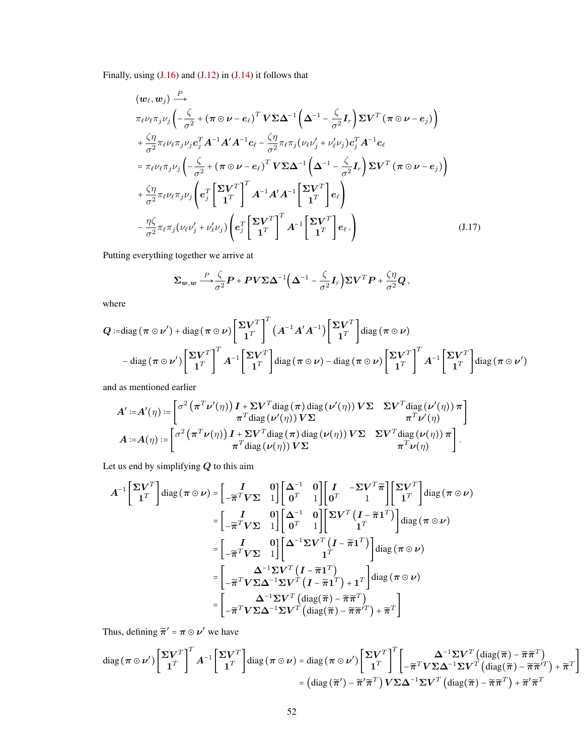Finally, using  $(J.16)$  and  $(J.12)$  in  $(J.14)$  it follows that

$$
\langle w_{\ell}, w_{j} \rangle \stackrel{P}{\longrightarrow} \pi_{\ell} \nu_{\ell} \pi_{j} \nu_{j} \left( -\frac{\zeta}{\sigma^{2}} + (\pi \odot \nu - e_{\ell})^{T} \mathbf{V} \Sigma \Delta^{-1} \left( \Delta^{-1} - \frac{\zeta}{\sigma^{2}} \mathbf{I}_{r} \right) \Sigma \mathbf{V}^{T} (\pi \odot \nu - e_{j}) \right) + \frac{\zeta \eta}{\sigma^{2}} \pi_{\ell} \nu_{\ell} \pi_{j} \nu_{j} c_{j}^{T} A^{-1} A' A^{-1} c_{\ell} - \frac{\zeta \eta}{\sigma^{2}} \pi_{\ell} \pi_{j} (\nu_{\ell} \nu_{j} + \nu_{\ell}' \nu_{j}) c_{j}^{T} A^{-1} c_{\ell} = \pi_{\ell} \nu_{\ell} \pi_{j} \nu_{j} \left( -\frac{\zeta}{\sigma^{2}} + (\pi \odot \nu - e_{\ell})^{T} \mathbf{V} \Sigma \Delta^{-1} \left( \Delta^{-1} - \frac{\zeta}{\sigma^{2}} \mathbf{I}_{r} \right) \Sigma \mathbf{V}^{T} (\pi \odot \nu - e_{j}) \right) + \frac{\zeta \eta}{\sigma^{2}} \pi_{\ell} \nu_{\ell} \pi_{j} \nu_{j} \left( e_{j}^{T} \begin{bmatrix} \Sigma \mathbf{V}^{T} \\ \mathbf{1}^{T} \end{bmatrix}^{T} A^{-1} A' A^{-1} \begin{bmatrix} \Sigma \mathbf{V}^{T} \\ \mathbf{1}^{T} \end{bmatrix} e_{\ell} \right) - \frac{\eta \zeta}{\sigma^{2}} \pi_{\ell} \pi_{j} (\nu_{\ell} \nu_{j}' + \nu_{\ell}' \nu_{j}) \left( e_{j}^{T} \begin{bmatrix} \Sigma \mathbf{V}^{T} \\ \mathbf{1}^{T} \end{bmatrix}^{T} A^{-1} \begin{bmatrix} \Sigma \mathbf{V}^{T} \\ \mathbf{1}^{T} \end{bmatrix} e_{\ell} \right) \qquad (J.17)
$$

Putting everything together we arrive at

$$
\Sigma_{\mathbf{w},\mathbf{w}} \stackrel{P}{\longrightarrow} \frac{\zeta}{\sigma^2} \mathbf{P} + \mathbf{P} \mathbf{V} \Sigma \Delta^{-1} \Big( \Delta^{-1} - \frac{\zeta}{\sigma^2} \mathbf{I}_r \Big) \Sigma \mathbf{V}^T \mathbf{P} + \frac{\zeta \eta}{\sigma^2} \mathbf{Q},
$$

where

$$
Q := \text{diag}(\pi \odot \nu') + \text{diag}(\pi \odot \nu) \left[ \frac{\Sigma V^T}{1^T} \right]^T (A^{-1} A' A^{-1}) \left[ \frac{\Sigma V^T}{1^T} \right] \text{diag}(\pi \odot \nu)
$$

$$
- \text{diag}(\pi \odot \nu') \left[ \frac{\Sigma V^T}{1^T} \right]^T A^{-1} \left[ \frac{\Sigma V^T}{1^T} \right] \text{diag}(\pi \odot \nu) - \text{diag}(\pi \odot \nu) \left[ \frac{\Sigma V^T}{1^T} \right]^T A^{-1} \left[ \frac{\Sigma V^T}{1^T} \right] \text{diag}(\pi \odot \nu')
$$

and as mentioned earlier

$$
A' := A'(\eta) := \begin{bmatrix} \sigma^2 (\pi^T \nu'(\eta)) I + \Sigma V^T \text{diag}(\pi) \text{ diag}(\nu'(\eta)) V \Sigma & \Sigma V^T \text{diag}(\nu'(\eta)) \pi \\ \pi^T \text{diag}(\nu'(\eta)) V \Sigma & \pi^T \nu'(\eta) \end{bmatrix}
$$
  

$$
A := A(\eta) := \begin{bmatrix} \sigma^2 (\pi^T \nu(\eta)) I + \Sigma V^T \text{diag}(\pi) \text{diag}(\nu(\eta)) V \Sigma & \Sigma V^T \text{diag}(\nu(\eta)) \pi \\ \pi^T \text{diag}(\nu(\eta)) V \Sigma & \pi^T \nu(\eta) \end{bmatrix}.
$$

Let us end by simplifying  $Q$  to this aim

$$
A^{-1}\begin{bmatrix} \Sigma V^T \\ \mathbf{1}^T \end{bmatrix} \text{diag} \left(\pi \odot \nu\right) = \begin{bmatrix} I & 0 \\ -\widetilde{\pi}^T V \Sigma & 1 \end{bmatrix} \begin{bmatrix} \Delta^{-1} & 0 \\ 0^T & 1 \end{bmatrix} \begin{bmatrix} I & -\Sigma V^T \widetilde{\pi} \\ 0^T & 1 \end{bmatrix} \begin{bmatrix} \Sigma V^T \\ \mathbf{1}^T \end{bmatrix} \text{diag} \left(\pi \odot \nu\right)
$$

$$
= \begin{bmatrix} I & 0 \\ -\widetilde{\pi}^T V \Sigma & 1 \end{bmatrix} \begin{bmatrix} \Delta^{-1} & 0 \\ 0^T & 1 \end{bmatrix} \begin{bmatrix} \Sigma V^T \left(I - \widetilde{\pi} \mathbf{1}^T\right) \\ 1^T \end{bmatrix} \text{diag} \left(\pi \odot \nu\right)
$$

$$
= \begin{bmatrix} I & 0 \\ -\widetilde{\pi}^T V \Sigma & 1 \end{bmatrix} \begin{bmatrix} \Delta^{-1} \Sigma V^T \left(I - \widetilde{\pi} \mathbf{1}^T\right) \\ 1^T \end{bmatrix} \text{diag} \left(\pi \odot \nu\right)
$$

$$
= \begin{bmatrix} \Delta^{-1} \Sigma V^T \left(I - \widetilde{\pi} \mathbf{1}^T\right) \\ -\widetilde{\pi}^T V \Sigma \Delta^{-1} \Sigma V^T \left(I - \widetilde{\pi} \mathbf{1}^T\right) + 1^T \end{bmatrix} \text{diag} \left(\pi \odot \nu\right)
$$

$$
= \begin{bmatrix} \Delta^{-1} \Sigma V^T \left(\text{diag} \left(\widetilde{\pi}\right) - \widetilde{\pi} \widetilde{\pi}^T\right) \\ -\widetilde{\pi}^T V \Sigma \Delta^{-1} \Sigma V^T \left(\text{diag} \left(\widetilde{\pi}\right) - \widetilde{\pi} \widetilde{\pi}^T\right) + \widetilde{\pi}^T \end{bmatrix}
$$

Thus, defining  $\tilde{\pi}' = \pi \odot \nu'$  we have

$$
\operatorname{diag}(\pi \odot \nu') \begin{bmatrix} \Sigma V^T \\ 1^T \end{bmatrix}^T A^{-1} \begin{bmatrix} \Sigma V^T \\ 1^T \end{bmatrix} \operatorname{diag}(\pi \odot \nu) = \operatorname{diag}(\pi \odot \nu') \begin{bmatrix} \Sigma V^T \\ 1^T \end{bmatrix}^T \begin{bmatrix} \Delta^{-1} \Sigma V^T \left( \operatorname{diag}(\widetilde{\pi}) - \widetilde{\pi} \widetilde{\pi}^T \right) \\ -\widetilde{\pi}^T V \Sigma \Delta^{-1} \Sigma V^T \left( \operatorname{diag}(\widetilde{\pi}) - \widetilde{\pi} \widetilde{\pi}^T \right) + \widetilde{\pi}^T \end{bmatrix}
$$

$$
= \left( \operatorname{diag}(\widetilde{\pi}') - \widetilde{\pi}' \widetilde{\pi}^T \right) V \Sigma \Delta^{-1} \Sigma V^T \left( \operatorname{diag}(\widetilde{\pi}) - \widetilde{\pi} \widetilde{\pi}^T \right) + \widetilde{\pi}' \widetilde{\pi}^T
$$

]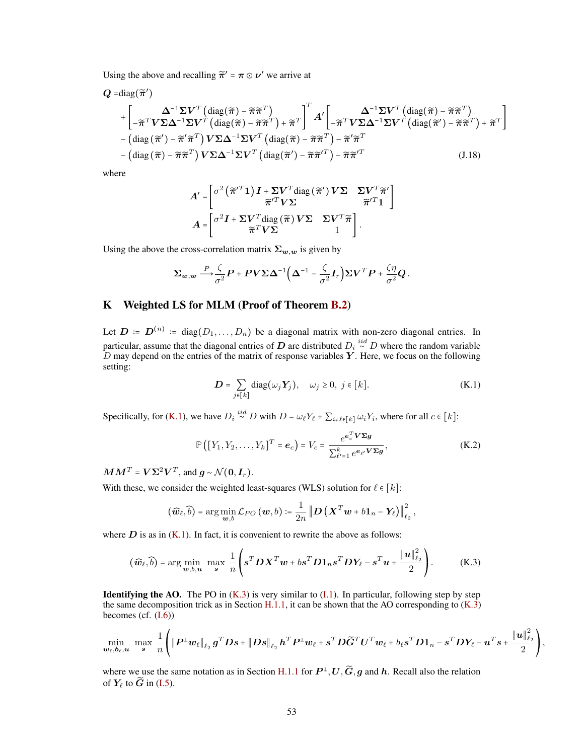Using the above and recalling  $\tilde{\pi}' = \pi \odot \nu'$  we arrive at

$$
Q = \text{diag}(\widetilde{\pi}')
$$
  
+ 
$$
\begin{bmatrix} \Delta^{-1} \Sigma V^{T} \left( \text{diag}(\widetilde{\pi}) - \widetilde{\pi} \widetilde{\pi}^{T} \right) \\ -\widetilde{\pi}^{T} V \Sigma \Delta^{-1} \Sigma V^{T} \left( \text{diag}(\widetilde{\pi}) - \widetilde{\pi} \widetilde{\pi}^{T} \right) + \widetilde{\pi}^{T} \end{bmatrix}^{T} A' \begin{bmatrix} \Delta^{-1} \Sigma V^{T} \left( \text{diag}(\widetilde{\pi}) - \widetilde{\pi} \widetilde{\pi}^{T} \right) \\ -\left( \text{diag}(\widetilde{\pi}') - \widetilde{\pi}' \widetilde{\pi}^{T} \right) V \Sigma \Delta^{-1} \Sigma V^{T} \left( \text{diag}(\widetilde{\pi}) - \widetilde{\pi} \widetilde{\pi}^{T} \right) - \widetilde{\pi}' \widetilde{\pi}^{T} \\ -\left( \text{diag}(\widetilde{\pi}) - \widetilde{\pi} \widetilde{\pi}^{T} \right) V \Sigma \Delta^{-1} \Sigma V^{T} \left( \text{diag}(\widetilde{\pi}') - \widetilde{\pi} \widetilde{\pi}'^{T} \right) - \widetilde{\pi} \widetilde{\pi}'^{T} \end{bmatrix} (J.18)
$$

where

<span id="page-52-1"></span>
$$
A' = \begin{bmatrix} \sigma^2 (\widetilde{\pi}'^T \mathbf{1}) I + \Sigma V^T \text{diag} (\widetilde{\pi}') V \Sigma & \Sigma V^T \widetilde{\pi}' \\ \widetilde{\pi}'^T V \Sigma & \widetilde{\pi}'^T \mathbf{1} \end{bmatrix}
$$

$$
A = \begin{bmatrix} \sigma^2 I + \Sigma V^T \text{diag} (\widetilde{\pi}) V \Sigma & \Sigma V^T \widetilde{\pi} \\ \widetilde{\pi}^T V \Sigma & 1 \end{bmatrix}.
$$

Using the above the cross-correlation matrix  $\Sigma_{w,w}$  is given by

$$
\Sigma_{\mathbf{w},\mathbf{w}} \stackrel{P}{\longrightarrow} \frac{\zeta}{\sigma^2} \mathbf{P} + \mathbf{P} \mathbf{V} \Sigma \Delta^{-1} \Big( \Delta^{-1} - \frac{\zeta}{\sigma^2} \mathbf{I}_r \Big) \Sigma \mathbf{V}^T \mathbf{P} + \frac{\zeta \eta}{\sigma^2} \mathbf{Q}.
$$

# <span id="page-52-0"></span>K Weighted LS for MLM (Proof of Theorem [B.2\)](#page-19-4)

Let  $D = D^{(n)} = diag(D_1, ..., D_n)$  be a diagonal matrix with non-zero diagonal entries. In particular, assume that the diagonal entries of  $\bm{D}$  are distributed  $D_i \stackrel{iid}{\sim} D$  where the random variable  $D$  may depend on the entries of the matrix of response variables  $Y$ . Here, we focus on the following setting:

<span id="page-52-2"></span>
$$
D = \sum_{j \in [k]} diag(\omega_j Y_j), \quad \omega_j \ge 0, \ j \in [k].
$$
 (K.1)

Specifically, for [\(K.1\)](#page-52-2), we have  $D_i \stackrel{iid}{\sim} D$  with  $D = \omega_\ell Y_\ell + \sum_{i \neq \ell \in [k]} \omega_i Y_i$ , where for all  $c \in [k]$ :

<span id="page-52-3"></span>
$$
\mathbb{P}\left(\left[Y_1, Y_2, \dots, Y_k\right]^T = \boldsymbol{e}_c\right) = V_c = \frac{e^{\boldsymbol{e}_c^T \boldsymbol{V} \boldsymbol{\Sigma} \boldsymbol{g}}}{\sum_{\ell'=1}^k e^{\boldsymbol{e}_{\ell'} \boldsymbol{V} \boldsymbol{\Sigma} \boldsymbol{g}}},\tag{K.2}
$$

 $\boldsymbol{M}\boldsymbol{M}^T = \boldsymbol{V}\boldsymbol{\Sigma}^2\boldsymbol{V}^T$ , and  $\boldsymbol{g} \sim \mathcal{N}(\boldsymbol{0},\boldsymbol{I}_r)$ .

With these, we consider the weighted least-squares (WLS) solution for  $\ell \in [k]$ :

$$
(\widehat{\boldsymbol{w}}_{\ell},\widehat{b})=\arg\min_{\boldsymbol{w},b}\mathcal{L}_{PO}(\boldsymbol{w},b)\coloneqq\frac{1}{2n}\left\Vert \boldsymbol{D}\left(\boldsymbol{X}^{T}\boldsymbol{w}+b\boldsymbol{1}_{n}-\boldsymbol{Y}_{\ell}\right)\right\Vert _{\ell_{2}}^{2},
$$

where  $D$  is as in  $(K.1)$ . In fact, it is convenient to rewrite the above as follows:

$$
(\widehat{\boldsymbol{w}}_{\ell},\widehat{b}) = \arg\min_{\boldsymbol{w},b,\boldsymbol{u}} \ \max_{\boldsymbol{s}} \ \frac{1}{n} \left( \boldsymbol{s}^T \boldsymbol{D} \boldsymbol{X}^T \boldsymbol{w} + b \boldsymbol{s}^T \boldsymbol{D} \boldsymbol{1}_n \boldsymbol{s}^T \boldsymbol{D} \boldsymbol{Y}_{\ell} - \boldsymbol{s}^T \boldsymbol{u} + \frac{\|\boldsymbol{u}\|_{\ell_2}^2}{2} \right). \tag{K.3}
$$

**Identifying the AO.** The PO in  $(K.3)$  is very similar to  $(I.1)$ . In particular, following step by step the same decomposition trick as in Section [H.1.1,](#page-31-1) it can be shown that the AO corresponding to  $(K.3)$ becomes (cf. [\(I.6\)](#page-36-7))

$$
\min_{\boldsymbol{w}_{\ell},\boldsymbol{b}_{\ell},\boldsymbol{u}} \ \max_{\boldsymbol{s}} \ \frac{1}{n} \Bigg( \|\boldsymbol{P}^{\perp}\boldsymbol{w}_{\ell}\|_{\ell_2} \ \boldsymbol{g}^T\boldsymbol{D}\boldsymbol{s} + \|\boldsymbol{D}\boldsymbol{s}\|_{\ell_2} \ \boldsymbol{h}^T\boldsymbol{P}^{\perp}\boldsymbol{w}_{\ell} + \boldsymbol{s}^T\boldsymbol{D}\widetilde{\boldsymbol{G}}^T\boldsymbol{U}^T\boldsymbol{w}_{\ell} + b_{\ell}\boldsymbol{s}^T\boldsymbol{D}\boldsymbol{1}_n - \boldsymbol{s}^T\boldsymbol{D}\boldsymbol{Y}_{\ell} - \boldsymbol{u}^T\boldsymbol{s} + \frac{\|\boldsymbol{u}\|_{\ell_2}^2}{2} \Bigg),
$$

where we use the same notation as in Section [H.1.1](#page-31-1) for  $P^{\perp}$ ,  $U$ ,  $\widetilde{G}$ ,  $g$  and  $h$ . Recall also the relation of  $Y_\ell$  to  $\widetilde{G}$  in [\(I.5\)](#page-36-5).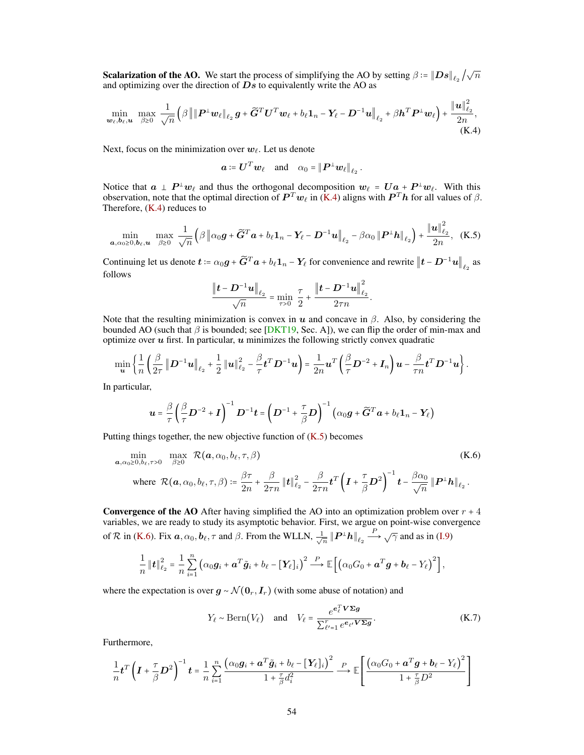**Scalarization of the AO.** We start the process of simplifying the AO by setting  $\beta = ||Ds||_{\ell_2}/\sqrt{n}$ and optimizing over the direction of  $\overline{Ds}$  to equivalently write the AO as

$$
\min_{\boldsymbol{w}_{\ell},\boldsymbol{b}_{\ell},\boldsymbol{u}} \ \max_{\beta\geq 0} \ \frac{1}{\sqrt{n}} \left(\beta \left\| \left\| \boldsymbol{P}^{\perp} \boldsymbol{w}_{\ell} \right\|_{\ell_2} \boldsymbol{g} + \widetilde{\boldsymbol{G}}^T \boldsymbol{U}^T \boldsymbol{w}_{\ell} + b_{\ell} \boldsymbol{1}_n - \boldsymbol{Y}_{\ell} - \boldsymbol{D}^{-1} \boldsymbol{u} \right\|_{\ell_2} + \beta \boldsymbol{h}^T \boldsymbol{P}^{\perp} \boldsymbol{w}_{\ell} \right) + \frac{\|\boldsymbol{u}\|_{\ell_2}^2}{2n},
$$
\n(K.4)

Next, focus on the minimization over  $w_\ell$ . Let us denote

<span id="page-53-1"></span><span id="page-53-0"></span>
$$
\boldsymbol{a} \coloneqq \boldsymbol{U}^T \boldsymbol{w}_\ell \quad \text{and} \quad \alpha_0 = \|\boldsymbol{P}^\perp \boldsymbol{w}_\ell\|_{\ell_2}.
$$

Notice that  $a \perp P^{\perp}w_{\ell}$  and thus the orthogonal decomposition  $w_{\ell} = Ua + P^{\perp}w_{\ell}$ . With this observation, note that the optimal direction of  $\bm{P}^T\bm{w}_\ell$  in [\(K.4\)](#page-53-0) aligns with  $\bm{P}^T\bm{h}$  for all values of  $\beta$ . Therefore,  $(K.4)$  reduces to

$$
\min_{\mathbf{a}, \alpha_0 \geq 0, \mathbf{b}_{\ell}, \mathbf{u}} \quad \max_{\beta \geq 0} \quad \frac{1}{\sqrt{n}} \left( \beta \left\| \alpha_0 \mathbf{g} + \widetilde{\mathbf{G}}^T \mathbf{a} + b_{\ell} \mathbf{1}_n - \mathbf{Y}_{\ell} - \mathbf{D}^{-1} \mathbf{u} \right\|_{\ell_2} - \beta \alpha_0 \left\| \mathbf{P}^{\perp} \mathbf{h} \right\|_{\ell_2} \right) + \frac{\left\| \mathbf{u} \right\|_{\ell_2}^2}{2n}, \quad (\text{K.5})
$$

Continuing let us denote  $t = \alpha_0 g + \widetilde{G}^T a + b_\ell 1_n - Y_\ell$  for convenience and rewrite  $\big\|t - D^{-1}u\big\|_{\ell_2}$  as follows

<span id="page-53-2"></span>
$$
\frac{\left\|\bm{t}-\bm{D}^{-1}\bm{u}\right\|_{\ell_2}}{\sqrt{n}} = \min_{\tau>0} \ \frac{\tau}{2} + \frac{\left\|\bm{t}-\bm{D}^{-1}\bm{u}\right\|_{\ell_2}^2}{2\tau n}.
$$

Note that the resulting minimization is convex in  $u$  and concave in  $\beta$ . Also, by considering the bounded AO (such that  $\beta$  is bounded; see [\[DKT19,](#page-10-16) Sec. A]), we can flip the order of min-max and optimize over  $u$  first. In particular,  $u$  minimizes the following strictly convex quadratic

$$
\min_{\bm{u}} \left\{ \frac{1}{n} \left( \frac{\beta}{2\tau} \left\| \bm{D}^{-1} \bm{u} \right\|_{\ell_2} + \frac{1}{2} \left\| \bm{u} \right\|_{\ell_2}^2 - \frac{\beta}{\tau} \bm{t}^T \bm{D}^{-1} \bm{u} \right) = \frac{1}{2n} \bm{u}^T \left( \frac{\beta}{\tau} \bm{D}^{-2} + \bm{I}_n \right) \bm{u} - \frac{\beta}{\tau n} \bm{t}^T \bm{D}^{-1} \bm{u} \right\}.
$$

In particular,

$$
\boldsymbol{u} = \frac{\beta}{\tau} \left( \frac{\beta}{\tau} \boldsymbol{D}^{-2} + \boldsymbol{I} \right)^{-1} \boldsymbol{D}^{-1} \boldsymbol{t} = \left( \boldsymbol{D}^{-1} + \frac{\tau}{\beta} \boldsymbol{D} \right)^{-1} \left( \alpha_0 \boldsymbol{g} + \widetilde{\boldsymbol{G}}^T \boldsymbol{a} + b_\ell \boldsymbol{1}_n - \boldsymbol{Y}_\ell \right)
$$

Putting things together, the new objective function of  $(K.5)$  becomes

$$
\min_{\mathbf{a}, \alpha_0 \ge 0, b_\ell, \tau > 0} \max_{\beta \ge 0} \mathcal{R}(\mathbf{a}, \alpha_0, b_\ell, \tau, \beta)
$$
\n(K.6)

\nwhere 
$$
\mathcal{R}(\mathbf{a}, \alpha_0, b_\ell, \tau, \beta) \coloneqq \frac{\beta \tau}{2n} + \frac{\beta}{2\tau n} ||\mathbf{t}||_{\ell_2}^2 - \frac{\beta}{2\tau n} \mathbf{t}^T \left( \mathbf{I} + \frac{\tau}{\beta} \mathbf{D}^2 \right)^{-1} \mathbf{t} - \frac{\beta \alpha_0}{\sqrt{n}} ||\mathbf{P}^\perp \mathbf{h}||_{\ell_2}.
$$

**Convergence of the AO** After having simplified the AO into an optimization problem over  $r + 4$ variables, we are ready to study its asymptotic behavior. First, we argue on point-wise convergence of R in [\(K.6\)](#page-53-2). Fix  $a, \alpha_0, b_\ell, \tau$  and  $\beta$ . From the WLLN,  $\frac{1}{\sqrt{\beta}}$  $\frac{1}{\overline{n}} ||\boldsymbol{P}^\perp \boldsymbol{h}||_{\ell_2} \stackrel{P}{\longrightarrow} \sqrt{\gamma}$  and as in [\(I.9\)](#page-37-5)

$$
\frac{1}{n}||\boldsymbol{t}||_{\ell_2}^2 = \frac{1}{n}\sum_{i=1}^n \left(\alpha_0 \boldsymbol{g}_i + \boldsymbol{a}^T \tilde{\boldsymbol{g}}_i + b_{\ell} - [\boldsymbol{Y}_{\ell}]_i\right)^2 \stackrel{P}{\longrightarrow} \mathbb{E}\left[\left(\alpha_0 G_0 + \boldsymbol{a}^T \boldsymbol{g} + \boldsymbol{b}_{\ell} - Y_{\ell}\right)^2\right],
$$

where the expectation is over  $g \sim \mathcal{N}(\mathbf{0}_r, \mathbf{I}_r)$  (with some abuse of notation) and

<span id="page-53-3"></span>
$$
Y_{\ell} \sim \text{Bern}(V_{\ell}) \quad \text{and} \quad V_{\ell} = \frac{e^{e_{\ell}^T \mathbf{V} \Sigma \mathbf{g}}}{\sum_{\ell'=1}^r e^{e_{\ell} \mathbf{V} \Sigma \mathbf{g}}}.
$$
 (K.7)

Furthermore,

$$
\frac{1}{n}t^T\left(I+\frac{\tau}{\beta}D^2\right)^{-1}t = \frac{1}{n}\sum_{i=1}^n\frac{\left(\alpha_0g_i + \mathbf{a}^T\tilde{g}_i + b_\ell - \left[\mathbf{Y}_\ell\right]_i\right)^2}{1+\frac{\tau}{\beta}d_i^2} \xrightarrow{P} \mathbb{E}\left[\frac{\left(\alpha_0G_0 + \mathbf{a}^Tg + b_\ell - Y_\ell\right)^2}{1+\frac{\tau}{\beta}D^2}\right]
$$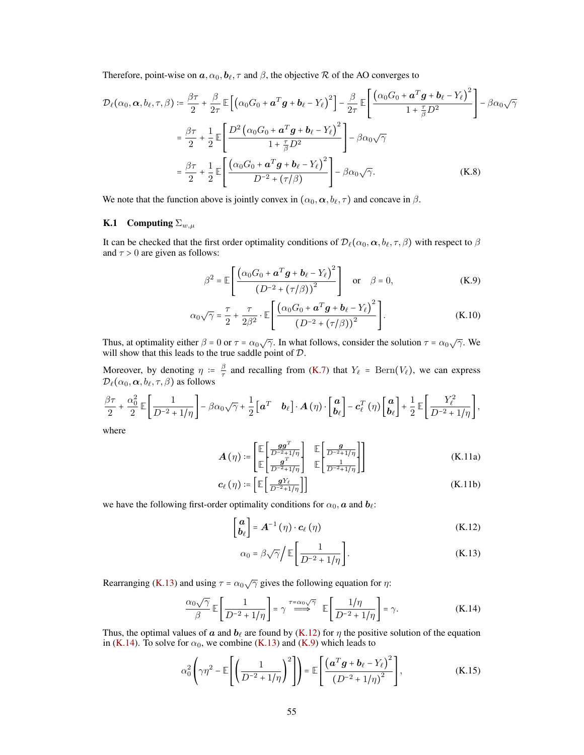Therefore, point-wise on  $\mathbf{a}, \alpha_0, \mathbf{b}_\ell, \tau$  and  $\beta$ , the objective R of the AO converges to

$$
\mathcal{D}_{\ell}(\alpha_{0}, \boldsymbol{\alpha}, b_{\ell}, \tau, \beta) \coloneqq \frac{\beta \tau}{2} + \frac{\beta}{2\tau} \mathbb{E}\left[\left(\alpha_{0}G_{0} + \boldsymbol{a}^{T}\boldsymbol{g} + \boldsymbol{b}_{\ell} - Y_{\ell}\right)^{2}\right] - \frac{\beta}{2\tau} \mathbb{E}\left[\frac{\left(\alpha_{0}G_{0} + \boldsymbol{a}^{T}\boldsymbol{g} + \boldsymbol{b}_{\ell} - Y_{\ell}\right)^{2}}{1 + \frac{\tau}{\beta}D^{2}}\right] - \beta\alpha_{0}\sqrt{\gamma}
$$
\n
$$
= \frac{\beta\tau}{2} + \frac{1}{2} \mathbb{E}\left[\frac{D^{2}\left(\alpha_{0}G_{0} + \boldsymbol{a}^{T}\boldsymbol{g} + \boldsymbol{b}_{\ell} - Y_{\ell}\right)^{2}}{1 + \frac{\tau}{\beta}D^{2}}\right] - \beta\alpha_{0}\sqrt{\gamma}
$$
\n
$$
= \frac{\beta\tau}{2} + \frac{1}{2} \mathbb{E}\left[\frac{\left(\alpha_{0}G_{0} + \boldsymbol{a}^{T}\boldsymbol{g} + \boldsymbol{b}_{\ell} - Y_{\ell}\right)^{2}}{D^{-2} + (\tau/\beta)}\right] - \beta\alpha_{0}\sqrt{\gamma}.
$$
\n(K.8)

<span id="page-54-0"></span>We note that the function above is jointly convex in  $(\alpha_0, \alpha, b_\ell, \tau)$  and concave in  $\beta$ .

## K.1 Computing  $\Sigma_{w,\mu}$

It can be checked that the first order optimality conditions of  $\mathcal{D}_{\ell}(\alpha_0,\alpha, b_{\ell}, \tau, \beta)$  with respect to  $\beta$ and  $\tau > 0$  are given as follows:

<span id="page-54-7"></span><span id="page-54-4"></span>
$$
\beta^2 = \mathbb{E}\left[\frac{(\alpha_0 G_0 + \boldsymbol{a}^T \boldsymbol{g} + \boldsymbol{b}_\ell - Y_\ell)^2}{\left(D^{-2} + (\tau/\beta)\right)^2}\right] \quad \text{or} \quad \beta = 0,
$$
 (K.9)

$$
\alpha_0 \sqrt{\gamma} = \frac{\tau}{2} + \frac{\tau}{2\beta^2} \cdot \mathbb{E}\left[\frac{\left(\alpha_0 G_0 + \mathbf{a}^T \mathbf{g} + \mathbf{b}_\ell - Y_\ell\right)^2}{\left(D^{-2} + \left(\tau/\beta\right)\right)^2}\right].
$$
\n(K.10)

Thus, at optimality either  $\beta = 0$  or  $\tau = \alpha_0 \sqrt{\gamma}$ . In what follows, consider the solution  $\tau = \alpha_0 \sqrt{\gamma}$ . We will show that this leads to the true saddle point of D.

Moreover, by denoting  $\eta := \frac{\beta}{\tau}$  $\frac{\beta}{\tau}$  and recalling from [\(K.7\)](#page-53-3) that  $Y_{\ell}$  = Bern( $V_{\ell}$ ), we can express  $\mathcal{D}_{\ell}(\alpha_0, \alpha, b_{\ell}, \tau, \beta)$  as follows

$$
\frac{\beta\tau}{2} + \frac{\alpha_0^2}{2} \mathbb{E}\left[\frac{1}{D^{-2} + 1/\eta}\right] - \beta\alpha_0\sqrt{\gamma} + \frac{1}{2}\left[a^T \quad \boldsymbol{b}_{\ell}\right] \cdot \boldsymbol{A}\left(\eta\right) \cdot \begin{bmatrix} \boldsymbol{a} \\ \boldsymbol{b}_{\ell} \end{bmatrix} - \boldsymbol{c}_{\ell}^T\left(\eta\right) \begin{bmatrix} \boldsymbol{a} \\ \boldsymbol{b}_{\ell} \end{bmatrix} + \frac{1}{2} \mathbb{E}\left[\frac{Y_{\ell}^2}{D^{-2} + 1/\eta}\right],
$$

<span id="page-54-5"></span>where

$$
\boldsymbol{A}(\eta) \coloneqq \begin{bmatrix} \mathbb{E} \begin{bmatrix} \frac{gg^T}{D^{-2} + 1/\eta} \end{bmatrix} & \mathbb{E} \begin{bmatrix} \frac{g}{D^{-2} + 1/\eta} \end{bmatrix} \\ \mathbb{E} \begin{bmatrix} \frac{g^T}{D^{-2} + 1/\eta} \end{bmatrix} & \mathbb{E} \begin{bmatrix} \frac{1}{D^{-2} + 1/\eta} \end{bmatrix} \end{bmatrix}
$$
\n(K.11a)

$$
\boldsymbol{c}_{\ell}(\eta) \coloneqq \left[ \mathbb{E} \left[ \frac{\boldsymbol{g} Y_{\ell}}{D^{-2} + 1/\eta} \right] \right] \tag{K.11b}
$$

we have the following first-order optimality conditions for  $\alpha_0$ ,  $\boldsymbol{a}$  and  $\boldsymbol{b}_{\ell}$ :

$$
\begin{bmatrix} a \\ b_{\ell} \end{bmatrix} = A^{-1}(\eta) \cdot c_{\ell}(\eta) \tag{K.12}
$$

<span id="page-54-6"></span><span id="page-54-3"></span><span id="page-54-2"></span><span id="page-54-1"></span>
$$
\alpha_0 = \beta \sqrt{\gamma} \bigg/ \mathbb{E} \bigg[ \frac{1}{D^{-2} + 1/\eta} \bigg]. \tag{K.13}
$$

Rearranging [\(K.13\)](#page-54-1) and using  $\tau = \alpha_0 \sqrt{\gamma}$  gives the following equation for  $\eta$ :

$$
\frac{\alpha_0 \sqrt{\gamma}}{\beta} \mathbb{E} \left[ \frac{1}{D^{-2} + 1/\eta} \right] = \gamma \stackrel{\tau = \alpha_0 \sqrt{\gamma}}{\Longrightarrow} \mathbb{E} \left[ \frac{1/\eta}{D^{-2} + 1/\eta} \right] = \gamma.
$$
 (K.14)

Thus, the optimal values of a and  $b_\ell$  are found by [\(K.12\)](#page-54-2) for  $\eta$  the positive solution of the equation in [\(K.14\)](#page-54-3). To solve for  $\alpha_0$ , we combine [\(K.13\)](#page-54-1) and [\(K.9\)](#page-54-4) which leads to

$$
\alpha_0^2 \left( \gamma \eta^2 - \mathbb{E} \left[ \left( \frac{1}{D^{-2} + 1/\eta} \right)^2 \right] \right) = \mathbb{E} \left[ \frac{\left( \boldsymbol{a}^T \boldsymbol{g} + \boldsymbol{b}_\ell - Y_\ell \right)^2}{\left( D^{-2} + 1/\eta \right)^2} \right], \tag{K.15}
$$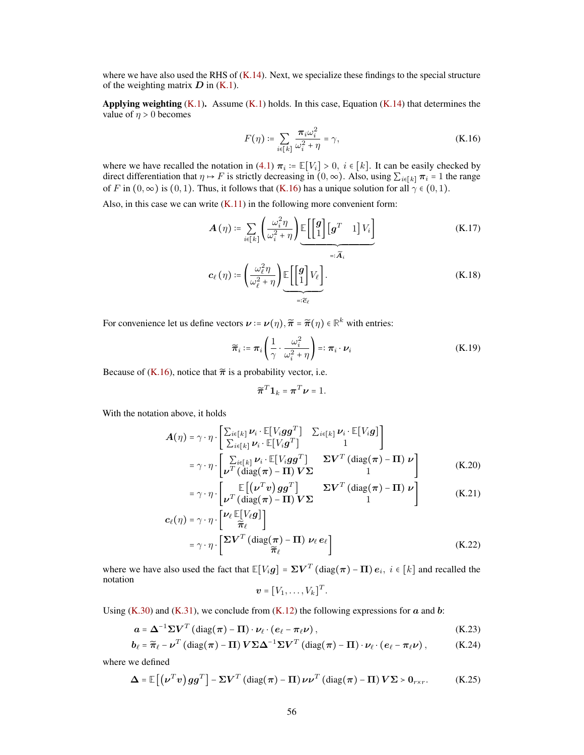where we have also used the RHS of  $(K.14)$ . Next, we specialize these findings to the special structure of the weighting matrix  $D$  in  $(K.1)$ .

Applying weighting  $(K.1)$ . Assume  $(K.1)$  holds. In this case, Equation  $(K.14)$  that determines the value of  $\eta > 0$  becomes

<span id="page-55-0"></span>
$$
F(\eta) \coloneqq \sum_{i \in [k]} \frac{\pi_i \omega_i^2}{\omega_i^2 + \eta} = \gamma,
$$
 (K.16)

where we have recalled the notation in [\(4.1\)](#page-6-2)  $\pi_i := \mathbb{E}[V_i] > 0$ ,  $i \in [k]$ . It can be easily checked by direct differentiation that  $\eta \mapsto F$  is strictly decreasing in  $(0, \infty)$ . Also, using  $\sum_{i \in [k]} \pi_i = 1$  the range of F in  $(0, \infty)$  is  $(0, 1)$ . Thus, it follows that  $(K.16)$  has a unique solution for all  $\gamma \in (0, 1)$ .

Also, in this case we can write  $(K.11)$  in the following more convenient form:

$$
\mathbf{A}(\eta) \coloneqq \sum_{i \in [k]} \left( \frac{\omega_i^2 \eta}{\omega_i^2 + \eta} \right) \underbrace{\mathbb{E}\left[ \begin{bmatrix} \mathbf{g} \\ 1 \end{bmatrix} \begin{bmatrix} \mathbf{g}^T & 1 \end{bmatrix} V_i \right]}_{=: \widetilde{\mathbf{A}}_i}
$$
\n
$$
\mathbf{c}_{\ell}(\eta) \coloneqq \left( \frac{\omega_{\ell}^2 \eta}{\omega_{\ell}^2 + \eta} \right) \underbrace{\mathbb{E}\left[ \begin{bmatrix} \mathbf{g} \\ 1 \end{bmatrix} V_{\ell} \right]}_{=: \widetilde{\mathbf{c}}_{\ell}}.
$$
\n(K.18)

For convenience let us define vectors  $\mathbf{v} = \mathbf{v}(\eta), \tilde{\boldsymbol{\pi}} = \tilde{\boldsymbol{\pi}}(\eta) \in \mathbb{R}^k$  with entries:

$$
\widetilde{\pi}_i \coloneqq \pi_i \left( \frac{1}{\gamma} \cdot \frac{\omega_i^2}{\omega_i^2 + \eta} \right) =: \pi_i \cdot \nu_i \tag{K.19}
$$

Because of [\(K.16\)](#page-55-0), notice that  $\tilde{\pi}$  is a probability vector, i.e.

<span id="page-55-4"></span>
$$
\widetilde{\boldsymbol{\pi}}^T \mathbf{1}_k = \boldsymbol{\pi}^T \boldsymbol{\nu} = 1.
$$

With the notation above, it holds

$$
A(\eta) = \gamma \cdot \eta \cdot \left[ \frac{\sum_{i \in [k]} \nu_i \cdot \mathbb{E}[V_i g g^T]}{\sum_{i \in [k]} \nu_i \cdot \mathbb{E}[V_i g^T]} \frac{\sum_{i \in [k]} \nu_i \cdot \mathbb{E}[V_i g]}{1} \right]
$$
  
=  $\gamma \cdot \eta \cdot \left[ \frac{\sum_{i \in [k]} \nu_i \cdot \mathbb{E}[V_i g g^T]}{\nu^T (\text{diag}(\pi) - \Pi) V \Sigma} \frac{\Sigma V^T (\text{diag}(\pi) - \Pi) \nu}{1} \right]$  (K.20)

$$
= \gamma \cdot \eta \cdot \left[ \frac{\mathbb{E}\left[ (\nu^T v) g g^T \right]}{\nu^T \left( \text{diag}(\pi) - \Pi \right) V \Sigma} \right] \qquad \text{(K.21)}
$$

$$
\mathbf{c}_{\ell}(\eta) = \gamma \cdot \eta \cdot \left[ \frac{\nu_{\ell} \mathbb{E}[V_{\ell}g]}{\tilde{\pi}_{\ell}} \right]
$$
  
=  $\gamma \cdot \eta \cdot \left[ \frac{\Sigma V^{T} (\text{diag}(\pi) - \Pi) \nu_{\ell} e_{\ell}}{\tilde{\pi}_{\ell}} \right]$  (K.22)

where we have also used the fact that  $\mathbb{E}[V_i \bm{g}] = \bm{\Sigma} \bm{V}^T (\text{diag}(\bm{\pi}) - \bm{\Pi}) \bm{e}_i, \ i \in [k]$  and recalled the notation

<span id="page-55-3"></span><span id="page-55-2"></span><span id="page-55-1"></span>
$$
\boldsymbol{v} = [V_1, \ldots, V_k]^T.
$$

Using [\(K.30\)](#page-56-1) and [\(K.31\)](#page-56-2), we conclude from [\(K.12\)](#page-54-2) the following expressions for  $\alpha$  and  $\dot{\alpha}$ :

$$
\mathbf{a} = \mathbf{\Delta}^{-1} \mathbf{\Sigma} \mathbf{V}^T \left( \text{diag}(\boldsymbol{\pi}) - \mathbf{\Pi} \right) \cdot \nu_\ell \cdot \left( e_\ell - \boldsymbol{\pi}_\ell \nu \right),\tag{K.23}
$$

$$
\boldsymbol{b}_{\ell} = \widetilde{\boldsymbol{\pi}}_{\ell} - \boldsymbol{\nu}^T \left( \mathrm{diag}(\boldsymbol{\pi}) - \boldsymbol{\Pi} \right) \boldsymbol{V} \boldsymbol{\Sigma} \boldsymbol{\Delta}^{-1} \boldsymbol{\Sigma} \boldsymbol{V}^T \left( \mathrm{diag}(\boldsymbol{\pi}) - \boldsymbol{\Pi} \right) \cdot \boldsymbol{\nu}_{\ell} \cdot \left( \boldsymbol{e}_{\ell} - \boldsymbol{\pi}_{\ell} \boldsymbol{\nu} \right), \tag{K.24}
$$

where we defined

$$
\Delta = \mathbb{E}\left[\left(\nu^T v\right)gg^T\right] - \Sigma V^T \left(\text{diag}(\pi) - \Pi\right)\nu\nu^T \left(\text{diag}(\pi) - \Pi\right)V\Sigma > 0_{r \times r}.\tag{K.25}
$$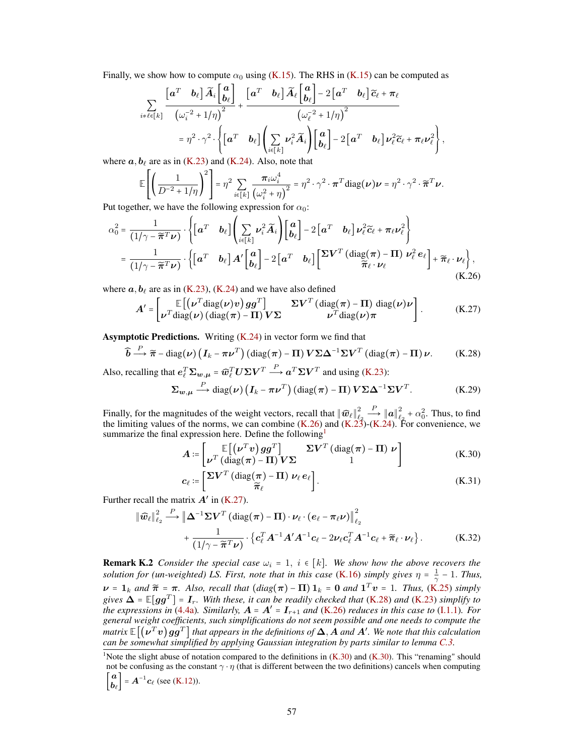Finally, we show how to compute  $\alpha_0$  using [\(K.15\)](#page-54-6). The RHS in (K.15) can be computed as

$$
\sum_{i \neq \ell \in [k]} \frac{\begin{bmatrix} a^T & b_\ell \end{bmatrix} \widetilde{A}_i \begin{bmatrix} a \\ b_\ell \end{bmatrix}}{\begin{bmatrix} \omega_i^{-2} + 1/\eta \end{bmatrix}^2} + \frac{\begin{bmatrix} a^T & b_\ell \end{bmatrix} \widetilde{A}_\ell \begin{bmatrix} a \\ b_\ell \end{bmatrix} - 2\begin{bmatrix} a^T & b_\ell \end{bmatrix} \widetilde{c}_\ell + \pi_\ell}{\begin{bmatrix} \omega_\ell^{-2} + 1/\eta \end{bmatrix}^2}
$$
\n
$$
= \eta^2 \cdot \gamma^2 \cdot \left\{ \begin{bmatrix} a^T & b_\ell \end{bmatrix} \left( \sum_{i \in [k]} \nu_i^2 \widetilde{A}_i \right) \begin{bmatrix} a \\ b_\ell \end{bmatrix} - 2\begin{bmatrix} a^T & b_\ell \end{bmatrix} \nu_\ell^2 \widetilde{c}_\ell + \pi_\ell \nu_\ell^2 \right\},
$$
\nwhere  $\mathbf{S}$  is  $\mathbf{S}$  is  $\mathbf{S}$  and  $\mathbf{S}$  and  $\mathbf{S}$  is not that

where  $a, b_\ell$  are as in [\(K.23\)](#page-55-1) and [\(K.24\)](#page-55-2). Also, note that

$$
\mathbb{E}\left[\left(\frac{1}{D^{-2}+1/\eta}\right)^{2}\right] = \eta^{2} \sum_{i\in[k]} \frac{\pi_{i}\omega_{i}^{4}}{(\omega_{i}^{2}+\eta)^{2}} = \eta^{2} \cdot \gamma^{2} \cdot \pi^{T} \text{diag}(\nu)\nu = \eta^{2} \cdot \gamma^{2} \cdot \widetilde{\pi}^{T}\nu.
$$

Put together, we have the following expression for  $\alpha_0$ :

$$
\alpha_0^2 = \frac{1}{(1/\gamma - \widetilde{\pi}^T \nu)} \cdot \left\{ \left[ \mathbf{a}^T \quad \mathbf{b}_{\ell} \right] \left( \sum_{i \in [k]} \nu_i^2 \widetilde{A}_i \right) \left[ \begin{matrix} a \\ b_{\ell} \end{matrix} \right] - 2 \left[ \mathbf{a}^T \quad \mathbf{b}_{\ell} \right] \nu_{\ell}^2 \widetilde{\mathbf{c}}_{\ell} + \pi_{\ell} \nu_{\ell}^2 \right\} \n= \frac{1}{(1/\gamma - \widetilde{\pi}^T \nu)} \cdot \left\{ \left[ \mathbf{a}^T \quad \mathbf{b}_{\ell} \right] \mathbf{A}^{\prime} \left[ \begin{matrix} a \\ b_{\ell} \end{matrix} \right] - 2 \left[ \mathbf{a}^T \quad \mathbf{b}_{\ell} \right] \left[ \sum V^T (\text{diag}(\pi) - \Pi) \nu_{\ell}^2 \mathbf{e}_{\ell} \right] + \widetilde{\pi}_{\ell} \cdot \nu_{\ell} \right\}, \tag{K.26}
$$

where  $a, b_\ell$  are as in [\(K.23\)](#page-55-1), [\(K.24\)](#page-55-2) and we have also defined

$$
A' = \left[ \nu^T \text{diag}(\nu) v \right] g g^T \right] \qquad \Sigma V^T \left( \text{diag}(\pi) - \Pi \right) \text{diag}(\nu) \nu \right]. \tag{K.27}
$$

**Asymptotic Predictions.** Writing  $(K.24)$  in vector form we find that

$$
\widehat{\boldsymbol{b}} \stackrel{P}{\longrightarrow} \widetilde{\boldsymbol{\pi}} - \text{diag}(\boldsymbol{\nu}) \left( \boldsymbol{I}_k - \boldsymbol{\pi} \boldsymbol{\nu}^T \right) \left( \text{diag}(\boldsymbol{\pi}) - \boldsymbol{\Pi} \right) \boldsymbol{V} \boldsymbol{\Sigma} \boldsymbol{\Delta}^{-1} \boldsymbol{\Sigma} \boldsymbol{V}^T \left( \text{diag}(\boldsymbol{\pi}) - \boldsymbol{\Pi} \right) \boldsymbol{\nu}. \tag{K.28}
$$

Also, recalling that  $e_{\ell}^T \Sigma_{w,\mu} = \widehat{w}_{\ell}^T U \Sigma V^T \stackrel{P}{\longrightarrow} a^T \Sigma V^T$  and using [\(K.23\)](#page-55-1):

<span id="page-56-5"></span><span id="page-56-4"></span><span id="page-56-3"></span>
$$
\Sigma_{w,\mu} \stackrel{P}{\longrightarrow} \text{diag}(\nu) \left( I_k - \pi \nu^T \right) \left( \text{diag}(\pi) - \Pi \right) V \Sigma \Delta^{-1} \Sigma V^T. \tag{K.29}
$$

Finally, for the magnitudes of the weight vectors, recall that  $\|\widehat{\boldsymbol{w}}_{\ell}\|_{\ell}^{2}$  $\ell_2$  $\stackrel{P}{\longrightarrow} \|a\|_{\ell}^2$  $\frac{2}{\ell_2}$  +  $\alpha_0^2$ . Thus, to find the limiting values of the norms, we can combine  $(K.26)$  and  $(K.23)$ - $(K.24)$ . For convenience, we summarize the final expression here. Define the following<sup>[1](#page-0-0)</sup>

<span id="page-56-1"></span>
$$
A := \left[ \begin{matrix} \mathbb{E}\left[ \left( \boldsymbol{\nu}^T \boldsymbol{v} \right) \boldsymbol{g} \boldsymbol{g}^T \right] & \boldsymbol{\Sigma} \boldsymbol{V}^T \left( \text{diag}(\boldsymbol{\pi}) - \boldsymbol{\Pi} \right) \boldsymbol{\nu} \\ \boldsymbol{\nu}^T \left( \text{diag}(\boldsymbol{\pi}) - \boldsymbol{\Pi} \right) \boldsymbol{V} \boldsymbol{\Sigma} & 1 \end{matrix} \right]
$$
(K.30)

<span id="page-56-6"></span><span id="page-56-2"></span>
$$
\boldsymbol{c}_{\ell} \coloneqq \begin{bmatrix} \boldsymbol{\Sigma} \boldsymbol{V}^T \left( \mathrm{diag}(\boldsymbol{\pi}) - \boldsymbol{\Pi} \right) \boldsymbol{\nu}_{\ell} \, \boldsymbol{e}_{\ell} \\ \widetilde{\boldsymbol{\pi}}_{\ell} \end{bmatrix} . \tag{K.31}
$$

Further recall the matrix  $A'$  in [\(K.27\)](#page-56-4).

$$
\|\widehat{\boldsymbol{w}}_{\ell}\|_{\ell_2}^2 \stackrel{P}{\longrightarrow} \|\Delta^{-1} \Sigma \boldsymbol{V}^T (\text{diag}(\boldsymbol{\pi}) - \Pi) \cdot \boldsymbol{\nu}_{\ell} \cdot (\boldsymbol{e}_{\ell} - \boldsymbol{\pi}_{\ell} \boldsymbol{\nu})\|_{\ell_2}^2
$$
  
+ 
$$
\frac{1}{(1/\gamma - \widetilde{\boldsymbol{\pi}}^T \boldsymbol{\nu})} \cdot \left\{ \boldsymbol{c}_{\ell}^T \boldsymbol{A}^{-1} \boldsymbol{A}' \boldsymbol{A}^{-1} \boldsymbol{c}_{\ell} - 2 \boldsymbol{\nu}_{\ell} \boldsymbol{c}_{\ell}^T \boldsymbol{A}^{-1} \boldsymbol{c}_{\ell} + \widetilde{\boldsymbol{\pi}}_{\ell} \cdot \boldsymbol{\nu}_{\ell} \right\}.
$$
(K.32)

**Remark K.2** *Consider the special case*  $\omega_i = 1$ ,  $i \in [k]$ *. We show how the above recovers the solution for (un-weighted) LS. First, note that in this case* [\(K.16\)](#page-55-0) *simply gives*  $\eta = \frac{1}{\gamma} - 1$ . *Thus,*  $\nu$  = 1<sub>k</sub> and  $\widetilde{\pi}$  =  $\pi$ . Also, recall that  $(diag(\pi) - \Pi) 1_k = 0$  and  $1^T v = 1$ . Thus, [\(K.25\)](#page-55-3) simply gives  $\Delta = \mathbb{E}[gg^T] = I_r$ . With these, it can be readily checked that [\(K.28\)](#page-56-5) and [\(K.23\)](#page-55-1) simplify to *the expressions in* [\(4.4a\)](#page-6-2)*. Similarly,*  $A = A' = I_{r+1}$  *and* [\(K.26\)](#page-56-3) *reduces in this case to* [\(I.1.1\)](#page-36-4)*. For general weight coefficients, such simplifications do not seem possible and one needs to compute the* matrix  $\mathbb{E}\big[\big(\nu^T v\big)gg^T\big]$  that appears in the definitions of  $\Delta, A$  and  $A'$ . We note that this calculation *can be somewhat simplified by applying Gaussian integration by parts similar to lemma [C.3.](#page-20-3)*

<span id="page-56-0"></span><sup>&</sup>lt;sup>1</sup>Note the slight abuse of notation compared to the definitions in  $(K.30)$  and  $(K.30)$ . This "renaming" should not be confusing as the constant  $\gamma \cdot \eta$  (that is different between the two definitions) cancels when computing  $\lceil \frac{a}{b} \rceil$  $\begin{bmatrix} \boldsymbol{a} \\ \boldsymbol{b}_\ell \end{bmatrix} = \boldsymbol{A}^{-1} \boldsymbol{c}_\ell$  (see [\(K.12\)](#page-54-2)).